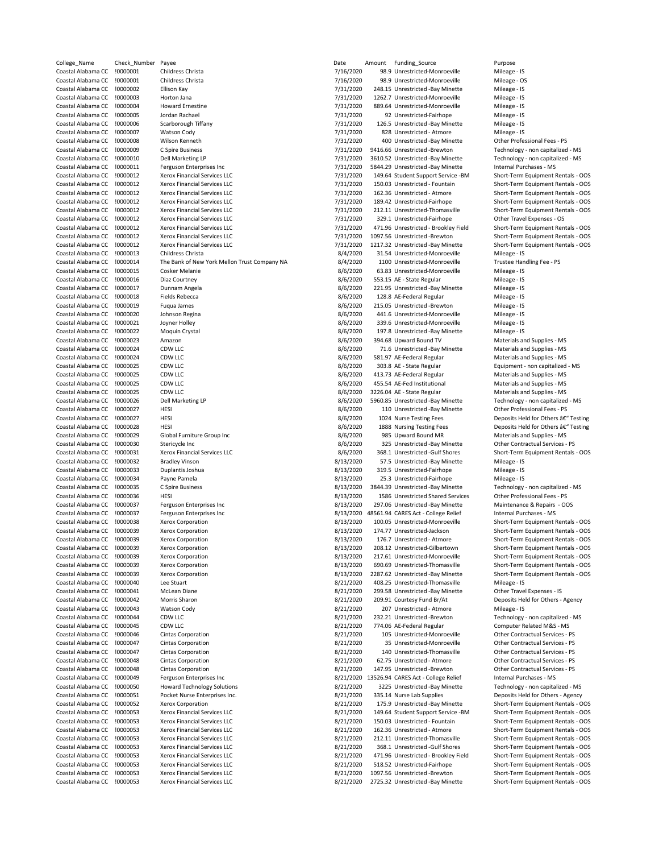| College_Name       | Check_Number | Payee                                        | Date      | Amount | Funding_Source                       | Purpose                           |
|--------------------|--------------|----------------------------------------------|-----------|--------|--------------------------------------|-----------------------------------|
| Coastal Alabama CC | !0000001     | Childress Christa                            | 7/16/2020 |        | 98.9 Unrestricted-Monroeville        | Mileage - IS                      |
| Coastal Alabama CC | !0000001     | Childress Christa                            | 7/16/2020 |        | 98.9 Unrestricted-Monroeville        | Mileage - OS                      |
| Coastal Alabama CC | !0000002     | Ellison Kay                                  | 7/31/2020 |        | 248.15 Unrestricted -Bay Minette     | Mileage - IS                      |
| Coastal Alabama CC | !0000003     | Horton Jana                                  | 7/31/2020 |        | 1262.7 Unrestricted-Monroeville      | Mileage - IS                      |
| Coastal Alabama CC | !0000004     | <b>Howard Ernestine</b>                      | 7/31/2020 |        | 889.64 Unrestricted-Monroeville      | Mileage - IS                      |
| Coastal Alabama CC | !0000005     | Jordan Rachael                               | 7/31/2020 |        | 92 Unrestricted-Fairhope             | Mileage - IS                      |
| Coastal Alabama CC | !0000006     | Scarborough Tiffany                          | 7/31/2020 |        | 126.5 Unrestricted -Bay Minette      | Mileage - IS                      |
| Coastal Alabama CC | !0000007     | <b>Watson Cody</b>                           |           |        | 828 Unrestricted - Atmore            | Mileage - IS                      |
|                    |              |                                              | 7/31/2020 |        |                                      |                                   |
| Coastal Alabama CC | !0000008     | Wilson Kenneth                               | 7/31/2020 |        | 400 Unrestricted -Bay Minette        | Other Professional Fees - P!      |
| Coastal Alabama CC | !0000009     | C Spire Business                             | 7/31/2020 |        | 9416.66 Unrestricted -Brewton        | Technology - non capitalize       |
| Coastal Alabama CC | !0000010     | Dell Marketing LP                            | 7/31/2020 |        | 3610.52 Unrestricted -Bay Minette    | Technology - non capitalize       |
| Coastal Alabama CC | !0000011     | Ferguson Enterprises Inc                     | 7/31/2020 |        | 5844.29 Unrestricted -Bay Minette    | Internal Purchases - MS           |
| Coastal Alabama CC | !0000012     | Xerox Financial Services LLC                 | 7/31/2020 |        | 149.64 Student Support Service -BM   | Short-Term Equipment Ren          |
| Coastal Alabama CC | !0000012     | Xerox Financial Services LLC                 | 7/31/2020 |        | 150.03 Unrestricted - Fountain       | Short-Term Equipment Ren          |
| Coastal Alabama CC | !0000012     | Xerox Financial Services LLC                 | 7/31/2020 |        | 162.36 Unrestricted - Atmore         | Short-Term Equipment Ren          |
| Coastal Alabama CC | !0000012     | Xerox Financial Services LLC                 | 7/31/2020 |        | 189.42 Unrestricted-Fairhope         | Short-Term Equipment Ren          |
| Coastal Alabama CC | !0000012     | <b>Xerox Financial Services LLC</b>          |           |        | 212.11 Unrestricted-Thomasville      | Short-Term Equipment Ren          |
|                    |              |                                              | 7/31/2020 |        |                                      |                                   |
| Coastal Alabama CC | !0000012     | Xerox Financial Services LLC                 | 7/31/2020 |        | 329.1 Unrestricted-Fairhope          | Other Travel Expenses - OS        |
| Coastal Alabama CC | !0000012     | Xerox Financial Services LLC                 | 7/31/2020 |        | 471.96 Unrestricted - Brookley Field | Short-Term Equipment Ren          |
| Coastal Alabama CC | !0000012     | Xerox Financial Services LLC                 | 7/31/2020 |        | 1097.56 Unrestricted -Brewton        | Short-Term Equipment Ren          |
| Coastal Alabama CC | !0000012     | Xerox Financial Services LLC                 | 7/31/2020 |        | 1217.32 Unrestricted -Bay Minette    | Short-Term Equipment Ren          |
| Coastal Alabama CC | !0000013     | Childress Christa                            | 8/4/2020  |        | 31.54 Unrestricted-Monroeville       | Mileage - IS                      |
| Coastal Alabama CC | !0000014     | The Bank of New York Mellon Trust Company NA | 8/4/2020  |        | 1100 Unrestricted-Monroeville        | Trustee Handling Fee - PS         |
| Coastal Alabama CC | !0000015     | Cosker Melanie                               | 8/6/2020  |        | 63.83 Unrestricted-Monroeville       | Mileage - IS                      |
| Coastal Alabama CC | !0000016     | Diaz Courtney                                | 8/6/2020  |        | 553.15 AE - State Regular            | Mileage - IS                      |
|                    |              |                                              |           |        |                                      |                                   |
| Coastal Alabama CC | !0000017     | Dunnam Angela                                | 8/6/2020  |        | 221.95 Unrestricted -Bay Minette     | Mileage - IS                      |
| Coastal Alabama CC | !0000018     | <b>Fields Rebecca</b>                        | 8/6/2020  |        | 128.8 AE-Federal Regular             | Mileage - IS                      |
| Coastal Alabama CC | !0000019     | Fuqua James                                  | 8/6/2020  |        | 215.05 Unrestricted -Brewton         | Mileage - IS                      |
| Coastal Alabama CC | !0000020     | Johnson Regina                               | 8/6/2020  |        | 441.6 Unrestricted-Monroeville       | Mileage - IS                      |
| Coastal Alabama CC | !0000021     | Joyner Holley                                | 8/6/2020  |        | 339.6 Unrestricted-Monroeville       | Mileage - IS                      |
| Coastal Alabama CC | !0000022     | Moquin Crystal                               | 8/6/2020  |        | 197.8 Unrestricted -Bay Minette      | Mileage - IS                      |
| Coastal Alabama CC | !0000023     | Amazon                                       | 8/6/2020  |        | 394.68 Upward Bound TV               | Materials and Supplies - MS       |
|                    |              |                                              |           |        |                                      |                                   |
| Coastal Alabama CC | !0000024     | CDW LLC                                      | 8/6/2020  |        | 71.6 Unrestricted -Bay Minette       | Materials and Supplies - MS       |
| Coastal Alabama CC | !0000024     | CDW LLC                                      | 8/6/2020  |        | 581.97 AE-Federal Regular            | Materials and Supplies - MS       |
| Coastal Alabama CC | !0000025     | CDW LLC                                      | 8/6/2020  |        | 303.8 AE - State Regular             | Equipment - non capitalized       |
| Coastal Alabama CC | !0000025     | CDW LLC                                      | 8/6/2020  |        | 413.73 AE-Federal Regular            | Materials and Supplies - MS       |
| Coastal Alabama CC | !0000025     | CDW LLC                                      | 8/6/2020  |        | 455.54 AE-Fed Institutional          | Materials and Supplies - MS       |
| Coastal Alabama CC | !0000025     | CDW LLC                                      | 8/6/2020  |        | 3226.04 AE - State Regular           | Materials and Supplies - MS       |
| Coastal Alabama CC | !0000026     | Dell Marketing LP                            | 8/6/2020  |        | 5960.85 Unrestricted -Bay Minette    | Technology - non capitalize       |
| Coastal Alabama CC | !0000027     | HESI                                         | 8/6/2020  |        | 110 Unrestricted -Bay Minette        | Other Professional Fees - P!      |
|                    |              |                                              |           |        |                                      |                                   |
| Coastal Alabama CC | !0000027     | HESI                                         | 8/6/2020  |        | 1024 Nurse Testing Fees              | Deposits Held for Others â€       |
| Coastal Alabama CC | !0000028     | HESI                                         | 8/6/2020  |        | 1888 Nursing Testing Fees            | Deposits Held for Others â€       |
| Coastal Alabama CC | !0000029     | Global Furniture Group Inc                   | 8/6/2020  |        | 985 Upward Bound MR                  | Materials and Supplies - MS       |
| Coastal Alabama CC | !0000030     | Stericycle Inc                               | 8/6/2020  |        | 325 Unrestricted -Bay Minette        | <b>Other Contractual Services</b> |
| Coastal Alabama CC | !0000031     | Xerox Financial Services LLC                 | 8/6/2020  |        | 368.1 Unrestricted -Gulf Shores      | Short-Term Equipment Ren          |
| Coastal Alabama CC | !0000032     | <b>Bradley Vinson</b>                        | 8/13/2020 |        | 57.5 Unrestricted -Bay Minette       | Mileage - IS                      |
| Coastal Alabama CC | !0000033     | Duplantis Joshua                             | 8/13/2020 |        | 319.5 Unrestricted-Fairhope          |                                   |
|                    |              |                                              |           |        |                                      | Mileage - IS                      |
| Coastal Alabama CC | !0000034     | Payne Pamela                                 | 8/13/2020 |        | 25.3 Unrestricted-Fairhope           | Mileage - IS                      |
| Coastal Alabama CC | !0000035     | C Spire Business                             | 8/13/2020 |        | 3844.39 Unrestricted -Bay Minette    | Technology - non capitalize       |
| Coastal Alabama CC | !0000036     | HESI                                         | 8/13/2020 |        | 1586 Unrestricted Shared Services    | Other Professional Fees - P!      |
| Coastal Alabama CC | !0000037     | Ferguson Enterprises Inc                     | 8/13/2020 |        | 297.06 Unrestricted -Bay Minette     | Maintenance & Repairs - O         |
| Coastal Alabama CC | !0000037     | Ferguson Enterprises Inc                     | 8/13/2020 |        | 48561.94 CARES Act - College Relief  | Internal Purchases - MS           |
| Coastal Alabama CC | !0000038     | Xerox Corporation                            | 8/13/2020 |        | 100.05 Unrestricted-Monroeville      | Short-Term Equipment Ren          |
| Coastal Alabama CC | !0000039     | Xerox Corporation                            | 8/13/2020 |        | 174.77 Unrestricted-Jackson          | Short-Term Equipment Ren          |
| Coastal Alabama CC |              |                                              |           |        |                                      |                                   |
|                    | !0000039     | <b>Xerox Corporation</b>                     | 8/13/2020 |        | 176.7 Unrestricted - Atmore          | Short-Term Equipment Ren          |
| Coastal Alabama CC | !0000039     | Xerox Corporation                            | 8/13/2020 |        | 208.12 Unrestricted-Gilbertown       | Short-Term Equipment Rent         |
| Coastal Alabama CC | !0000039     | Xerox Corporation                            | 8/13/2020 |        | 217.61 Unrestricted-Monroeville      | Short-Term Equipment Ren          |
| Coastal Alabama CC | !0000039     | Xerox Corporation                            | 8/13/2020 |        | 690.69 Unrestricted-Thomasville      | Short-Term Equipment Ren          |
| Coastal Alabama CC | !0000039     | Xerox Corporation                            | 8/13/2020 |        | 2287.62 Unrestricted -Bay Minette    | Short-Term Equipment Ren          |
| Coastal Alabama CC | !0000040     | Lee Stuart                                   | 8/21/2020 |        | 408.25 Unrestricted-Thomasville      | Mileage - IS                      |
| Coastal Alabama CC | !0000041     | McLean Diane                                 | 8/21/2020 |        | 299.58 Unrestricted -Bay Minette     | Other Travel Expenses - IS        |
| Coastal Alabama CC | !0000042     | Morris Sharon                                | 8/21/2020 |        | 209.91 Courtesy Fund Br/At           | Deposits Held for Others - A      |
|                    |              |                                              |           |        |                                      | Mileage - IS                      |
| Coastal Alabama CC | !0000043     | <b>Watson Cody</b>                           | 8/21/2020 |        | 207 Unrestricted - Atmore            |                                   |
| Coastal Alabama CC | !0000044     | CDW LLC                                      | 8/21/2020 |        | 232.21 Unrestricted -Brewton         | Technology - non capitalize       |
| Coastal Alabama CC | !0000045     | CDW LLC                                      | 8/21/2020 |        | 774.06 AE-Federal Regular            | Computer Related M&S - M          |
| Coastal Alabama CC | !0000046     | Cintas Corporation                           | 8/21/2020 |        | 105 Unrestricted-Monroeville         | <b>Other Contractual Services</b> |
| Coastal Alabama CC | !0000047     | <b>Cintas Corporation</b>                    | 8/21/2020 |        | 35 Unrestricted-Monroeville          | <b>Other Contractual Services</b> |
| Coastal Alabama CC | !0000047     | <b>Cintas Corporation</b>                    | 8/21/2020 |        | 140 Unrestricted-Thomasville         | <b>Other Contractual Services</b> |
| Coastal Alabama CC | !0000048     | Cintas Corporation                           | 8/21/2020 |        | 62.75 Unrestricted - Atmore          | Other Contractual Services        |
| Coastal Alabama CC | !0000048     |                                              | 8/21/2020 |        |                                      |                                   |
|                    |              | Cintas Corporation                           |           |        | 147.95 Unrestricted -Brewton         | Other Contractual Services        |
| Coastal Alabama CC | !0000049     | Ferguson Enterprises Inc                     | 8/21/2020 |        | 13526.94 CARES Act - College Relief  | Internal Purchases - MS           |
| Coastal Alabama CC | !0000050     | <b>Howard Technology Solutions</b>           | 8/21/2020 |        | 3225 Unrestricted -Bay Minette       | Technology - non capitalize       |
| Coastal Alabama CC | !0000051     | Pocket Nurse Enterprises Inc.                | 8/21/2020 |        | 335.14 Nurse Lab Supplies            | Deposits Held for Others - A      |
| Coastal Alabama CC | !0000052     | Xerox Corporation                            | 8/21/2020 |        | 175.9 Unrestricted -Bay Minette      | Short-Term Equipment Ren          |
| Coastal Alabama CC | !0000053     | Xerox Financial Services LLC                 | 8/21/2020 |        | 149.64 Student Support Service -BM   | Short-Term Equipment Ren          |
| Coastal Alabama CC | !0000053     | Xerox Financial Services LLC                 | 8/21/2020 |        | 150.03 Unrestricted - Fountain       | Short-Term Equipment Ren          |
|                    |              |                                              |           |        |                                      |                                   |
| Coastal Alabama CC | !0000053     | Xerox Financial Services LLC                 | 8/21/2020 |        | 162.36 Unrestricted - Atmore         | Short-Term Equipment Ren          |
| Coastal Alabama CC | !0000053     | Xerox Financial Services LLC                 | 8/21/2020 |        | 212.11 Unrestricted-Thomasville      | Short-Term Equipment Ren          |
| Coastal Alabama CC | !0000053     | Xerox Financial Services LLC                 | 8/21/2020 |        | 368.1 Unrestricted -Gulf Shores      | Short-Term Equipment Ren          |
| Coastal Alabama CC | !0000053     | Xerox Financial Services LLC                 | 8/21/2020 |        | 471.96 Unrestricted - Brookley Field | Short-Term Equipment Ren          |
| Coastal Alabama CC | !0000053     | Xerox Financial Services LLC                 | 8/21/2020 |        | 518.52 Unrestricted-Fairhope         | Short-Term Equipment Ren          |
| Coastal Alabama CC | !0000053     | Xerox Financial Services LLC                 | 8/21/2020 |        | 1097.56 Unrestricted -Brewton        | Short-Term Equipment Ren          |
|                    |              |                                              |           |        |                                      |                                   |
| Coastal Alabama CC | !0000053     | Xerox Financial Services LLC                 | 8/21/2020 |        | 2725.32 Unrestricted -Bay Minette    | Short-Term Equipment Ren          |

|        | Date      | Amount | Funding Source                                | Purpose                                |
|--------|-----------|--------|-----------------------------------------------|----------------------------------------|
|        | 7/16/2020 |        | 98.9 Unrestricted-Monroeville                 | Mileage - IS                           |
|        | 7/16/2020 |        | 98.9 Unrestricted-Monroeville                 | Mileage - OS                           |
|        | 7/31/2020 |        | 248.15 Unrestricted -Bay Minette              | Mileage - IS                           |
|        | 7/31/2020 |        | 1262.7 Unrestricted-Monroeville               | Mileage - IS                           |
|        | 7/31/2020 |        | 889.64 Unrestricted-Monroeville               | Mileage - IS                           |
|        | 7/31/2020 |        | 92 Unrestricted-Fairhope                      | Mileage - IS                           |
|        | 7/31/2020 |        | 126.5 Unrestricted -Bay Minette               | Mileage - IS                           |
|        |           |        | 828 Unrestricted - Atmore                     |                                        |
|        | 7/31/2020 |        |                                               | Mileage - IS                           |
|        | 7/31/2020 |        | 400 Unrestricted -Bay Minette                 | Other Professional Fees - PS           |
|        | 7/31/2020 |        | 9416.66 Unrestricted -Brewton                 | Technology - non capitalized - MS      |
|        | 7/31/2020 |        | 3610.52 Unrestricted -Bay Minette             | Technology - non capitalized - MS      |
|        | 7/31/2020 |        | 5844.29 Unrestricted -Bay Minette             | Internal Purchases - MS                |
|        | 7/31/2020 |        | 149.64 Student Support Service -BM            | Short-Term Equipment Rentals - OOS     |
|        | 7/31/2020 |        | 150.03 Unrestricted - Fountain                | Short-Term Equipment Rentals - OOS     |
|        | 7/31/2020 |        | 162.36 Unrestricted - Atmore                  | Short-Term Equipment Rentals - OOS     |
|        | 7/31/2020 |        | 189.42 Unrestricted-Fairhope                  | Short-Term Equipment Rentals - OOS     |
|        | 7/31/2020 |        | 212.11 Unrestricted-Thomasville               | Short-Term Equipment Rentals - OOS     |
|        | 7/31/2020 |        | 329.1 Unrestricted-Fairhope                   | Other Travel Expenses - OS             |
|        | 7/31/2020 |        | 471.96 Unrestricted - Brookley Field          | Short-Term Equipment Rentals - OOS     |
|        |           |        |                                               |                                        |
|        | 7/31/2020 |        | 1097.56 Unrestricted -Brewton                 | Short-Term Equipment Rentals - OOS     |
|        | 7/31/2020 |        | 1217.32 Unrestricted -Bay Minette             | Short-Term Equipment Rentals - OOS     |
|        | 8/4/2020  |        | 31.54 Unrestricted-Monroeville                | Mileage - IS                           |
| any NA | 8/4/2020  |        | 1100 Unrestricted-Monroeville                 | Trustee Handling Fee - PS              |
|        | 8/6/2020  |        | 63.83 Unrestricted-Monroeville                | Mileage - IS                           |
|        | 8/6/2020  |        | 553.15 AE - State Regular                     | Mileage - IS                           |
|        | 8/6/2020  |        | 221.95 Unrestricted -Bay Minette              | Mileage - IS                           |
|        | 8/6/2020  |        | 128.8 AE-Federal Regular                      | Mileage - IS                           |
|        | 8/6/2020  |        | 215.05 Unrestricted -Brewton                  | Mileage - IS                           |
|        | 8/6/2020  |        | 441.6 Unrestricted-Monroeville                | Mileage - IS                           |
|        | 8/6/2020  |        | 339.6 Unrestricted-Monroeville                | Mileage - IS                           |
|        | 8/6/2020  |        | 197.8 Unrestricted -Bay Minette               | Mileage - IS                           |
|        | 8/6/2020  |        | 394.68 Upward Bound TV                        | Materials and Supplies - MS            |
|        |           |        |                                               |                                        |
|        | 8/6/2020  |        | 71.6 Unrestricted -Bay Minette                | Materials and Supplies - MS            |
|        | 8/6/2020  |        | 581.97 AE-Federal Regular                     | Materials and Supplies - MS            |
|        | 8/6/2020  |        | 303.8 AE - State Regular                      | Equipment - non capitalized - MS       |
|        | 8/6/2020  |        | 413.73 AE-Federal Regular                     | Materials and Supplies - MS            |
|        | 8/6/2020  |        | 455.54 AE-Fed Institutional                   | Materials and Supplies - MS            |
|        | 8/6/2020  |        | 3226.04 AE - State Regular                    | Materials and Supplies - MS            |
|        | 8/6/2020  |        | 5960.85 Unrestricted -Bay Minette             | Technology - non capitalized - MS      |
|        | 8/6/2020  |        | 110 Unrestricted -Bay Minette                 | Other Professional Fees - PS           |
|        | 8/6/2020  |        | 1024 Nurse Testing Fees                       | Deposits Held for Others â€" Testing   |
|        | 8/6/2020  |        | 1888 Nursing Testing Fees                     | Deposits Held for Others â€" Testing   |
|        | 8/6/2020  |        | 985 Upward Bound MR                           | Materials and Supplies - MS            |
|        |           |        | 325 Unrestricted -Bay Minette                 | Other Contractual Services - PS        |
|        | 8/6/2020  |        |                                               |                                        |
|        | 8/6/2020  |        | 368.1 Unrestricted -Gulf Shores               | Short-Term Equipment Rentals - OOS     |
|        | 8/13/2020 |        | 57.5 Unrestricted -Bay Minette                | Mileage - IS                           |
|        | 8/13/2020 |        | 319.5 Unrestricted-Fairhope                   | Mileage - IS                           |
|        | 8/13/2020 |        | 25.3 Unrestricted-Fairhope                    | Mileage - IS                           |
|        | 8/13/2020 |        | 3844.39 Unrestricted -Bay Minette             | Technology - non capitalized - MS      |
|        | 8/13/2020 |        | 1586 Unrestricted Shared Services             | Other Professional Fees - PS           |
|        | 8/13/2020 |        | 297.06 Unrestricted -Bay Minette              | Maintenance & Repairs - OOS            |
|        |           |        | 8/13/2020 48561.94 CARES Act - College Relief | Internal Purchases - MS                |
|        | 8/13/2020 |        | 100.05 Unrestricted-Monroeville               | Short-Term Equipment Rentals - OOS     |
|        | 8/13/2020 |        | 174.77 Unrestricted-Jackson                   | Short-Term Equipment Rentals - OOS     |
|        | 8/13/2020 |        | 176.7 Unrestricted - Atmore                   | Short-Term Equipment Rentals - OOS     |
|        |           |        | 208.12 Unrestricted-Gilbertown                |                                        |
|        | 8/13/2020 |        |                                               | Short-Term Equipment Rentals - OOS     |
|        | 8/13/2020 |        | 217.61 Unrestricted-Monroeville               | Short-Term Equipment Rentals - OOS     |
|        | 8/13/2020 |        | 690.69 Unrestricted-Thomasville               | Short-Term Equipment Rentals - OOS     |
|        | 8/13/2020 |        | 2287.62 Unrestricted -Bay Minette             | Short-Term Equipment Rentals - OOS     |
|        | 8/21/2020 |        | 408.25 Unrestricted-Thomasville               | Mileage - IS                           |
|        | 8/21/2020 |        | 299.58 Unrestricted -Bay Minette              | Other Travel Expenses - IS             |
|        | 8/21/2020 |        | 209.91 Courtesy Fund Br/At                    | Deposits Held for Others - Agency      |
|        | 8/21/2020 |        | 207 Unrestricted - Atmore                     | Mileage - IS                           |
|        | 8/21/2020 |        | 232.21 Unrestricted -Brewton                  | Technology - non capitalized - MS      |
|        | 8/21/2020 |        | 774.06 AE-Federal Regular                     | Computer Related M&S - MS              |
|        | 8/21/2020 |        | 105 Unrestricted-Monroeville                  | Other Contractual Services - PS        |
|        | 8/21/2020 |        | 35 Unrestricted-Monroeville                   | <b>Other Contractual Services - PS</b> |
|        | 8/21/2020 |        | 140 Unrestricted-Thomasville                  | Other Contractual Services - PS        |
|        | 8/21/2020 |        | 62.75 Unrestricted - Atmore                   | Other Contractual Services - PS        |
|        |           |        | 147.95 Unrestricted -Brewton                  |                                        |
|        | 8/21/2020 |        |                                               | Other Contractual Services - PS        |
|        |           |        | 8/21/2020 13526.94 CARES Act - College Relief | <b>Internal Purchases - MS</b>         |
|        | 8/21/2020 |        | 3225 Unrestricted -Bay Minette                | Technology - non capitalized - MS      |
|        | 8/21/2020 |        | 335.14 Nurse Lab Supplies                     | Deposits Held for Others - Agency      |
|        | 8/21/2020 |        | 175.9 Unrestricted -Bay Minette               | Short-Term Equipment Rentals - OOS     |
|        | 8/21/2020 |        | 149.64 Student Support Service -BM            | Short-Term Equipment Rentals - OOS     |
|        | 8/21/2020 |        | 150.03 Unrestricted - Fountain                | Short-Term Equipment Rentals - OOS     |
|        | 8/21/2020 |        | 162.36 Unrestricted - Atmore                  | Short-Term Equipment Rentals - OOS     |
|        | 8/21/2020 |        | 212.11 Unrestricted-Thomasville               | Short-Term Equipment Rentals - OOS     |
|        | 8/21/2020 |        | 368.1 Unrestricted -Gulf Shores               | Short-Term Equipment Rentals - OOS     |
|        | 8/21/2020 |        | 471.96 Unrestricted - Brookley Field          | Short-Term Equipment Rentals - OOS     |
|        |           |        |                                               |                                        |
|        | 8/21/2020 |        | 518.52 Unrestricted-Fairhope                  | Short-Term Equipment Rentals - OOS     |
|        | 8/21/2020 |        | 1097.56 Unrestricted -Brewton                 | Short-Term Equipment Rentals - OOS     |
|        | 8/21/2020 |        | 2725.32 Unrestricted -Bay Minette             | Short-Term Equipment Rentals - OOS     |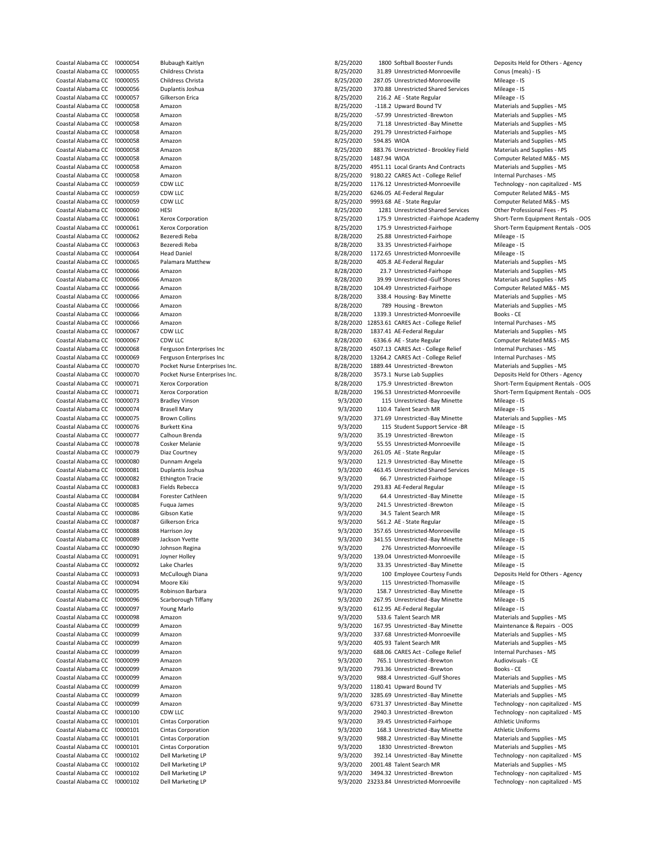| Coastal Alabama CC | !0000054 | Blubaugh Kaitlyn              | 8/25/2020 |              | 1800 Softball Booster Funds                | Deposits Held for Others - A  |
|--------------------|----------|-------------------------------|-----------|--------------|--------------------------------------------|-------------------------------|
| Coastal Alabama CC | !0000055 | Childress Christa             | 8/25/2020 |              | 31.89 Unrestricted-Monroeville             | Conus (meals) - IS            |
| Coastal Alabama CC | !0000055 | Childress Christa             | 8/25/2020 |              | 287.05 Unrestricted-Monroeville            | Mileage - IS                  |
|                    |          |                               |           |              |                                            |                               |
| Coastal Alabama CC | !0000056 | Duplantis Joshua              | 8/25/2020 |              | 370.88 Unrestricted Shared Services        | Mileage - IS                  |
| Coastal Alabama CC | !0000057 | Gilkerson Erica               | 8/25/2020 |              | 216.2 AE - State Regular                   | Mileage - IS                  |
| Coastal Alabama CC | !0000058 | Amazon                        | 8/25/2020 |              | -118.2 Upward Bound TV                     | Materials and Supplies - MS   |
| Coastal Alabama CC | !0000058 | Amazon                        | 8/25/2020 |              | -57.99 Unrestricted -Brewton               | Materials and Supplies - MS   |
|                    |          |                               |           |              |                                            |                               |
| Coastal Alabama CC | !0000058 | Amazon                        | 8/25/2020 |              | 71.18 Unrestricted -Bay Minette            | Materials and Supplies - MS   |
| Coastal Alabama CC | !0000058 | Amazon                        | 8/25/2020 |              | 291.79 Unrestricted-Fairhope               | Materials and Supplies - MS   |
| Coastal Alabama CC | !0000058 | Amazon                        | 8/25/2020 | 594.85 WIOA  |                                            | Materials and Supplies - MS   |
| Coastal Alabama CC | !0000058 | Amazon                        | 8/25/2020 |              | 883.76 Unrestricted - Brookley Field       | Materials and Supplies - MS   |
|                    |          |                               |           |              |                                            |                               |
| Coastal Alabama CC | !0000058 | Amazon                        | 8/25/2020 | 1487.94 WIOA |                                            | Computer Related M&S - MS     |
| Coastal Alabama CC | !0000058 | Amazon                        | 8/25/2020 |              | 4951.11 Local Grants And Contracts         | Materials and Supplies - MS   |
| Coastal Alabama CC | !0000058 | Amazon                        | 8/25/2020 |              | 9180.22 CARES Act - College Relief         | Internal Purchases - MS       |
|                    |          |                               |           |              |                                            |                               |
| Coastal Alabama CC | !0000059 | CDW LLC                       | 8/25/2020 |              | 1176.12 Unrestricted-Monroeville           | Technology - non capitalized  |
| Coastal Alabama CC | !0000059 | CDW LLC                       | 8/25/2020 |              | 6246.05 AE-Federal Regular                 | Computer Related M&S - MS     |
| Coastal Alabama CC | !0000059 | CDW LLC                       | 8/25/2020 |              | 9993.68 AE - State Regular                 | Computer Related M&S - MS     |
|                    |          | HESI                          |           |              |                                            | Other Professional Fees - PS  |
| Coastal Alabama CC | !0000060 |                               | 8/25/2020 |              | 1281 Unrestricted Shared Services          |                               |
| Coastal Alabama CC | !0000061 | Xerox Corporation             | 8/25/2020 |              | 175.9 Unrestricted -Fairhope Academy       | Short-Term Equipment Rent     |
| Coastal Alabama CC | !0000061 | Xerox Corporation             | 8/25/2020 |              | 175.9 Unrestricted-Fairhope                | Short-Term Equipment Renta    |
| Coastal Alabama CC | !0000062 | Bezeredi Reba                 | 8/28/2020 |              | 25.88 Unrestricted-Fairhope                | Mileage - IS                  |
|                    |          |                               |           |              |                                            |                               |
| Coastal Alabama CC | !0000063 | Bezeredi Reba                 | 8/28/2020 |              | 33.35 Unrestricted-Fairhope                | Mileage - IS                  |
| Coastal Alabama CC | !0000064 | <b>Head Daniel</b>            | 8/28/2020 |              | 1172.65 Unrestricted-Monroeville           | Mileage - IS                  |
| Coastal Alabama CC | !0000065 | Palamara Matthew              | 8/28/2020 |              | 405.8 AE-Federal Regular                   | Materials and Supplies - MS   |
|                    |          |                               |           |              |                                            |                               |
| Coastal Alabama CC | !0000066 | Amazon                        | 8/28/2020 |              | 23.7 Unrestricted-Fairhope                 | Materials and Supplies - MS   |
| Coastal Alabama CC | !0000066 | Amazon                        | 8/28/2020 |              | 39.99 Unrestricted -Gulf Shores            | Materials and Supplies - MS   |
| Coastal Alabama CC | !0000066 | Amazon                        | 8/28/2020 |              | 104.49 Unrestricted-Fairhope               | Computer Related M&S - MS     |
| Coastal Alabama CC | !0000066 | Amazon                        | 8/28/2020 |              | 338.4 Housing- Bay Minette                 | Materials and Supplies - MS   |
|                    |          |                               |           |              |                                            |                               |
| Coastal Alabama CC | !0000066 | Amazon                        | 8/28/2020 |              | 789 Housing - Brewton                      | Materials and Supplies - MS   |
| Coastal Alabama CC | !0000066 | Amazon                        | 8/28/2020 |              | 1339.3 Unrestricted-Monroeville            | Books - CE                    |
| Coastal Alabama CC | !0000066 | Amazon                        | 8/28/2020 |              | 12853.61 CARES Act - College Relief        | Internal Purchases - MS       |
|                    |          |                               |           |              |                                            |                               |
| Coastal Alabama CC | !0000067 | CDW LLC                       | 8/28/2020 |              | 1837.41 AE-Federal Regular                 | Materials and Supplies - MS   |
| Coastal Alabama CC | !0000067 | CDW LLC                       | 8/28/2020 |              | 6336.6 AE - State Regular                  | Computer Related M&S - MS     |
| Coastal Alabama CC | !0000068 | Ferguson Enterprises Inc      | 8/28/2020 |              | 4507.13 CARES Act - College Relief         | Internal Purchases - MS       |
|                    |          |                               |           |              |                                            |                               |
| Coastal Alabama CC | !0000069 | Ferguson Enterprises Inc      | 8/28/2020 |              | 13264.2 CARES Act - College Relief         | Internal Purchases - MS       |
| Coastal Alabama CC | !0000070 | Pocket Nurse Enterprises Inc. | 8/28/2020 |              | 1889.44 Unrestricted -Brewton              | Materials and Supplies - MS   |
| Coastal Alabama CC | !0000070 | Pocket Nurse Enterprises Inc. | 8/28/2020 |              | 3573.1 Nurse Lab Supplies                  | Deposits Held for Others - Ag |
|                    |          |                               |           |              |                                            |                               |
| Coastal Alabama CC | !0000071 | Xerox Corporation             | 8/28/2020 |              | 175.9 Unrestricted -Brewton                | Short-Term Equipment Rent     |
| Coastal Alabama CC | !0000071 | Xerox Corporation             | 8/28/2020 |              | 196.53 Unrestricted-Monroeville            | Short-Term Equipment Rent     |
| Coastal Alabama CC | !0000073 | <b>Bradley Vinson</b>         | 9/3/2020  |              | 115 Unrestricted -Bay Minette              | Mileage - IS                  |
|                    | !0000074 |                               | 9/3/2020  |              |                                            |                               |
| Coastal Alabama CC |          | <b>Brasell Mary</b>           |           |              | 110.4 Talent Search MR                     | Mileage - IS                  |
| Coastal Alabama CC | !0000075 | <b>Brown Collins</b>          | 9/3/2020  |              | 371.69 Unrestricted -Bay Minette           | Materials and Supplies - MS   |
| Coastal Alabama CC | !0000076 | <b>Burkett Kina</b>           | 9/3/2020  |              | 115 Student Support Service -BR            | Mileage - IS                  |
| Coastal Alabama CC | !0000077 | Calhoun Brenda                | 9/3/2020  |              | 35.19 Unrestricted -Brewton                | Mileage - IS                  |
|                    |          |                               |           |              |                                            |                               |
| Coastal Alabama CC | !0000078 | Cosker Melanie                | 9/3/2020  |              | 55.55 Unrestricted-Monroeville             | Mileage - IS                  |
| Coastal Alabama CC | !0000079 | Diaz Courtney                 | 9/3/2020  |              | 261.05 AE - State Regular                  | Mileage - IS                  |
| Coastal Alabama CC | !0000080 | Dunnam Angela                 | 9/3/2020  |              | 121.9 Unrestricted -Bay Minette            | Mileage - IS                  |
|                    |          |                               |           |              |                                            |                               |
| Coastal Alabama CC | !0000081 | Duplantis Joshua              | 9/3/2020  |              | 463.45 Unrestricted Shared Services        | Mileage - IS                  |
| Coastal Alabama CC | !0000082 | <b>Ethington Tracie</b>       | 9/3/2020  |              | 66.7 Unrestricted-Fairhope                 | Mileage - IS                  |
| Coastal Alabama CC | !0000083 | Fields Rebecca                | 9/3/2020  |              | 293.83 AE-Federal Regular                  | Mileage - IS                  |
| Coastal Alabama CC | !0000084 | Forester Cathleen             | 9/3/2020  |              | 64.4 Unrestricted -Bay Minette             | Mileage - IS                  |
|                    |          |                               |           |              |                                            |                               |
| Coastal Alabama CC | !0000085 | Fuqua James                   | 9/3/2020  |              | 241.5 Unrestricted -Brewton                | Mileage - IS                  |
| Coastal Alabama CC | !0000086 | Gibson Katie                  | 9/3/2020  |              | 34.5 Talent Search MR                      | Mileage - IS                  |
| Coastal Alabama CC | !0000087 | Gilkerson Erica               | 9/3/2020  |              | 561.2 AE - State Regular                   | Mileage - IS                  |
|                    |          |                               |           |              |                                            |                               |
| Coastal Alabama CC | !0000088 | Harrison Joy                  | 9/3/2020  |              | 357.65 Unrestricted-Monroeville            | Mileage - IS                  |
| Coastal Alabama CC | !0000089 | Jackson Yvette                | 9/3/2020  |              | 341.55 Unrestricted -Bay Minette           | Mileage - IS                  |
| Coastal Alabama CC | !0000090 | Johnson Regina                | 9/3/2020  |              | 276 Unrestricted-Monroeville               | Mileage - IS                  |
|                    |          |                               |           |              |                                            |                               |
| Coastal Alabama CC | !0000091 | Joyner Holley                 | 9/3/2020  |              | 139.04 Unrestricted-Monroeville            | Mileage - IS                  |
| Coastal Alabama CC | !0000092 | Lake Charles                  | 9/3/2020  |              | 33.35 Unrestricted -Bay Minette            | Mileage - IS                  |
| Coastal Alabama CC | !0000093 | McCullough Diana              | 9/3/2020  |              | 100 Employee Courtesy Funds                | Deposits Held for Others - Ag |
| Coastal Alabama CC | !0000094 | Moore Kiki                    | 9/3/2020  |              | 115 Unrestricted-Thomasville               | Mileage - IS                  |
|                    |          |                               |           |              |                                            |                               |
| Coastal Alabama CC | !0000095 | Robinson Barbara              | 9/3/2020  |              | 158.7 Unrestricted -Bay Minette            | Mileage - IS                  |
| Coastal Alabama CC | !0000096 | Scarborough Tiffany           | 9/3/2020  |              | 267.95 Unrestricted -Bay Minette           | Mileage - IS                  |
| Coastal Alabama CC | !0000097 | Young Marlo                   | 9/3/2020  |              | 612.95 AE-Federal Regular                  | Mileage - IS                  |
|                    |          |                               |           |              |                                            |                               |
| Coastal Alabama CC | !0000098 | Amazon                        | 9/3/2020  |              | 533.6 Talent Search MR                     | Materials and Supplies - MS   |
| Coastal Alabama CC | !0000099 | Amazon                        | 9/3/2020  |              | 167.95 Unrestricted -Bay Minette           | Maintenance & Repairs - OC    |
| Coastal Alabama CC | !0000099 | Amazon                        | 9/3/2020  |              | 337.68 Unrestricted-Monroeville            | Materials and Supplies - MS   |
| Coastal Alabama CC |          |                               |           |              |                                            | Materials and Supplies - MS   |
|                    | !0000099 | Amazon                        | 9/3/2020  |              | 405.93 Talent Search MR                    |                               |
| Coastal Alabama CC | !0000099 | Amazon                        | 9/3/2020  |              | 688.06 CARES Act - College Relief          | Internal Purchases - MS       |
| Coastal Alabama CC | !0000099 | Amazon                        | 9/3/2020  |              | 765.1 Unrestricted -Brewton                | Audiovisuals - CE             |
| Coastal Alabama CC | !0000099 | Amazon                        | 9/3/2020  |              | 793.36 Unrestricted -Brewton               | Books - CE                    |
|                    |          |                               |           |              |                                            |                               |
| Coastal Alabama CC | !0000099 | Amazon                        | 9/3/2020  |              | 988.4 Unrestricted -Gulf Shores            | Materials and Supplies - MS   |
| Coastal Alabama CC | !0000099 | Amazon                        | 9/3/2020  |              | 1180.41 Upward Bound TV                    | Materials and Supplies - MS   |
| Coastal Alabama CC | !0000099 | Amazon                        | 9/3/2020  |              | 3285.69 Unrestricted -Bay Minette          | Materials and Supplies - MS   |
|                    |          |                               |           |              |                                            |                               |
| Coastal Alabama CC | !0000099 | Amazon                        | 9/3/2020  |              | 6731.37 Unrestricted -Bay Minette          | Technology - non capitalized  |
| Coastal Alabama CC | !0000100 | CDW LLC                       | 9/3/2020  |              | 2940.3 Unrestricted -Brewton               | Technology - non capitalized  |
| Coastal Alabama CC | !0000101 | <b>Cintas Corporation</b>     | 9/3/2020  |              | 39.45 Unrestricted-Fairhope                | <b>Athletic Uniforms</b>      |
|                    |          |                               |           |              |                                            |                               |
| Coastal Alabama CC | !0000101 | Cintas Corporation            | 9/3/2020  |              | 168.3 Unrestricted -Bay Minette            | <b>Athletic Uniforms</b>      |
| Coastal Alabama CC | !0000101 | Cintas Corporation            | 9/3/2020  |              | 988.2 Unrestricted -Bay Minette            | Materials and Supplies - MS   |
| Coastal Alabama CC | !0000101 | <b>Cintas Corporation</b>     | 9/3/2020  |              | 1830 Unrestricted -Brewton                 | Materials and Supplies - MS   |
|                    |          |                               |           |              |                                            |                               |
| Coastal Alabama CC | !0000102 | Dell Marketing LP             | 9/3/2020  |              | 392.14 Unrestricted -Bay Minette           | Technology - non capitalized  |
| Coastal Alabama CC | !0000102 | Dell Marketing LP             | 9/3/2020  |              | 2001.48 Talent Search MR                   | Materials and Supplies - MS   |
| Coastal Alabama CC | !0000102 | Dell Marketing LP             | 9/3/2020  |              | 3494.32 Unrestricted -Brewton              | Technology - non capitalized  |
| Coastal Alabama CC | !0000102 | Dell Marketing LP             |           |              | 9/3/2020 23233.84 Unrestricted-Monroeville | Technology - non capitalized  |
|                    |          |                               |           |              |                                            |                               |

| al Alabama CC !0000054  |          | <b>Blubaugh Kaitlyn</b>                          | 8/25/2020 |              | 1800 Softball Booster Funds          | Deposits Held for Others - Agency  |
|-------------------------|----------|--------------------------------------------------|-----------|--------------|--------------------------------------|------------------------------------|
| al Alabama CC           | !0000055 | Childress Christa                                | 8/25/2020 |              | 31.89 Unrestricted-Monroeville       | Conus (meals) - IS                 |
| al Alabama CC           | !0000055 | Childress Christa                                | 8/25/2020 |              | 287.05 Unrestricted-Monroeville      | Mileage - IS                       |
| al Alabama CC           | !0000056 | Duplantis Joshua                                 | 8/25/2020 |              | 370.88 Unrestricted Shared Services  | Mileage - IS                       |
| al Alabama CC           | !0000057 | Gilkerson Erica                                  | 8/25/2020 |              | 216.2 AE - State Regular             | Mileage - IS                       |
| al Alabama CC           | !0000058 | Amazon                                           | 8/25/2020 |              | -118.2 Upward Bound TV               | Materials and Supplies - MS        |
| al Alabama CC           | !0000058 | Amazon                                           | 8/25/2020 |              | -57.99 Unrestricted -Brewton         | Materials and Supplies - MS        |
| al Alabama CC           | !0000058 | Amazon                                           | 8/25/2020 |              | 71.18 Unrestricted -Bay Minette      | Materials and Supplies - MS        |
| al Alabama CC           | !0000058 | Amazon                                           | 8/25/2020 |              | 291.79 Unrestricted-Fairhope         | Materials and Supplies - MS        |
| al Alabama CC           | !0000058 | Amazon                                           | 8/25/2020 | 594.85 WIOA  |                                      | Materials and Supplies - MS        |
| al Alabama CC           | !0000058 | Amazon                                           | 8/25/2020 |              | 883.76 Unrestricted - Brookley Field | Materials and Supplies - MS        |
| al Alabama CC           | !0000058 | Amazon                                           | 8/25/2020 | 1487.94 WIOA |                                      | Computer Related M&S - MS          |
| al Alabama CC           | !0000058 | Amazon                                           | 8/25/2020 |              | 4951.11 Local Grants And Contracts   | Materials and Supplies - MS        |
|                         | !0000058 | Amazon                                           |           |              | 9180.22 CARES Act - College Relief   | Internal Purchases - MS            |
| al Alabama CC           |          |                                                  | 8/25/2020 |              |                                      |                                    |
| al Alabama CC           | !0000059 | CDW LLC                                          | 8/25/2020 |              | 1176.12 Unrestricted-Monroeville     | Technology - non capitalized - MS  |
| al Alabama CC           | !0000059 | CDW LLC                                          | 8/25/2020 |              | 6246.05 AE-Federal Regular           | Computer Related M&S - MS          |
| al Alabama CC           | !0000059 | CDW LLC                                          | 8/25/2020 |              | 9993.68 AE - State Regular           | Computer Related M&S - MS          |
| al Alabama CC           | !0000060 | HESI                                             | 8/25/2020 |              | 1281 Unrestricted Shared Services    | Other Professional Fees - PS       |
| al Alabama CC           | !0000061 | Xerox Corporation                                | 8/25/2020 |              | 175.9 Unrestricted -Fairhope Academy | Short-Term Equipment Rentals - OOS |
| al Alabama CC           | !0000061 | Xerox Corporation                                | 8/25/2020 |              | 175.9 Unrestricted-Fairhope          | Short-Term Equipment Rentals - OOS |
| al Alabama CC           | !0000062 | Bezeredi Reba                                    | 8/28/2020 |              | 25.88 Unrestricted-Fairhope          | Mileage - IS                       |
| al Alabama CC           | !0000063 | Bezeredi Reba                                    | 8/28/2020 |              | 33.35 Unrestricted-Fairhope          | Mileage - IS                       |
| al Alabama CC           | !0000064 | <b>Head Daniel</b>                               | 8/28/2020 |              | 1172.65 Unrestricted-Monroeville     | Mileage - IS                       |
| al Alabama CC           | !0000065 | Palamara Matthew                                 | 8/28/2020 |              | 405.8 AE-Federal Regular             | Materials and Supplies - MS        |
| al Alabama CC           | !0000066 | Amazon                                           | 8/28/2020 |              | 23.7 Unrestricted-Fairhope           | Materials and Supplies - MS        |
| al Alabama CC           | !0000066 | Amazon                                           | 8/28/2020 |              | 39.99 Unrestricted -Gulf Shores      | Materials and Supplies - MS        |
| al Alabama CC           | !0000066 | Amazon                                           | 8/28/2020 |              | 104.49 Unrestricted-Fairhope         | Computer Related M&S - MS          |
| al Alabama CC           | !0000066 | Amazon                                           | 8/28/2020 |              | 338.4 Housing- Bay Minette           | Materials and Supplies - MS        |
| al Alabama CC           | !0000066 | Amazon                                           | 8/28/2020 |              | 789 Housing - Brewton                | Materials and Supplies - MS        |
| al Alabama CC           | !0000066 | Amazon                                           | 8/28/2020 |              | 1339.3 Unrestricted-Monroeville      | Books - CE                         |
| al Alabama CC           | !0000066 | Amazon                                           | 8/28/2020 |              | 12853.61 CARES Act - College Relief  | Internal Purchases - MS            |
|                         |          |                                                  |           |              |                                      |                                    |
| al Alabama CC           | !0000067 | CDW LLC                                          | 8/28/2020 |              | 1837.41 AE-Federal Regular           | Materials and Supplies - MS        |
| al Alabama CC           | !0000067 | CDW LLC                                          | 8/28/2020 |              | 6336.6 AE - State Regular            | Computer Related M&S - MS          |
| al Alabama CC           | !0000068 | Ferguson Enterprises Inc                         | 8/28/2020 |              | 4507.13 CARES Act - College Relief   | Internal Purchases - MS            |
| al Alabama CC           | !0000069 | Ferguson Enterprises Inc.                        | 8/28/2020 |              | 13264.2 CARES Act - College Relief   | Internal Purchases - MS            |
| al Alabama CC           | !0000070 | Pocket Nurse Enterprises Inc.                    | 8/28/2020 |              | 1889.44 Unrestricted -Brewton        | Materials and Supplies - MS        |
| al Alabama CC           | !0000070 | Pocket Nurse Enterprises Inc.                    | 8/28/2020 |              | 3573.1 Nurse Lab Supplies            | Deposits Held for Others - Agency  |
| al Alabama CC           | !0000071 | Xerox Corporation                                | 8/28/2020 |              | 175.9 Unrestricted -Brewton          | Short-Term Equipment Rentals - OOS |
| al Alabama CC           | !0000071 | Xerox Corporation                                | 8/28/2020 |              | 196.53 Unrestricted-Monroeville      | Short-Term Equipment Rentals - OOS |
| al Alabama CC           | !0000073 | <b>Bradley Vinson</b>                            | 9/3/2020  |              | 115 Unrestricted -Bay Minette        | Mileage - IS                       |
| al Alabama CC           | !0000074 | Brasell Mary                                     | 9/3/2020  |              | 110.4 Talent Search MR               | Mileage - IS                       |
| al Alabama CC           | !0000075 | <b>Brown Collins</b>                             | 9/3/2020  |              | 371.69 Unrestricted -Bay Minette     | Materials and Supplies - MS        |
| al Alabama CC           | !0000076 | <b>Burkett Kina</b>                              | 9/3/2020  |              | 115 Student Support Service -BR      | Mileage - IS                       |
| al Alabama CC           | !0000077 | Calhoun Brenda                                   | 9/3/2020  |              | 35.19 Unrestricted -Brewton          | Mileage - IS                       |
| al Alabama CC           | !0000078 | Cosker Melanie                                   | 9/3/2020  |              | 55.55 Unrestricted-Monroeville       | Mileage - IS                       |
| al Alabama CC           | !0000079 | Diaz Courtney                                    | 9/3/2020  |              | 261.05 AE - State Regular            | Mileage - IS                       |
| al Alabama CC           | !0000080 | Dunnam Angela                                    | 9/3/2020  |              | 121.9 Unrestricted -Bay Minette      | Mileage - IS                       |
| al Alabama CC           | !0000081 | Duplantis Joshua                                 | 9/3/2020  |              | 463.45 Unrestricted Shared Services  | Mileage - IS                       |
| al Alabama CC           | !0000082 |                                                  | 9/3/2020  |              | 66.7 Unrestricted-Fairhope           | Mileage - IS                       |
| al Alabama CC           |          | <b>Ethington Tracie</b><br><b>Fields Rebecca</b> |           |              | 293.83 AE-Federal Regular            |                                    |
|                         | !0000083 |                                                  | 9/3/2020  |              |                                      | Mileage - IS                       |
| al Alabama CC           | !0000084 | Forester Cathleen                                | 9/3/2020  |              | 64.4 Unrestricted -Bay Minette       | Mileage - IS                       |
| al Alabama CC           | !0000085 | Fuqua James                                      | 9/3/2020  |              | 241.5 Unrestricted -Brewton          | Mileage - IS                       |
| al Alabama CC           | !0000086 | Gibson Katie                                     | 9/3/2020  |              | 34.5 Talent Search MR                | Mileage - IS                       |
| al Alabama CC           | !0000087 | Gilkerson Erica                                  | 9/3/2020  |              | 561.2 AE - State Regular             | Mileage - IS                       |
| al Alabama CC !0000088  |          | Harrison Joy                                     | 9/3/2020  |              | 357.65 Unrestricted-Monroeville      | Mileage - IS                       |
| al Alabama CC           | !0000089 | Jackson Yvette                                   | 9/3/2020  |              | 341.55 Unrestricted -Bay Minette     | Mileage - IS                       |
| al Alabama CC  !0000090 |          | Johnson Regina                                   | 9/3/2020  |              | 276 Unrestricted-Monroeville         | Mileage - IS                       |
| al Alabama CC           | !0000091 | Joyner Holley                                    | 9/3/2020  |              | 139.04 Unrestricted-Monroeville      | Mileage - IS                       |
| al Alabama CC           | !0000092 | Lake Charles                                     | 9/3/2020  |              | 33.35 Unrestricted -Bay Minette      | Mileage - IS                       |
| al Alabama CC           | !0000093 | McCullough Diana                                 | 9/3/2020  |              | 100 Employee Courtesy Funds          | Deposits Held for Others - Agency  |
| al Alabama CC           | !0000094 | Moore Kiki                                       | 9/3/2020  |              | 115 Unrestricted-Thomasville         | Mileage - IS                       |
| al Alabama CC           | !0000095 | Robinson Barbara                                 | 9/3/2020  |              | 158.7 Unrestricted -Bay Minette      | Mileage - IS                       |
| al Alabama CC           | !0000096 | Scarborough Tiffany                              | 9/3/2020  |              | 267.95 Unrestricted -Bay Minette     | Mileage - IS                       |
| al Alabama CC           | !0000097 | Young Marlo                                      | 9/3/2020  |              | 612.95 AE-Federal Regular            | Mileage - IS                       |
| al Alabama CC           | !0000098 | Amazon                                           | 9/3/2020  |              | 533.6 Talent Search MR               | Materials and Supplies - MS        |
| al Alabama CC           | !0000099 | Amazon                                           | 9/3/2020  |              | 167.95 Unrestricted -Bay Minette     | Maintenance & Repairs - OOS        |
| al Alabama CC           | !0000099 | Amazon                                           | 9/3/2020  |              | 337.68 Unrestricted-Monroeville      | Materials and Supplies - MS        |
| al Alabama CC           | !0000099 | Amazon                                           | 9/3/2020  |              | 405.93 Talent Search MR              | Materials and Supplies - MS        |
| al Alabama CC           | !0000099 | Amazon                                           | 9/3/2020  |              | 688.06 CARES Act - College Relief    | Internal Purchases - MS            |
| al Alabama CC           | !0000099 | Amazon                                           | 9/3/2020  |              | 765.1 Unrestricted -Brewton          | Audiovisuals - CE                  |
|                         | !0000099 |                                                  | 9/3/2020  |              | 793.36 Unrestricted -Brewton         | Books - CE                         |
| al Alabama CC           |          | Amazon                                           |           |              |                                      |                                    |
| al Alabama CC           | !0000099 | Amazon                                           | 9/3/2020  |              | 988.4 Unrestricted -Gulf Shores      | Materials and Supplies - MS        |
| al Alabama CC           | !0000099 | Amazon                                           | 9/3/2020  |              | 1180.41 Upward Bound TV              | Materials and Supplies - MS        |
| al Alabama CC           | !0000099 | Amazon                                           | 9/3/2020  |              | 3285.69 Unrestricted -Bay Minette    | Materials and Supplies - MS        |
| al Alabama CC           | !0000099 | Amazon                                           | 9/3/2020  |              | 6731.37 Unrestricted -Bay Minette    | Technology - non capitalized - MS  |
| al Alabama CC           | !0000100 | CDW LLC                                          | 9/3/2020  |              | 2940.3 Unrestricted -Brewton         | Technology - non capitalized - MS  |
| al Alabama CC           | !0000101 | <b>Cintas Corporation</b>                        | 9/3/2020  |              | 39.45 Unrestricted-Fairhope          | <b>Athletic Uniforms</b>           |
| al Alabama CC           | !0000101 | <b>Cintas Corporation</b>                        | 9/3/2020  |              | 168.3 Unrestricted -Bay Minette      | <b>Athletic Uniforms</b>           |
| al Alabama CC           | !0000101 | Cintas Corporation                               | 9/3/2020  |              | 988.2 Unrestricted -Bay Minette      | Materials and Supplies - MS        |
| al Alabama CC           | !0000101 | <b>Cintas Corporation</b>                        | 9/3/2020  |              | 1830 Unrestricted -Brewton           | Materials and Supplies - MS        |
| al Alabama CC           | !0000102 | Dell Marketing LP                                | 9/3/2020  |              | 392.14 Unrestricted -Bay Minette     | Technology - non capitalized - MS  |
| al Alabama CC           | !0000102 | Dell Marketing LP                                | 9/3/2020  |              | 2001.48 Talent Search MR             | Materials and Supplies - MS        |
|                         |          |                                                  | 9/3/2020  |              | 3494.32 Unrestricted -Brewton        | Technology - non capitalized - MS  |
| al Alabama CC           | !0000102 | Dell Marketing LP                                |           |              |                                      |                                    |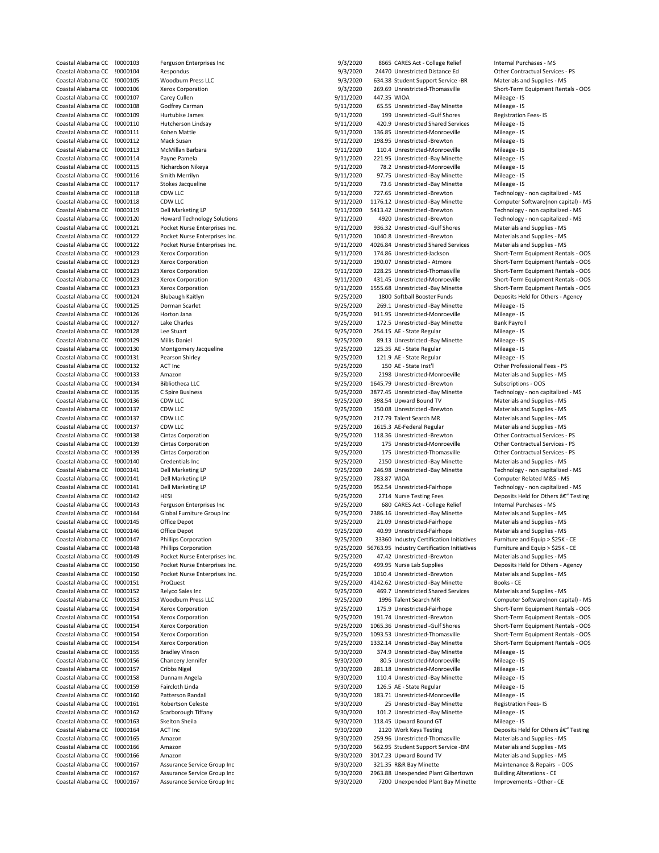| Coastal Alabama CC | 10000103 | Ferg         |
|--------------------|----------|--------------|
| Coastal Alabama CC | !0000104 | Resp         |
| Coastal Alabama CC | !0000105 | Woo          |
| Coastal Alabama CC | !0000106 | Xero         |
|                    |          |              |
| Coastal Alabama CC | !0000107 | Care         |
| Coastal Alabama CC | !0000108 | God          |
| Coastal Alabama CC | !0000109 | Hurt         |
| Coastal Alabama CC | !0000110 | Hutc         |
| Coastal Alabama CC | !0000111 | Kohe         |
| Coastal Alabama CC | 10000112 | Mac          |
| Coastal Alabama CC |          |              |
|                    | !0000113 | McN          |
| Coastal Alabama CC | !0000114 | Payn         |
| Coastal Alabama CC | !0000115 | Richa        |
| Coastal Alabama CC | !0000116 | Smit         |
| Coastal Alabama CC | !0000117 | Stok         |
| Coastal Alabama CC | !0000118 | <b>CDW</b>   |
| Coastal Alabama CC | !0000118 | <b>CDW</b>   |
| Coastal Alabama CC | !0000119 | Dell         |
| Coastal Alabama CC | !0000120 |              |
|                    |          | How          |
| Coastal Alabama CC | !0000121 | Pock         |
| Coastal Alabama CC | !0000122 | Pock         |
| Coastal Alabama CC | !0000122 | Pock         |
| Coastal Alabama CC | !0000123 | Xero         |
| Coastal Alabama CC | !0000123 | Xero         |
| Coastal Alabama CC | !0000123 | Xero         |
| Coastal Alabama CC | !0000123 | Xero         |
| Coastal Alabama CC | !0000123 | Xero         |
|                    |          |              |
| Coastal Alabama CC | !0000124 | Blub         |
| Coastal Alabama CC | !0000125 | Dorn         |
| Coastal Alabama CC | !0000126 | Hort         |
| Coastal Alabama CC | !0000127 | Lake         |
| Coastal Alabama CC | !0000128 | Lee 9        |
| Coastal Alabama CC | !0000129 | Milli:       |
| Coastal Alabama CC | !0000130 | Mon          |
| Coastal Alabama CC | !0000131 | Pear         |
|                    |          |              |
| Coastal Alabama CC | !0000132 | ACT          |
| Coastal Alabama CC | !0000133 | Ama          |
| Coastal Alabama CC | !0000134 | <b>Bibli</b> |
| Coastal Alabama CC | !0000135 | C Spi        |
| Coastal Alabama CC | !0000136 | <b>CDW</b>   |
| Coastal Alabama CC | !0000137 | <b>CDW</b>   |
| Coastal Alabama CC | !0000137 | <b>CDW</b>   |
| Coastal Alabama CC | !0000137 | CDW          |
| Coastal Alabama CC | !0000138 | Cinta        |
| Coastal Alabama CC | !0000139 | Cinta        |
| Coastal Alabama CC | !0000139 | Cinta        |
| Coastal Alabama CC | !0000140 | Cred         |
| Coastal Alabama CC | !0000141 | Dell         |
| Coastal Alabama CC | !0000141 | Dell         |
|                    |          |              |
| Coastal Alabama CC | !0000141 | Dell         |
| Coastal Alabama CC | !0000142 | <b>HESI</b>  |
| Coastal Alabama CC | !0000143 | Ferg         |
| Coastal Alabama CC | !0000144 | Glob         |
| Coastal Alabama CC | !0000145 | Offic        |
| Coastal Alabama CC | !0000146 | Offic        |
| Coastal Alabama CC | !0000147 | Philli       |
| Coastal Alabama CC | !0000148 | Philli       |
|                    | !0000149 | Pock         |
| Coastal Alabama CC |          |              |
| Coastal Alabama CC | !0000150 | Pock         |
| Coastal Alabama CC | !0000150 | Pock         |
| Coastal Alabama CC | !0000151 | ProC         |
| Coastal Alabama CC | !0000152 | Rely         |
| Coastal Alabama CC | !0000153 | Woo          |
| Coastal Alabama CC | !0000154 | Xero         |
| Coastal Alabama CC | !0000154 | Xero         |
| Coastal Alabama CC | !0000154 | Xero         |
|                    | !0000154 |              |
| Coastal Alabama CC |          | Xero         |
| Coastal Alabama CC | !0000154 | Xero         |
| Coastal Alabama CC | !0000155 | Brad         |
| Coastal Alabama CC | !0000156 | Char         |
| Coastal Alabama CC | !0000157 | Cribl        |
| Coastal Alabama CC | !0000158 | Dunr         |
| Coastal Alabama CC | !0000159 | Fairc        |
| Coastal Alabama CC | !0000160 | Patto        |
| Coastal Alabama CC | !0000161 | Robe         |
| Coastal Alabama CC | !0000162 | Scarl        |
|                    |          |              |
| Coastal Alabama CC | !0000163 | Skelt        |
| Coastal Alabama CC | !0000164 | ACT          |
| Coastal Alabama CC | !0000165 | Ama          |
| Coastal Alabama CC | !0000166 | Ama          |
| Coastal Alabama CC | !0000166 | Ama          |
| Coastal Alabama CC | !0000167 | Assu         |
| Coastal Alabama CC | !0000167 | Assu         |
| Coastal Alabama CC | !0000167 | Assu         |
|                    |          |              |

| Coastal Alabama CC          | !0000103 | Ferguson Enterprises Inc           | 9/3/2020  |             | 8665 CARES Act - College Relief                       | Internal Purchases - MS              |
|-----------------------------|----------|------------------------------------|-----------|-------------|-------------------------------------------------------|--------------------------------------|
| Coastal Alabama CC          | !0000104 | Respondus                          | 9/3/2020  |             | 24470 Unrestricted Distance Ed                        | Other Contractual Services - PS      |
| Coastal Alabama CC          | !0000105 | Woodburn Press LLC                 | 9/3/2020  |             | 634.38 Student Support Service -BR                    | Materials and Supplies - MS          |
| Coastal Alabama CC          | !0000106 | Xerox Corporation                  | 9/3/2020  |             | 269.69 Unrestricted-Thomasville                       | Short-Term Equipment Rentals - OOS   |
| Coastal Alabama CC          | !0000107 | Carey Cullen                       | 9/11/2020 | 447.35 WIOA |                                                       | Mileage - IS                         |
| Coastal Alabama CC          | !0000108 | Godfrey Carman                     | 9/11/2020 |             | 65.55 Unrestricted -Bay Minette                       | Mileage - IS                         |
| Coastal Alabama CC          | !0000109 | Hurtubise James                    | 9/11/2020 |             | 199 Unrestricted -Gulf Shores                         | <b>Registration Fees-IS</b>          |
| Coastal Alabama CC          | !0000110 | Hutcherson Lindsay                 | 9/11/2020 |             | 420.9 Unrestricted Shared Services                    | Mileage - IS                         |
|                             |          |                                    | 9/11/2020 |             |                                                       |                                      |
| Coastal Alabama CC          | !0000111 | Kohen Mattie                       |           |             | 136.85 Unrestricted-Monroeville                       | Mileage - IS                         |
| Coastal Alabama CC          | !0000112 | Mack Susan                         | 9/11/2020 |             | 198.95 Unrestricted -Brewton                          | Mileage - IS                         |
| Coastal Alabama CC          | !0000113 | McMillan Barbara                   | 9/11/2020 |             | 110.4 Unrestricted-Monroeville                        | Mileage - IS                         |
| Coastal Alabama CC          | !0000114 | Payne Pamela                       | 9/11/2020 |             | 221.95 Unrestricted -Bay Minette                      | Mileage - IS                         |
| Coastal Alabama CC          | !0000115 | Richardson Nikeya                  | 9/11/2020 |             | 78.2 Unrestricted-Monroeville                         | Mileage - IS                         |
| Coastal Alabama CC          | !0000116 | Smith Merrilyn                     | 9/11/2020 |             | 97.75 Unrestricted -Bay Minette                       | Mileage - IS                         |
| Coastal Alabama CC          | !0000117 | Stokes Jacqueline                  | 9/11/2020 |             | 73.6 Unrestricted -Bay Minette                        | Mileage - IS                         |
| Coastal Alabama CC          | !0000118 | CDW LLC                            | 9/11/2020 |             | 727.65 Unrestricted -Brewton                          | Technology - non capitalized - MS    |
| Coastal Alabama CC          | !0000118 | CDW LLC                            | 9/11/2020 |             | 1176.12 Unrestricted -Bay Minette                     | Computer Software(non capital) - MS  |
|                             | !0000119 | Dell Marketing LP                  | 9/11/2020 |             | 5413.42 Unrestricted -Brewton                         | Technology - non capitalized - MS    |
| Coastal Alabama CC          |          |                                    |           |             |                                                       |                                      |
| Coastal Alabama CC          | !0000120 | <b>Howard Technology Solutions</b> | 9/11/2020 |             | 4920 Unrestricted -Brewton                            | Technology - non capitalized - MS    |
| Coastal Alabama CC          | !0000121 | Pocket Nurse Enterprises Inc.      | 9/11/2020 |             | 936.32 Unrestricted -Gulf Shores                      | Materials and Supplies - MS          |
| Coastal Alabama CC          | !0000122 | Pocket Nurse Enterprises Inc.      | 9/11/2020 |             | 1040.8 Unrestricted -Brewton                          | Materials and Supplies - MS          |
| Coastal Alabama CC          | !0000122 | Pocket Nurse Enterprises Inc.      | 9/11/2020 |             | 4026.84 Unrestricted Shared Services                  | Materials and Supplies - MS          |
| Coastal Alabama CC          | !0000123 | <b>Xerox Corporation</b>           | 9/11/2020 |             | 174.86 Unrestricted-Jackson                           | Short-Term Equipment Rentals - OOS   |
| Coastal Alabama CC          | !0000123 | Xerox Corporation                  | 9/11/2020 |             | 190.07 Unrestricted - Atmore                          | Short-Term Equipment Rentals - OOS   |
| Coastal Alabama CC          | !0000123 | Xerox Corporation                  | 9/11/2020 |             | 228.25 Unrestricted-Thomasville                       | Short-Term Equipment Rentals - OOS   |
| Coastal Alabama CC          | !0000123 | <b>Xerox Corporation</b>           | 9/11/2020 |             | 431.45 Unrestricted-Monroeville                       | Short-Term Equipment Rentals - OOS   |
| Coastal Alabama CC          | !0000123 | Xerox Corporation                  | 9/11/2020 |             | 1555.68 Unrestricted -Bay Minette                     | Short-Term Equipment Rentals - OOS   |
|                             |          |                                    |           |             |                                                       |                                      |
| Coastal Alabama CC          | !0000124 | <b>Blubaugh Kaitlyn</b>            | 9/25/2020 |             | 1800 Softball Booster Funds                           | Deposits Held for Others - Agency    |
| Coastal Alabama CC          | !0000125 | Dorman Scarlet                     | 9/25/2020 |             | 269.1 Unrestricted -Bay Minette                       | Mileage - IS                         |
| Coastal Alabama CC          | !0000126 | Horton Jana                        | 9/25/2020 |             | 911.95 Unrestricted-Monroeville                       | Mileage - IS                         |
| Coastal Alabama CC          | !0000127 | Lake Charles                       | 9/25/2020 |             | 172.5 Unrestricted -Bay Minette                       | Bank Payroll                         |
| Coastal Alabama CC          | !0000128 | Lee Stuart                         | 9/25/2020 |             | 254.15 AE - State Regular                             | Mileage - IS                         |
| Coastal Alabama CC          | !0000129 | <b>Millis Daniel</b>               | 9/25/2020 |             | 89.13 Unrestricted -Bay Minette                       | Mileage - IS                         |
| Coastal Alabama CC          | !0000130 | Montgomery Jacqueline              | 9/25/2020 |             | 125.35 AE - State Regular                             | Mileage - IS                         |
| Coastal Alabama CC          | !0000131 | Pearson Shirley                    | 9/25/2020 |             | 121.9 AE - State Regular                              | Mileage - IS                         |
| Coastal Alabama CC          | !0000132 | <b>ACT Inc</b>                     |           |             | 150 AE - State Inst'l                                 | Other Professional Fees - PS         |
|                             |          |                                    | 9/25/2020 |             |                                                       |                                      |
| Coastal Alabama CC          | !0000133 | Amazon                             | 9/25/2020 |             | 2198 Unrestricted-Monroeville                         | Materials and Supplies - MS          |
| Coastal Alabama CC          | !0000134 | <b>Bibliotheca LLC</b>             | 9/25/2020 |             | 1645.79 Unrestricted -Brewton                         | Subscriptions - OOS                  |
| Coastal Alabama CC          | !0000135 | C Spire Business                   | 9/25/2020 |             | 3877.45 Unrestricted -Bay Minette                     | Technology - non capitalized - MS    |
| Coastal Alabama CC          | !0000136 | CDW LLC                            | 9/25/2020 |             | 398.54 Upward Bound TV                                | Materials and Supplies - MS          |
| Coastal Alabama CC          | !0000137 | CDW LLC                            | 9/25/2020 |             | 150.08 Unrestricted -Brewton                          | Materials and Supplies - MS          |
| Coastal Alabama CC          | !0000137 | CDW LLC                            | 9/25/2020 |             | 217.79 Talent Search MR                               | Materials and Supplies - MS          |
| Coastal Alabama CC          | !0000137 | CDW LLC                            | 9/25/2020 |             | 1615.3 AE-Federal Regular                             | Materials and Supplies - MS          |
| Coastal Alabama CC          | !0000138 | Cintas Corporation                 | 9/25/2020 |             | 118.36 Unrestricted -Brewton                          | Other Contractual Services - PS      |
| Coastal Alabama CC          | !0000139 | Cintas Corporation                 | 9/25/2020 |             | 175 Unrestricted-Monroeville                          | Other Contractual Services - PS      |
|                             |          |                                    |           |             |                                                       |                                      |
| Coastal Alabama CC          | !0000139 | Cintas Corporation                 | 9/25/2020 |             | 175 Unrestricted-Thomasville                          | Other Contractual Services - PS      |
| Coastal Alabama CC          | !0000140 | Credentials Inc                    | 9/25/2020 |             | 2150 Unrestricted -Bay Minette                        | Materials and Supplies - MS          |
| Coastal Alabama CC          | !0000141 | Dell Marketing LP                  | 9/25/2020 |             | 246.98 Unrestricted -Bay Minette                      | Technology - non capitalized - MS    |
| Coastal Alabama CC          | !0000141 | Dell Marketing LP                  | 9/25/2020 | 783.87 WIOA |                                                       | Computer Related M&S - MS            |
| Coastal Alabama CC          | !0000141 | Dell Marketing LP                  | 9/25/2020 |             | 952.54 Unrestricted-Fairhope                          | Technology - non capitalized - MS    |
| Coastal Alabama CC          | !0000142 | HESI                               | 9/25/2020 |             | 2714 Nurse Testing Fees                               | Deposits Held for Others â€" Testing |
| Coastal Alabama CC          | !0000143 | Ferguson Enterprises Inc           | 9/25/2020 |             | 680 CARES Act - College Relief                        | Internal Purchases - MS              |
| Coastal Alabama CC          | !0000144 | Global Furniture Group Inc         | 9/25/2020 |             | 2386.16 Unrestricted -Bay Minette                     | Materials and Supplies - MS          |
| Coastal Alabama CC          | !0000145 | Office Depot                       | 9/25/2020 |             | 21.09 Unrestricted-Fairhope                           | Materials and Supplies - MS          |
| Coastal Alabama CC          | !0000146 | Office Depot                       | 9/25/2020 |             | 40.99 Unrestricted-Fairhope                           | Materials and Supplies - MS          |
|                             |          |                                    |           |             |                                                       |                                      |
| Coastal Alabama CC !0000147 |          | <b>Phillips Corporation</b>        | 9/25/2020 |             | 33360 Industry Certification Initiatives              | Furniture and Equip > \$25K - CE     |
| Coastal Alabama CC          | !0000148 | <b>Phillips Corporation</b>        |           |             | 9/25/2020 56763.95 Industry Certification Initiatives | Furniture and Equip > \$25K - CE     |
| Coastal Alabama CC          | !0000149 | Pocket Nurse Enterprises Inc.      | 9/25/2020 |             | 47.42 Unrestricted -Brewton                           | Materials and Supplies - MS          |
| Coastal Alabama CC          | !0000150 | Pocket Nurse Enterprises Inc.      | 9/25/2020 |             | 499.95 Nurse Lab Supplies                             | Deposits Held for Others - Agency    |
| Coastal Alabama CC          | !0000150 | Pocket Nurse Enterprises Inc.      | 9/25/2020 |             | 1010.4 Unrestricted -Brewton                          | Materials and Supplies - MS          |
| Coastal Alabama CC          | !0000151 | ProQuest                           | 9/25/2020 |             | 4142.62 Unrestricted -Bay Minette                     | Books - CE                           |
| Coastal Alabama CC          | !0000152 | Relyco Sales Inc                   | 9/25/2020 |             | 469.7 Unrestricted Shared Services                    | Materials and Supplies - MS          |
| Coastal Alabama CC          | !0000153 | Woodburn Press LLC                 | 9/25/2020 |             | 1996 Talent Search MR                                 | Computer Software(non capital) - MS  |
|                             |          |                                    |           |             |                                                       |                                      |
| Coastal Alabama CC          | !0000154 | Xerox Corporation                  | 9/25/2020 |             | 175.9 Unrestricted-Fairhope                           | Short-Term Equipment Rentals - OOS   |
| Coastal Alabama CC          | !0000154 | Xerox Corporation                  | 9/25/2020 |             | 191.74 Unrestricted -Brewton                          | Short-Term Equipment Rentals - OOS   |
| Coastal Alabama CC          | !0000154 | Xerox Corporation                  | 9/25/2020 |             | 1065.36 Unrestricted -Gulf Shores                     | Short-Term Equipment Rentals - OOS   |
| Coastal Alabama CC          | !0000154 | Xerox Corporation                  | 9/25/2020 |             | 1093.53 Unrestricted-Thomasville                      | Short-Term Equipment Rentals - OOS   |
| Coastal Alabama CC          | !0000154 | Xerox Corporation                  | 9/25/2020 |             | 1332.14 Unrestricted -Bay Minette                     | Short-Term Equipment Rentals - OOS   |
| Coastal Alabama CC          | !0000155 | <b>Bradley Vinson</b>              | 9/30/2020 |             | 374.9 Unrestricted -Bay Minette                       | Mileage - IS                         |
| Coastal Alabama CC          | !0000156 | Chancery Jennifer                  | 9/30/2020 |             | 80.5 Unrestricted-Monroeville                         | Mileage - IS                         |
| Coastal Alabama CC          | !0000157 | Cribbs Nigel                       | 9/30/2020 |             | 281.18 Unrestricted-Monroeville                       | Mileage - IS                         |
| Coastal Alabama CC          | !0000158 | Dunnam Angela                      | 9/30/2020 |             | 110.4 Unrestricted -Bay Minette                       |                                      |
|                             |          |                                    |           |             |                                                       | Mileage - IS                         |
| Coastal Alabama CC          | !0000159 | Faircloth Linda                    | 9/30/2020 |             | 126.5 AE - State Regular                              | Mileage - IS                         |
| Coastal Alabama CC          | !0000160 | <b>Patterson Randall</b>           | 9/30/2020 |             | 183.71 Unrestricted-Monroeville                       | Mileage - IS                         |
| Coastal Alabama CC          | !0000161 | Robertson Celeste                  | 9/30/2020 |             | 25 Unrestricted -Bay Minette                          | <b>Registration Fees-IS</b>          |
| Coastal Alabama CC          | !0000162 | Scarborough Tiffany                | 9/30/2020 |             | 101.2 Unrestricted -Bay Minette                       | Mileage - IS                         |
| Coastal Alabama CC          | !0000163 | Skelton Sheila                     | 9/30/2020 |             | 118.45 Upward Bound GT                                | Mileage - IS                         |
| Coastal Alabama CC          | !0000164 | <b>ACT Inc</b>                     | 9/30/2020 |             | 2120 Work Keys Testing                                | Deposits Held for Others â€" Testing |
| Coastal Alabama CC          | !0000165 | Amazon                             | 9/30/2020 |             | 259.96 Unrestricted-Thomasville                       | Materials and Supplies - MS          |
| Coastal Alabama CC          | !0000166 | Amazon                             | 9/30/2020 |             | 562.95 Student Support Service -BM                    | Materials and Supplies - MS          |
|                             |          |                                    |           |             |                                                       |                                      |
| Coastal Alabama CC          | !0000166 | Amazon                             | 9/30/2020 |             | 3017.23 Upward Bound TV                               | Materials and Supplies - MS          |
| Coastal Alabama CC          | !0000167 | Assurance Service Group Inc        | 9/30/2020 |             | 321.35 R&R Bay Minette                                | Maintenance & Repairs - OOS          |
| Coastal Alabama CC          | !0000167 | Assurance Service Group Inc        | 9/30/2020 |             | 2963.88 Unexpended Plant Gilbertown                   | <b>Building Alterations - CE</b>     |
| Coastal Alabama CC          | !0000167 | Assurance Service Group Inc        | 9/30/2020 |             | 7200 Unexpended Plant Bay Minette                     | Improvements - Other - CE            |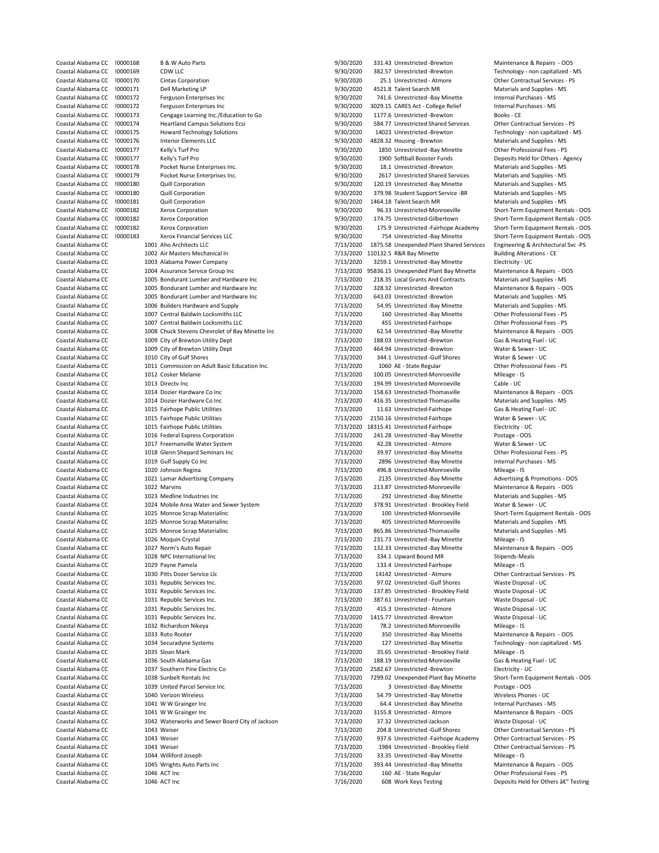| Coastal Alabama CC | !0000168 | <b>B &amp; W Auto Parts</b>                     | 9/30/2020 | 331.43 Unrestricted -Brewton             | Maintenance & Repairs - OOS          |
|--------------------|----------|-------------------------------------------------|-----------|------------------------------------------|--------------------------------------|
| Coastal Alabama CC | !0000169 | CDW LLC                                         | 9/30/2020 | 382.57 Unrestricted -Brewton             | Technology - non capitalized - MS    |
| Coastal Alabama CC | !0000170 | <b>Cintas Corporation</b>                       | 9/30/2020 | 25.1 Unrestricted - Atmore               | Other Contractual Services - PS      |
| Coastal Alabama CC | !0000171 | Dell Marketing LP                               | 9/30/2020 | 4521.8 Talent Search MR                  | Materials and Supplies - MS          |
| Coastal Alabama CC | !0000172 | Ferguson Enterprises Inc                        | 9/30/2020 | 741.6 Unrestricted -Bay Minette          | Internal Purchases - MS              |
| Coastal Alabama CC | !0000172 | Ferguson Enterprises Inc                        | 9/30/2020 | 3029.15 CARES Act - College Relief       | Internal Purchases - MS              |
| Coastal Alabama CC | !0000173 | Cengage Learning Inc./Education to Go           | 9/30/2020 | 1177.6 Unrestricted -Brewton             | Books - CE                           |
| Coastal Alabama CC | !0000174 | <b>Heartland Campus Solutions Ecsi</b>          | 9/30/2020 | 584.77 Unrestricted Shared Services      | Other Contractual Services - PS      |
| Coastal Alabama CC | !0000175 | <b>Howard Technology Solutions</b>              | 9/30/2020 | 14023 Unrestricted -Brewton              | Technology - non capitalized - MS    |
| Coastal Alabama CC | !0000176 | <b>Interior Elements LLC</b>                    | 9/30/2020 | 4828.32 Housing - Brewton                | Materials and Supplies - MS          |
| Coastal Alabama CC | !0000177 | Kelly's Turf Pro                                | 9/30/2020 | 1850 Unrestricted -Bay Minette           | Other Professional Fees - PS         |
| Coastal Alabama CC | !0000177 | Kelly's Turf Pro                                | 9/30/2020 | 1900 Softball Booster Funds              | Deposits Held for Others - Agency    |
| Coastal Alabama CC | !0000178 | Pocket Nurse Enterprises Inc.                   | 9/30/2020 | 18.1 Unrestricted -Brewton               | Materials and Supplies - MS          |
|                    |          |                                                 |           |                                          |                                      |
| Coastal Alabama CC | !0000179 | Pocket Nurse Enterprises Inc.                   | 9/30/2020 | 2617 Unrestricted Shared Services        | Materials and Supplies - MS          |
| Coastal Alabama CC | !0000180 | Quill Corporation                               | 9/30/2020 | 120.19 Unrestricted -Bay Minette         | Materials and Supplies - MS          |
| Coastal Alabama CC | !0000180 | Quill Corporation                               | 9/30/2020 | 379.98 Student Support Service -BR       | Materials and Supplies - MS          |
| Coastal Alabama CC | !0000181 | Quill Corporation                               | 9/30/2020 | 1464.18 Talent Search MR                 | Materials and Supplies - MS          |
| Coastal Alabama CC | !0000182 | Xerox Corporation                               | 9/30/2020 | 96.33 Unrestricted-Monroeville           | Short-Term Equipment Rentals - OOS   |
| Coastal Alabama CC | !0000182 | Xerox Corporation                               | 9/30/2020 | 174.75 Unrestricted-Gilbertown           | Short-Term Equipment Rentals - OOS   |
| Coastal Alabama CC | !0000182 | Xerox Corporation                               | 9/30/2020 | 175.9 Unrestricted -Fairhope Academy     | Short-Term Equipment Rentals - OOS   |
| Coastal Alabama CC | !0000183 | Xerox Financial Services LLC                    | 9/30/2020 | 754 Unrestricted -Bay Minette            | Short-Term Equipment Rentals - OOS   |
| Coastal Alabama CC |          | 1001 Aho Architects LLC                         | 7/13/2020 | 1875.58 Unexpended Plant Shared Services | Engineering & Architectural Svc -PS  |
| Coastal Alabama CC |          | 1002 Air Masters Mechanical In                  | 7/13/2020 | 110132.5 R&R Bay Minette                 | <b>Building Alterations - CE</b>     |
| Coastal Alabama CC |          | 1003 Alabama Power Company                      | 7/13/2020 | 3259.1 Unrestricted -Bay Minette         | Electricity - UC                     |
|                    |          |                                                 |           |                                          |                                      |
| Coastal Alabama CC |          | 1004 Assurance Service Group Inc                | 7/13/2020 | 95836.15 Unexpended Plant Bay Minette    | Maintenance & Repairs - OOS          |
| Coastal Alabama CC |          | 1005 Bondurant Lumber and Hardware Inc          | 7/13/2020 | 218.35 Local Grants And Contracts        | Materials and Supplies - MS          |
| Coastal Alabama CC |          | 1005 Bondurant Lumber and Hardware Inc          | 7/13/2020 | 328.32 Unrestricted -Brewton             | Maintenance & Repairs - OOS          |
| Coastal Alabama CC |          | 1005 Bondurant Lumber and Hardware Inc          | 7/13/2020 | 643.03 Unrestricted -Brewton             | Materials and Supplies - MS          |
| Coastal Alabama CC |          | 1006 Builders Hardware and Supply               | 7/13/2020 | 54.95 Unrestricted -Bay Minette          | Materials and Supplies - MS          |
| Coastal Alabama CC |          | 1007 Central Baldwin Locksmiths LLC             | 7/13/2020 | 160 Unrestricted -Bay Minette            | Other Professional Fees - PS         |
| Coastal Alabama CC |          | 1007 Central Baldwin Locksmiths LLC             | 7/13/2020 | 455 Unrestricted-Fairhope                | Other Professional Fees - PS         |
| Coastal Alabama CC |          | 1008 Chuck Stevens Chevrolet of Bay Minette Inc | 7/13/2020 | 62.54 Unrestricted -Bay Minette          | Maintenance & Repairs - OOS          |
| Coastal Alabama CC |          | 1009 City of Brewton Utility Dept               | 7/13/2020 | 188.03 Unrestricted -Brewton             | Gas & Heating Fuel - UC              |
|                    |          |                                                 |           |                                          |                                      |
| Coastal Alabama CC |          | 1009 City of Brewton Utility Dept               | 7/13/2020 | 464.94 Unrestricted -Brewton             | Water & Sewer - UC                   |
| Coastal Alabama CC |          | 1010 City of Gulf Shores                        | 7/13/2020 | 344.1 Unrestricted -Gulf Shores          | Water & Sewer - UC                   |
| Coastal Alabama CC |          | 1011 Commission on Adult Basic Education Inc.   | 7/13/2020 | 1060 AE - State Regular                  | Other Professional Fees - PS         |
| Coastal Alabama CC |          | 1012 Cosker Melanie                             | 7/13/2020 | 100.05 Unrestricted-Monroeville          | Mileage - IS                         |
| Coastal Alabama CC |          | 1013 Directv Inc                                | 7/13/2020 | 194.99 Unrestricted-Monroeville          | Cable - UC                           |
| Coastal Alabama CC |          | 1014 Dozier Hardware Co Inc                     | 7/13/2020 | 158.63 Unrestricted-Thomasville          | Maintenance & Repairs - OOS          |
| Coastal Alabama CC |          | 1014 Dozier Hardware Co Inc                     | 7/13/2020 | 416.35 Unrestricted-Thomasville          | Materials and Supplies - MS          |
|                    |          |                                                 |           |                                          |                                      |
| Coastal Alabama CC |          | 1015 Fairhope Public Utilities                  | 7/13/2020 | 11.63 Unrestricted-Fairhope              | Gas & Heating Fuel - UC              |
| Coastal Alabama CC |          | 1015 Fairhope Public Utilities                  | 7/13/2020 | 2150.16 Unrestricted-Fairhope            | Water & Sewer - UC                   |
| Coastal Alabama CC |          | 1015 Fairhope Public Utilities                  | 7/13/2020 | 18315.41 Unrestricted-Fairhope           | Electricity - UC                     |
| Coastal Alabama CC |          | 1016 Federal Express Corporation                | 7/13/2020 | 241.28 Unrestricted -Bay Minette         | Postage - OOS                        |
| Coastal Alabama CC |          | 1017 Freemanville Water System                  | 7/13/2020 | 42.28 Unrestricted - Atmore              | Water & Sewer - UC                   |
| Coastal Alabama CC |          | 1018 Glenn Shepard Seminars Inc                 | 7/13/2020 | 39.97 Unrestricted -Bay Minette          | Other Professional Fees - PS         |
| Coastal Alabama CC |          | 1019 Gulf Supply Co Inc                         | 7/13/2020 | 2896 Unrestricted -Bay Minette           | Internal Purchases - MS              |
| Coastal Alabama CC |          | 1020 Johnson Regina                             | 7/13/2020 | 496.8 Unrestricted-Monroeville           | Mileage - IS                         |
| Coastal Alabama CC |          | 1021 Lamar Advertising Company                  | 7/13/2020 | 2135 Unrestricted -Bay Minette           | Advertising & Promotions - OOS       |
|                    |          |                                                 |           |                                          |                                      |
| Coastal Alabama CC |          | 1022 Marvins                                    | 7/13/2020 | 213.87 Unrestricted-Monroeville          | Maintenance & Repairs - OOS          |
| Coastal Alabama CC |          | 1023 Medline Industries Inc                     | 7/13/2020 | 292 Unrestricted -Bay Minette            | Materials and Supplies - MS          |
| Coastal Alabama CC |          | 1024 Mobile Area Water and Sewer System         | 7/13/2020 | 378.91 Unrestricted - Brookley Field     | Water & Sewer - UC                   |
| Coastal Alabama CC |          | 1025 Monroe Scrap Materialinc                   | 7/13/2020 | 100 Unrestricted-Monroeville             | Short-Term Equipment Rentals - OOS   |
| Coastal Alabama CC |          | 1025 Monroe Scrap Materialinc                   | 7/13/2020 | 405 Unrestricted-Monroeville             | Materials and Supplies - MS          |
| Coastal Alabama CC |          | 1025 Monroe Scrap Materialinc                   | 7/13/2020 | 865.86 Unrestricted-Thomasville          | Materials and Supplies - MS          |
| Coastal Alabama CC |          | 1026 Moquin Crystal                             | 7/13/2020 | 231.73 Unrestricted -Bay Minette         | Mileage - IS                         |
| Coastal Alabama CC |          | 1027 Norm's Auto Repair                         | 7/13/2020 | 132.33 Unrestricted -Bay Minette         | Maintenance & Repairs - OOS          |
| Coastal Alabama CC |          | 1028 NPC International Inc                      | 7/13/2020 | 334.1 Upward Bound MR                    | Stipends-Meals                       |
|                    |          |                                                 |           |                                          |                                      |
| Coastal Alabama CC |          | 1029 Payne Pamela                               | 7/13/2020 | 133.4 Unrestricted-Fairhope              | Mileage - IS                         |
| Coastal Alabama CC |          | 1030 Pitts Dozer Service Llc                    | 7/13/2020 | 14142 Unrestricted - Atmore              | Other Contractual Services - PS      |
| Coastal Alabama CC |          | 1031 Republic Services Inc.                     | 7/13/2020 | 97.02 Unrestricted -Gulf Shores          | Waste Disposal - UC                  |
| Coastal Alabama CC |          | 1031 Republic Services Inc.                     | 7/13/2020 | 137.85 Unrestricted - Brookley Field     | Waste Disposal - UC                  |
| Coastal Alabama CC |          | 1031 Republic Services Inc.                     | 7/13/2020 | 387.61 Unrestricted - Fountain           | Waste Disposal - UC                  |
| Coastal Alabama CC |          | 1031 Republic Services Inc.                     | 7/13/2020 | 415.3 Unrestricted - Atmore              | Waste Disposal - UC                  |
| Coastal Alabama CC |          | 1031 Republic Services Inc.                     | 7/13/2020 | 1415.77 Unrestricted -Brewton            | Waste Disposal - UC                  |
| Coastal Alabama CC |          | 1032 Richardson Nikeya                          | 7/13/2020 | 78.2 Unrestricted-Monroeville            | Mileage - IS                         |
| Coastal Alabama CC |          | 1033 Roto Rooter                                | 7/13/2020 | 350 Unrestricted -Bay Minette            | Maintenance & Repairs - OOS          |
| Coastal Alabama CC |          | 1034 Securadyne Systems                         | 7/13/2020 | 127 Unrestricted -Bay Minette            | Technology - non capitalized - MS    |
|                    |          |                                                 |           |                                          |                                      |
| Coastal Alabama CC |          | 1035 Sloan Mark                                 | 7/13/2020 | 35.65 Unrestricted - Brookley Field      | Mileage - IS                         |
| Coastal Alabama CC |          | 1036 South Alabama Gas                          | 7/13/2020 | 188.19 Unrestricted-Monroeville          | Gas & Heating Fuel - UC              |
| Coastal Alabama CC |          | 1037 Southern Pine Electric Co                  | 7/13/2020 | 2582.67 Unrestricted -Brewton            | Electricity - UC                     |
| Coastal Alabama CC |          | 1038 Sunbelt Rentals Inc                        | 7/13/2020 | 7299.02 Unexpended Plant Bay Minette     | Short-Term Equipment Rentals - OOS   |
| Coastal Alabama CC |          | 1039 United Parcel Service Inc                  | 7/13/2020 | 3 Unrestricted -Bay Minette              | Postage - OOS                        |
| Coastal Alabama CC |          | 1040 Verizon Wireless                           | 7/13/2020 | 54.79 Unrestricted -Bay Minette          | Wireless Phones - UC                 |
| Coastal Alabama CC |          | 1041 W W Grainger Inc                           | 7/13/2020 | 64.4 Unrestricted -Bay Minette           | Internal Purchases - MS              |
| Coastal Alabama CC |          |                                                 |           |                                          |                                      |
|                    |          | 1041 W W Grainger Inc                           | 7/13/2020 | 3155.8 Unrestricted - Atmore             | Maintenance & Repairs - OOS          |
| Coastal Alabama CC |          | 1042 Waterworks and Sewer Board City of Jackson | 7/13/2020 | 37.32 Unrestricted-Jackson               | Waste Disposal - UC                  |
| Coastal Alabama CC |          | 1043 Weiser                                     | 7/13/2020 | 204.8 Unrestricted -Gulf Shores          | Other Contractual Services - PS      |
| Coastal Alabama CC |          | 1043 Weiser                                     | 7/13/2020 | 937.6 Unrestricted -Fairhope Academy     | Other Contractual Services - PS      |
| Coastal Alabama CC |          | 1043 Weiser                                     | 7/13/2020 | 1984 Unrestricted - Brookley Field       | Other Contractual Services - PS      |
| Coastal Alabama CC |          | 1044 Williford Joseph                           | 7/13/2020 | 33.35 Unrestricted -Bay Minette          | Mileage - IS                         |
| Coastal Alabama CC |          | 1045 Wrights Auto Parts Inc                     | 7/13/2020 | 393.44 Unrestricted -Bay Minette         | Maintenance & Repairs - OOS          |
| Coastal Alabama CC |          | 1046 ACT Inc                                    | 7/16/2020 | 160 AE - State Regular                   | Other Professional Fees - PS         |
|                    |          |                                                 |           |                                          |                                      |
| Coastal Alabama CC |          | 1046 ACT Inc                                    | 7/16/2020 | 608 Work Keys Testing                    | Deposits Held for Others â€" Testing |
|                    |          |                                                 |           |                                          |                                      |

| 9/30/2020              | 331.43 Unrestricted -Brewton                                              | Maintenance & Repa                           |
|------------------------|---------------------------------------------------------------------------|----------------------------------------------|
| 9/30/2020              | 382.57 Unrestricted -Brewton                                              | Technology - non cap                         |
| 9/30/2020              | 25.1 Unrestricted - Atmore                                                | Other Contractual Se                         |
| 9/30/2020              | 4521.8 Talent Search MR                                                   | Materials and Suppli                         |
| 9/30/2020              | 741.6 Unrestricted -Bay Minette                                           | Internal Purchases -                         |
| 9/30/2020<br>9/30/2020 | 3029.15 CARES Act - College Relief<br>1177.6 Unrestricted -Brewton        | Internal Purchases -<br>Books - CE           |
| 9/30/2020              | 584.77 Unrestricted Shared Services                                       | Other Contractual Se                         |
| 9/30/2020              | 14023 Unrestricted -Brewton                                               | Technology - non cap                         |
| 9/30/2020              | 4828.32 Housing - Brewton                                                 | Materials and Suppli                         |
| 9/30/2020              | 1850 Unrestricted -Bay Minette                                            | Other Professional F                         |
| 9/30/2020              | 1900 Softball Booster Funds                                               | Deposits Held for Otl                        |
| 9/30/2020              | 18.1 Unrestricted -Brewton                                                | <b>Materials and Suppli</b>                  |
| 9/30/2020              | 2617 Unrestricted Shared Services                                         | <b>Materials and Suppli</b>                  |
| 9/30/2020              | 120.19 Unrestricted -Bay Minette                                          | <b>Materials and Suppli</b>                  |
| 9/30/2020              | 379.98 Student Support Service -BR                                        | <b>Materials and Suppli</b>                  |
| 9/30/2020              | 1464.18 Talent Search MR                                                  | Materials and Suppli                         |
| 9/30/2020              | 96.33 Unrestricted-Monroeville                                            | Short-Term Equipme                           |
| 9/30/2020              | 174.75 Unrestricted-Gilbertown                                            | Short-Term Equipme                           |
| 9/30/2020              | 175.9 Unrestricted -Fairhope Academy                                      | Short-Term Equipme                           |
| 9/30/2020              | 754 Unrestricted -Bay Minette                                             | Short-Term Equipme                           |
| 7/13/2020              | 1875.58 Unexpended Plant Shared Services                                  | Engineering & Archit                         |
| 7/13/2020              | 110132.5 R&R Bay Minette                                                  | <b>Building Alterations -</b>                |
| 7/13/2020              | 3259.1 Unrestricted -Bay Minette<br>95836.15 Unexpended Plant Bay Minette | Electricity - UC                             |
| 7/13/2020<br>7/13/2020 | 218.35 Local Grants And Contracts                                         | Maintenance & Repa<br>Materials and Suppli   |
| 7/13/2020              | 328.32 Unrestricted -Brewton                                              | Maintenance & Repa                           |
| 7/13/2020              | 643.03 Unrestricted -Brewton                                              | Materials and Suppli                         |
| 7/13/2020              | 54.95 Unrestricted -Bay Minette                                           | <b>Materials and Suppli</b>                  |
| 7/13/2020              | 160 Unrestricted -Bay Minette                                             | Other Professional F                         |
| 7/13/2020              | 455 Unrestricted-Fairhope                                                 | Other Professional F                         |
| 7/13/2020              | 62.54 Unrestricted -Bay Minette                                           | Maintenance & Repa                           |
| 7/13/2020              | 188.03 Unrestricted -Brewton                                              | Gas & Heating Fuel -                         |
| 7/13/2020              | 464.94 Unrestricted -Brewton                                              | Water & Sewer - UC                           |
| 7/13/2020              | 344.1 Unrestricted -Gulf Shores                                           | Water & Sewer - UC                           |
| 7/13/2020<br>7/13/2020 | 1060 AE - State Regular                                                   | Other Professional F                         |
| 7/13/2020              | 100.05 Unrestricted-Monroeville<br>194.99 Unrestricted-Monroeville        | Mileage - IS<br>Cable - UC                   |
| 7/13/2020              | 158.63 Unrestricted-Thomasville                                           | Maintenance & Repa                           |
| 7/13/2020              | 416.35 Unrestricted-Thomasville                                           | <b>Materials and Suppli</b>                  |
| 7/13/2020              | 11.63 Unrestricted-Fairhope                                               | Gas & Heating Fuel -                         |
| 7/13/2020              | 2150.16 Unrestricted-Fairhope                                             | Water & Sewer - UC                           |
| 7/13/2020              | 18315.41 Unrestricted-Fairhope                                            | Electricity - UC                             |
| 7/13/2020              | 241.28 Unrestricted -Bay Minette                                          | Postage - OOS                                |
| 7/13/2020              | 42.28 Unrestricted - Atmore                                               | Water & Sewer - UC                           |
| 7/13/2020<br>7/13/2020 | 39.97 Unrestricted -Bay Minette<br>2896 Unrestricted -Bay Minette         | Other Professional F<br>Internal Purchases - |
| 7/13/2020              | 496.8 Unrestricted-Monroeville                                            | Mileage - IS                                 |
| 7/13/2020              | 2135 Unrestricted -Bay Minette                                            | Advertising & Promo                          |
| 7/13/2020              | 213.87 Unrestricted-Monroeville                                           | Maintenance & Repa                           |
| 7/13/2020              | 292 Unrestricted -Bay Minette                                             | Materials and Suppli                         |
| 7/13/2020              | 378.91 Unrestricted - Brookley Field                                      | Water & Sewer - UC                           |
| 7/13/2020              | 100 Unrestricted-Monroeville                                              | Short-Term Equipme                           |
| 7/13/2020              | 405 Unrestricted-Monroeville                                              | Materials and Suppli                         |
| 7/13/2020<br>7/13/2020 | 865.86 Unrestricted-Thomasville<br>231.73 Unrestricted -Bay Minette       | <b>Materials and Suppli</b>                  |
| 7/13/2020              |                                                                           | Mileage - IS                                 |
| 7/13/2020              | 132.33 Unrestricted -Bay Minette<br>334.1 Upward Bound MR                 | Maintenance & Repa<br>Stipends-Meals         |
| 7/13/2020              | 133.4 Unrestricted-Fairhope                                               | Mileage - IS                                 |
| 7/13/2020              | 14142 Unrestricted - Atmore                                               | Other Contractual Se                         |
| 7/13/2020              | 97.02 Unrestricted -Gulf Shores                                           | Waste Disposal - UC                          |
| 7/13/2020              | 137.85 Unrestricted - Brookley Field                                      | Waste Disposal - UC                          |
| 7/13/2020              | 387.61 Unrestricted - Fountain                                            | Waste Disposal - UC                          |
| 7/13/2020              | 415.3 Unrestricted - Atmore                                               | Waste Disposal - UC                          |
| 7/13/2020              | 1415.77 Unrestricted -Brewton                                             | Waste Disposal - UC                          |
| 7/13/2020              | 78.2 Unrestricted-Monroeville                                             | Mileage - IS                                 |
| 7/13/2020<br>7/13/2020 | 350 Unrestricted -Bay Minette<br>127 Unrestricted -Bay Minette            | Maintenance & Repa<br>Technology - non cap   |
| 7/13/2020              | 35.65 Unrestricted - Brookley Field                                       | Mileage - IS                                 |
| 7/13/2020              | 188.19 Unrestricted-Monroeville                                           | Gas & Heating Fuel -                         |
| 7/13/2020              | 2582.67 Unrestricted -Brewton                                             | Electricity - UC                             |
| 7/13/2020              | 7299.02 Unexpended Plant Bay Minette                                      | Short-Term Equipme                           |
| 7/13/2020              | 3 Unrestricted -Bay Minette                                               | Postage - OOS                                |
| 7/13/2020              | 54.79 Unrestricted -Bay Minette                                           | Wireless Phones - UO                         |
| 7/13/2020              | 64.4 Unrestricted -Bay Minette                                            | Internal Purchases -                         |
| 7/13/2020              | 3155.8 Unrestricted - Atmore                                              | Maintenance & Repa                           |
| 7/13/2020<br>7/13/2020 | 37.32 Unrestricted-Jackson<br>204.8 Unrestricted -Gulf Shores             | Waste Disposal - UC<br>Other Contractual Se  |
| 7/13/2020              | 937.6 Unrestricted -Fairhope Academy                                      | Other Contractual Se                         |
| 7/13/2020              | 1984 Unrestricted - Brookley Field                                        | Other Contractual Se                         |
| 7/13/2020              | 33.35 Unrestricted -Bay Minette                                           | Mileage - IS                                 |
| 7/13/2020              | 393.44 Unrestricted -Bay Minette                                          | Maintenance & Repa                           |
| 7/16/2020              | 160 AE - State Regular                                                    | Other Professional F                         |
| 7/16/2020              | 608 Work Keys Testing                                                     | Deposits Held for Otl                        |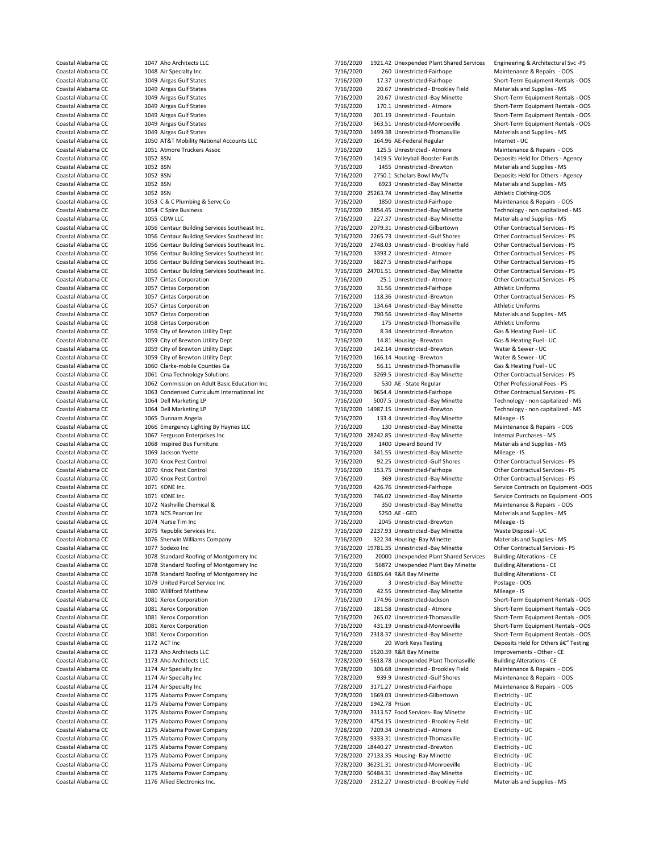Coastal Alabama CC 1057 Cintas Corporation 1997 Coastal Alabama CC 1057 Cintas Corporation 1997 Coastal Alabama CC<br>Coastal Alabama CC 1057 Cintas Corporation 1998 Coastal 2009 11836 Unrestricted -Brewton 1059 City of Brewton Utility Dept Coastal Alabama CC 1079 United Parcel Service Inc<br>
Coastal Alabama CC 1080 Williford Matthew Coastal Alabama CC 1175 Alabama Power Company 198/2020 27133.35 Housing- Bay Minette Coastal Alabama CC 1175 Alabama Power Company 198/2020 36231.31 Unrestricted-Monroev

Coastal Alabama CC 1047 Aho Architects LLC 7/16/2020 1921.42 Unexpended Plant Shared Services Engineering & Architectural Svc -PS Coastal Alabama CC 1048 Air Specialty Inc 1005 Coastal Alabama CC 1048 Air Specialty Inc 1048 Air Specialty Inc<br>Coastal Alabama CC 1049 Aireas Gulf States 1996 Coastal Alabama CO 17.37 Unrestricted-Fairhope Short-Term Equi Coastal Alabama CC 1049 Airgas Gulf States 1988 1000 11/16/2020 17.37 Unrestricted-Fairhope Short-Term Equipment Rentals - OOS<br>Coastal Alabama CC 1049 Airgas Gulf States 1988 1000 116/2020 20.67 Unrestricted - Brookley Fie Coastal Alabama CC 1049 Airgas Gulf States 7000 1049 Airgas Coastal Alabama CC 1049 Airgas Gulf States - MS 200<br>Coastal Alabama CC 1049 Airgas Gulf States - MS 2000 7/16/2020 20.67 Unrestricted - Bay Minette Coastal Alabama CC 1049 Airgas Gulf States 1089 101 120 1205 1206/2020 20.67 Unrestricted -Bay Minette Short-Term Equipment Rentals - OOS 1008 1049 Airgas Gulf States 1049 Airgas Gulf States 1005 12010 12010 12010 12010 12 Coastal Alabama CC 1049 Airgas Gulf States 1988 1000 110.1 2020 170.1 Unrestricted - Atmore Short-Term Equipment Rentals - OOS<br>20119 1009 Airgas Gulf States 1005 1119 20119 100119 100119 100119 100119 100110 100110 100110 Coastal Alabama CC 1049 Airgas Gulf States 1986 101 100 101 101 1012020 201.19 Unrestricted - Fountain Short-Term Equipment Rentals - OOS<br>7/16/2020 563.51 Unrestricted Monroeville Short-Term Equipment Rentals - OOS 7/16/20 Coastal Alabama CC 1049 Airgas Gulf States 1998 And Coastal Alabama CC 2020 1999.38 Unrestricted-Thomasville Materials and Supplies - MS<br>Coastal Alabama CC 1050 AT&T Mobility National Accounts LLC 7/16/2020 164.96 AF-Feder Coastal Alabama CC 1050 AT&T Mobility National Accounts LLC 7/16/2020 164.96 AE-Federal Regular Internet - UC<br>Coastal Alabama CC 1051 Atmore Truckers Assoc Coastal Alabama CC 1051 Atmore Truckers Assoc 7/16/2020 125.5 Unrestricted - Atmore Maintenance & Repairs - OOS Coastal Alabama CC 1052 BSN 1052 BSN 1052 BSN 7/16/2020 1419.5 Volleyball Booster Funds Deposits Held for Others - Agency<br>Coastal Alabama CC 1052 BSN 1052 BSN 7/16/2020 1455 Unrestricted - Brewton Materials and Supplies - Coastal Alabama CC 1052 BSN 1052 BSN 1052 BSN 7/16/2020 1455 Unrestricted -Brewton Materials and Supplies - MS<br>Coastal Alabama CC 1052 BSN 1052 BSN 1067 116/2020 2750.1 Scholars Bowl Mv/Tv Coastal Alabama CC 1052 BSN 1052 BSN 1052 BSN 1052 BSN 107/16/2020 2750.1 Scholars Bowl Mv/Tv Deposits Held for Others - Agency<br>Coastal Alabama CC 1052 BSN 1052 BSN 1052 BSN 1052 BSN 107/16/2020 6923 Unrestricted - Bay Min The Company of the COAST 1052 BSN 7/16/2020 6923 Unrestricted -Bay Minette - 1052 BSN 1052 BSN 1052 BSN 1052 BSN 1052 BSN 1052 BSN 1052 BSN 1052 BSN 1052 BSN 1052 BSN 1052 BSN 1052 BSN 1052 BSN 1052 BSN 1052 BSN 1052 BSN 1 Coastal Alabama CC 1052 BSN 1052 BSN 1052 BSN 10520 25263.74 Unrestricted -Bay Minette Athletic Clothing-OOS<br>Coastal Alabama CC 1053 C & C Plumbing & Servc Co 1050 1/16/2020 1850 Unrestricted-Fairhope Maintenance & Repairs Coastal Alabama CC 1053 C & C Plumbing & Servc Co 7/16/2020 1850 Unrestricted-Fairhope Maintenance & Repairs - OOS<br>Coastal Alabama CC 1054 C Spire Business Co 7/16/2020 3854.45 Unrestricted - Bay Minette Technology - non c Coastal Alabama CC 1054 C Spire Business 7/16/2020 3854.45 Unrestricted -Bay Minette Technology - non capitalized - MS Coastal Alabama CC 1055 CDW LLC 1055 CDW LLC 1056 Coastal Alabama CC 1055 CDW LLC 1056 Coastal Alabama CC 1056 Centaur Building Services Southeast Inc. 17/16/2020 2079.31 Unrestricted-Gilbertown 10ther Contractual Services Coastal Alabama CC 1056 Centaur Building Services Southeast Inc. 7/16/2020 2079.31 Unrestricted-Gilbertown Other Contractual Services - PS<br>Coastal Alabama CC 1056 Centaur Building Services Southeast Inc 7/16/2020 2065 73 U Coastal Alabama CC 1056 Centaur Building Services Southeast Inc. 1997 116/2020 2265.73 Unrestricted -Gulf Shores Other Contractual Services - PS<br>Coastal Alabama CC 1056 Centaur Building Services Southeast Inc. 1/16/2020 27 Coastal Alabama CC 1056 Centaur Building Services Southeast Inc. 1997 1992 1748.03 Unrestricted - Brookley Field Other Contractual Services - PS Coastal Alabama CC 1056 Centaur Building Services Southeast Inc. 1998 1993.2 Coastal Alabama CC 1056 Centaur Building Services Southeast Inc. 1997 116/2020 3393.2 Unrestricted - Atmore 10ther Contractual Services - PS<br>Coastal Alabama CC 1056 Centaur Building Services Southeast Inc. 1/16/2020 5827.5 Coastal Alabama CC 1056 Centaur Building Services Southeast Inc. 1997 116/2020 5827.5 Unrestricted-Fairhope Other Contractual Services - PS Coastal Alabama CC 1056 Centaur Building Services Southeast Inc. 7/16/2020 24701.5 Coastal Alabama CC 1056 Centaur Building Services Southeast Inc. <br>
Coastal Alabama CC 1057 Cintas Corporation<br>
7/16/2020 25.1 Unrestricted - Atmore Coastal Alabama CC 1057 Cintas Corporation 1997 1997 1998 25.1 Unrestricted - Atmore Other Contractual Services - PS<br>Coastal Alabama CC 1057 Cintas Corporation 1997 116/2020 31.56 Unrestricted Fairhope Athletic Uniforms Coastal Alabama CC 1057 Cintas Corporation 7/16/2020 118.36 Unrestricted -Brewton Other Contractual Services - PS Coastal Alabama CC 1057 Cintas Corporation 7/16/2020 134.64 Unrestricted -Bay Minette Athletic Uniforms Coastal Alabama CC 1057 Cintas Corporation 7/16/2020 790.56 Unrestricted -Bay Minette Materials and Supplies - MS Coastal Alabama CC 1058 Cintas Corporation 100 1058 Cintas Corporation 115 Coastal Alabama CC 1058 Cintas Corporation 1059 Cintas Corporation 1059 City of Brewton 1111 United Thomasville 100 115 Unrestricted-Thomasville At Coastal Alabama CC 1059 City of Brewton Utility Dept 7/16/2020 8.34 Unrestricted -Brewton Gas & Heating Fuel - UC<br>Coastal Alabama CC 1059 City of Brewton Utility Dept 7/16/2020 14.81 Housing - Brewton Gas & Heating Fuel - Coastal Alabama CC 1059 City of Brewton Utility Dept 7/16/2020 142.14 Unrestricted -Brewton Water & Sewer - UC<br>Coastal Alabama CC 1059 City of Brewton Utility Dept 7/16/2020 166.14 Housing - Brewton Water & Sewer - UC Coastal Alabama CC 1059 City of Brewton Utility Dept 7/16/2020 166.14 Housing - Brewton Water & Sewer - UC<br>Coastal Alabama CC 1060 Clarke-mobile Counties Ga 7/16/2020 56.11 Unrestricted-Thomasville Gas & Heating Fuel Coastal Alabama CC 1060 Clarke-mobile Counties Ga 1988 Coastal Alabama CC 1060 Clarke-mobile Counties Gas & Heating Fuel - UC<br>Coastal Alabama CC 1061 Cma Technology Solutions 1999 Coastal Alabama Counties Contractual Servi Coastal Alabama Coma Technology Solutions 7.530 AE - State Regular Contractual Services - PS<br>Contractual Services - PS Other Professional Fees - PS Coastal Alabama CC 1062 Commission on Adult Basic Education Inc. 1990 7/16/2020 530 AE - State Regular COMETRI<br>Coastal Alabama CC 1063 Condensed Curriculum International Inc 7/16/2020 9654.4 Unrestricted-Fairhope Other Con Coastal Alabama CC 1063 Condensed Curriculum International Inc 7/16/2020 9654.4 Unrestricted-Fairhope Other Contractual Services - PS<br>Coastal Alabama CC 1064 Dell Marketing LP 15 (2020 7/16/2020 9607.5 Unrestricted - Bay M Coastal Alabama CC 1064 Dell Marketing LP 7/16/2020 5007.5 Unrestricted -Bay Minette Technology - non capitalized - MS Coastal Alabama CC 1064 Dell Marketing LP 1999 1200 16987.15 Unrestricted -Brewton Technology - non capitalized - MS<br>Coastal Alabama CC 1065 Dunnam Angela 1999 1200 133.4 Unrestricted - Bay Minette Mileage - IS Coastal Alabama CC 1065 Dunnam Angela 1065 Dunnam Angela 100 Euclideae 107/16/2020 133.4 Unrestricted -Bay Minette Mileage - IS<br>Coastal Alabama CC 1066 Emergency Lighting By Haynes LLC 100 100 116/2020 130 Unrestricted -Ba Coastal Alabama CC 1066 Emergency Lighting By Haynes LLC 7/16/2020 130 Unrestricted -Bay Minette Maintenance & Repairs - Oostal Alabama CC 1067 Ferguson Enterprises Inc<br>Coastal Alabama CC 1067 Ferguson Enterprises Inc Coastal Alabama CC 1067 Ferguson Enterprises Inc 100 Coastal Alabama CC 1068 Inspired Bus Furniture 1068 Inspired Bus Furniture 1068 Inspired Bus Furniture 1068 Inspired Bus Furniture 1068 Inspired Bus Furniture 1068 Inspi Coastal Alabama CC 1068 Inspired Bus Furniture 1988 120 1 100 1 1/16/2020 1400 Upward Bound TV Materials and Supplies 15 1068 Inspired Bus Furniture 1988 12/16/2020 1400 Upward Bound TV Mileage - IS Coastal Alabama CC 1069 Jackson Yvette 7/16/2020 341.55 Unrestricted -Bay Minette Mileage - IS Coastal Alabama CC 1070 Knox Pest Control 1000 Coastal Alabama CC 1070 Knox Pest Control 1000 Coastal Alabama CC<br>
Coastal Alabama CC 1070 Knox Pest Control 1000 Contractual Services - PS 7/16/2020 153.75 Unrestricted-Fairh Coastal Alabama CC 1070 Knox Pest Control 100 Coastal Alabama CC 1070 Knox Pest Control 1071 KONF Inc<br>Coastal Alabama CC 1071 KONF Inc Coastal Alabama CC 1071 KONE Inc. 7/16/2020 426.76 Unrestricted-Fairhope Service Contracts on Equipment -OOS Coastal Alabama CC 1071 KONE Inc. 7/16/2020 746.02 Unrestricted -Bay Minette Service Contracts on Equipment -OOS 350 Unrestricted -Bay Minette Coastal Alabama CC 1073 NCS Pearson Inc 1073 Coastal Alabama CC 200 200 5250 AE - GED Materials and Supplies - MS Coastal Alabama CC 1074 Nurse Tim Inc 7/16/2020 2045 Unrestricted -Brewton Mileage - IS Coastal Alabama CC 1075 Republic Services Inc. 7/16/2020 2237.93 Unrestricted -Bay Minette Waste Disposal - UC Coastal Alabama CC 1076 Sherwin Williams Company 1992 108 1200 1201-16/2020 202.34 Housing- Bay Minette Materials and Supplies - MS<br>Coastal Alabama CC 1077 Sodexo Inc 1077 Sodexo inc Coastal Alabama CC 1077 Sodexo Inc 1077 Sodexo Inc 1078 Coastal Alabama CC 2007 Sodexo Inc 7/16/2020 19781.35 Unrestricted -Bay Minette Other Contractual Services 1078 Standard Roofing of Montgomery Inc 7/16/2020 20000 Une Coastal Alabama CC 1078 Standard Roofing of Montgomery Inc 7/16/2020 20000 Unexpended Plant Shared Services Building Alterations - CE<br>2016/2020 56872 Unexpended Plant Bay Minette Building Alterations - CE 7/16/2020 56872 U Coastal Alabama CC 1078 Standard Roofing of Montgomery Inc 7/16/2020 56872 Unexpended Plant Bay Minette Building Alterations - CE<br>Coastal Alabama CC 1078 Standard Roofing of Montgomery Inc 7/16/2020 61805.64 R&R Bay Minett Coastal Alabama CC 1078 Standard Roofing of Montgomery Inc 1988 1803 7/16/2020 61805.64 R&R Bay Minette 1988 Minette Building Alterations - Coastal Alabama CC 1079 United Parcel Service Inc 1988 10716/2020 3 Unrestricted -7/16/2020 42.55 Unrestricted -Bay Minette Mileage - IS Coastal Alabama CC 1081 Xerox Corporation 1988 1989 1999 1999 17/16/2020 174.96 Unrestricted-Jackson Short-Term Equipment Rentals - OOS<br>2016/2020 181.58 Unrestricted - Atmore Short-Term Equipment Rentals - OOS Coastal Alabama CC 1081 Xerox Corporation 7/16/2020 181.58 Unrestricted - Atmore Short-Term Equipment Rentals - OOS Coastal Alabama CC 1081 Xerox Corporation 1988 1989 1081 265.02 Unrestricted-Thomasville Short-Term Equipment Rentals - OOS<br>2016/2020 265.02 Unrestricted-Monroeville Short-Term Equipment Rentals - OOS 7/16/2020 131.19 Unre Coastal Alabama CC 1081 Xerox Corporation 7/16/2020 431.19 Unrestricted-Monroeville Short-Term Equipment Rentals - OOS Coastal Alabama CC 1081 Xerox Corporation 7/16/2020 2318.37 Unrestricted -Bay Minette Short-Term Equipment Rentals - OOS Coastal Alabama CC 1173 Aho Architects LLC 1999 1528/2020 1520.39 R&R Bay Minette 1997 1/28/2020 1520.39 R&R Bay Minette 11991 1173 Aho Architects LLC 1173 Aho Architects LLC 1173 Aho Architects LLC 1173 Aho Architects LLC 5618.78 Unexpended Plant Thomasville Coastal Alabama CC 1174 Air Specialty Inc 7/28/2020 306.68 Unrestricted - Brookley Field Maintenance & Repairs - OOS Coastal Alabama CC 1174 Air Specialty Inc 1988 1998 128/2020 939.9 Unrestricted -Gulf Shores Maintenance 2017<br>Coastal Alabama CC 1174 Air Specialty Inc 1998 120 128/2020 7/28/2020 1371.27 Unrestricted-Fairhope Coastal Alabama CC 1174 Air Specialty Inc 7/28/2020 3171.27 Unrestricted-Fairhope Maintenance & Repairs - OOS Coastal Alabama CC 1175 Alabama Power Company 7/28/2020 1669.03 Unrestricted-Gilbertown Electricity - UC Coastal Alabama CC 1175 Alabama Power Company 7/28/2020 1942.78 Prison Electricity - UC Coastal Alabama CC 1175 Alabama Power Company 1999 1999 1999 7/28/2020 3313.57 Food Services- Bay Minette Electricity - UC Coastal Alabama CC 1175 Alabama Power Company 7/28/2020 4754.15 Unrestricted - Brookley Field Electricity - UC Coastal Alabama CC 1175 Alabama Power Company 1987 128/2020 7209.34 Unrestricted - Atmore Electricity - UC<br>Coastal Alabama CC 1175 Alabama Power Company 1988 1988 128/2020 9333.31 Unrestricted Thomasville Electricity 7/28/2020 9333.31 Unrestricted-Thomasville Coastal Alabama CC 1175 Alabama Power Company 1987 128/2020 18440.27 Unrestricted -Brewton Electricity - UC<br>Coastal Alabama CC 1175 Alabama Power Company 1987 128/2020 27133.35 Housing - Bay Minette Flectricity - UC Coastal Alabama CC 1175 Alabama Power Company 1988 1998 1998/2020 36231.31 Unrestricted-Monroeville Electricity - UC<br>Coastal Alabama CC 1175 Alabama Power Company 1998/2001 17/28/2020 50484.31 Unrestricted -Bay Minette Ele Coastal Alabama CC 1175 Alabama Power Company 1988 1999 1988/2020 50484.31 Unrestricted -Bay Minette Electricity - UC<br>Coastal Alabama CC 1176 Allied Electronics Inc. 1999 1999 1999/2020 2312.27 Unrestricted - Brookley Fiel 7/28/2020 2312.27 Unrestricted - Brookley Field

Short-Term Equipment Rentals - OOS Other Contractual Services - PS Deposits Held for Others â€" Testing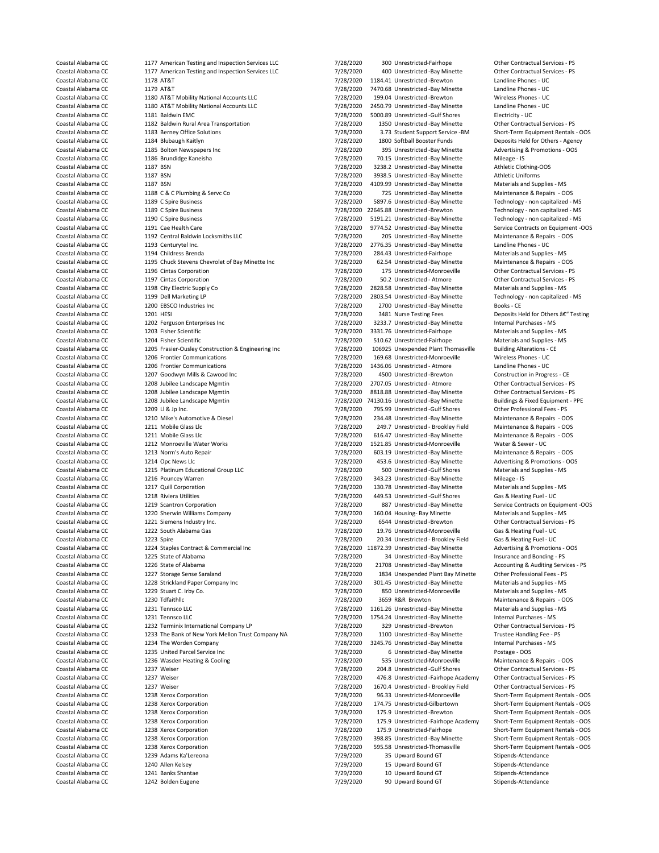Coastal Alabama CC 1177 American Testing and Inspection Services LLC 7/28/2020 300 Unrestricted-Fairhope Other Contractual Services - PS<br>Coastal Alabama CC 1177 American Testing and Inspection Services LLC 7/28/2020 400 Un Coastal Alabama CC 1180 AT&T Mobility National Accounts LLC 7/28/2020 2450.79 Unrestricted -Bay Minette - UCO<br>Coastal Alabama CC 1181 Baldwin EMC 1182 Baldwin Rural Area Transportation Coastal Alabama CC 1189 C Spire Business 7/28/2020 22645.88 Unrestricted -Brewton 7/28/2020 22645.88 Unrestricted -Brewton Coastal Alabama CC 1190 C Spire Business 70 and 200 200 200 200 200 5191.21 Unrestricted - Bay Mine Coastal Alabama CC 1196 Cintas Corporation 1986 Coastal Alabama CC 1196 Coastal Alabama CC 1197 Cintas Corporation 1997 Contractual Services - PS 0.2 Unrestricted - Atmore 1207 Goodwyn Mills & Cawood Inc 1215 Platinum Educational Group LLC Coastal Alabama CC 1225 State of Alabama 1999 128/2020 34 Unrestricted -Bay Minette 1226 State of Alabama 1999<br>Coastal Alabama CC 1226 State of Alabama 1999 128/2020 21708 Unrestricted -Bay Minette Coastal Alabama CC 1228 Strickland Paper Company Inc<br>
Coastal Alabama CC 1229 Stuart C. Irby Co. 1236 Wasden Heating & Cooling

Coastal Alabama CC 1177 American Testing and Inspection Services LLC 7/28/2020 400 Unrestricted -Bay Minette Other Contractual Services - Other Contractual Services - PS 2020 400 Unrestricted -Bay Minette 1991 1184 Alabama Coastal Alabama CC 1178 AT&T 1178 AT&T 1178 AT&T 1184 Coastal Alabama CC 1184.41 Unrestricted -Brewton Landline Phones - UC<br>Coastal Alabama CC 1179 AT&T 1179 AT&T 1179 AT&T 1179 AT&T 1179 AT&T 1179 AT&T 1179 AT&T 1179 AT&T Coastal Alabama CC 1179 AT&T 1179 AT&T 1179 AT&T 1179 AT&T 1179 AT&T 1179 AT&T 1179 AT&T 1180 AT&T Mobility National Accounts LLC 1180 AT&T 1180 AT&T Mobility National Accounts LLC 1180 AT&T 1180 AT&T 1180 AT&T 1180 AT&T M Coastal Alabama CC 1180 AT&T Mobility National Accounts LLC 7/28/2020 199.04 Unrestricted -Brewton Wireless Phones - UC<br>Coastal Alabama CC 1180 AT&T Mobility National Accounts LLC 7/28/2020 195/2020 195.079 LInrestricted -Coastal Alabama CC 1181 Baldwin EMC<br>Coastal Alabama CC 1182 Baldwin Bural Area Transportation 1990 1187 2000. Transport in the Contractual Services PS Coastal Alabama CC 1183 Berney Office Solutions 1988 100 128/2020 3.73 Student Support Service -BM Short-Term Equipment Rentals - OOS<br>Coastal Alabama CC 1184 Blubaugh Kaitlyn 1998 1999 128/2020 1800 Softhall Booster Funds Coastal Alabama CC 1184 Blubaugh Kaitlyn 7/28/2020 1800 Softball Booster Funds Deposits Held for Others - Agency Coastal Alabama CC 1185 Bolton Newspapers Inc 1987 128/2020 795 Unrestricted -Bay Minette Advertising & Promotions - OOS<br>Coastal Alabama CC 1186 Brundidge Kaneisha 1998 1999 1999 7/28/2020 70.15 Unrestricted -Bay Minette 1 Coastal Alabama CC 1186 Brundidge Kaneisha 1988 1998 1998 1998 1998 128/2020 70.15 Unrestricted -Bay Minette Mileage - IS<br>Coastal Alabama CC 1187 BSN 1187 BSN 1187 1998 1999 128/2020 1238.2 Unrestricted -Bay Minette Athlet Coastal Alabama CC 1187 BSN 1878 1187 BSN 1187 BSN 1988 1988.2 Unrestricted -Bay Minette Athletic Clothing-Coastal Alabama CC 1187 BSN 1988.5 Unrestricted -Bay Minette Athletic Uniforms Coastal Alabama CC 1187 BSN 1187 BSN 1187 BSN 1187 BSN 128/2020 13938.5 Unrestricted -Bay Minette Athletic Uniforms<br>Coastal Alabama CC 1187 BSN 1187 BSN 1187 BSN 1287 BSN 1288/2020 1109.99 Unrestricted -Bay Minette Materia 4109.99 Unrestricted -Bay Minette Coastal Alabama CC 1188 C & C Plumbing & Servc Co 7/28/2020 7/28/2020 725 Unrestricted -Bay Minette Maintenance & Repairs - OOS<br>Coastal Alabama CC 1189 C Soire Business 7.000 7/28/2020 75897.6 Unrestricted -Bay Minette Tec Coastal Alabama CC 1189 C Spire Business 1988 1189 Coastal Alabama CC 1189 Coastal Alabama CC 1189 C Spire Business 1989.6 1189 C Spire Business 1189 C Spire Business 1989.6 1288/2020 22645.88 Unrestricted - Brewton Techno Coastal Alabama CC 1190 C Spire Business 1990 1191 Coastal Alabama CC 1190 Coastal Alabama CC 1191 Cae Health Care<br>Coastal Alabama CC 1191 Cae Health Care 1192 Coastal Alabama CC 1191 Coastal Alabama CC 1191 Cae Health Car Coastal Alabama CC 1191 Cae Health Care 71 Cae Health Care 7/28/2020 9774.52 Unrestricted -Bay Minette Service Contracts on Equipment -OOS<br>Coastal Alabama CC 1192 Central Baldwin Locksmiths LLC 7/28/2020 7/28/2020 205 LInr Coastal Alabama CC 1192 Central Baldwin Locksmiths LLC 7/28/2020 205 Unrestricted -Bay Minette Maintenance & Repa<br>Coastal Alabama CC 1193 Centurvtel Inc. 100 100 17/28/2020 2776.35 Unrestricted -Bay Minette Landline Phones Coastal Alabama CC 1193 Centurytel Inc. 
1193 Centurytel Inc. 
1193 Centurytel Inc. 
2000 2776.35 Unrestricted Fairhope Materials and Supplies - MS Coastal Alabama CC 1194 Childress Brenda (Coastal Alabama CC 1194 Childres Coastal Alabama CC 1194 Childress Brenda 1194 Childress Brenda 1194 Charabas Coastal Alabama CC 1195 Chuck Stevens Chevrolet of Bay Minette 10c 1/28/2020 284.43 Unrestricted-Fairhope Materials and Supplies - MS<br>Coastal Ala Coastal Alabama CC 1195 Chuck Stevens Chevrolet of Bay Minette Inc 7/28/2020 62.54 Unrestricted -Bay Minette Maintenance & Repairs - OOS<br>Coastal Alabama CC 1196 Cintas Corporation 1978/2010 7/28/2020 175 Unrestricted Monro Coastal Alabama CC 1197 Cintas Corporation 1997 Coastal Alabama CC 1197 Cintas Corporation 1997 Coastal Alabama CC<br>Coastal Alabama CC 1198 City Electric Supply Co 1998 Coastal Alabama CC 1198 City Electric Supply Coastal A Coastal Alabama CC 1198 City Electric Supply Co 7/28/2020 2828.58 Unrestricted -Bay Minette Materials and Supplies - MS<br>Coastal Alabama CC 1199 Dell Marketing I P 7/28/2020 2803 54 Unrestricted -Bay Minette Technology - no Coastal Alabama CC 1199 Dell Marketing LP 100 1199 Coastal 2003.54 Unrestricted -Bay Minette Technology - non capitalized - MS<br>Coastal Alabama CC 1200 EBSCO Industries Inc 100 1100 Coastal Alabama CO 2700 Unrestricted -Bay Coastal Alabama CC 1200 EBSCO Industries Inc 1888 10 1200 1888 10 1200 2700 12700 2700 Unrestricted -Bay Minette Books - CE<br>Coastal Alabama CC 1201 HESI 1201 HESI 1201 HESI 1201 1202 128/2020 128/2020 12881 Nurse Testing F Coastal Alabama CC 1201 HESI 1201 HESI 7/28/2020 3481 Nurse Testing Fees Deposits Held for Others †"Testing Coastal Alabama CC 1202 Ferguson Enterprises Inc 1988 100 128/2020 3233.7 Unrestricted -Bay Minette Internal Purchases - MS<br>Coastal Alabama CC 1203 Fisher Scientific Coastal Alabama CC 1203 Fisher Scientific 1972 7/28/2020 3331.76 Unrestricted-Fairhope Materials and Supplies - MS Coastal Alabama CC 1204 Fisher Scientific 1205 7/28/2020 510.62 Unrestricted-Fairhope Materials and Supplies - MS Coastal Alabama CC 1205 Frasier-Ousley Construction & Engineering Inc 1/28/2020 106925 Unexpended Plant Thomasville Building Alterations - CE Coastal Alabama CC 1206 Frontier Communications CE 7/28/2020 169.68 Unrestricted Coastal Alabama CC 1206 Frontier Communications 1999 128/2020 169.68 Unrestricted-Monroeville Wireless Phones - UC<br>Coastal Alabama CC 1206 Frontier Communications 1999 128/2020 1436.06 Unrestricted - Atmore 120 Landline Ph Coastal Alabama CC 1206 Frontier Communications 1999 1208 Coastal Alabama CC 1436.06 Unrestricted - Atmore Landline Phones - UC<br>Coastal Alabama CC 1207 Goodwyn Mills & Cawood Inc 1999 128/2020 128/2020 14300 Unrestricted -Coastal Alabama CC 1208 Jubilee Landscape Mgmtin 1980 1208/2020 1208/2020 1207.05 Unrestricted - Atmore 1980 Other Contractual Services - PS<br>Coastal Alabama CC 1208 Jubilee Landscape Mgmtin 1980 1208/2020 128/2020 12818.88 Coastal Alabama CC 1208 Jubilee Landscape Mgmtin 1988 1988 1988 12020 8818.88 Unrestricted -Bay Minette 1989 Other Contractual Services - PS<br>Coastal Alabama CC 1208 Jubilee Landscape Mgmtin 1998 1999 1999 1999 1999 1999 19 Coastal Alabama CC 1208 Jubilee Landscape Mgmtin 1988 1998 1208/2020 74130.16 Unrestricted -Bay Minette Buildings & Fixed Equipment - Professional Fees - PS<br>Coastal Alabama CC 1209 LL & Lo Inc. 1209 LL & Lo Inc. 1209 L. Ro Coastal Alabama CC 1209 Ll & Jp Inc. 1209 Ll & Jp Inc. 1209 Ll Bull of Coastal Alabama CC 1210 Mike's Automotive & Diesel 1200 1204 1210 Mike's Automotive & Diesel 1200 1204 1210 Mike's Automotive & Diesel 1200 1210 Mike's Coastal Alabama CC 1210 Mike's Automotive & Diesel 1200 1234.48 Unrestricted -Bay Minette Maintenance & Repairs - OOS<br>2020 249.7 Unrestricted - Brookley Field Maintenance & Repairs - OOS 2005 249.7 Unrestricted - Brookley Coastal Alabama CC 1211 Mobile Glass Llc 100 1201 12020 249.7 Unrestricted - Brookley Field Maintenance & Repairs - OOS<br>Coastal Alabama CC 1211 Mobile Glass Llc 100 12020 27/28/2020 616.47 Unrestricted -Bay Minette Mainten Coastal Alabama CC 1211 Mobile Glass Llc 700 1200 1200 1212 World Coastal Alabama CC 1212 Monroeville Water Works 1212 Monroeville Water Works 1212 Monroeville Water Works 1212 Monroeville Water Works 1212 Monroeville Wate Coastal Alabama CC 1212 Monroeville Water Works 1997 128/2020 1521.85 Unrestricted-Monroeville Water & Sewer - UC<br>Coastal Alabama CC 1213 Norm's Auto Repair 1998 1200 158/2020 603.19 Unrestricted - Bay Minette Maintenance Coastal Alabama CC 1213 Norm's Auto Repair 1997 128/2020 7/28/2020 603.19 Unrestricted -Bay Minette Maintenance & Repairs - OOS<br>Coastal Alabama CC 1214 Opc News Llc 1200 2008 1200 7/28/2020 453.6 Unrestricted -Bay Minette Coastal Alabama CC 1214 Opc News Llc 1214 Opc News Llc 1200 1200 453.6 Unrestricted -Bay Minette Advertising & Promotions - Coastal Alabama CC 1215 Platinum Educational Group LLC 1200 1208/2020 500 Unrestricted -Gulf Shore Coastal Alabama CC 1216 Pouncey Warren 7/28/2020 343.23 Unrestricted -Bay Minette Mileage - IS Coastal Alabama CC 1217 Quill Corporation 1997 1200 130.78 Unrestricted -Bay Minette Materials and Supplies - MS<br>Coastal Alabama CC 1218 Riviera Utilities 1998 1200 128/2000 128/2020 128/2020 149.53 Unrestricted -Gulf Shor Coastal Alabama CC 1218 Riviera Utilities 1998 1200 1208/2020 449.53 Unrestricted -Gulf Shores Gas & Heating Fuel - UC<br>Coastal Alabama CC 1219 Scantron Corporation 1999 128/2020 7/28/2020 887 Unrestricted -Bay Minette Serv Coantron Corporation 1219 Scantron Corporation 1219 Scantron Corporation 1219 Service Contracts on Equipment -OOS<br>COMPTIZED 1228/2020 160.04 Housing- Bay Minette 1219 Materials and Supplies - MS Coastal Alabama CC 1220 Sherwin Williams Company 1200 000 160.020 160.04 Housing- Bay Minette Materials and Supplies - MS Coastal Alabama CC 1221 Siemens Industry Inc. 1200 1221 Coastal Alabama CC 221 Siemens Industry Inc. 1221 Siemens Industry Inc. Coastal Alabama CC 1222 South Alabama Gas 1988 12020 19.76 Unrestricted-Monroeville Gas & Heating Fuel - UCC Coastal Alabama CC 1223 Spire 1223 Spire 1223 Spire 1223 Spire 1223 Spire 1224 Staples Contract & Commercial Inc<br>Coastal Alabama CC 1224 Staples Contract & Commercial Inc 1228 7/28/2020 11872.39 Unrestricted -Bay Minette 4 Coastal Alabama CC 1224 Staples Contract & Commercial Inc 7/28/2020 11872.39 Unrestricted -Bay Minette Advertising & Promotions -<br>Coastal Alabama CC 1225 State of Alabama CPC 1225 State of Alabama CPS 1207 128/2020 34 Unre Coastal Alabama CC 1226 State of Alabama 1286 State of Alabama 1227 State of Alabama 1227 State and The Sarata<br>Coastal Alabama CC 1227 Storage Sense Saraland 1227 Storage Sense Saratand 1228/2020 1834 Unexpended Plant Bay Coastal Alabama CC 1227 Storage Sense Saraland 1998 (128/2020 1834 Unexpended Plant Bay Minette Other Professional Fees - PS<br>2006 7/28/2020 1834 Unrestricted - Bay Minette Materials and Supplies - MS (128/2020 1998) 1998 7 1229 Stuart C. Irby Co. 2020 Stuart Communication Communication Communication Communication Communication Comm<br>1230 Tdfaithlic Materials and Supplies - Official Alabama Communication Communication Communication Communicat<br> Coastal Alabama CC 1230 Tdfaithllc 1230 Thaithle 1988 Coastal Alabama CC 1231 Tennsco LLC 1231 Tennsco LLC 123<br>Coastal Alabama CC 1231 Tennsco LLC 1231 Tennsco LLC 129 Coastal Alabama COST 128/2020 1261.26 Unrestricted -Ba Coastal Alabama CC 1231 Tennsco LLC 1231 Tennsco LLC 1231 Tennsco LLC 1231 Tennsco LLC 1231 Tennsco LLC 1231 Tennsco LLC 1232 Tennsco LLC 1232 Tennsco LLC 1232 Tennsco LLC 1232 Tennsco LLC 1232 Tennsco LLC 1232 Tennsco LLC Coastal Alabama CC 1231 Tennsco LLC 1231 Tennsco LLC 128/2010 1754.24 Unrestricted -Bay Minette Internal Purchases - MS<br>Coastal Alabama CC 1232 Terminix International Company LP 1/28/2020 129 Unrestricted -Brewton Other Co Coastal Alabama CC 1232 Terminix International Company LP 7/28/2020 329 Unrestricted -Brewton Other Contractual Service<br>Coastal Alabama CC 1233 The Bank of New York Mellon Trust Company NA 7/28/2020 1100 Unrestricted -Bay Coastal Alabama CC 1233 The Bank of New York Mellon Trust Company NA 7/28/2020 1100 Unrestricted -Bay Minette Trustee Handling Fee - P<br>Coastal Alabama CC 1234 The Worden Company 1989 1999 7/28/2020 1245.76 Unrestricted -Ba 3245.76 Unrestricted -Bay Minette Coastal Alabama CC 1235 United Parcel Service Inc 1000 Coastal Alabama CC 1256 Unrestricted -Bay Minette 1236 Wasden Heating & Cooling 1005<br>Coastal Alabama CC 1236 Wasden Heating & Cooling 1005 128/2020 1535 Unrestricted M Coastal Alabama CC 1237 Weiser 1237 Weiser 7/28/2020 204.8 Unrestricted -Gulf Shores Other Contractual Services - PS<br>Coastal Alabama CC 1237 Weiser 7/28/2020 2768 Unrestricted -Fairhone Academy Other Contractual Services -Coastal Alabama CC 1237 Weiser 1287 Weiser 7/28/2020 476.8 Unrestricted -Fairhope Academy Other Contractual Services - PS<br>Coastal Alabama CC 1237 Weiser 1287 Weiser 7/28/2020 1670.4 Unrestricted - Brookley Field Other Cont 1670.4 Unrestricted - Brookley Field **Contractual Services - PS** Coastal Alabama CC 1238 Xerox Corporation 7/28/2020 96.33 Unrestricted-Monroeville Short-Term Equipment Rentals - OOS Coastal Alabama CC 1238 Xerox Corporation 7/28/2020 174.75 Unrestricted-Gilbertown Short-Term Equipment Rentals - OOS Coastal Alabama CC 1238 Xerox Corporation 7/28/2020 175.9 Unrestricted -Brewton Short-Term Equipment Rentals - OOS Coastal Alabama CC 1238 Xerox Corporation 7/28/2020 175.9 Unrestricted -Fairhope Academy Short-Term Equipment Rentals - OOS Coastal Alabama CC 1238 Xerox Corporation 1200 1728/2020 175.9 Unrestricted-Fairhope Short-Term Equipment Rentals - OOS<br>2006 1238 Xerox Corporation 1238 Xerox Corporation 1208/2010 1238 Xerox Corporation 1238 Xerox Corpora Coastal Alabama CC 1238 Xerox Corporation 1988 1200 1208/2020 595.58 Unrestricted-Thomasville Short-Term Equipment Rentals - OOS<br>Coastal Alabama CC 1239 Adams Ka'l ereona 1998 1209 1209/2020 1209/2020 1209/2020 1209/2020 1 Coastal Alabama CC **1239 Adams Ka'Lereona** 1239 Adams Ka'Lereona 70 **7/29/2020** 35 Upward Bound GT Stipends-Attendance Coastal Alabama CC 1240 Allen Kelsey 1240 Allen Kelsey 129 1729/2020 15 Upward Bound GT Stipends-Attendance<br>Coastal Alabama CC 1241 Banks Shantae 1980 1200 100 1299/2020 100 Upward Bound GT Stipends-Attendance Coastal Alabama CC and 1241 Banks Shantae 1200 1200 2000 10 Upward Bound GT Stipends-Attendance Coastal Alabama CC 1242 Bolden Eugene 7/29/2020 90 Upward Bound GT Stipends-Attendance

Short-Term Equipment Rentals - OOS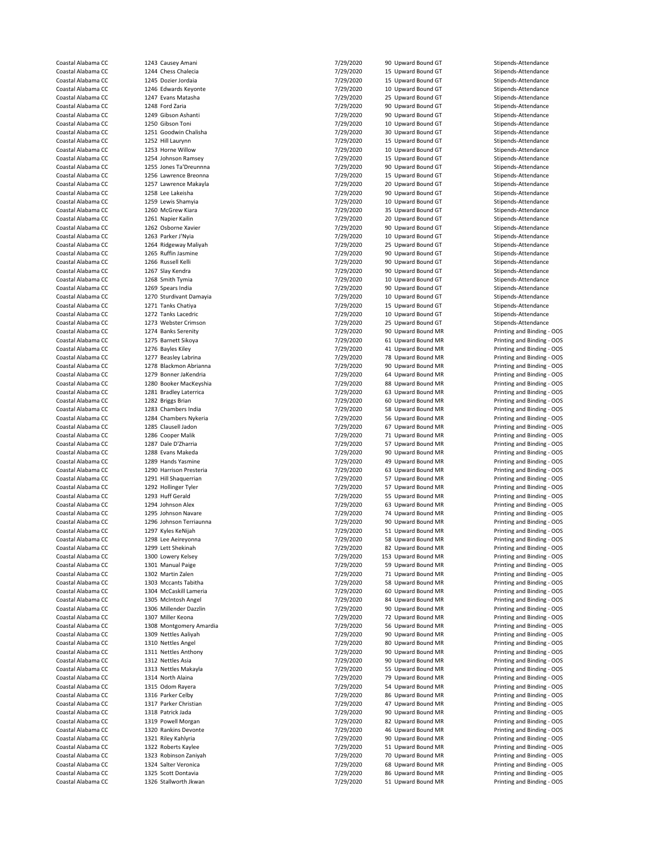| Coastal Alabama CC |                         | 7/29/2020 | 90 Upward Bound GT  | Stipends-Attendance        |
|--------------------|-------------------------|-----------|---------------------|----------------------------|
|                    | 1243 Causey Amani       |           |                     |                            |
| Coastal Alabama CC | 1244 Chess Chalecia     | 7/29/2020 | 15 Upward Bound GT  | Stipends-Attendance        |
| Coastal Alabama CC | 1245 Dozier Jordaia     | 7/29/2020 | 15 Upward Bound GT  | Stipends-Attendance        |
| Coastal Alabama CC | 1246 Edwards Keyonte    | 7/29/2020 | 10 Upward Bound GT  | Stipends-Attendance        |
|                    |                         |           |                     |                            |
| Coastal Alabama CC | 1247 Evans Matasha      | 7/29/2020 | 25 Upward Bound GT  | Stipends-Attendance        |
| Coastal Alabama CC | 1248 Ford Zaria         | 7/29/2020 | 90 Upward Bound GT  | Stipends-Attendance        |
| Coastal Alabama CC | 1249 Gibson Ashanti     | 7/29/2020 | 90 Upward Bound GT  | Stipends-Attendance        |
| Coastal Alabama CC | 1250 Gibson Toni        | 7/29/2020 | 10 Upward Bound GT  | Stipends-Attendance        |
|                    |                         |           |                     |                            |
| Coastal Alabama CC | 1251 Goodwin Chalisha   | 7/29/2020 | 30 Upward Bound GT  | Stipends-Attendance        |
| Coastal Alabama CC | 1252 Hill Laurynn       | 7/29/2020 | 15 Upward Bound GT  | Stipends-Attendance        |
| Coastal Alabama CC | 1253 Horne Willow       | 7/29/2020 | 10 Upward Bound GT  | Stipends-Attendance        |
|                    |                         |           |                     |                            |
| Coastal Alabama CC | 1254 Johnson Ramsey     | 7/29/2020 | 15 Upward Bound GT  | Stipends-Attendance        |
| Coastal Alabama CC | 1255 Jones Ta'Dreunnna  | 7/29/2020 | 90 Upward Bound GT  | Stipends-Attendance        |
| Coastal Alabama CC | 1256 Lawrence Breonna   | 7/29/2020 | 15 Upward Bound GT  | Stipends-Attendance        |
| Coastal Alabama CC | 1257 Lawrence Makayla   | 7/29/2020 | 20 Upward Bound GT  | Stipends-Attendance        |
|                    |                         |           |                     |                            |
| Coastal Alabama CC | 1258 Lee Lakeisha       | 7/29/2020 | 90 Upward Bound GT  | Stipends-Attendance        |
| Coastal Alabama CC | 1259 Lewis Shamyia      | 7/29/2020 | 10 Upward Bound GT  | Stipends-Attendance        |
| Coastal Alabama CC | 1260 McGrew Kiara       | 7/29/2020 | 35 Upward Bound GT  | Stipends-Attendance        |
| Coastal Alabama CC |                         |           |                     |                            |
|                    | 1261 Napier Kailin      | 7/29/2020 | 20 Upward Bound GT  | Stipends-Attendance        |
| Coastal Alabama CC | 1262 Osborne Xavier     | 7/29/2020 | 90 Upward Bound GT  | Stipends-Attendance        |
| Coastal Alabama CC | 1263 Parker J'Nyia      | 7/29/2020 | 10 Upward Bound GT  | Stipends-Attendance        |
| Coastal Alabama CC | 1264 Ridgeway Maliyah   | 7/29/2020 | 25 Upward Bound GT  | Stipends-Attendance        |
|                    |                         |           |                     |                            |
| Coastal Alabama CC | 1265 Ruffin Jasmine     | 7/29/2020 | 90 Upward Bound GT  | Stipends-Attendance        |
| Coastal Alabama CC | 1266 Russell Kelli      | 7/29/2020 | 90 Upward Bound GT  | Stipends-Attendance        |
| Coastal Alabama CC | 1267 Slay Kendra        | 7/29/2020 | 90 Upward Bound GT  | Stipends-Attendance        |
| Coastal Alabama CC | 1268 Smith Tymia        | 7/29/2020 | 10 Upward Bound GT  | Stipends-Attendance        |
|                    |                         |           |                     |                            |
| Coastal Alabama CC | 1269 Spears India       | 7/29/2020 | 90 Upward Bound GT  | Stipends-Attendance        |
| Coastal Alabama CC | 1270 Sturdivant Damayia | 7/29/2020 | 10 Upward Bound GT  | Stipends-Attendance        |
| Coastal Alabama CC | 1271 Tanks Chatiya      | 7/29/2020 | 15 Upward Bound GT  | Stipends-Attendance        |
|                    |                         |           |                     |                            |
| Coastal Alabama CC | 1272 Tanks Lacedric     | 7/29/2020 | 10 Upward Bound GT  | Stipends-Attendance        |
| Coastal Alabama CC | 1273 Webster Crimson    | 7/29/2020 | 25 Upward Bound GT  | Stipends-Attendance        |
| Coastal Alabama CC | 1274 Banks Serenity     | 7/29/2020 | 90 Upward Bound MR  | Printing and Binding - OOS |
| Coastal Alabama CC | 1275 Barnett Sikoya     |           | 61 Upward Bound MR  |                            |
|                    |                         | 7/29/2020 |                     | Printing and Binding - OOS |
| Coastal Alabama CC | 1276 Bayles Kiley       | 7/29/2020 | 41 Upward Bound MR  | Printing and Binding - OOS |
| Coastal Alabama CC | 1277 Beasley Labrina    | 7/29/2020 | 78 Upward Bound MR  | Printing and Binding - OOS |
| Coastal Alabama CC | 1278 Blackmon Abrianna  | 7/29/2020 | 90 Upward Bound MR  | Printing and Binding - OOS |
|                    |                         |           |                     |                            |
| Coastal Alabama CC | 1279 Bonner JaKendria   | 7/29/2020 | 64 Upward Bound MR  | Printing and Binding - OOS |
| Coastal Alabama CC | 1280 Booker MacKeyshia  | 7/29/2020 | 88 Upward Bound MR  | Printing and Binding - OOS |
| Coastal Alabama CC | 1281 Bradley Laterrica  | 7/29/2020 | 63 Upward Bound MR  | Printing and Binding - OOS |
| Coastal Alabama CC | 1282 Briggs Brian       | 7/29/2020 | 60 Upward Bound MR  |                            |
|                    |                         |           |                     | Printing and Binding - OOS |
| Coastal Alabama CC | 1283 Chambers India     | 7/29/2020 | 58 Upward Bound MR  | Printing and Binding - OOS |
| Coastal Alabama CC | 1284 Chambers Nykeria   | 7/29/2020 | 56 Upward Bound MR  | Printing and Binding - OOS |
| Coastal Alabama CC | 1285 Clausell Jadon     | 7/29/2020 | 67 Upward Bound MR  | Printing and Binding - OOS |
|                    |                         |           |                     |                            |
| Coastal Alabama CC | 1286 Cooper Malik       | 7/29/2020 | 71 Upward Bound MR  | Printing and Binding - OOS |
| Coastal Alabama CC | 1287 Dale D'Zharria     | 7/29/2020 | 57 Upward Bound MR  | Printing and Binding - OOS |
| Coastal Alabama CC | 1288 Evans Makeda       | 7/29/2020 | 90 Upward Bound MR  | Printing and Binding - OOS |
| Coastal Alabama CC | 1289 Hands Yasmine      | 7/29/2020 | 49 Upward Bound MR  | Printing and Binding - OOS |
|                    |                         |           |                     |                            |
| Coastal Alabama CC | 1290 Harrison Presteria | 7/29/2020 | 63 Upward Bound MR  | Printing and Binding - OOS |
| Coastal Alabama CC | 1291 Hill Shaquerrian   | 7/29/2020 | 57 Upward Bound MR  | Printing and Binding - OOS |
| Coastal Alabama CC | 1292 Hollinger Tyler    | 7/29/2020 | 57 Upward Bound MR  | Printing and Binding - OOS |
|                    |                         |           |                     |                            |
| Coastal Alabama CC | 1293 Huff Gerald        | 7/29/2020 | 55 Upward Bound MR  | Printing and Binding - OOS |
| Coastal Alabama CC | 1294 Johnson Alex       | 7/29/2020 | 63 Upward Bound MR  | Printing and Binding - OOS |
| Coastal Alabama CC | 1295 Johnson Navare     | 7/29/2020 | 74 Upward Bound MR  | Printing and Binding - OOS |
| Coastal Alabama CC | 1296 Johnson Terriaunna | 7/29/2020 | 90 Upward Bound MR  | Printing and Binding - OOS |
|                    |                         |           |                     |                            |
| Coastal Alabama CC | 1297 Kyles KeNijah      | 7/29/2020 | 51 Upward Bound MR  | Printing and Binding - OOS |
| Coastal Alabama CC | 1298 Lee Aeireyonna     | 7/29/2020 | 58 Upward Bound MR  | Printing and Binding - OOS |
| Coastal Alabama CC | 1299 Lett Shekinah      | 7/29/2020 | 82 Upward Bound MR  | Printing and Binding - OOS |
|                    |                         |           |                     |                            |
| Coastal Alabama CC | 1300 Lowery Kelsey      | 7/29/2020 | 153 Upward Bound MR | Printing and Binding - OOS |
| Coastal Alabama CC | 1301 Manual Paige       | 7/29/2020 | 59 Upward Bound MR  | Printing and Binding - OOS |
| Coastal Alabama CC | 1302 Martin Zalen       | 7/29/2020 | 71 Upward Bound MR  | Printing and Binding - OOS |
| Coastal Alabama CC | 1303 Mccants Tabitha    | 7/29/2020 | 58 Upward Bound MR  | Printing and Binding - OOS |
|                    |                         |           |                     |                            |
| Coastal Alabama CC | 1304 McCaskill Lameria  | 7/29/2020 | 60 Upward Bound MR  | Printing and Binding - OOS |
| Coastal Alabama CC | 1305 McIntosh Angel     | 7/29/2020 | 84 Upward Bound MR  | Printing and Binding - OOS |
| Coastal Alabama CC | 1306 Millender Dazzlin  | 7/29/2020 | 90 Upward Bound MR  | Printing and Binding - OOS |
| Coastal Alabama CC | 1307 Miller Keona       | 7/29/2020 | 72 Upward Bound MR  | Printing and Binding - OOS |
|                    |                         |           |                     |                            |
| Coastal Alabama CC | 1308 Montgomery Amardia | 7/29/2020 | 56 Upward Bound MR  | Printing and Binding - OOS |
| Coastal Alabama CC | 1309 Nettles Aaliyah    | 7/29/2020 | 90 Upward Bound MR  | Printing and Binding - OOS |
| Coastal Alabama CC | 1310 Nettles Angel      | 7/29/2020 | 80 Upward Bound MR  | Printing and Binding - OOS |
| Coastal Alabama CC | 1311 Nettles Anthony    | 7/29/2020 | 90 Upward Bound MR  | Printing and Binding - OOS |
|                    |                         |           |                     |                            |
| Coastal Alabama CC | 1312 Nettles Asia       | 7/29/2020 | 90 Upward Bound MR  | Printing and Binding - OOS |
| Coastal Alabama CC | 1313 Nettles Makayla    | 7/29/2020 | 55 Upward Bound MR  | Printing and Binding - OOS |
| Coastal Alabama CC | 1314 North Alaina       | 7/29/2020 | 79 Upward Bound MR  | Printing and Binding - OOS |
|                    |                         |           |                     |                            |
| Coastal Alabama CC | 1315 Odom Rayera        | 7/29/2020 | 54 Upward Bound MR  | Printing and Binding - OOS |
| Coastal Alabama CC | 1316 Parker Celby       | 7/29/2020 | 86 Upward Bound MR  | Printing and Binding - OOS |
| Coastal Alabama CC | 1317 Parker Christian   | 7/29/2020 | 47 Upward Bound MR  | Printing and Binding - OOS |
| Coastal Alabama CC | 1318 Patrick Jada       | 7/29/2020 | 90 Upward Bound MR  | Printing and Binding - OOS |
|                    |                         |           |                     |                            |
| Coastal Alabama CC | 1319 Powell Morgan      | 7/29/2020 | 82 Upward Bound MR  | Printing and Binding - OOS |
| Coastal Alabama CC | 1320 Rankins Devonte    | 7/29/2020 | 46 Upward Bound MR  | Printing and Binding - OOS |
| Coastal Alabama CC | 1321 Riley Kahlyria     | 7/29/2020 | 90 Upward Bound MR  | Printing and Binding - OOS |
|                    |                         |           |                     |                            |
| Coastal Alabama CC | 1322 Roberts Kaylee     | 7/29/2020 | 51 Upward Bound MR  | Printing and Binding - OOS |
| Coastal Alabama CC | 1323 Robinson Zaniyah   | 7/29/2020 | 70 Upward Bound MR  | Printing and Binding - OOS |
| Coastal Alabama CC | 1324 Salter Veronica    | 7/29/2020 | 68 Upward Bound MR  | Printing and Binding - OOS |
| Coastal Alabama CC | 1325 Scott Dontavia     | 7/29/2020 | 86 Upward Bound MR  | Printing and Binding - OOS |
|                    |                         |           |                     |                            |
| Coastal Alabama CC | 1326 Stallworth Jkwan   | 7/29/2020 | 51 Upward Bound MR  | Printing and Binding - OOS |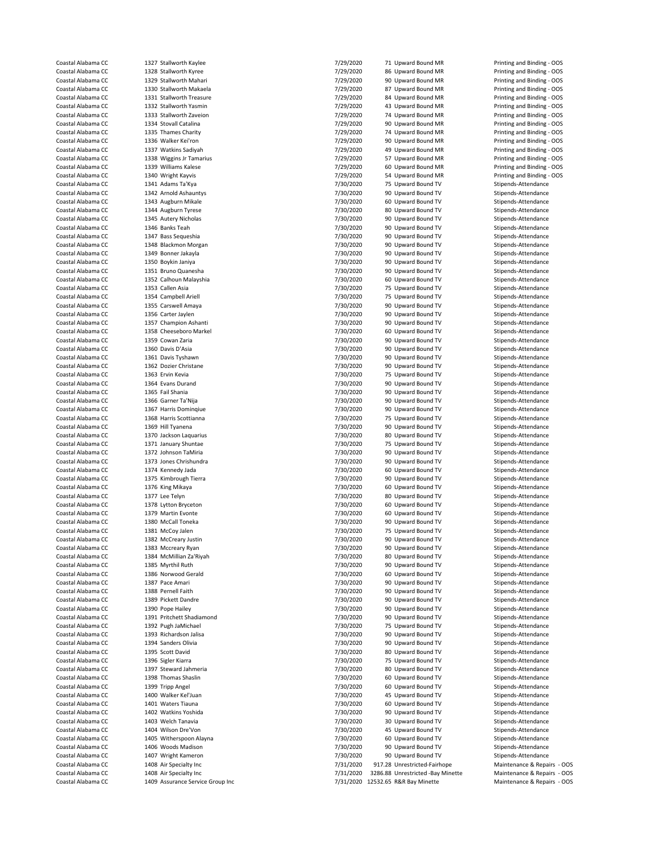| Coastal Alabama CC | 1327 Stallworth Kaylee           | 7/29/2020 | 71 Upward Bound MR                 | Printing and Binding - OOS  |
|--------------------|----------------------------------|-----------|------------------------------------|-----------------------------|
| Coastal Alabama CC | 1328 Stallworth Kyree            | 7/29/2020 | 86 Upward Bound MR                 | Printing and Binding - OOS  |
| Coastal Alabama CC | 1329 Stallworth Mahari           | 7/29/2020 | 90 Upward Bound MR                 | Printing and Binding - OOS  |
| Coastal Alabama CC | 1330 Stallworth Makaela          | 7/29/2020 | 87 Upward Bound MR                 | Printing and Binding - OOS  |
| Coastal Alabama CC | 1331 Stallworth Treasure         | 7/29/2020 |                                    |                             |
|                    |                                  |           | 84 Upward Bound MR                 | Printing and Binding - OOS  |
| Coastal Alabama CC | 1332 Stallworth Yasmin           | 7/29/2020 | 43 Upward Bound MR                 | Printing and Binding - OOS  |
| Coastal Alabama CC | 1333 Stallworth Zaveion          | 7/29/2020 | 74 Upward Bound MR                 | Printing and Binding - OOS  |
| Coastal Alabama CC | 1334 Stovall Catalina            | 7/29/2020 | 90 Upward Bound MR                 | Printing and Binding - OOS  |
| Coastal Alabama CC | 1335 Thames Charity              | 7/29/2020 | 74 Upward Bound MR                 | Printing and Binding - OOS  |
| Coastal Alabama CC | 1336 Walker Kei'ron              | 7/29/2020 | 90 Upward Bound MR                 | Printing and Binding - OOS  |
| Coastal Alabama CC | 1337 Watkins Sadiyah             | 7/29/2020 | 49 Upward Bound MR                 | Printing and Binding - OOS  |
| Coastal Alabama CC | 1338 Wiggins Jr Tamarius         | 7/29/2020 | 57 Upward Bound MR                 | Printing and Binding - OOS  |
| Coastal Alabama CC | 1339 Williams Kalese             | 7/29/2020 | 60 Upward Bound MR                 | Printing and Binding - OOS  |
| Coastal Alabama CC | 1340 Wright Kayvis               | 7/29/2020 | 54 Upward Bound MR                 | Printing and Binding - OOS  |
| Coastal Alabama CC |                                  |           |                                    | Stipends-Attendance         |
|                    | 1341 Adams Ta'Kya                | 7/30/2020 | 75 Upward Bound TV                 |                             |
| Coastal Alabama CC | 1342 Arnold Ashauntys            | 7/30/2020 | 90 Upward Bound TV                 | Stipends-Attendance         |
| Coastal Alabama CC | 1343 Augburn Mikale              | 7/30/2020 | 60 Upward Bound TV                 | Stipends-Attendance         |
| Coastal Alabama CC | 1344 Augburn Tyrese              | 7/30/2020 | 80 Upward Bound TV                 | Stipends-Attendance         |
| Coastal Alabama CC | 1345 Autery Nicholas             | 7/30/2020 | 90 Upward Bound TV                 | Stipends-Attendance         |
| Coastal Alabama CC | 1346 Banks Teah                  | 7/30/2020 | 90 Upward Bound TV                 | Stipends-Attendance         |
| Coastal Alabama CC | 1347 Bass Sequeshia              | 7/30/2020 | 90 Upward Bound TV                 | Stipends-Attendance         |
| Coastal Alabama CC | 1348 Blackmon Morgan             | 7/30/2020 | 90 Upward Bound TV                 | Stipends-Attendance         |
| Coastal Alabama CC | 1349 Bonner Jakayla              | 7/30/2020 | 90 Upward Bound TV                 | Stipends-Attendance         |
| Coastal Alabama CC | 1350 Boykin Janiya               | 7/30/2020 | 90 Upward Bound TV                 |                             |
|                    |                                  |           |                                    | Stipends-Attendance         |
| Coastal Alabama CC | 1351 Bruno Quanesha              | 7/30/2020 | 90 Upward Bound TV                 | Stipends-Attendance         |
| Coastal Alabama CC | 1352 Calhoun Malayshia           | 7/30/2020 | 60 Upward Bound TV                 | Stipends-Attendance         |
| Coastal Alabama CC | 1353 Callen Asia                 | 7/30/2020 | 75 Upward Bound TV                 | Stipends-Attendance         |
| Coastal Alabama CC | 1354 Campbell Ariell             | 7/30/2020 | 75 Upward Bound TV                 | Stipends-Attendance         |
| Coastal Alabama CC | 1355 Carswell Amaya              | 7/30/2020 | 90 Upward Bound TV                 | Stipends-Attendance         |
| Coastal Alabama CC | 1356 Carter Jaylen               | 7/30/2020 | 90 Upward Bound TV                 | Stipends-Attendance         |
|                    |                                  |           |                                    |                             |
| Coastal Alabama CC | 1357 Champion Ashanti            | 7/30/2020 | 90 Upward Bound TV                 | Stipends-Attendance         |
| Coastal Alabama CC | 1358 Cheeseboro Markel           | 7/30/2020 | 60 Upward Bound TV                 | Stipends-Attendance         |
| Coastal Alabama CC | 1359 Cowan Zaria                 | 7/30/2020 | 90 Upward Bound TV                 | Stipends-Attendance         |
| Coastal Alabama CC | 1360 Davis D'Asia                | 7/30/2020 | 90 Upward Bound TV                 | Stipends-Attendance         |
| Coastal Alabama CC | 1361 Davis Tyshawn               | 7/30/2020 | 90 Upward Bound TV                 | Stipends-Attendance         |
| Coastal Alabama CC | 1362 Dozier Christane            | 7/30/2020 | 90 Upward Bound TV                 | Stipends-Attendance         |
| Coastal Alabama CC | 1363 Ervin Kevia                 |           | 75 Upward Bound TV                 | Stipends-Attendance         |
|                    |                                  | 7/30/2020 |                                    |                             |
| Coastal Alabama CC | 1364 Evans Durand                | 7/30/2020 | 90 Upward Bound TV                 | Stipends-Attendance         |
| Coastal Alabama CC | 1365 Fail Shania                 | 7/30/2020 | 90 Upward Bound TV                 | Stipends-Attendance         |
| Coastal Alabama CC | 1366 Garner Ta'Nija              | 7/30/2020 | 90 Upward Bound TV                 | Stipends-Attendance         |
| Coastal Alabama CC | 1367 Harris Domingiue            | 7/30/2020 | 90 Upward Bound TV                 | Stipends-Attendance         |
| Coastal Alabama CC | 1368 Harris Scottianna           | 7/30/2020 | 75 Upward Bound TV                 | Stipends-Attendance         |
| Coastal Alabama CC | 1369 Hill Tyanena                | 7/30/2020 | 90 Upward Bound TV                 | Stipends-Attendance         |
| Coastal Alabama CC | 1370 Jackson Laquarius           | 7/30/2020 | 80 Upward Bound TV                 | Stipends-Attendance         |
| Coastal Alabama CC |                                  |           |                                    |                             |
|                    | 1371 January Shuntae             | 7/30/2020 | 75 Upward Bound TV                 | Stipends-Attendance         |
| Coastal Alabama CC | 1372 Johnson TaMiria             | 7/30/2020 | 90 Upward Bound TV                 | Stipends-Attendance         |
| Coastal Alabama CC | 1373 Jones Chrishundra           | 7/30/2020 | 90 Upward Bound TV                 | Stipends-Attendance         |
| Coastal Alabama CC | 1374 Kennedy Jada                | 7/30/2020 | 60 Upward Bound TV                 | Stipends-Attendance         |
| Coastal Alabama CC | 1375 Kimbrough Tierra            | 7/30/2020 | 90 Upward Bound TV                 | Stipends-Attendance         |
| Coastal Alabama CC | 1376 King Mikaya                 | 7/30/2020 | 60 Upward Bound TV                 | Stipends-Attendance         |
| Coastal Alabama CC | 1377 Lee Telyn                   | 7/30/2020 | 80 Upward Bound TV                 | Stipends-Attendance         |
|                    |                                  | 7/30/2020 |                                    | Stipends-Attendance         |
| Coastal Alabama CC | 1378 Lytton Bryceton             |           | 60 Upward Bound TV                 |                             |
| Coastal Alabama CC | 1379 Martin Evonte               | 7/30/2020 | 60 Upward Bound TV                 | Stipends-Attendance         |
| Coastal Alabama CC | 1380 McCall Toneka               | 7/30/2020 | 90 Upward Bound TV                 | Stipends-Attendance         |
| Coastal Alabama CC | 1381 McCoy Jalen                 | 7/30/2020 | 75 Upward Bound TV                 | Stipends-Attendance         |
| Coastal Alabama CC | 1382 McCreary Justin             | 7/30/2020 | 90 Upward Bound TV                 | Stipends-Attendance         |
| Coastal Alabama CC | 1383 Mccreary Ryan               | 7/30/2020 | 90 Upward Bound TV                 | Stipends-Attendance         |
| Coastal Alabama CC | 1384 McMillian Za'Riyah          | 7/30/2020 | 80 Upward Bound TV                 | Stipends-Attendance         |
| Coastal Alabama CC | 1385 Myrthil Ruth                | 7/30/2020 | 90 Upward Bound TV                 | Stipends-Attendance         |
|                    |                                  |           |                                    |                             |
| Coastal Alabama CC | 1386 Norwood Gerald              | 7/30/2020 | 60 Upward Bound TV                 | Stipends-Attendance         |
| Coastal Alabama CC | 1387 Pace Amari                  | 7/30/2020 | 90 Upward Bound TV                 | Stipends-Attendance         |
| Coastal Alabama CC | 1388 Pernell Faith               | 7/30/2020 | 90 Upward Bound TV                 | Stipends-Attendance         |
| Coastal Alabama CC | 1389 Pickett Dandre              | 7/30/2020 | 90 Upward Bound TV                 | Stipends-Attendance         |
| Coastal Alabama CC | 1390 Pope Hailey                 | 7/30/2020 | 90 Upward Bound TV                 | Stipends-Attendance         |
| Coastal Alabama CC | 1391 Pritchett Shadiamond        | 7/30/2020 | 90 Upward Bound TV                 | Stipends-Attendance         |
| Coastal Alabama CC | 1392 Pugh JaMichael              | 7/30/2020 | 75 Upward Bound TV                 | Stipends-Attendance         |
| Coastal Alabama CC | 1393 Richardson Jalisa           |           |                                    | Stipends-Attendance         |
|                    |                                  | 7/30/2020 | 90 Upward Bound TV                 |                             |
| Coastal Alabama CC | 1394 Sanders Olivia              | 7/30/2020 | 90 Upward Bound TV                 | Stipends-Attendance         |
| Coastal Alabama CC | 1395 Scott David                 | 7/30/2020 | 80 Upward Bound TV                 | Stipends-Attendance         |
| Coastal Alabama CC | 1396 Sigler Kiarra               | 7/30/2020 | 75 Upward Bound TV                 | Stipends-Attendance         |
| Coastal Alabama CC | 1397 Steward Jahmeria            | 7/30/2020 | 80 Upward Bound TV                 | Stipends-Attendance         |
| Coastal Alabama CC | 1398 Thomas Shaslin              | 7/30/2020 | 60 Upward Bound TV                 | Stipends-Attendance         |
| Coastal Alabama CC | 1399 Tripp Angel                 | 7/30/2020 | 60 Upward Bound TV                 | Stipends-Attendance         |
|                    |                                  |           |                                    |                             |
| Coastal Alabama CC | 1400 Walker Kel'Juan             | 7/30/2020 | 45 Upward Bound TV                 | Stipends-Attendance         |
| Coastal Alabama CC | 1401 Waters Tiauna               | 7/30/2020 | 60 Upward Bound TV                 | Stipends-Attendance         |
| Coastal Alabama CC | 1402 Watkins Yoshida             | 7/30/2020 | 90 Upward Bound TV                 | Stipends-Attendance         |
| Coastal Alabama CC | 1403 Welch Tanavia               | 7/30/2020 | 30 Upward Bound TV                 | Stipends-Attendance         |
| Coastal Alabama CC | 1404 Wilson Dre'Von              | 7/30/2020 | 45 Upward Bound TV                 | Stipends-Attendance         |
| Coastal Alabama CC | 1405 Witherspoon Alayna          | 7/30/2020 | 60 Upward Bound TV                 | Stipends-Attendance         |
| Coastal Alabama CC | 1406 Woods Madison               | 7/30/2020 | 90 Upward Bound TV                 | Stipends-Attendance         |
|                    |                                  |           |                                    |                             |
| Coastal Alabama CC | 1407 Wright Kameron              | 7/30/2020 | 90 Upward Bound TV                 | Stipends-Attendance         |
| Coastal Alabama CC | 1408 Air Specialty Inc           | 7/31/2020 | 917.28 Unrestricted-Fairhope       | Maintenance & Repairs - OOS |
| Coastal Alabama CC | 1408 Air Specialty Inc           | 7/31/2020 | 3286.88 Unrestricted -Bay Minette  | Maintenance & Repairs - OOS |
| Coastal Alabama CC | 1409 Assurance Service Group Inc |           | 7/31/2020 12532.65 R&R Bay Minette | Maintenance & Repairs - OOS |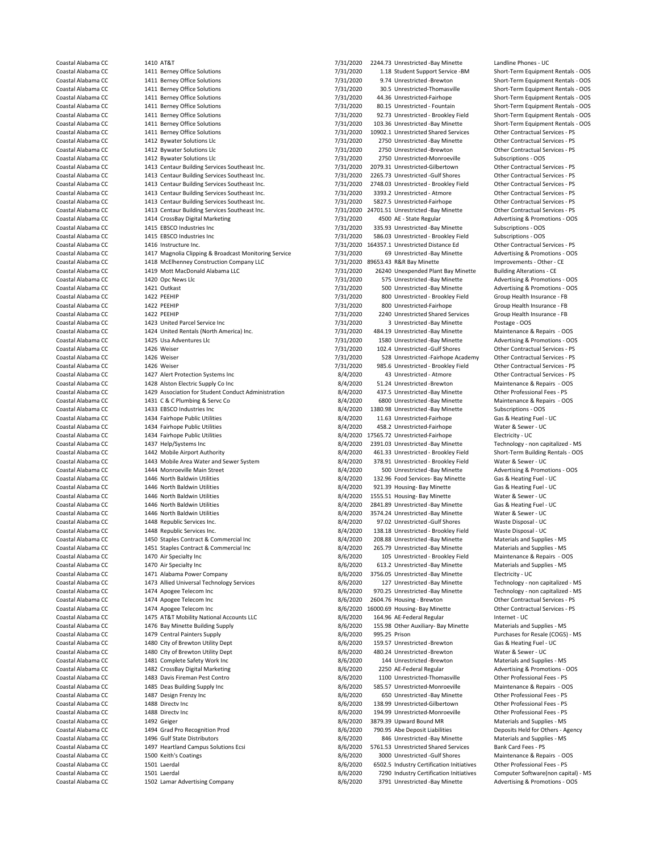Coastal Alabama CC 1411 Berney Office Solutions 1999 11 18 Student Support Service -BM Short-Term Equipment Rentals - OOS<br>2014 The Short-Term Equipment Rentals - OOS 1411 Berney Office Solutions 1999 11 12/31/2020 1.18 Sho Coastal Alabama CC 1411 Berney Office Solutions 1999 1200 9.74 Unrestricted -Brewton Short-Term Equipment Rentals - OOS<br>7/31/2020 30.5 Unrestricted Thomasville Short-Term Equipment Rentals - OOS Coastal Alabama CC 1411 Berney Office Solutions 7/31/2020 30.5 Unrestricted-Thomasville Short-Term Equipment Rentals - OOS Coastal Alabama CC 1411 Berney Office Solutions 7/31/2020 44.36 Unrestricted-Fairhope Short-Term Equipment Rentals - OOS Coastal Alabama CC 1411 Berney Office Solutions 1999 12/31/2020 80.15 Unrestricted - Fountain Short-Term Equipment Rentals - OOS<br>Coastal Alabama CC 1411 Berney Office Solutions 1999 12/31/2020 92.73 Unrestricted - Brookley Coastal Alabama CC 1411 Berney Office Solutions 1999 12/31/2020 92.73 Unrestricted - Brookley Field Short-Term Equipment Rentals - OOS<br>7/31/2020 103.36 Unrestricted -Bay Minette Short-Term Equipment Rentals - OOS 7/31/2020 Coastal Alabama CC 1411 Berney Office Solutions 1988 1990 10902.1 Unrestricted Shared Services Cher Contractual Services - PS<br>Coastal Alabama CC 1412 Bywater Solutions 1 Let 10 1002.1 Unrestricted Aav Minette Other Contrac Coastal Alabama CC 1412 Bywater Solutions Llc 7/31/2020 2750 Unrestricted -Bay Minette Other Contractual Services - PS Coastal Alabama CC 1412 Bywater Solutions Llc 7/31/2020 2750 Unrestricted -Brewton Other Contractual Services - PS Coastal Alabama CC 1412 Bywater Solutions Llc 1973 Coastal Alabama CC 1413 Centaur Building Services Southeast Inc.<br>Coastal Alabama CC 1413 Centaur Building Services Southeast Inc. 1/31/2020 2009.31 Unrestricted-Gilbertown Coastal Alabama CC 1413 Centaur Building Services Southeast Inc. <br>Coastal Alabama CC 1413 Centaur Building Services Southeast Inc. 7/31/2020 2265.73 Unrestricted -Gulf Shores Other Contractual Services - PS Coastal Alabama CC 1413 Centaur Building Services Southeast Inc. <br>Coastal Alabama CC 1413 Centaur Building Services Southeast Inc. 7/31/2020 2748.03 Unrestricted - Brookley Field 0ther Contractual Services - PS 1413 Centaur Building Services Southeast Inc. Coastal Alabama CC 1413 Centaur Building Services Southeast Inc. <br>Coastal Alabama CC 1413 Centaur Building Services Southeast Inc. 7/31/2020 5827.5 Unrestricted-Fairhope Other Contractual Services - PS Coastal Alabama CC 1413 Centaur Building Services Southeast Inc. <br>Coastal Alabama CC 1413 Centaur Building Services Southeast Inc. 7/31/2020 24701.51 Unrestricted - Bay Minette Other Contractual Services - PS Coastal Alabama CC 1413 Centaur Building Services Southeast Inc. <br>Coastal Alabama CC 1414 CrossBay Digital Marketing 1990 1890 1891/2020 1500 AE-State Regular Advertising & Promotions - OOS Coastal Alabama CC 1414 CrossBay Digital Marketing 1988 1988 1988 7/31/2020 4500 AE - State Regular Advertising & Promotions - OOS<br>Coastal Alabama CC 1415 EBSCO Industries Inc 1988 1989 1989 7/31/2020 335.93 Unrestricted -Coastal Alabama CC 1415 EBSCO Industries Inc 1986 10 1415 EBSCO Industries Inc 1415 EBSCO Industries Inc 1415<br>Coastal Alabama CC 1415 EBSCO Industries Inc 1415 1996 10 1416 1417 1417020 586.03 Unrestricted - Brooklev Field Coastal Alabama CC 1415 EBSCO Industries Inc 7/31/2020 586.03 Unrestricted - Brookley Field Subscriptions - OOS Coastal Alabama CC 1416 Instructure Inc. Coastal Alabama CC 164357.1 Unrestricted Distance Ed Comercial Services - PS<br>Coastal Alabama CC 1417 Magnolia Clipping & Broadcast Monitoring Service 7/31/2020 69 Unrestricted -Bay Coastal Alabama CC 1417 Magnolia Clipping & Broadcast Monitoring Service 7/31/2020 69 Unrestricted -Bay Minette Advertising & Promotions - Coastal Alabama CC 1418 McElhennev Construction Company LLC 7/31/2020 89653.43 R&R - Coastal Alabama CC 1418 McElhenney Construction Company LLC 7/31/2020 89653.43 R&R Bay Minette Improvements - Other - C<br>Coastal Alabama CC 1419 Mott MacDonald Alabama LLC 7/31/2020 26240 Unexpended Plant Bay Minette Buil Coastal Alabama CC 1419 Mott MacDonald Alabama LLC 7/31/2020 26240 Unexpended Plant Bay Minette Coastal Alabama CC<br>Coastal Alabama CC 1420 Opc News Llc 1200 CORERATION 7/31/2020 575 Unrestricted -Bay Minette The Coast Alabama COAST 1220 of the Coast of Advertising & Promotions - OOST 1420 Opc News Llc 7/31/2020 575 Unrestricted -Bay Minette Advertising & Promotions - OOS<br>The Coast 1421 Outkast Advertising & Promotions - OOST 1 Coastal Alabama CC 1421 Outkast 7/31/2020 500 Unrestricted -Bay Minette Advertising & Promotions - OOS Coastal Alabama CC 1422 PEEHIP 122 PEEHIP 122 PEEHIP 122 PEEHIP 122 PEEHIP 122 PEEHIP 122 PEEHIP 122 PEEHIP 122 PEEHIP 122 PEEHIP 122 PEEHIP 122 PEEHIP 122 PEEHIP 122 PEEHIP 122 PEEHIP 122 PEEHIP 122 PEEHIP 122 PEEHIP 123 Coastal Alabama CC 2002 PEEHIP 1422 PEEHIP 1990 1422 PEEHIP 1990 1122 PEEHIP 1990 1122 PEEHIP 1990 122 PEEHIP 1 Coastal Alabama CC 1422 PEEHIP 7/31/2020 2240 Unrestricted Shared Services Group Health Insurance - FB Coastal Alabama CC 1423 United Parcel Service Inc 7/31/2020 3 Unrestricted -Bay Minette Postage - OOS Coastal Alabama CC 1424 United Rentals (North America) Inc. 6 1120 1201 1212020 484.19 Unrestricted -Bay Minette Maintenance Coastal Alabama CC 1425 Usa Adventures LLc Coastal Alabama CC 1426 Weiser 1426 Weiser 1426 Weiser 1426 Weiser 1426 Weiser 1426 Weiser 1426 Weiser 1426 Weiser 1426 Weiser 1426 Weiser 1426 Weiser 1426 Weiser 1426 Weiser 1426 Weiser 1426 Weiser 1426 Weiser 1426 Weiser Coastal Alabama CC 1426 Weiser 1426 Weiser 7/31/2020 528 Unrestricted -Fairhope Academy Cher Contractual Services - PS<br>Coastal Alabama CC 1426 Weiser 1426 Weiser 7/31/2020 985.6 Unrestricted - Brookley Field Other Contract Coastal Alabama CC 1426 Weiser 1426 Weiser 7/31/2020 985.6 Unrestricted - Brookley Field Other Contractual Services - PS<br>Coastal Alabama CC 1427 Alert Protection Systems Inc 1997 1997 12020 43 Unrestricted - Atmore 1997 14 1427 Alert Protection Systems Inc Coastal Alabama CC 1428 Alston Electric Supply Co Inc and Control Coastal Alabama CC 1429 Association by Staten<br>Coastal Alabama CC 1429 Association for Student Conduct Administration 18/4/2020 437.5 Unrestricted -Bay Minet Coastal Alabama CC 1429 Association for Student Conduct Administration and the SAN 2020 437.5 Unrestricted -Bay Minette Other Professional Fees - PS<br>Coastal Alabama CC 1431 C & C Plumbing & Servc Co Consumers and the SAN 2 Coastal Alabama CC 1431 C & C Plumbing & Servc Co 8/4/2020 6800 Unrestricted -Bay Minette Maintenance & Rep<br>Coastal Alabama CC 1433 EBSCO Industries Inc 100 1380 97 8/4/2020 1380 98 Unrestricted -Bay Minette Subscriptions Coastal Alabama CC 1433 EBSCO Industries Inc 1992 1380.98 Unrestricted -Bay Minette Subscriptions - OOS 1580.98<br>Coastal Alabama CC 1434 Fairhope Public Utilities 1996 1997 11.63 Unrestricted -Fairhope 6as & Heating Fuel - Coastal Alabama CC 1434 Fairhope Public Utilities 1998 1999 11.63 Unrestricted-Fairhope Gas & Heating Fuel - UC<br>Coastal Alabama CC 1434 Fairhope Public Utilities 1999 1999 12020 158.2 Unrestricted-Fairhope Water & Sewer - Coastal Alabama CC 1434 Fairhope Public Utilities 1988 1988 1988 14/2020 458.2 Unrestricted-Fairhope 1988 14/20<br>Coastal Alabama CC 1434 Fairhope Public Utilities 1988 1989 1566.72 Unrestricted-Fairhope 1988 14/2020 17565.7 Coastal Alabama CC 1434 Fairhope Public Utilities example and the state of the S/4/2020 17565.72 Unrestricted-Fairhope Electricity - UC<br>
S/4/2020 2391.03 Unrestricted - Bay Minette Technology - non capitalized - MS Coastal Alabama CC 1437 Help/Systems Inc 8/4 1437 Help/Systems Inc 8/4/2020 2391.03 Unrestricted -Bay Minette<br>Coastal Alabama CC 1442 Mobile Airport Authority - non capitalized - Brooklev Field Coastal Alabama CC 1442 Mobile Airport Authority 1995 120 16 1.33 Unrestricted - Brookley Field Short-Term Building Rentals - OOS<br>Coastal Alabama CC 1443 Mobile Area Water and Sewer System 1997 1897 1897 1998.91 Unrestrict Coastal Alabama CC 1443 Mobile Area Water and Sewer System 8/4/2020 378.91 Unrestricted - Brookley Field Machama CC<br>Coastal Alabama CC 1444 Monroeville Main Street 1897 1998 8/4/2020 500 Unrestricted - Bay Minette Coastal Alabama CC 1446 North Baldwin Utilities 1990 132.96 Food Services- Bay Minette Gas & Heating Fuel - UC<br>Coastal Alabama CC 1446 North Baldwin Utilities 1990 1990 1990 1990 1991 39 Housing- Bay Minette Gas & Heating Coastal Alabama CC 1446 North Baldwin Utilities 1988 Coastal Alabama CC 3/4/2020 921.39 Housing- Bay Minette Gas & Heating Fuel - UC<br>Coastal Alabama CC 1446 North Baldwin Utilities 1988 Coastal Alabama Bay Minette 10 Mater Coastal Alabama CC 1446 North Baldwin Utilities 1998 18/4/2020 1555.51 Housing- Bay Minette Water & Sewer - UC<br>Coastal Alabama CC 1446 North Baldwin Utilities 1998 1999 1999 1999 1999 2841.89 Unrestricted -Bay Minette 6as Coastal Alabama CC 1446 North Baldwin Utilities 1974 1446 North Baldwin Utilities 1974 1446 North Baldwin Utilities 1974.24 Unrestricted -Bay Minette Water & Sewer - UC Coastal Alabama CC 2448 Republic Services Inc. 2008 1998 102 01/4/2020 97.02 Unrestricted -Gulf Shores Waste Disposal - UC Coastal Alabama CC 1448 Republic Services Inc. 8/4/2020 138.18 Unrestricted - Brookley Field Waste Disposal - UC Coastal Alabama CC 1450 Staples Contract & Commercial Inc 1992 Coastal Alabama CO 1451 Staples Contract & Commercial Inc 1992 Coastal Alabama CC 1451 Staples Contract & Commercial Inc 1992 Coastal Alabama CC 1451 Staples C Coastal Alabama CC 1451 Staples Contract & Commercial Inc 1990 105.79 Unrestricted -Bay Minette Materials and Supplies - MS<br>26/2020 105 Unrestricted - Brookley Field Maintenance & Repairs - OOS Coastal Alabama CC 1470 Air Specialty Inc 1989 105 Coastal Alabama CC 1470 Air Specialty Inc 8/6/2020 105 Unrestricted - Brookley Field Maintenance & Repairs - OC 1470 Air Specialty Inc 1989 100 100 100 100 100 100 100 100 Coastal Alabama CC 1470 Air Specialty Inc 8/6/2020 613.2 Unrestricted -Bay Minette Coastal Alabama CC 1471 Alabama Power Company 68/6/2020 7756.05 Unrestricted -Bay Minette Coastal Alabama CC 1471 Alabama Power Company 1999 Services 1999 8/6/2020 3756.05 Unrestricted -Bay Minette Electricity - UC<br>Coastal Alabama CC 1473 Allied Universal Technology Services 1999 Services 16/6/2020 127 Unrestri Coastal Alabama CC 1473 Allied Universal Technology Services<br>
Coastal Alabama CC 1474 Apogee Telecom Inc 1474 Apogee Telecom Inc **1474 Apogee Telecom Inc 8** and 8/6/2020 970.25 Unrestricted -Bay Minette Technology - non capitalized - MS Coastal Alabama CC 1474 Apogee Telecom Inc 8/6/2020 2604.76 Housing - Brewton Other Contractual Services - PS Coastal Alabama CC 1474 Apogee Telecom Inc 1999 18000.69 Housing-Bay Minette 1999 1601 Coastal Alabama CC 1475 AT&T Mobility National Accounts LLC 1899 164.96 AE-Federal Regular 1999 Internet - UC Coastal Alabama CC 1475 AT&T Mobility National Accounts LLC 61 1680 164.96 AE-Federal Regular 1155.98 Other Auxiliary- Bay Minette 1156.98 Other Auxiliary- Bay Minette 1164.96 AE-Federal Regular 100 155.98 Other Auxiliary-Coastal Alabama CC 1476 Bay Minette Building Supply 8/6/2020 155.98 Other Auxiliary- Bay Minette Coastal Alabama CC 1479 Central Painters Supply 6. The Material Supplies - MS 8/6/2020 995.25 Prison Coastal Alabama CC 1479 Central Painters Supply 1995 Coastal Alabama CC 1479 Central Painters Supply 15 Coastal Alabama CC 1480 City of Brewton Utility Dept 15 Coastal Alabama CC 1480 City of Brewton Utility Dept 15 Cass ( 1480 City of Brewton Utility Dept Coastal Alabama CC 1480 City of Brewton Utility Dept 8/6/2020 480.24 Unrestricted -Brewton Water & Sewer - UC<br>Coastal Alabama CC 1481 Complete Safety Work Inc 8/6/2020 486/2020 144 Unrestricted -Brewton Materials and Suppl Coastal Alabama CC 1482 CrossBay Digital Marketing entity and the State of American Coastal Alabama CC 1482 CrossBay Digital Marketing 110 State 2020 2250 AE-Federal Regular Advertising & Promotions - OOS<br>Coastal Alabama C Coastal Alabama CC 1483 Davis Fireman Pest Contro 1990 100 1100 Unrestricted-Thomasville Comer Professional Fees - PS<br>1485 Deas Building Supply Inc 1990 18/6/2020 1285.57 Unrestricted-Monroeville Maintenance & Renairs - OC Coastal Alabama CC 1487 Design Frenzy Inc 8/6/2020 650 Unrestricted -Bay Minette Other Professional Fees - PS Coastal Alabama CC 1488 Directy Inc Computer Constructional Fees - PS (6/2020 138.99 Unrestricted-Gilbertown Other Professional Fees - PS Coastal Alabama CC 1488 Directv Inc 8/6/2020 194.99 Unrestricted-Monroeville Other Professional Fees - PS Coastal Alabama CC 1492 Geiger 8/6/2020 3879.39 Upward Bound MR Materials and Supplies - MS Coastal Alabama CC 1494 Grad Pro Recognition Prod 1990 Coastal Alabama CC 1494 Grad Pro Recognition Prod 1990<br>Coastal Alabama CC 1496 Gulf State Distributors 1990 Coastal Alabama CC 1496 Grad 1497 Grad 1497 Alabama CC 1496 Coastal Alabama CC 1497 Heartland Campus Solutions Ecsi 18/6/2020 5761.53 Unrestricted Shared Services Bank Card Fees - PS<br>Coastal Alabama CC 1500 Keith's Coatings 1998 16 16 16/6/2020 3000 Unrestricted -Gulf Shores Mainte Coastal Alabama CC 1500 Keith's Coatings 1986 Coastal Alabama CC 1500 Keithis Coatings 8/6/2020 3000 Unrestricted -Gulf Shores Maintenance & Repairs - OOS<br>
8/6/2020 6502.5 Industry Certification Initiatives Other Professio Coastal Alabama CC 1501 Laerdal 1502 Laerdal 18/6/2020 6502.5 Industry Certification Initiatives Content Professional Fees - PS<br>Coastal Alabama CC 1501 Laerdal 19/6 1502 1602 1608 1608 17290 1000 17290 Industry Certificati

Coastal Alabama CC 1410 AT&T 110 AT&T 1410 AT&T 1410 AT&T 7/31/2020 2244.73 Unrestricted -Bay Minette Landline Phones - UC<br>Coastal Alabama CC 1411 Berney Office Solutions 1410 Attitude 1410 1410 2011 118 Student Support Se 2841.89 Unrestricted -Bay Minette 144 Unrestricted -Brewton Coastal Alabama CC 1485 Deas Building Supply Inc 8/6/2020 585.57 Unrestricted-Monroeville Maintenance & Repairs - OOS 846 Unrestricted -Bay Minette Coastal Alabama CC 1501 Laerdal 8/6/2020 7290 Industry Certification Initiatives<br>
Coastal Alabama CC 1502 Lamar Advertising Company 1999 18/6/2020 3791 Unrestricted -Bay Minette Coastal Alabama CC 1502 Lamar Advertising Company 8/6/2020 3791 Unrestricted -Bay Minette Advertising & Promotions - OOS

Short-Term Equipment Rentals - OOS Advertising & Promotions - OOS Advertising & Promotions - OOS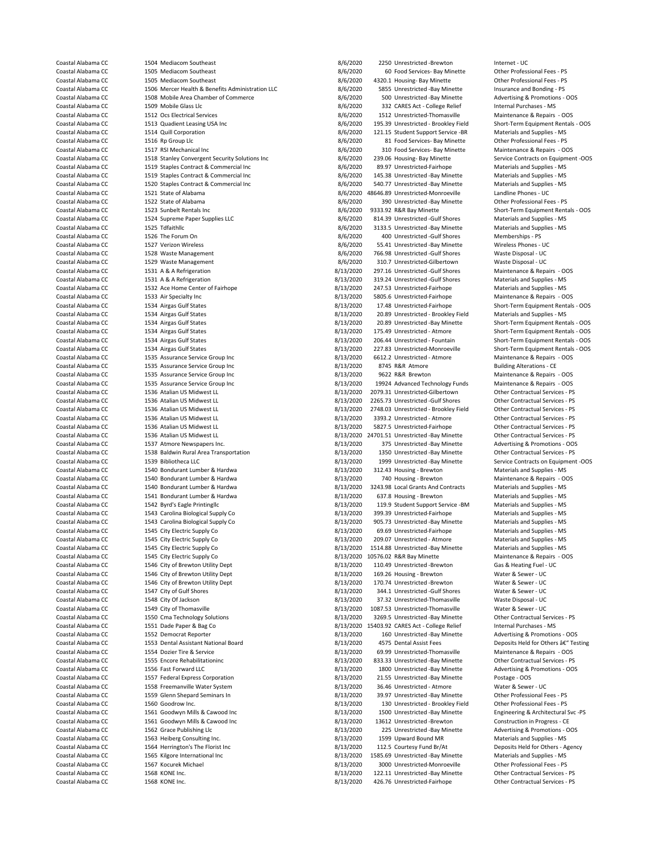Coastal Alabama CC 1506 Mercer Health & Benefits Administration LLC 3/6/2020<br>Coastal Alabama CC 1508 Mobile Area Chamber of Commerce 38/6/2020 1520 Staples Contract & Commercial Inc<br>1521 State of Alabama 1535 Assurance Service Group Inc Coastal Alabama CC 1536 Atalian US Midwest LL 8/13/2020 3393.2 Unrestricted - Atmore Coastal Alabama CC 1536 Atalian US Midwest LL 6 and Services - PS 8/13/2020 5827.5 Unrestricted-Fairhope 1540 Bondurant Lumber & Hardwa Coastal Alabama CC 1546 City of Brewton Utility Dept <br>
8/1347 City of Gulf Shores 1553 Dental Assistant National Board 1563 Heiberg Consulting Inc.

Coastal Alabama CC 1504 Mediacom Southeast 18/6/2020 1250 Unrestricted -Brewton Internet - UC<br>Coastal Alabama CC 1505 Mediacom Southeast 18/6/2020 160 Food Services- Bay Minette 19/6 Orther Professional Fees - PS Coastal Alabama CC 1505 Mediacom Southeast 8/6/2020 60 Food Services- Bay Minette Other Professional Fees - PS Coastal Alabama CC 1505 Mediacom Southeast 8/6/2020 4320.1 Housing- Bay Minette Other Professional Fees - PS<br>Coastal Alabama CC 1506 Mercer Health & Benefits Administration LLC 8/6/2020 5855 Unrestricted - Bay Minette Insu Coastal Alabama CC 1508 Mobile Area Chamber of Commerce 1990 8/6/2020 500 Unrestricted -Bay Minette Advertising & Promotions - OOS<br>Coastal Alabama CC 1509 Mobile Glass Llc Coastal Alabama CC 1509 Mobile Glass Llc 80 1509 100 1000 1000 332 CARES Act - College Relief Internal Purchases - MS<br>Coastal Alabama CC 1512 Ocs Electrical Services 1986 1000 1512 Unrestricted-Thomasyille Maintenance & Re Coastal Alabama CC 1512 Ocs Electrical Services 8/6/2020 1512 Unrestricted-Thomasville Maintenance & Repairs - OOS Coastal Alabama CC 1513 Quadient Leasing USA Inc 8/6/2020 195.39 Unrestricted - Brookley Field Short-Term Equipment Rentals - OOS Coastal Alabama CC 1514 Quill Corporation 18/6/2020 121.15 Student Support Service -BR Materials and Supplies - MS<br>Coastal Alabama CC 1516 Ro Groun Uccass 2000 120 8/6/2020 121.15 Student Services Bay Minette Other Profess Coastal Alabama CC 1516 Rp Group Llc 8/6/2020 81 Food Services- Bay Minette Other Professional Fees - PS Coastal Alabama CC 1517 RSI Mechanical Inc 1997 1000 Services- Bay Minette Maintenance & Repairs - OOS<br>Coastal Alabama CC 1518 Stanley Convergent Security Solutions Inc 1997 1998 8/6/2020 239.06 Housing-Bay Minette Coastal Alabama CC 1518 Stanley Convergent Security Solutions Inc 1990 8/6/2020 239.06 Housing- Bay Minette Service Contracts on Equipm<br>Coastal Alabama CC 1519 Staples Contract & Commercial Inc 1990 8/6/2020 89.97 Unrestri Coastal Alabama CC 1519 Staples Contract & Commercial Inc 1998 8/6/2020 89.97 Unrestricted-Fairhope Materials and Supplies - MS<br>Coastal Alabama CC 1519 Staples Contract & Commercial Inc 1998 8/6/2020 145.38 Unrestricted -B Coastal Alabama CC 1519 Staples Contract & Commercial Inc 1990 115.38 Unrestricted -Bay Minette Materials and Supplies - MS<br>Coastal Alabama CC 1520 Staples Contract & Commercial Inc 1990 18/6/2020 140.77 Unrestricted -Bay Coastal Alabama CC 1521 State of Alabama 1989 12020 18646.89 Unrestricted-Monroeville Landline Phones - UC<br>Coastal Alabama CC 1522 State of Alabama 1989 12020 12020 12030 12030 Unrestricted -Bay Minette 1989 Phones Po Coastal Alabama CC 1522 State of Alabama 8/6/2020 390 Unrestricted -Bay Minette - Pay Minette Other Professional Fees - Professional Fees - Professional Fees - Professional Fees - Professional Fees - Professional Fees - PS Coastal Alabama CC 1523 Sunbelt Rentals Inc 1986 100 100 8/6/2020 9333.92 R&R Bay Minette Short-Term Equipment Rentals - OOS<br>Coastal Alabama CC 1524 Supreme Paper Supplies LLC 1996 100 8/6/2020 814.39 Unrestricted -Gulf Sh Coastal Alabama CC 1524 Supreme Paper Supplies LLC 1990 810 8/6/2020 814.39 Unrestricted -Gulf Shores Materials and Supplies - MS<br>Coastal Alabama CC 1525 Tdfaithlic 1525 MS 1626 1629 1638 8/6/2020 3133.5 Unrestricted -Bay Coastal Alabama CC 1525 Tdfaithlic 1525 Tdfaithlic 1525 To the English Coastal Alabama CC 1525 Tdfaithlic 15 Coastal Alabama CC 1525 Tdfaithlic 15 Coastal Alabama CC 1525 Tdfaithlic 15 Coastal Alabama CC 1526 The Forum On Coastal Alabama CC 1526 The Forum On 8/6/2020 400 Unrestricted -Gulf Shores Memberships - PS Coastal Alabama CC 1527 Verizon Wireless 1986 1997 12 12 13 13 14 1527 Verizon Wireless Phones - UC<br>Coastal Alabama CC 1528 Waste Management 1997 12 13 14 1528 Wireless 1528 Waste Disposal - UC Coastal Alabama CC 1528 Waste Management 1988 1999 1999 1999 105/6/2020 1999 1056.98 Unrestricted -Gulf Shores Waste Disposal - UC<br>1529 Waste Management 1999 1999 1999 10.7 Unrestricted -Gilbertown Waste Disposal - UC Coas Coastal Alabama CC 1529 Waste Management 1620 1529 Waste Management 1529 Waste Management 1531 A & A Refrigeration 1531 A & A Refrigeration 1531 A & A Refrigeration 1531 A & A Refrigeration 1531 A & A Refrigeration 1531 A Coastal Alabama CC 1531 A & A Refrigeration 1992 Coastal Alabama CC 1531 A & A Refrigeration 1531 A & A Refrigeration 1992 Coastal Alabama CC 1531 A & A Refrigeration 1531 A & A Refrigeration 1531 A & A Refrigeration 1531 319.24 Unrestricted -Gulf Shores Coastal Alabama CC 1532 Ace Home Center of Fairhope 1988 13/2020 247.53 Unrestricted-Fairhope Materials and Supplies - MS Coastal Alabama CC 1533 Air Specialty Inc 1988 Coastal Alabama CC 1533 Air Specialty Inc 1989 Coastal Alabama CC<br>Coastal Alabama CC 1534 Airgas Gulf States 1989 Coastal Alabama CC 1534 Airgas Gulf States 1589 Coastal Alaba Coastal Alabama CC 1534 Airgas Gulf States 1988 11 12 13/2020 17.48 Unrestricted-Fairhope Short-Term Equipment Rentals - OOS<br>Coastal Alabama CC 1534 Airgas Gulf States 1988 11 1200 1200 20.89 Unrestricted - Brookley Field Coastal Alabama CC 1534 Airgas Gulf States 8/13/2020 20.89 Unrestricted - Brookley Field Materials and Supplies - MS Coastal Alabama CC 1534 Airgas Gulf States 1988 1999 1999 8/13/2020 20.89 Unrestricted -Bay Minette Short-Term Equipment Rentals - OOS<br>2013/2020 175.49 Unrestricted - Atmore Short-Term Equipment Rentals - OOS 175.49 Unrest Coastal Alabama CC 1534 Airgas Gulf States 1988 113/2020 175.49 Unrestricted - Atmore Short-Term Equipment Rentals - OOS<br>2013/2020 206.44 Unrestricted - Fountain Short-Term Equipment Rentals - OOS Coastal Alabama CC 1534 Airgas Gulf States 6005 1634 Airgas Coastal Alabama CC 1535 Assurance Service Group Inc<br>Coastal Alabama CC 1535 Assurance Service Group Inc 1641 1641/2020 1612.2 Unrestricted - Atmore 1641 2005 1642 Coastal Alabama CC 1535 Assurance Service Group Inc 1997 18/13/2020 6612.2 Unrestricted - Atmore Maintenance & Repairs - Ocastal Alabama CC 1535 Assurance Service Group Inc 1997 18/13/2020 8745 R&R Atmore 19/13/2020 8745 R Coastal Alabama CC 1535 Assurance Service Group Inc and the State of the State of Alabama CC 1535 Assurance Service Group Inc and the State and State and State Alebana CC 1535 Assurance Service Group Inc and the State and Coastal Alabama CC 1535 Assurance Service Group Inc 1992 Coastal Alabama COS Maintenance & Repairs - OOS Coastal Alabama CC 1536 Atalian US Midwest LL 1992 Coastal Alabama CC 1536 Atalian US Midwest LL 1992 Coastal Alabama Coastal Alabama CC 1536 Atalian US Midwest LL 1992 100 1200 12079.31 Unrestricted-Gilbertown Other Contractual Services - PS<br>Coastal Alabama CC 1536 Atalian US Midwest LL 1992 1200 1200 1201 12020 2265.73 Unrestricted -Gul Coastal Alabama CC 1536 Atalian US Midwest LL 1990 12000 2265.73 Unrestricted -Gulf Shores Other Contractual Services - PS<br>Coastal Alabama CC 1536 Atalian US Midwest LL 1990 12000 2748.03 Unrestricted - Brookley Field Othe Coastal Alabama CC 1536 Atalian US Midwest LL 1992 1992 1992 1992 1992 1994 1993 12 Unrestricted - Brookley Field 1516 Contractual Services - PS Coastal Alabama CC 1536 Atalian US Midwest LL 1546 1517 1992 1546 1517 1518 1 Coastal Alabama CC 1536 Atalian US Midwest LL 1992 12/13/2020 5827.5 Unrestricted-Fairhope Coastal Alabama CC<br>29-Coastal Alabama CC 1536 Atalian US Midwest LL 1992 12/13/2020 24701.51 Unrestricted -Bay Minette Other Contra Coastal Alabama CC 1536 Atalian US Midwest LL 16 1200 1200 24701.51 Unrestricted -Bay Minette - Coastal Alabama CC<br>Coastal Alabama CC 1537 Atmore Newspapers Inc. 16 13/2020 175 Unrestricted -Bay Minette Coastal Alabama CC 1537 Atmore Newspapers Inc. 1998 1999 13/2020 375 Unrestricted -Bay Minette Advertising & Promotions - OOS<br>29- Coastal Alabama CC 1538 Baldwin Rural Area Transportation 1999 13/13/2020 1350 Unrestricted Coastal Alabama CC 1538 Baldwin Rural Area Transportation 1980 18/13/2020 1350 Unrestricted -Bay Minette 1980 Other Contractual Services - PS<br>Coastal Alabama CC 1539 Bibliotheca LLC 1993 Unrestricted -Bay Minette 1999 Unre Coastal Alabama CC 1539 Bibliotheca LLC 1539 Bibliotheca LC 1539 Bibliotheca LCC 1549 Bibliotheca LCC 1540 Bondurant Lumber & Hardwa 1540 Bondurant Lumber & Hardwa 1540 Bondurant Lumber & Hardwa 1540 Bondurant Lumber & Har Coastal Alabama CC 1540 Bondurant Lumber & Hardwa 8/13/2020 740 Housing - Brewton Maintenance & Repairs - OOS Coastal Alabama CC 1540 Bondurant Lumber & Hardwa 8/13/2020 3243.98 Local Grants And Contracts Materials and Supplies - MS<br>Coastal Alabama CC 1541 Bondurant Lumber & Hardwa 8/13/200 8/13/2020 637.8 Housing - Brewton Materi Coastal Alabama CC 1541 Bondurant Lumber & Hardwa 1998 (13/2020 637.8 Housing - Brewton Materials and Supplies - MS<br>Coastal Alabama CC 1542 Byrd's Faele Printinellc 1998 (13/2020 119.9 Student Support Service - BM Material Coastal Alabama CC 1542 Byrd's Eagle Printingllc 8/13/2020 119.9 Student Support Service -BM Materials and Supplies - MS Coastal Alabama CC 1543 Carolina Biological Supply Co 8/13/2020 399.39 Unrestricted-Fairhope Materials and Supplies - MS Coastal Alabama CC 1543 Carolina Biological Supply Co 8/13/2020 905.73 Unrestricted -Bay Minette Materials and Supplies - MS Coastal Alabama CC 1545 City Electric Supply Co 8/13/2020 69.69 Unrestricted-Fairhope Materials and Supplies - MS Coastal Alabama CC 1545 City Electric Supply Co 8/13/2020 209.07 Unrestricted - Atmore Materials and Supplies - MS<br>Coastal Alabama CC 1545 City Electric Supply Co 8/13/2020 1514.88 Unrestricted -Bay Minette Materials and S Coastal Alabama CC 1545 City Electric Supply Co 8/13/2020 1514.88 Unrestricted -Bay Minette Materials and Supplies - MS Coastal Alabama CC 1545 City Electric Supply Co 8/13/2020 10576.02 R&R Bay Minette Maintenance & Repairs - Ocastal Alabama CC 1546 City of Brewton Utility Dept 8/13/2020 1057/2020 10576.02 R&R Bay Minette Gerwton Gas & Hea Coastal Alabama Coastal Alabama Coastal Alabama Coastal Alabama Coastal Alabama Coastal Alabama Coastal Alabam<br>1546 City of Brewton Utility Dept 1546 City of Brewton Basic Basic Basic Alabama Coastal Alabama Coastal Alaba Coastal Alabama CC 1546 City of Brewton Utility Dept 1998 18/13/2020 169.26 Housing - Brewton Water & Sewer - UC<br>1546 Coastal Alabama CC 1546 City of Brewton Utility Dept 1998 18/13/2020 170.74 Unrestricted - Brewton Water 1547 City of Gulf Shores **8/13/2020** 344.1 Unrestricted -Gulf Shores Water & Sewer - UC Coastal Alabama CC 1548 City Of Jackson 1999 120 13/13/2020 37.32 Unrestricted-Thomasville Waste Disposal - UC<br>1549 City of Thomasville 1549 City of Thomasville 1999 12/13/2020 1087.53 Unrestricted-Thomasville Water & Sewe Coastal Alabama CC 1549 City of Thomasville 1998 Coastal Alabama CC 1549 Coastal Alabama CC 1550 Cma Technology Solutions 1998 Coastal Alabama CC 1550 Cma Technology Solutions 1998 Coastal Alabama CC 1550 Cma Technology So Coastal Alabama CC 1550 Cma Technology Solutions 1998 Coastal Alabama CC 1550 Coastal Alabama CC 1551 Dade Paper & Bag Co<br>
Coastal Alabama CC 1551 Dade Paper & Bag Co 1540 Coastal Alabama COC 15403.92 CARES Act - College R Coastal Alabama CC 1551 Dade Paper & Bag Co 8/13/2020 15403.92 CARES Act - College Relief Internal Purchases - MS<br>Coastal Alabama CC 1552 Democrat Reporter 1997 160 Unrestricted - Bay Minette Advertising & Promotions - OOS Coastal Alabama CC 1552 Democrat Reporter 1997 160 Unrestricted -Bay Minette Advertising & Promotions - OOS<br>Coastal Alabama CC 1553 Dental Assistant National Board 1997 160 United Assist Fees 160 Unrestricted -Bay Minette Coastal Alabama CC 1554 Dozier Tire & Service 1998 (13/2020 69.99 Unrestricted-Thomasville Maintenance & Repairs - OOS<br>2/13/2020 833.33 Unrestricted-Bay Minette Other Contractual Services - PS 833.33 Unrestricted -Bay Minette **Coastioning Bay Other Contractual Services - PS** Coastal Alabama CC 1556 Fast Forward LLC 8/13/2020 1800 Unrestricted -Bay Minette Advertising & Promotions - OOS<br>Coastal Alabama CC 1557 Federal Express Corporation 1990 1800 Unrestricted -Bay Minette Postage - OOS Coastal Alabama CC 1557 Federal Express Corporation 1992 18/13/2020 21.55 Unrestricted -Bay Minette Postage - OOS<br>Coastal Alabama CC 1558 Freemanville Water System 1998 8/13/2020 36.46 Unrestricted - Atmore 1998 Water & Se Coastal Alabama CC 1558 Freemanville Water System 8/13/2020 36.46 Unrestricted - Atmore Water & Sewer - UC Coastal Alabama CC 1559 Glenn Shepard Seminars In 8/13/2020 39.97 Unrestricted -Bay Minette Other Professional Fees - PS Coastal Alabama CC 1560 Goodrow Inc. 8/13/2020 130 Unrestricted - Brookley Field Other Professional Fees - PS Coastal Alabama CC 1561 Goodwyn Mills & Cawood Inc 8/13/2020 1500 Unrestricted -Bay Minette Engineering & Architectural Svc -PS Coastal Alabama CC 1561 Goodwyn Mills & Cawood Inc 8/13/2020 13612 Unrestricted -Brewton Construction in Progress - CE Coastal Alabama CC 1562 Grace Publishing Llc 800 1300 225 Unrestricted -Bay Minette Advertising & Promotions - OOS<br>Coastal Alabama CC 1563 Heiberg Consulting Inc. 1892 13/2020 1599 Upward Bound MR Materials and Supplies - Coastal Alabama CC 1564 Herrington's The Florist Inc 1986 13/2020 112.5 Courtesy Fund Br/At Deposits Held for Others - Agency<br>Coastal Alabama CC 1565 Kilgore International Inc 1986 13/2020 1585.69 Unrestricted - Bay Minett Coastal Alabama CC 1565 Kilgore International Inc 1988 113/2020 1585.69 Unrestricted -Bay Minette Materials and Supplies - MS<br>2013/2020 2000 Unrestricted Monroeville Other Professional Fees - PS (13/2020 1587) 2000 Unrestr Coastal Alabama CC 1567 Kocurek Michael 1988 1999 1999 1999 1999 1999 122.11 Unrestricted-Monroeville 1999 Other Professional Fees - PS<br>Coastal Alabama CC 1568 KONE Inc. 1568 1568 KONE Inc. 1568 1999 122.11 Unrestricted - COME Inc. Come Come Coastal Alabama CC 1568 KONE Inc. 8/13/2020 122.11 Unrestricted -Bay Minette Other Contractual Services - PS 8/13/2020 122.11 Unrestricted -Bay Minette - PS 8/13/2020 125.76 Unrestricted -Fairhope Coastal Alabama CC 1568 KONE Inc. 8/13/2020 426.76 Unrestricted-Fairhope Other Contractual Services - PS

Short-Term Equipment Rentals - OOS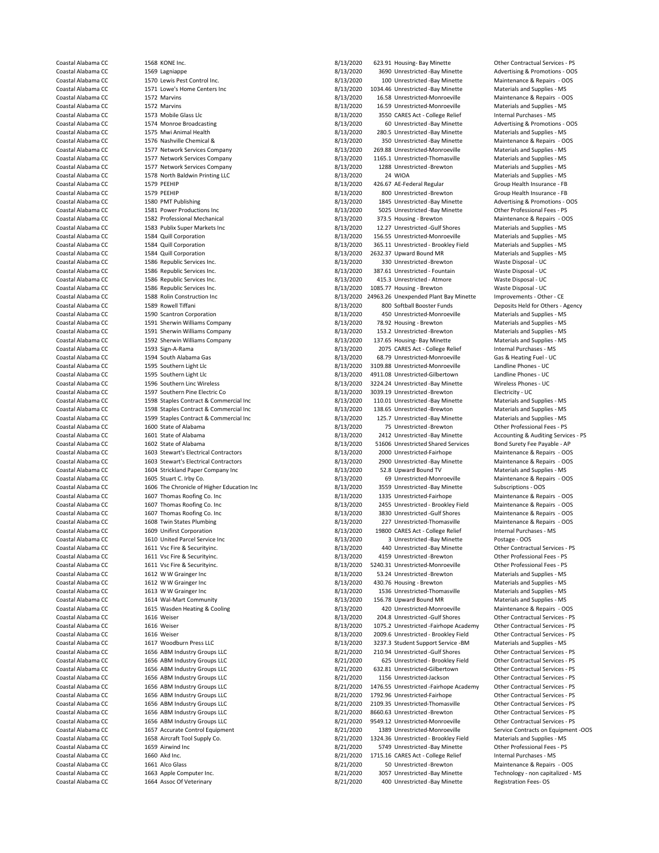1604 Strickland Paper Company Inc Coastal Alabama CC 1611 Vsc Fire & Securityinc. 8/13/2020 52411 Unrestricted-Monroeville Other Professional Fe<br>
Coastal Alabama CC 1612 W W Grainger Inc 18/13/2020 52413/2020 Coastal Alabama CC 1615 Wasden Heating & Cooling 1976 1976 8/13/2020 120 Unrestricted-Monroeville Maintenance B<br>
2/13/2020 1616 Weiser 1976 1980 1200 1200 13/13/2020 1616 Weiser

Coastal Alabama CC 1568 KONE Inc. 8/13/2020 623.91 Housing- Bay Minette Other Contractual Services - PS Coastal Alabama CC 1569 Lagniappe 1569 Lagniappe 1987 13/2020 3690 Unrestricted -Bay Minette Advertising & Promotions - OOS<br>Coastal Alabama CC 1570 Lewis Pest Control Inc. 1688 13/2020 100 Unrestricted -Bay Minette Mainten Coastal Alabama CC 1570 Lewis Pest Control Inc. 6 168 13/2020 100 Unrestricted -Bay Minette Maintenance & Repairs - OC<br>Coastal Alabama CC 1571 Lowe's Home Centers Inc. 8/13/2020 1034 46 Unrestricted -Bay Minette Materials Coastal Alabama CC 1571 Lowe's Home Centers Inc 1000 1034.46 Unrestricted -Bay Minette Materials and Supplies - MS<br>2013/2020 16.58 Unrestricted -Monroeville Maintenance & Repairs - OOS Coastal Alabama CC 1572 Marvins 1572 Coastal Alabama CC 1572 Marvins 1573 Unrestricted-Monroeville Maintenance A<br>Coastal Alabama CC 1572 Marvins 1573 Marvins - OOS 2012 00 16.58 Unrestricted-Monroeville Coastal Alabama CC and 1572 Marvins 1572 Marvins 8/13/2020 16.59 Unrestricted-Monroeville Materials and Supplies - MS Coastal Alabama CC 1573 Mobile Glass Llc 8/13/2020 3550 CARES Act - College Relief Internal Purchases - MS<br>Coastal Alabama CC 1574 Monroe Broadcasting 1978 113/2020 8/13/2020 60 Unrestricted -Bay Minette Advertising & Prom Coastal Alabama CC 1575 Mwi Animal Health 1988 1898 18/13/2020 280.5 Unrestricted -Bay Minette Materials and Supplies - MS<br>2013/2020 280.5 Unrestricted -Bay Minette Maintenance & Benairs - OOS 2014 Coastal Alabama CC 1576 Nashville Chemical & 8/13/2020 350 Unrestricted -Bay Minette Maintenance & Repairs - OOS Coastal Alabama CC 1577 Network Services Company 1990 18/13/2020 269.88 Unrestricted-Monroeville Materials and Supplies - MS<br>Coastal Alabama CC 1577 Network Services Company 1990 18/13/2020 1165.1 Unrestricted-Thomasville Coastal Alabama CC 1577 Network Services Company 1997 1167.1 Unrestricted-Thomasville Materials and Supplies - MS<br>Coastal Alabama CC 1577 Network Services Company 1998 1998 1288 Unrestricted -Brewton Materials and Supplies Coastal Alabama CC 1577 Network Services Company 1998 Coastal Alabama CC 1577 Network Services Company 1578 University Coastal Alabama CC 1578 North Baldwin Printing LLC 1598 University 1598 University 1578 North Baldwin P Coastal Alabama CC 1578 North Baldwin Printing LLC 8/13/2020 24 WIOA Materials and Supplies - MS ECOMPRESS 1579 PEEHIP<br>Coastal Alabama CC 1579 PEEHIP 8/13/2020 800 Unrestricted Brewton<br>1979 PEEHIP 6-0000 Health Insurance - FB 8/13/2020 800 Unrestricted Brewton Coastal Alabama CC 1579 PEEHIP 1579 PEEHIP 1579 PEEHIP 8/13/2020 800 Unrestricted -Brewton Group Health Insurance - FB<br>Coastal Alabama CC 1580 PMT Publishing 1580 PMT Publishing 1580 1580 1580 1580 1580 1580 1580 Promotion Coastal Alabama CC 1580 PMT Publishing 1980 PMT Publishing 8/13/2020 1845 Unrestricted -Bay Minette Advertising & Promotions - OOS<br>Coastal Alabama CC 1581 Power Productions Inc 1980 1991 1992 1992 1993 1994 1997 1998 1998 Coastal Alabama CC 1581 Power Productions Inc 8/13/2020 5025 Unrestricted -Bay Minette Other Professional Fees - PS Coastal Alabama CC 1582 Professional Mechanical 1892 1302 13/13/2020 373.5 Housing - Brewton Maintenance & Repairs - OC 1583 Publix Super Markets Inc 1892 1892 1892 1892 1893 1892 1893 1893 1894 1897 1898 1897 1898 1897 18 Coastal Alabama CC 1583 Publix Super Markets Inc 8/13/2020 12.27 Unrestricted -Gulf Shores Materials and Supplies - MS Coastal Alabama CC 1584 Quill Corporation 8/13/2020 156.55 Unrestricted-Monroeville Materials and Supplies - MS Coastal Alabama CC 1584 Quill Corporation 8/13/2020 365.11 Unrestricted - Brookley Field Materials and Supplies - MS Coastal Alabama CC 1584 Quill Corporation 1584 Coastal Alabama CC 353.37 Upward Bound MR Materials and Supplies - Materials and Supplies - Materials and Supplies - Materials and Supplies - Materials and Supplies - MS Suppl Coastal Alabama CC 1586 Republic Services Inc. 1998 1999 12/13/2020 330 Unrestricted -Brewton Waste Disposal - U<br>Coastal Alabama CC 1586 Republic Services Inc. 1999 12/13/2020 387.61 Unrestricted - Fountain Waste Disposal Coastal Alabama CC 1586 Republic Services Inc. 1898 113/2020 387.61 Unrestricted - Fountain Waste Disposal - UC<br>Coastal Alabama CC 1586 Republic Services Inc. 1898 113/2020 8/13/2020 415.3 Unrestricted - Atmore Waste Dispo 415.3 Unrestricted - Atmore Coastal Alabama CC 1586 Republic Services Inc. 1586 Republic Services Inc. 1686 1200 1085.77 Housing - Brewton Waste Disposal - UC Coastal Alabama CC 1588 Rolin Construction Inc 1999 1998 2000 24963.26 Unexpended Plant Bay Minette Improvements - Other - CE<br>Coastal Alabama CC 1589 Rowell Tiffani 1999 1589 Rowell Tiffani 1000 100 Softhall Booster Funds Coastal Alabama CC 1589 Rowell Tiffani 1589 Rowell Tiffani 800 Soft Alabama Coastal Alabama CC 1599 Softball Booster Funds Deposits Held for Others - Agency<br>Coastal Alabama CC 1590 Scantron Corporation 1590 Soft Alabama Ba Coastal Alabama CC 1590 Scantron Corporation 8/13/2020 450 Unrestricted-Monroeville Materials and Supplies - MS Coastal Alabama CC 1591 Sherwin Williams Company 1982 1000 1200 1200 1200 158.92 Housing - Brewton Materials and Supplies - MS Coastal Alabama CC 1591 Sherwin Williams Company 1982 1000 1582 110 1582 110 1583 110 1585 110 Coastal Alabama CC 1591 Sherwin Williams Company 1992 113/2020 153.2 Unrestricted -Brewton Materials and Supplies - MS<br>Coastal Alabama CC 1592 Sherwin Williams Company 1993 137.62 137.65 Housing - Bay Minette Materials and 137.65 Housing- Bay Minette Coastal Alabama CC 1593 Sign-A-Rama 1593 Sign-A-Rama 8/13/2020 2075 CARES Act - College Relief Internal Purchases - MS<br>Coastal Alabama CC 1594 South Alabama Gas 1976 1989 1989 1989 2020 2075 CARES Act - College Relief Gas Coastal Alabama CC 1594 South Alabama Gas 8/13/2020 68.79 Unrestricted-Monroeville Gas & Heating Fuel - UC Coastal Alabama CC 1595 Southern Light Llc 8/13/2020 3109.88 Unrestricted-Monroeville Landline Phones - UC 4911.08 Unrestricted-Gilbertown Coastal Alabama CC 1596 Southern Linc Wireless 8/13/2020 3224.24 Unrestricted -Bay Minette Wireless Phones - UC<br>Coastal Alabama CC 1597 Southern Pine Electric Co 1999 19/13/2020 3039.19 Unrestricted -Brewton Electricity - Coastal Alabama CC 1597 Southern Pine Electric Co 1598 Coastal Alabama CC 1598 Staples Contract & Commercial Inc<br>
Coastal Alabama CC 1598 Staples Contract & Commercial Inc 1698 13/2020 110.01 Unrestricted -Bay Minette Mate Coastal Alabama CC 1598 Staples Contract & Commercial Inc 1998 Staples Coastal Alabama CC 1598 Staples Contract & Commercial Inc 1998 Staples Coastal Alabama CC 1598 Staples Contract & Commercial Inc 1998 Staples Contract Coastal Alabama CC 1598 Staples Contract & Commercial Inc 1998 Coastal Alabama Commercial Inc Coastal Alabama Commercial Inc Coastal Alabama CC 1599 Staples Contract & Commercial Inc 1998 Coastal Alabama CC 1599 Staples Co Coastal Alabama CC 1599 Staples Contract & Commercial Inc 1998 13/2020 125.7 Unrestricted -Bay Mine<br>
Coastal Alabama CC 1600 State of Alabama 1999 13/2020 75 Unrestricted -Brewton Coastal Alabama CC 1600 State of Alabama 1600 State of Alabama 1600 State of Alabama 1600 State of Alabama 160<br>Coastal Alabama CC 1601 State of Alabama 1600 State of Alabama 1600 State of Alabama 1600 State of Alabama 160 Coastal Alabama CC 1601 State of Alabama 1989 1989 1989 2412 Unrestricted -Bay Minette Accounting & Auditing Services - PS<br>Coastal Alabama CC 1602 State of Alabama 1989 1999 1999 2000 8/13/2020 151606 Unrestricted Shared S Coastal Alabama CC 1602 State of Alabama 8/13/2020 51606 Unrestricted Shared Services Bond Surety Fee Payable - AP<br>Coastal Alabama CC 1603 Stewart's Electrical Contractors 1903 Commented Branchers and Surety Coastal Alabam Coastal Alabama CC 1603 Stewart's Electrical Contractors 1990 Coastal Alabama CC 1603 Stewart's Electrical Contractors 8/13/2020 1990 Unrestricted-Fairhope Maintenance & Repairs - OOS Coastal Alabama CC 1603 Stewart's Elec Coastal Alabama CC 1603 Stewart's Electrical Contractors 6. 1603 Stewart's Electrical Contractors 6. 1604 Strickland Paper Company Inc 1604 Strickland Paper Company Inc 8/13/2020 52.8 Upward Bound TV Materials and Supplies Coastal Alabama CC 1605 Stuart C. Irby Co. 1605 Stuart C. Irby Co. 1605 Stuart C. Irby Co. 1605 Stuart C. Irby Co<br>Coastal Alabama CC 1606 The Chronicle of Higher Education Inc 1606 8/13/2020 8559 Unrestricted - Bay Minette Coastal Alabama CC 1606 The Chronicle of Higher Education Inc 18/13/2020 3559 Unrestricted -Bay Minette Subscriptions - OOS<br>Coastal Alabama CC 1607 Thomas Roofine Co. Inc 1006 Coastal Alabama 2013/2020 1335 Unrestricted-Fa Coastal Alabama CC 1607 Thomas Roofing Co. Inc 1999 13/2020 1335 Unrestricted-Fairhope Coastal Alabama CC 1607 Thomas Roofing Co. Inc 1999 13/2020 1335 Unrestricted-Brookle 2455 Unrestricted - Brookley Field Maintenance & Repairs - OOS Coastal Alabama CC 1607 Thomas Roofing Co. Inc 1607 Thomas Roofing Co. Inc 8/13/2020 3830 Unrestricted -Gulf Shores Maintenance & Repairs - OOS Coastal Alabama CC 1608 Twin States Plumbing 8/13/2020 227 Unrestricted-Thomasville Maintenance & Repairs - OOS Coastal Alabama CC 1609 Unifirst Corporation 1980 CARES Act - College Relief Internal Purchases - MS Coastal Alabama CC 1610 United Parcel Service Inc 100 100 100 1000 1000 3 Unrestricted -Bay Minette Postage - OOS<br>Coastal Alabama CC 1611 Vsc Fire & Securityinc. 1990 1000 1000 113/2020 1400 Unrestricted -Bay Minette 16the Coastal Alabama CC 1611 Vsc Fire & Securityinc. 1892 1892 18/13/2020 440 Unrestricted -Bay Minette 16ther Contractual Services - PS 15/2020 4459 Unrestricted -Brewton 19/13/2020 4159 Unrestricted -Brewton 16ther Profession Coastal Alabama CC 1611 Vsc Fire & Securityinc. 18/13/2020 4159 Unrestricted -Brewton Coher Professional Fees - PS<br>Coastal Alabama CC 1611 Vsc Fire & Securityinc. 18/13/200 4/13/2020 5240.31 Unrestricted Monroeville Other Coastal Alabama CC 1612 W W Grainger Inc 160 1612 Coastal Alabama CC 1613/2020 53.24 Unrestricted -Brewton 1612 Materials and Supplies - MS Coastal Alabama CC 1612 W W Grainger Inc 1613 Coastal Alabama CC 1612 W W Grainger Coastal Alabama CC 1612 W W Grainger Inc 160 1612 Coastal Alabama CC 1613/2020 430.76 Housing - Brewton Materials and Supplies - MS Coastal Alabama CC 1613 W W Grainger Inc 1613 Coastal Alabama CC 1613 W W Grainger Inc 161 Coastal Alabama CC 1613 W W Grainger Inc 8/13/2020 1536 Unrestricted-Thomasville Materials and Supplies - MS Coastal Alabama CC 1614 Wal-Mart Community 1614 Unity 1620 1641/2020 156.78 Upward Bound MR Materials and Supplies - MS<br>Coastal Alabama CC 1615 Wasden Heating & Cooling 1698 1699 1698 17/2020 16420 Unrestricted-Monroeville Coastal Alabama CC 1616 Weiser 1616 Weiser 1616 Weiser 1617 1618 1617 1620 204.8 Unrestricted -Gulf Shores 16ther Contractual Services - PS<br>1616 Weiser 1616 Weiser 1616 Weiser 1616 Weiser 1616 Weiser 162.000 1617.2 Unrestr Coastal Alabama CC 1616 Weiser 1616 Weiser 8/13/2020 1075.2 Unrestricted -Fairhope Academy Coastal Alabama CC<br>Coastal Alabama CC 1616 Weiser 1616 Weiser 1616 Weiser - PS 2009.6 Unrestricted - Brookley Field Coastal Alabama CC 1616 Weiser 1616 Weiser 1616 Weiser 8/13/2020 2009.6 Unrestricted - Brookley Field 16ther Contractual Services - PS<br>Coastal Alabama CC 1617 Woodburn Press LLC 1618 1620 1681 1682 1692 1692 1693.3 Student 3237.3 Student Support Service -BM Coastal Alabama CC 1656 ABM Industry Groups LLC 1990 1990 10.94 Unrestricted -Gulf Shores Other Contractual Services - PS<br>Coastal Alabama CC 1656 ABM Industry Groups LLC 1990 1990 1990 10.95 Unrestricted - Brookley Field 0 625 Unrestricted - Brookley Field Coastal Alabama CC 1656 ABM Industry Groups LLC 1990 68/21/2020 632.81 Unrestricted-Gilbertown Other Contractual Services - PS<br>Coastal Alabama CC 1656 ABM Industry Groups LLC 1990 68/21/2020 1156 Unrestricted-Jackson Other Coastal Alabama CC 1656 ABM Industry Groups LLC 1999 (18/21/2020 1156 Unrestricted-Jackson Other Contractual Services - PS<br>Coastal Alabama CC 1656 ABM Industry Groups LLC 1999 (18/21/2020 18/21/2020 1476.55 Unrestricted -F Coastal Alabama CC 1656 ABM Industry Groups LLC 8/21/2020 1476.55 Unrestricted -Fairhope Academy Other Contractual Services - PS Coastal Alabama CC 1656 ABM Industry Groups LLC 8/21/2020 1792.96 Unrestricted-Fairhope Other Contractual Services - PS Coastal Alabama CC 1656 ABM Industry Groups LLC 8/21/2020 2109.35 Unrestricted-Thomasville Other Contractual Services - PS Coastal Alabama CC 1656 ABM Industry Groups LLC 8/21/2020 8660.63 Unrestricted -Brewton Other Contractual Services - PS Coastal Alabama CC 1656 ABM Industry Groups LLC 8/21/2020 9549.12 Unrestricted-Monroeville Other Contractual Services - PS Coastal Alabama CC 1657 Accurate Control Equipment 1992 18/21/2020 1389 Unrestricted-Monroeville Service Contracts on Equipment -OOS<br>Coastal Alabama CC 1658 Aircraft Tool Supply Co. 1892 1892 1324.36 Unrestricted - Brookle 1324.36 Unrestricted - Brookley Field Coastal Alabama CC 1659 Airwind Inc 8/21/2020 5749 Unrestricted -Bay Minette Other Professional Fees - PS Coastal Alabama CC 1660 Akd Inc. 1660 Akd Inc. 1660 Akd Inc. 16 Coastal Alabama CC 1661 Alco Glass 168/21/2020 1715.16 CARES Act - College Relief Coastal Alabama CC 1661 Alco Glass 168/21/2020 168/21/2020 169 Coastal Alabama CC 1661 Alco Glass 8/21/2020 50 Unrestricted -Brewton Maintenance & Repairs - OOS<br>Coastal Alabama CC 1663 Apple Computer Inc. 1888 1999 1899 1899 1899 1897 Unrestricted -Bay Minette Technology Computer Inc. The Computer Inc. Computer Inc. 8/21/2020 3057 Unrestricted -Bay Minette Technology - non capitalized - MS<br>1664 Assoc Of Veterinary Computer States and Computer States of States and Computer States of States Coastal Alabama CC 1664 Assoc Of Veterinary 1664 Assoc Of Veterinary 1664 Assoc Of Veterinary 1664 Assoc Of Veterinary 1664 Assoc Of Veterinary 1664 Assoc Of Veterinary 1666 Assoc Of Veterinary 1666 Assoc Of Veterinary 166

Advertising & Promotions - OOS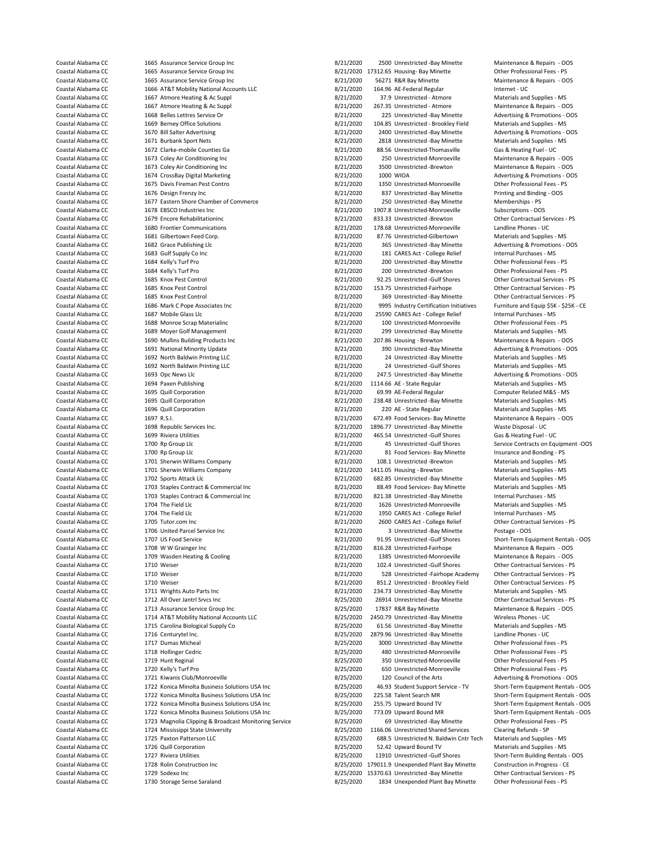1675 Davis Fireman Pest Contro 1701 Sherwin Williams Company Coastal Alabama CC 1715 Carolina Biological Supply Co 8/25/2020<br>
Coastal Alabama CC 1716 Centurytel Inc.

Coastal Alabama CC 1665 Assurance Service Group Inc 1982 11/2020 2500 Unrestricted -Bay Minette Maintenance & Repairs - OOS<br>Coastal Alabama CC 1665 Assurance Service Group Inc 1982 17812.020 17312.65 Housine- Bay Minette 1 Coastal Alabama CC 1665 Assurance Service Group Inc 1988 1999 1997/2020 17312.65 Housing- Bay Minette 1988 10ther Professional Fees - PS<br>2012020 1665 Assurance Service Group Inc 1997/2020 16/21/2020 16271 R&R Bay Minette 1 Coastal Alabama CC 1665 Assurance Service Group Inc 8/21/2020 56271 R&R Bay Minette Maintenance Maintenance & Repairs - Oostal Alabama CC 1666 AT&T Mobility National Accounts LLC 8/21/2020 56271 R&R Bay Minette Maintenance Coastal Alabama CC 1666 AT&T Mobility National Accounts LLC 1990 164.96 AE-Federal Regular 10 Materials and Supplies - MS<br>Coastal Alabama CC 1667 Atmore Heating & Ac Supplies - 1667 Atmore 1990 168/21/2020 168/21/2020 17.9 Coastal Alabama CC 1667 Atmore Heating & Ac Suppl 8/21/2020 37.9 Unrestricted - Atmore Heating & Ac Supplies - Materials and Supplies - Materials and Supplies - Materials and Supplies - Materials and Supplies - Materials a Coastal Alabama CC 1667 Atmore Heating & Ac Suppl 1992 167.200 267.35 Unrestricted - Atmore Maintenance & Repairs - OOS<br>Coastal Alabama CC 1668 Belles Lettres Service Or 1998 1999 168.21/2020 275 Unrestricted - Bay Minette Coastal Alabama CC 1668 Belles Lettres Service Or 1990 1990 1990 225 Unrestricted -Bay Minette Advertising & Promotions - OOS<br>Coastal Alabama CC 1669 Berney Office Solutions 1990 1990 1990 104.85 Unrestricted - Brookley Fi Example Alabama Coastal Alabama Coastal Alabama Coastal Alabama Coastal Alabama Coastal Alabama Coastal Alabam<br>1670 Bill Salter Advertising Solutions - Coastal Alabama Coastal Alabama Coastal Advertising & Promotions - C Coastal Alabama CC 1670 Bill Salter Advertising 1980 1980 1980 2000 2400 Unrestricted -Bay Minette Advertising & Promotions - OOS<br>Coastal Alabama CC 1671 Burbank Sport Nets 1980 1990 1990 2000 2818 Unrestricted -Bay Minett Coastal Alabama CC 1671 Burbank Sport Nets 8/21/2020 2818 Unrestricted -Bay Minette Materials and Supplies - MS Coastal Alabama CC 1672 Clarke-mobile Counties Ga 6/21/2020 88.56 Unrestricted-Thomasville Gas & Heating Fuel - UC<br>Coastal Alabama CC 1673 Coley Air Conditioning Inc 6/21/2020 8/21/2020 250 Unrestricted-Monroeville Mainten Coastal Alabama CC 1673 Coley Air Conditioning Inc 1980 18/21/2020 250 Unrestricted-Monroeville Maintenance & Repairs - OOS<br>2017/2020 3500 Unrestricted -Brewton Maintenance & Repairs - OOS 2017 2020 3500 Unrestricted -Brew Coastal Alabama CC 1673 Coley Air Conditioning Inc 8/21/2020 3500 Unrestricted -Brewton Maintenance & Repairs - OOS Coastal Alabama CC 1674 CrossBay Digital Marketing 1980 1990 1000 1000 1000 WIOA 1000 WIOA Advertising & Promotions - Coastal Alabama CC 1675 Davis Fireman Pest Contro 1990 1000 1000 11350 Unrestricted-Monroeville 10ther P Coastal Alabama CC 1676 Design Frenzy Inc 1976 Design Frenzy Inc 8/21/2020 837 Unrestricted -Bay Minette Printing and Binding - OOS<br>Coastal Alabama CC 1677 Eastern Shore Chamber of Commerce 1977 1988 8/21/2020 250 Unrestri Coastal Alabama CC 1677 Eastern Shore Chamber of Commerce 1987 1/2020 250 Unrestricted -Bay Minette 1697 Memberships - PS<br>Coastal Alabama CC 1678 EBSCO Industries Inc<br>
2005 1907.8 Unrestricted Monroeville 1698 Subscription Coastal Alabama CC 1678 EBSCO Industries Inc 1678 EBSCO Industries Inc 8/21/2020 1907.8 Unrestricted-Monroeville Subscriptions - OOS<br>Coastal Alabama CC 1679 Encore Rehabilitationing 1907 1907 1907 1908 833.33 Unrestricted Coastal Alabama CC 1679 Encore Rehabilitationinc 1890 1821/2020 833.33 Unrestricted -Brewton Contractual Services - Poeta Contractual Services - Poeta Contractual Services - Poeta - PS/21/2020 833.33 Unrestricted -Brewton Coastal Alabama CC 1680 Frontier Communications 1980 100 178.68 Unrestricted-Monroeville Landline 1680 Frontier Communications 1980 178.68 Unrestricted-Monroeville Coastal Alabama CC 1681 Gilbertown Feed Corn 1681 1680 176 Coastal Alabama CC 1681 Gilbertown Feed Corp.<br>
Coastal Alabama CC 1682 Grace Publishing Llc<br>
Coastal Alabama CC 1682 Grace Publishing Llc Coastal Alabama CC 1682 Grace Publishing Llc 800 Coastal Alabama CC 1682 Grace Publishing Llc 8/21/2020 365 Unrestricted -Bay Minette Advertising & Promotions - OOS<br>Coastal Alabama CC 1683 Gulf Supply Co Inc 1683 Gulf Supp Coastal Alabama CC 1683 Gulf Supply Co Inc 1892 Coastal Alabama CC 1683 Gulf Supply Co Inc 8/21/2020 181 CARES Act - College Relief Internal Purchases - MS<br>Coastal Alabama CC 1684 Kelly's Turf Pro 1892 1998 1892 1892 1892 Coastal Alabama CC 1684 Kelly's Turf Pro 8/21/2020 200 Unrestricted -Bay Minette Other Professional Fees - PS Coastal Alabama CC 1684 Kelly's Turf Pro 1684 Coastal Alabama CC 1684 Kelly's Turf Pro 8/21/2020 100 Unrestricted -Brewton Dther Professional Fees - PS<br>Coastal Alabama CC 1685 Knox Pest Control 1696 Coastal Alabama CO 1697 92.25 Unrestricted -Gulf Shores Coastal Alabama CC 1685 Knox Pest Control 1680 (201/2020 153.75 Unrestricted-Fairhope Other Contractual Services - PS<br>Coastal Alabama CC 1685 Knox Pest Control 1690 (201/2020 169 Linrestricted - Bay Minette Other Contractu Coastal Alabama CC 1685 Knox Pest Control 8/21/2020 369 Unrestricted -Bay Minette Other Contractual Services - PS<br>Coastal Alabama CC 1686 Mark C Pope Associates Inc 3/21/2020 8995 Industry Certification Initiatives Furnitu Coastal Alabama CC 1686 Mark C Pope Associates Inc 1999 1995 Industry Certification Initiatives Furniture and Equip \$5K<br>Coastal Alabama CC 1687 Mobile Glass Llc 25590 CARES Act - College Relief Coastal Alabama CC 1688 Monroe Scrap Materialinc 1988 100 Unrestricted-Monroeville Cher Professional Fees - PS<br>Coastal Alabama CC 1689 Mover Golf Management 1988 100 United-Monroeville 1689 Monroeville 1689 Mover Golf Mana Coastal Alabama CC 1689 Moyer Golf Management 8/21/2020 299 Unrestricted -Bay Minette Materials and Supplies - MS Coastal Alabama CC 1690 Mullins Building Products Inc 1980 18/21/2020 207.86 Housing - Brewton Maintenance & Repairs - OOS Coastal Alabama CC 1691 National Minority Update 1982 1200 390 Unrestricted -Bay Minette Advertising & Promotions - OOS<br>Coastal Alabama CC 1692 North Baldwin Printing LLC 1888 1892 17020 24 Unrestricted -Bay Minette Materi Coastal Alabama CC 1692 North Baldwin Printing LLC 1992 1992 12:1/2020 24 Unrestricted -Bay Minette Materials and Supplies - MS<br>Coastal Alabama CC 1692 North Baldwin Printing LLC 1998 1998 12:1/2020 24 Unrestricted -Gulf S Coastal Alabama CC 1692 North Baldwin Printing LLC 1992 1998 18/21/2020 24 Unrestricted -Gulf Shores Materials and Supplies - MS<br>Coastal Alabama CC 1693 Opc News Llc 1693 Coastal Advertising & Promotions - OOS 247.5 Unrestricted -Bay Minette Coastal Alabama CC 1694 Paxen Publishing 1997 1114.66 AE - State Regular 114.66 AE - State Regular Materials and Supplies - MS<br>Coastal Alabama CC 1695 Quill Corporation 1997 112 12020 112/2020 112/2020 114.66 AE-Federal Re Coastal Alabama CC 1695 Quill Corporation 1695 Coastal Alabama CC 169.99 AE-Federal Regular Computer Related M<br>Coastal Alabama CC 1695 Quill Corporation 1695 Coastal Alabama 2021/2020 238.48 Unrestricted - Bay Minette Mate Coastal Alabama CC 1695 Quill Corporation 1997 1998 1998 1999 121/2020 238.48 Unrestricted -Bay Minette Coastal Alabama CC 1696 Quill Corporation 1999 120 AE - State Regular Coastal Alabama CC 1696 Quill Corporation 1888 Coastal Alabama CC 1696 AMS<br>Coastal Alabama CC 1697 R.S.I. 1697 R.S.I. 1697 R.S.I. 1697 R.S.I. 1697 R.S.I. 1698 Regular 1697 R.S.I. 2005 R Coastal Alabama CC 1697 R.S.I. 1697 R.S.I. 8/21/2020 672.49 Food Services- Bay Minette Maintenance & Repairs -<br>Coastal Alabama CC 1698 Republic Services Inc. 1998 1999 1898 1898.77 Unrestricted - Bay Minette Waste Disposal Coastal Alabama CC 1698 Republic Services Inc. 1698 Coastal Alabama CC 1698.77 Unrestricted -Bay Minette Waste Disposal - UC<br>Coastal Alabama CC 1699 Riviera Utilities 1998 Coastal Alabama CO 16921/2020 1697.1/2020 1695.54 Coastal Alabama CC 1699 Riviera Utilities 8/21/2020 465.54 Unrestricted -Gulf Shores Gas & Heating Fuel - UC Coastal Alabama CC 1700 Rp Group Llc 1700 Coastal Alabama CC 1700 R Group Llc 8/21/2020 45 Unrestricted -Gulf Shores Service Contracts on Equipment -OOS<br>Coastal Alabama CC 1700 Ro Group Llc 1700 Ro Group Llc 1700 R 1700 Co Coastal Alabama CC 1700 Rp Group Llc 8/21/2020 81 Food Services- Bay Minette Insurance and Bonding - PS<br>Coastal Alabama CC 1701 Sherwin Williams Company 1982 1983 8/21/2020 108.1 Unrestricted -Brewton Materials and Supplie Coastal Alabama CC 1701 Sherwin Williams Company 8/21/2020 108.1 Unrestricted -Brewton Materials and Supplies - MS Coastal Alabama CC 1702 Sports Attack Llc 8/21/2020 682.85 Unrestricted -Bay Minette Materials and Supplies - MS<br>Coastal Alabama CC 1703 Stanles Contract & Commercial Inc 8/21/2020 88.49 Food Services- Bay Minette Material Coastal Alabama CC 1703 Staples Contract & Commercial Inc 6 and 8/21/2020 88.49 Food Services- Bay Minette Materials and Supplies - MS<br>Coastal Alabama CC 1703 Staples Contract & Commercial Inc 6 8/21/2020 821.38 Unrestrict Coastal Alabama CC 1703 Staples Contract & Commercial Inc 6 8/21/2020 821.38 Unrestricted -Bay Minette Internal Purchases - MS<br>Coastal Alabama CC 1704 The Field Uc 1704 The Field Uccass 2011 1628 18/21/2020 1626 Unrestrict Coastal Alabama CC 1704 The Field Llc 8/21/2020 1626 Unrestricted-Monroeville Materials and Supplies - MS Coastal Alabama CC 1704 The Field Llc 1704 The Field Llc 8/21/2020 1950 CARES Act - College Relief Internal Purchases - MS Coastal Alabama CC 1705 Tutor.com Inc 8/21/2020 2600 CARES Act - College Relief Other Contractual Services - PS Coastal Alabama CC 1706 United Parcel Service Inc 1706 Coastal Alabama CC 2005 2 1706 United Parcel Service Inc Coastal Alabama CC 1707 US Food Service 1707 1125 University of the Sales of Short-Term Equipment Rentals - OOS<br>Coastal Alabama CC 1708 WW Grainger Inc 1708 1708 WW Grainger Inc 1708 1708 1707 1708 1707 1708 1707 1708 170 Coastal Alabama CC 1708 W W Grainger Inc Coastal Alabama CC 1708 W Grainger Inc 8/21/2020 816.28 Unrestricted-Fairhope Maintenance & Repairs - OOS<br>Coastal Alabama CC 1709 Wasden Heating & Cooling Coastal Alabama (2017) 202 Coastal Alabama CC 1709 Wasden Heating & Cooling 1990 1990 1385 Unrestricted-Monroeville Maintenance & Repairs<br>Coastal Alabama CC 1710 Weiser 18/2010 1990 102.4 Unrestricted -Gulf Shores Other Contractual Services - PS Coastal Alabama CC 1710 Weiser 1710 Weiser 8/21/2020 102.4 Unrestricted -Gulf Shores Other Contractual Services - PS<br>Coastal Alabama CC 1710 Weiser 1710 Weiser 18/21/2010 128 Unrestricted -Fairhope Academy Other Contractua Coastal Alabama CC 1710 Weiser 1710 Weiser 8/21/2020 528 Unrestricted -Fairhope Academy Cher Contractual Services - PS<br>Coastal Alabama CC 1710 Weiser 1710 Weiser 18/2000 851.2 Unrestricted - Brookley Field Other Contractua Coastal Alabama CC 1710 Weiser 1710 Weiser 8/21/2020 851.2 Unrestricted - Brookley Field Other Contractual Services - PS 6/21/2020 851.2 Unrestricted - Brookley Field Other Contractual Services - PS 6/21/2020 83/21/2020 23 1711 Wrights Auto Parts Inc **Communist Auto Parts Inc 8/21/2020** 234.73 Unrestricted -Bay Minette Coastal Alabama CC 1712 All Over Jantrl Srvcs Inc 1992 Coastal Alabama CC 1713 Assurance Service Srvices - PS<br>Coastal Alabama CC 1713 Assurance Service Group Inc 1992 Coastal Alabama COS 17837 R&R Bay Minette 1713 Assuranc Coastal Alabama CC 1713 Assurance Service Group Inc and the Same of the State of Alabama CC 1713 Assurance Se<br>Coastal Alabama CC 1714 AT&T Mobility National Accounts LLC 68/25/2020 2450.79 Unrestricted -Bay Minette Wireles Coastal Alabama CC 1714 AT&T Mobility National Accounts LLC 61 18/25/2020 2450.79 Unrestricted -Bay Minette Wireless Phones - UC<br>Coastal Alabama CC 1715 Carolina Biological Supply Co 15 15 18/25/2020 61.56 Unrestricted -Ba Coastal Alabama CC 1716 Centurytel Inc. 1892 1898 1898 1898/25/2020 2879.96 Unrestricted -Bay Minette Landline Phones - UC<br>1717 Dumas Micheal 1898 1892/2020 3000 Unrestricted -Bay Minette 1998 1997 1998 1998 1998 1998 1998 3000 Unrestricted -Bay Minette Coastal Alabama CC 1718 Hollinger Cedric 8/25/2020 480 Unrestricted-Monroeville Other Professional Fees - PS 350 Unrestricted-Monroeville Coastal Alabama CC 1720 Kelly's Turf Pro 8/25/2020 650 Unrestricted-Monroeville Other Professional Fees - PS<br>Coastal Alabama CC 1721 Kiwanis Club/Monroeville 1999 8/25/2020 8/25/2020 120 Council of the Arts Advertising & P Coastal Alabama CC 1721 Kiwanis Club/Monroeville 1005 (25/2020 120 Council of the Arts Advertising & Promotions - OOS<br>Coastal Alabama CC 1722 Konica Minolta Business Solutions USA Inc 8/25/2020 46.93 Student Support Servic Coastal Alabama CC 1722 Konica Minolta Business Solutions USA Inc 8/25/2020 46.93 Student Support Service - TV Short-Term Equipment Rentals - OOS Coastal Alabama CC 1722 Konica Minolta Business Solutions USA Inc 8/25/2020 225.58 Talent Search MR Short-Term Equipment Rentals - OOS Coastal Alabama CC 1722 Konica Minolta Business Solutions USA Inc 8/25/2020 255.75 Upward Bound TV Short-Term Equipment Rentals - OOS Coastal Alabama CC 1722 Konica Minolta Business Solutions USA Inc 8/25/2020 773.09 Upward Bound MR Short-Term Equipment Rentals - OOS Coastal Alabama CC 1723 Magnolia Clipping & Broadcast Monitoring Service 8/25/2020 69 Unrestricted -Bay Minette Other Professional Fees - PS Coastal Alabama CC 1724 Mississippi State University and the State Services of Alabama CC 1725 Paxton Patterson LLC<br>Coastal Alabama CC 1725 Paxton Patterson LLC 1999 18/25/2020 688.5 Unrestricted N. Baldwin Cntr Tech Mater 688.5 Unrestricted N. Baldwin Cntr Tech Coastal Alabama CC 1726 Quill Corporation 18/25/2020 52.42 Upward Bound TV Materials and Supplies - MS<br>Coastal Alabama CC 1727 Riviera Utilities 18/25/2020 8/25/2020 11910 Unrestricted -Gulf Shores Short-Term Building Rent Coastal Alabama CC 1727 Riviera Utilities 1988 1792 11920 11920 11920 11910 Unrestricted -Gulf Shores Short-Term Building Rentals - OOS<br>179011.9 Unexpended Plant Bay Minette Construction in Progress - CE Coastal Alabama CC 1728 Rolin Construction Inc 1729 Coastal Alabama CC 1729 Rolin Construction Inc 1729 Sodexo Inc 1729 Sodexo Inc 1729 Sodexo Inc 1729 Sodexo Inc 1729 Sodexo Inc 1729 Sodexo Inc 1729 Sodexo Inc 1729 Sodexo Coastal Alabama CC 1729 Sodexo Inc 8/25/2020 15370.63 Unrestricted -Bay Minette - Bay Minette Other Contractual Services - PS 8/25/2020 15370.63 Unrestricted -Bay Minette Contractual Services - PS 8/25/2020 1834 Unexpended 8/25/2020 1834 Unexpended Plant Bay Minette Other Professional Fees - PS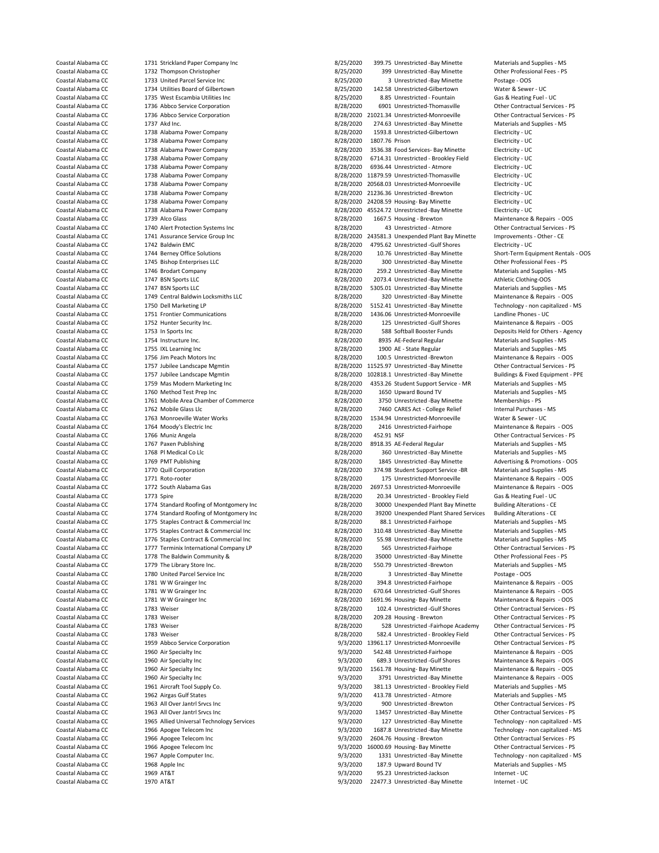Coastal Alabama CC 1731 Strickland Paper Company Inc 1990 8/25/2020 399.75 Unrestricted -Bay Minette Materials and Supplies - MS<br>Coastal Alabama CC 1732 Thompson Christopher 1990 1990 8/25/2020 399 Unrestricted -Bay Minett Coastal Alabama CC 1732 Thompson Christopher 1998 125/2020 399 Unrestricted -Bay Minette 1997 Other Profession<br>Coastal Alabama CC 1733 United Parcel Service Inc 1998 18/25/2020 3 Unrestricted -Bay Minette 1998 2005 Coastal Alabama CC 1733 United Parcel Service Inc<br>
Coastal Alabama CC 1734 Utilities Board of Gilbertown 8 1794 Utilities Board of Gilbertown 8/25/2020 8/25/2020 142.58 Unrestricted Gilbertown Water & Sewer - UC Coastal Alabama CC 1734 Utilities Board of Gilbertown 1992 11 12/25/2020 112.58 Unrestricted-Gilbertown Water & Sewer - UC<br>Coastal Alabama CC 1735 West Escambia Utilities Inc 18/25/2020 8.85 Unrestricted - Fountain Gas & H Coastal Alabama CC 1735 West Escambia Utilities Inc 61 1999 8/25/2020 8.85 Unrestricted - Fountain Coastal Alabama CC<br>Coastal Alabama CC 1736 Abbro Service Corporation 68/28/2020 8/28/2020 6901 Unrestricted-Thomasvil Coastal Alabama CC 1736 Abbco Service Corporation 8/28/2020 6901 Unrestricted-Thomasville Other Contractual Services - PS Coastal Alabama CC 1736 Abbco Service Corporation 1990 1000 10021.34 Unrestricted-Monroeville Other Contractual Services - PS<br>Coastal Alabama CC 1737 Akd Inc. 1737 Akd Inc. 1737 Akd Inc. 1737 Akd Inc. 18/28/2010 12/8/2020 Coastal Alabama CC 274.63 Unrestricted -Bay Minette Materials and Supplies - MS Alabama CC 274.63 Unrestricted -Bay Minette Materials and Supplies - MS Coastal Alabama CC 1738 Alabama Power Company 1993 1993/2020 1593.8 Unrestricted-Gilbertown Electricity - UC<br>Coastal Alahama CC 1738 Alahama Power Company 1998 1898/2020 1807 76 Prison 1807 76 Pietro Electricity - UC Coastal Alabama CC 1738 Alabama Power Company 1997 1808/28/2020 1807.76 Prison Electricity - Electricity - UC<br>Coastal Alabama CC 1738 Alabama Power Company 1998 1999 18/28/2020 1998/8/2020 2536.38 Food Services- Bay Minett Coastal Alabama CC 1738 Alabama Power Company 1988 1988 1988 1989 2020 3536.38 Food Services- Bay Minette Electricity - UC<br>Coastal Alabama CC 1738 Alabama Power Company 1988 1989 1988 1988 1988 1988 1989 1989 1989 1989 198 Coastal Alabama CC 1738 Alabama Power Company 1992 1992 18/28/2020 6714.31 Unrestricted - Brookley Field Electricity - UC<br>Coastal Alabama CC 1738 Alabama Power Company 1992 1992 18/28/2020 6936.44 Unrestricted - Atmore 199 Coastal Alabama CC 1738 Alabama Power Company 1998 1998 18/28/2020 6936.44 Unrestricted - Atmore Electricity - U<br>Coastal Alabama CC 1738 Alabama Power Company 1999 18/28/2020 11879.59 Unrestricted-Thomasville Electricity -Coastal Alabama CC 1738 Alabama Power Company 1992 1187/2020 11879.59 Unrestricted-Thomasville Electricity - UC<br>Coastal Alabama CC 1738 Alabama Power Company 1992 1993 1994 1998/2020 20568.03 Unrestricted-Monroeville Elect 8/28/2020 20568.03 Unrestricted-Monroeville Coastal Alabama CC 1738 Alabama Power Company 1998 128/2020 21236.36 Unrestricted -Brewton Electricity - UC<br>Coastal Alabama CC 1738 Alabama Power Company 1998 128/2020 242020 24208.59 Housing-Bay Minette 1998 Electricity -Coastal Alabama CC 1738 Alabama Power Company 1998 1998 18/28/2020 24208.59 Housing- Bay Minette Electricity - U<br>Coastal Alabama CC 1738 Alabama Power Company 1998 1999 18/28/2020 45524.72 Unrestricted -Bay Minette Electri Coastal Alabama CC 1738 Alabama Power Company 1988 1998 1998 128/2020 45524.72 Unrestricted -Bay Minette Electricity - UC<br>Coastal Alabama CC 1739 Alco Glass 1998 1686 1999 1667.5 Housing - Brewton Maintenance & Renairs 199 Coastal Alabama CC 1739 Alco Glass 8/28/2020 1667.5 Housing - Brewton Maintenance & Repairs - OOS<br>Coastal Alabama CC 1740 Alert Protection Systems Inc 1990 18/28/2020 13 Unrestricted - Atmore 1990 Other Contractual Service Coastal Alabama CC 1740 Alert Protection Systems Inc 8/28/2020 43 Unrestricted - Atmore Other Contractual Services - PS Coastal Alabama CC 1741 Assurance Service Group Inc 61 1992 18/28/2020 243581.3 Unexpended Plant Bay Minette Improvements - Coastal Alabama CC 1742 Baldwin EMC Coastal Alabama CC 1742 Baldwin EMC 1200 1742 Baldwin EMC 8/28/2020 4795.62 Unrestricted -Gulf Shores Coastal Alabama CC 1744 Berney Office Solutions 68/28/2020 10.76 Unrestricted -Bay Minette Coastal Alabama CC 1744 Berney Office Solutions (Coastal Alabama CC 1744 Berney Office Solutions 8/28/2020 10.76 Unrestricted -Bay Minette Short-Term Equipment Rentals - OOS<br>Coastal Alabama CC 1745 Bishop Enterprises LLC 1 Coastal Alabama CC 1745 Bishop Enterprises LLC 1999 1999 1999 128/2020 300 Unrestricted -Bay Minette 1999 Other Professional Fees - PS<br>Coastal Alabama CC 1746 Brodart Company 1999 1999 1999 128/2020 259.2 Unrestricted -Bay Coastal Alabama CC 1746 Brodart Company 1999 1999 126/2020 259.2 Unrestricted -Bay Minette Materials and Supplies - Materials and Supplies - Materials and Supplies - Materials and Supplies - Materials and Supplies - MS 200 2073.4 Unrestricted -Bay Minette Coastal Alabama CC 1747 BSN Sports LLC 8/28/2020 5305.01 Unrestricted -Bay Minette Materials and Supplies - MS Coastal Alabama CC 1749 Central Baldwin Locksmiths LLC 8/28/2020 320 Unrestricted -Bay Minette Maintenance & Repairs - OOS<br>Coastal Alabama CC 1750 Dell Marketing LP 18 (28/2000 5152.41 Unrestricted -Bay Minette Technology Coastal Alabama CC 1750 Dell Marketing LP 8/28/2020 5152.41 Unrestricted -Bay Minette Technology - non capital<br>Coastal Alabama CC 1751 Frontier Communications 1998 1898/2000 1836 On the Stricted Monroeville Landline Phones Coastal Alabama CC 1751 Frontier Communications 8/28/2020 1436.06 Unrestricted-Monroeville Landline Phones - UC Coastal Alabama CC 1752 Hunter Security Inc. <br>Coastal Alabama CC 1753 In Sports Inc. 8/28/2020 125 Unrestricted -Gulf Shores Maintenance & Repairs - OOS<br>Coastal Alabama CC 1753 In Sports Inc. Age Coastal Alabama CC 1753 In Sports Inc 1753 In Sports Inc 8/28/2020 588 Softball Booster Funds Deposits Held for Others - Agency<br>Coastal Alabama CC 1754 Instructure Inc. 1754 Coastal Booster Punkers and Supplies - MS Example 1754 Instructure Inc. Computers 1754 Instructure Inc. 8/28/2020 8935 AE-Federal Regular Materials and Supplies - MS<br>1755 IXI Learning Inc. 2008 1755 1767 8028/2020 88/28/2020 1900 AE - State Regular Materials and S Coastal Alabama CC 2755 IXL Learning Inc 2008 1000 Coastal Alabama CC 2755 IXL Learning Inc 2012<br>Coastal Alabama CC 2756 Jim Peach Motors Inc 2008 2008 1005 2020 100.5 Unrestricted -Brewton Maintenance & Repairs - OOS Coastal Alabama CC 1756 Jim Peach Motors Inc 8/28/2020 100.5 Unrestricted -Brewton Maintenance & Repairs - OOS<br>Coastal Alabama CC 1757 Jubilee Landscape Mgmtin 1990 11525.97 Unrestricted -Bay Minette Other Contractual Serv Coastal Alabama CC 1757 Jubilee Landscape Mgmtin 1997 11 1257 1128/2020 11525.97 Unrestricted -Bay Minette 199<br>Coastal Alabama CC 1757 Jubilee Landscape Mgmtin 1998 1998 1998/2020 102818.1 Unrestricted -Bay Minette 1998 Bu 8/28/2020 102818.1 Unrestricted -Bay Minette Coastal Alabama CC 1759 Mas Modern Marketing Inc 1999 18/28/2020 4353.26 Student Support Service - MR Materials and Supplies - MS<br>Coastal Alabama CC 1760 Method Test Preo Inc 1999 18/28/2020 1650 Upward Bound TV Materials Coastal Alabama CC 1760 Method Test Prep Inc 1760 Method Test Prep Inc 8/28/2020 1650 Upward Bound TV Materials and Supplies - MS<br>Coastal Alabama CC 1761 Mobile Area Chamber of Commerce 1990 18/28/2020 1750 Unrestricted - Coastal Alabama CC 1761 Mobile Area Chamber of Commerce 1998/2020 3750 Unrestricted -Bay Minette Memberships - PS<br>Coastal Alabama CC 1762 Mobile Glass Llc Coastal Alabama CC 1762 Mobile Glass Llc 8/28/2010 7460 CARES Act - College Relief 11ternal Purchases - Coastal Alabama CC 1763 Monroeville Water Works 1998/2020 7534.94 Unrestricted-Monroeville 11ternal Purchases - MS Cas Coastal Alabama CC 1763 Monroeville Water Works 1988 1999 128/2020 1534.94 Unrestricted-Monroeville Unrestricted-Monroeville Water Works 1999 128/2020 1534.94 Unrestricted-Monroeville Coastal Alabama CC 1764 Moody's Electr Coastal Alabama CC 1764 Moody's Electric Inc 1988 Coastal Alabama CC 1764 Moody's Electric Inc 8/28/2020 2426 Unrestricted-Fairhope Maintenance & Repairs - OOS<br>2/28/2020 252.91 NSF Contractual Services - PS Contractual Ser Coastal Alabama CC 1766 Muniz Angela 18/28/2010 452.91 ASS 452.91 ASS 452.91 ASS 60 Coastal Alabama CC 1767 Paxen Publishing 18/28/2020 452.92020 452.91 ASS 45-Federal Regular Materials and Supplies - MS Coastal Alabama CC 1767 Paxen Publishing 1998 1998 1998/2020 8918.35 AE-Federal Regular Materials and Supplies - MS<br>Coastal Alabama CC 1768 PI Medical Co Llc 1999 1999 1999 1998/2020 360 Unrestricted -Bay Minette 1998 Mate Coastal Alabama CC 1768 Pl Medical Co Llc 1988 Coastal Alabama CC 1768 Pl Medical Co Llc 8/28/2020 1845 Unrestricted -Bay Minette Materials and Supplies - MS<br>Coastal Alabama CC 1769 PMT Publishing 1998 1999 1999 1845 Unres Coastal Alabama CC 1769 PMT Publishing 8/28/2020 1845 Unrestricted -Bay Minette Advertising & Promotions - OOS 374.98 Student Support Service - BR Coastal Alabama CC 1771 Roto-rooter 1772 Roto-rooter 1880 1892 175 Unrestricted-Monroeville Maintenance & Repairs - OOS<br>2012/2020 1772 South Alabama Gas 1880 1772 South Alabama Gas 1982 1892/200 175 Unrestricted-Monroevill Coastal Alabama CC 1772 South Alabama Gas 1988 1898 1898/2020 2697.53 Unrestricted-Monroeville Maintenance & Repairs - OOS<br>1773 Soire 1773 Soire 1998 1898 1898 1899 1898/2020 20.34 Unrestricted - Brookley Field Gas & Heati Coastal Alabama CC 1773 Spire 1773 Spire 8/28/2020 20.34 Unrestricted - Brookley Field Coastal Alabama CC 1774 Standard Roofing of Montgomery Inc 6/28/2020 20.34 Unrestricted - Brookley Field Coastal Alabama CC 1774 Standard Roofing of Montgomery Inc **COAST ALABAM** BACK 8/28/2020 30000 Unexpended Plant Bay Minette Building Alterations - CE Coastal Alabama CC 1774 Standard Roofing of Montgomery Inc 8/28/2020 39200 Unexpended Plant Shared Services Building Alterations - CE Coastal Alabama CC 1775 Staples Contract & Commercial Inc 8/28/2020 88.1 Unrestricted-Fairhope Materials and Supplies - MS Coastal Alabama CC 1775 Staples Contract & Commercial Inc 8/28/2020 310.48 Unrestricted -Bay Minette Materials and Supplies - MS Coastal Alabama CC 1776 Staples Contract & Commercial Inc 1992 8/28/2020 55.98 Unrestricted -Bay Minette Materials and Supplies - MS<br>Coastal Alabama CC 1777 Terminix International Company LP 1998/2020 565 Unrestricted -Fai Coastal Alabama CC 1777 Terminix International Company LP 8/28/2020 565 Unrestricted-Fairhope Other Contractual Services - PS Coastal Alabama CC 1778 The Baldwin Community & 2000 Forestricted -Bay Minette Other Professiona Coastal Alabama CC 1778 The Baldwin Community & 1798 The Saldwin Community & 8/28/2020 35000 Unrestricted -Bay Minette Other Professional Fees - PS<br>Coastal Alabama CC 1779 The Library Store Inc. 1999 Coastal Alabama 2028/2 Coastal Alabama CC 1779 The Library Store Inc. 8/28/2020 550.79 Unrestricted -Brewton Coastal Alabama CC 1780 United Parcel Service Inc Coastal Alabama CC 1780 United Parcel Service Inc Coastal Alabama CC 1780 United Parce Coastal Alabama CC 1780 United Parcel Service Inc 1980 1990 1990 1991 8/28/2020 3 Unrestricted -Bay Minette Postage - OOS<br>Coastal Alabama CC 1781 W W Grainger Inc 1999 1992 1994 8 Unrestricted - Alam Particled - Example 20 Coastal Alabama CC 1781 W W Grainger Inc 1988 Coastal Alabama CC 1781 W Grainger Inc 8 Repairs - OOS<br>2015 Coastal Alabama CC 1781 W W Grainger Inc 1989 Coastal Alabama CC 1781 W W Grainger Inc 1999 Coastal Alabama CC 8/28/2020 670.64 Unrestricted -Gulf Shores Maintenance & Repairs - OOS Coastal Alabama CC 1781 W W Grainger Inc 1000 1698/2010 1691.96 Housing-Bay Minette Maintenance & Repairs - OOS<br>Coastal Alabama CC 1783 Weiser 1783 Weiser 18/2000 1692/2020 102.4 Unrestricted -Gulf Shores Other Contractual Coastal Alabama CC 1783 Weiser 1783 Weiser 8/28/2020 102.4 Unrestricted -Gulf Shores - PS 3/28/2020 102.4 Unrestricted -Gulf Shores - PS 3/28/2020 102.4 Unrestricted -Gulf Shores - PS 3/28/2020 109.28 Housing - Brewton Coastal Alabama CC 1783 Weiser 1878 Coastal Alabama CC 209.28 Housing - Brewton Coastal Alabama CC 1783 Weiser<br>Coastal Alabama CC 1783 Weiser 1783 Weiser 18/28/2010 1283 208 208/2020 128 Unrestricted - Fairhope Academy Oth Coastal Alabama CC 1783 Weiser 1783 Weiser 8/28/2020 528 Unrestricted -Fairhope Academy Contractual Services - PS<br>28/2020 582.4 Unrestricted - Brookley Field Other Contractual Services - PS Coastal Alabama CC 1783 Weiser 1783 Weiser 18/28/2010 582.4 Unrestricted - Brookley Field Other Contractual Services - PS<br>Coastal Alabama CC 1959 Abbco Service Corporation 19/3/2020 13961.17 Unrestricted-Monroeville Other 13961.17 Unrestricted-Monroeville Coastal Alabama CC 1960 Air Specialty Inc 1960 Air Specialty Inc 1960 Air Specialty Inc 1973/2020 542.48 Unrestricted-Fairhope Maintenance & Repairs - OOS<br>Coastal Alabama CC 1960 Air Specialty Inc 1973/2020 9/3/2020 689.3 689.3 Unrestricted -Gulf Shores Coastal Alabama CC 1960 Air Specialty Inc 1960 Air Specialty Inc 1960 Air Specialty Inc 1971 11 1971 11 1980 Air Specialty Inc 1971 11 1980 Air Specialty Inc 1980 Air Specialty Inc 1980 Air Specialty Inc 1980 Air Specialty Coastal Alabama CC 1960 Air Specialty Inc 1000 Coastal Alabama CC 1960 Air Specialty Inc 1976 And The Specialty Inc 1961 Aircraft Tool Sunply Co.<br>Coastal Alabama CC 1961 Aircraft Tool Sunply Co. 1977 1981 1992/020 381.13 U Coastal Alabama CC 1961 Aircraft Tool Supply Co. 9/3/2020 381.13 Unrestricted - Brookley Field Materials and Supplies - MS Coastal Alabama CC 1962 Airgas Gulf States 9/3/2020 413.78 Unrestricted - Atmore Materials and Supplies - MS Coastal Alabama CC 1963 All Over Jantrl Srvcs Inc 9/3/2020 900 Unrestricted -Brewton Other Contractual Services - PS Coastal Alabama CC 1963 All Over Jantrl Srvcs Inc 9/3/2020 13457 Unrestricted -Bay Minette Other Contractual Services - PS Coastal Alabama CC 1965 Allied Universal Technology Services 9/3/2020 127 Unrestricted -Bay Minette Technology - non capitalized - MS Coastal Alabama CC 1966 Apogee Telecom Inc 1968 Coastal Alabama CC 1966 Apogee Telecom Inc 1968 Apogee Telecom Inc 1968 Apogee Telecom Inc 1993/2020 1687.8 Unrestricted -Bay Minette 1998 Technology - non capitalized - MS C Coastal Alabama Communic Coastal Alabama Coastal Alabama Coastal Alabama Communic Communic Communic Communic Co<br>29/3/2020 16000.69 Housing Bay Minette Communic Cher Contractual Services - PS Coastal Alabama CC 1966 Apogee Telecom Inc 9/3/2020 16000.69 Housing- Bay Minette Other Contractual Services - PS Coastal Alabama CC 1967 Apple Computer Inc. 1967 Apple Computer Inc. 1967 1993/2020 1331 Unrestricted -Bay Minette Technology - non capitalized - MS<br>Coastal Alabama CC 1968 Apple Inc 1968 Apple Inc 1979 187.9 Upward Bound Coastal Alabama CC 1968 Apple Inc 9/3/2020 187.9 Upward Bound TV Materials and Supplies - MS Coastal Alabama CC 1969 AT&T 1969 AT&T 1969 AT&T 9/3/2020 95.23 Unrestricted-Jackson Internet - UCAS Unrestricted-Jackson Internet - UCAS Unrestricted-Aay Mi 9/3/2020 22477.3 Unrestricted -Bay Minette Internet - UC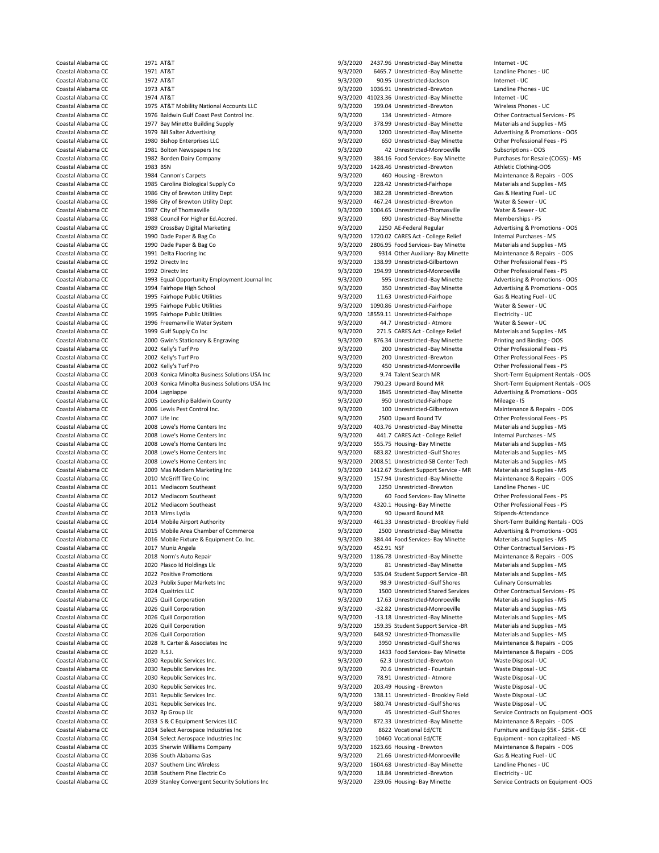Coastal Alabama CC 1973 AT&T 1973 AT&T 1973 AT&T 1973 AT&T 1973 1036.91 Unrestricted -Brewton Landline Phones - UCO 1974 AT&T 1974 AT&T 1974 AT&T 1974 AT&T 1974 AT&T 1974 AT&T 1974 AT&T 1974 AT&T 1974 AT&T 1974 AT&T 1975 1 1977 Bay Minette Building Supply<br>1979 Bill Salter Advertising Coastal Alabama CC 1983 BSN 9/3/2020 1428.46 Unrestricted -Brewton Athletic Clothing-OOS 1985 Carolina Biological Supply Co 1993 Equal Opportunity Employment Journal Inc 2000 Gwin's Stationary & Engraving Coastal Alabama CC 2005 Leadership Baldwin County 300 100 100 9/3/2020 950 Unrestricted-Fairhope - ISO 100 Unrestricted-Fairhope - ISO 100 Unrestricted-Fairhope - ISO 100 100 Unrestricted-Gilbertown Coastal Alabama CC 2023 Publix Super Markets Inc 1973 Coastal Alabama CC 2021 92.9 Unrestricted -Gulf Shores Coastal Alabama CC 2024 Qualtrics LLC 100 100 100 100 9/3/2020 98.9 Unrestricted Shared Servi 2030 Republic Services Inc. 2030 Republic Services Inc. 9/3/2020 203.49 Housing - Brewton Coastal Alabama CC 2036 South Alabama Gas 9/3/2020 21.66 Unrestricted-Monroeville Coastal Alabama CC 2037 Southern Linc Wireless 9/3/2020 201604.68 Unrestricted - Bay Minette 2038 Southern Pine Electric Co

Coastal Alabama CC 1971 AT&T 1971 AT&T 1993 Coastal Alabama CC 1971 AT&T 1972 Coastal Alabama CC 1971 AT&T 100<br>1971 AT&T 1971 AT&T 1971 AT&T 1972 On BAS.7 Unrestricted -Bay Minette 1999 Coastal Alabama CC 1971 AT&T 1999 A Coastal Alabama CC 1971 AT&T 1972 AT&T 1999 19/3/2020 6465.7 Unrestricted -Bay Minette Landline Phones - UCCOS<br>Coastal Alabama CC 1972 AT&T 1992 AT&T 1999 19/3/2020 90.95 Unrestricted Jackson 11 Internet - UCCOST Coastal Alabama CC 1972 AT&T 1972 AT&T 1972 1973 100 1035 Unrestricted-Jackson 1136.91 Unternet - UC<br>Coastal Alabama CC 1973 AT&T 1973 AT&T 1073 AT&T 1076 1036.91 Unrestricted-Brewton 1136.91 Unrestricted-Brewton Coastal Alabama CC 1974 AT&T 1974 AT&T 1974 AT&T 1974 AT&T 1975 AT&T 1975 AT&T Mobility National Accounts LLC<br>Coastal Alabama CC 1975 AT&T Mobility National Accounts LLC 1976 1977 1989 At Luggestricted -Brewton 1999 ATAC Coastal Alabama CC 1975 AT&T Mobility National Accounts LLC 9/3/2020 199.04 Unrestricted -Brewton Wireless Phones - UC<br>Coastal Alabama CC 1976 Baldwin Gulf Coast Pest Control Inc. 9/3/2020 134 Unrestricted - Atmore Other C Coastal Alabama CC 1976 Baldwin Gulf Coast Pest Control Inc. 6 0/3/2020 134 Unrestricted - Atmore Other Contractual Services - PS<br>Coastal Alabama CC 1977 Bay Minette Building Supply 1988 1988 1989 11 01 1278 99 Unrestricte Coastal Alabama CC 1979 Bill Salter Advertising entity of the Coastal Alabama CC 1979 Bill Salter Advertising Co<br>Coastal Alabama CC 1980 Bishon Enterprises LLC 1970 1970 1980 1980 Unrestricted -Bay Minette 1980 Other Profe Coastal Alabama CC 1980 Bishop Enterprises LLC 9/3/2020 650 Unrestricted -Bay Minette Other Professional Fees - PS Coastal Alabama CC 1981 Bolton Newspapers Inc 1983 (2000 42 Unrestricted-Monroeville Subscriptions - OOS 1984<br>Coastal Alabama CC 1982 Borden Dairy Company 1976 (2000 9/3/2020 42 Unrestricted-Monroeville Purchases for Resal Coastal Alabama CC 1982 Borden Dairy Company 1982 Coastal Alabama CC 1982 Borden Dairy Company 1982 Coastal Alabama CC 1983 BSN 1982 OSS 1988 Coastal Alabama CC 1983 BSN 1983 BSN 1989 Coastal Alabama CC 1983 BSN 1989 OSS 1 Coastal Alabama CC 1984 Cannon's Carpets 9/3/2020 460 Housing - Brewton Maintenance & Repairs - OOS<br>Coastal Alabama CC 1985 Carolina Biological Supply Co 1993/2020 49/3/2020 228.42 Unrestricted-Fairhope Materials and Suppl Coastal Alabama CC 1986 City of Brewton Utility Dept 1997 1997 1998 1998 2020 382.28 Unrestricted -Brewton Gas & Heating Fuel - UC<br>
Coastal Alabama CC 1986 City of Brewton Utility Dept 1998 1998 1998 2020 467.24 Unrestrict Coastal Alabama CC 1986 City of Brewton Utility Dept 1997 1997 1998 9/3/2020 1997/2020 467.24 Unrestricted -Brewton Water & Sewer - UC<br>Coastal Alabama CC 1987 City of Thomasville 1997 UNREST 9/3/2020 1004.65 Unrestricted -Coastal Alabama CC 1987 City of Thomasville 1987 City of Thomasville 19/3/2020 1004.65 Unrestricted-Thomasville Water & Sewer - UCOSTAL<br>Coastal Alabama CC 1988 Council For Higher Ed.Accred. 19/3/2010 9/3/2020 690 Unrestric Coastal Alabama CC 1988 Council For Higher Ed.Accred. 
1989 CrossBay Digital Marketing
Coastal Alabama CC 1989 CrossBay Digital Marketing
1989 CrossBay Digital Marketing
1989 CrossBay Digital Marketing
1989 CrossBay Digita Coastal Alabama CC 1989 CrossBay Digital Marketing 1978 Coastal Coastal Alabama CC 1989 CrossBay Digital Marketing 1970 COASTAL PROMOTIONS - OCCORDING A Promotions - OCCORDING A Promotions - OCCORDING A PROMOTIONS - OCCORD Coastal Alabama CC 1990 Dade Paper & Bag Co 1990 Coastal Alabama CC 1990 Dade Paper & Bag Co 1720.02 CARES Act - College Relief 11ternal Purchases - MS<br>Coastal Alabama CC 1990 Dade Paper & Bag Co 1990 Coastal Alabama CO 28 Coastal Alabama CC 1990 Dade Paper & Bag Co 1990 Dade Paper & Bag Co 1990 Dave Coastal Alabama CC 1990 Dade Paper & Bag Co 1991 Delta Flooring Inc 1990 Dade Paper & Bag Co 1991 Delta Flooring Inc 1990 Delta Flooring Inc 19 Coastal Alabama CC 1991 Delta Flooring Inc 1993 Coastal Alabama CC 1997 Delta Flooring Inc 1997 Other Auxiliary- Bay Minette Maintenance & Repairs - OC 1992 Directv Inc 1992 Directv Inc 1997 Other Professional Fees - PS 00 Coastal Alabama CC 1992 Directv Inc 1992 Directv Inc 1993 Coastal Alabama CC 1992 Directv Inc 1993/2020 138.99 Unrestricted-Gilbertown Other Professional Fees - PS Coastal Alabama CC 1992 Directv Inc 1993/2020 194.99 Unres Coastal Alabama CC 1992 Directv Inc 1992 Directv Inc 1992 Coastal Alabama CC 194.99 Unrestricted-Monroeville Cher Professional Fees - PS<br>Coastal Alabama CC 1993 Equal Opportunity Employment Journal Inc 19/3/2020 9/3/2020 5 Coastal Alabama CC 1994 Fairhope High School 9/3/2020 350 Unrestricted -Bay Minette Advertising & Promotions - OOS Coastal Alabama CC 1995 Fairhope Public Utilities 9/3/2020 11.63 Unrestricted-Fairhope Gas & Heating Fuel - UC Coastal Alabama CC 1995 Fairhope Public Utilities 19/3/2020 1090.86 Unrestricted-Fairhope Water & Sewer - UC<br>Coastal Alabama CC 1995 Fairhope Public Utilities 19/3/2020 19559 11 Unrestricted-Fairhope Flectricity - UC Coastal Alabama CC 1995 Fairhope Public Utilities 9/3/2020 18559.11 Unrestricted-Fairhope Electricity - UC Coastal Alabama CC 1996 Freemanville Water System 1998 1998 1998 9/3/2020 44.7 Unrestricted - Atmore Water & Sewer - UC<br>Coastal Alabama CC 1999 Gulf Sunnly College and System 1998 000 9/3/2020 2715 CARES Act - College Reli Coastal Alabama CC 1999 Gulf Supply Co Inc 1999 Gulf Supplies - MICO 1999 Coastal Alabama CC 1999 Gulf Supplies - MI<br>Coastal Alabama CC 2000 Gwin's Stationary & Engraving 1999 Coastal Alabama Coastal Alabama CC 2000 Gwin's Coastal Alabama CC 2002 Kelly's Turf Pro 9/3/2020 200 Unrestricted -Bay Minette Other Professional Fees - PS Coastal Alabama CC 2002 Kelly's Turf Pro 1988 1988 1988 1989 200 200 Unrestricted -Brewton Cher Professional Fees - PS<br>Coastal Alabama CC 2002 Kelly's Turf Pro 1988 1999 200 200 200 100 450 Unrestricted Monroeville Other P Coastal Alabama CC 2002 Kelly's Turf Pro 9/3/2020 450 Unrestricted-Monroeville Other Professional Fees - PS Coastal Alabama CC 2003 Konica Minolta Business Solutions USA Inc 9/3/2020 9.74 Talent Search MR Short-Term Equipment Rentals - OOS Coastal Alabama CC 2003 Konica Minolta Business Solutions USA Inc 9/3/2020 790.23 Upward Bound MR Short-Term Equipment Rentals - OOS<br>Coastal Alabama CC 2004 Lagniappe 19/3/200 9/3/2020 1845 Unrestricted -Bay Minette Advert Coastal Alabama CC 2004 Lagniappe 2004 Lagniappe 19/3/2020 1845 Unrestricted -Bay Minette Advertising 2005 Leadership Baldwin County 19/3/2020 950 Unrestricted -Fairhope Mileage - IS Coastal Alabama CC 2006 Lewis Pest Control Inc. 
2007 Life Inc Coastal Alabama CC 2007 Life Inc Coastal Alabama CC 2007 Life Inc Coastal Alabama CC 2007 Life Inc Coastal Alabama CC 2007 Life Inc Coastal Alabama CC 2007 Lif Coastal Alabama CC 2007 Life Inc<br>
Coastal Alabama CC 2008 Lowe's Home Centers Inc Coastal Alabama CC 2008 Lowe's Home Centers Inc Coastal Alabama CC 2008 Lowe's Home Centers Inc Coastal Alabama CC 2008 Lowe's Home Centers Coastal Alabama CC 2008 Lowe's Home Centers Inc extended the Same of the Same of Alabama CC 2008 Lowe's Home Centers Inc extended the Supplies - MS (Coastal Alabama CC 2008 Lowe's Home Centers Inc extended the Supplies - M Coastal Alabama CC 2008 Lowe's Home Centers Inc 9/3/2020 441.7 CARES Act - College Relief Internal Purchases - MS Coastal Alabama CC 2008 Lowe's Home Centers Inc examples and Supplies - MS 2002 555.75 Housing- Bay Minette Materials and Supplies - MS 2008 Lowe's Home Centers Inc examples and Supplies - MS 2020 555.75 Housing- Bay Minet Coastal Alabama CC 2008 Lowe's Home Centers Inc extended the State of Page of State of State of Alabama CC 2008 Lowe's Home Centers Inc extended Supplies - MS Coastal Alabama CC 2008 Lowe's Home Centers Inc extended Suppli Coastal Alabama CC 2008 Lowe's Home Centers Inc examples of the Sand Coastal Alabama CC 2009 Materials and Supplies - MS<br>2009 Mas Modern Marketing Inc 9/3/2020 1412.67 Student Support Service - MR Materials and Supplies - 1412.67 Student Support Service - MR Coastal Alabama CC 2010 McGriff Tire Co Inc 2000 157.94 Unrestricted -Bay Minette Maintenance & Repairs - OOS<br>Coastal Alabama CC 2011 Mediacom Southeast 1977 Coastal Alabama CC 2011 Mediacom Southeast Coastal Alabama CC 2011 Mediacom Southeast 9/3/2020 2250 Unrestricted -Brewton Landline Phones - UC Coastal Alabama CC 2012 Mediacom Southeast 19/3/2020 60 Food Services- Bay Minette 20ther Professional Fees - PS<br>Coastal Alabama CC 2012 Mediacom Southeast 19/3/2020 9/3/2020 4320.1 Housing- Bay Minette 19/19/19/19 01ther 4320.1 Housing- Bay Minette Coastal Alabama CC 2013 Mims Lydia 9/3/2020 90 Upward Bound MR Stipends-Attendance Coastal Alabama CC 2014 Mobile Airport Authority 9/3/2020 461.33 Unrestricted - Brookley Field Short-Term Building Rentals - OOS Coastal Alabama CC 2015 Mobile Area Chamber of Commerce 3/3/2020 9/3/2020 2500 Unrestricted -Bay Minette Advertising & Promotions - OOS Coastal Alabama CC 2016 Mobile Fixture & Equipment Co. Inc. 6. Coastal Alabama Communic Coastal Alabama CC 2017 Muniz Angela<br>Coastal Alabama CC 2017 Muniz Angela 2009, 2009 2017 Muniz Angela Coastal Alabama COM 2019 2018 2 Coastal Alabama CC 2017 Muniz Angela 9/3/2020 452.91 NSF Other Contractual Services - PS Coastal Alabama CC 2018 Norm's Auto Repair 19/3/2010 1186.78 Unrestricted -Bay Minette Maintenance & Repairs - O<br>Coastal Alabama CC 2020 Plasco Id Holdings Llc 19/3/2020 1186.78 Unrestricted -Bay Minette Materials and Supp COLO Plasco Id Holdings Llc 2020 Plasco Id Holdings Llc 9/3/2020 81 Unrestricted -Bay Minette - Materials and Supplies - Materials - Materials and Supplies - Materials and Supplies - Materials and Supplies - MS - MS - MS -Coastal Alabama CC 2022 Positive Promotions 2003 Coastal Alabama CC 2022 Positive Promotions 19/3/2020 535.04 Student Support Service -BR Materials and Supplies - MS<br>Coastal Alabama CC 2023 Publix Super Markets Inc 2003 Co Coastal Alabama CC 2024 Qualtrics LLC 9/3/2020 1500 Unrestricted Shared Services Other Contractual Services - PS Coastal Alabama CC 2025 Quill Corporation 2008 Coastal Alabama CC 2025 Quill Corporation 2026 Coastal Alabama CC<br>Coastal Alabama CC 2026 Quill Corporation 2008 Coastal Alabama 2020 2020 32.82 Unrestricted-Monroeville Mater Coastal Alabama CC 2026 Quill Corporation 1978 1998 1998 - 9/3/2020 - 32.82 Unrestricted-Monroeville Materials and Supplies - MS<br>Coastal Alabama CC 2026 Quill Corporation 1999 - 9/3/2020 - 13.18 Unrestricted -Bay Minette M Coastal Alabama CC 2026 Quill Corporation 19/3/2020 -13.18 Unrestricted -Bay Minette Materials and Supplies - MS<br>Coastal Alabama CC 2026 Quill Corporation 19/3/2020 159.35 Student Support Service -BR Materials and Supplies Coastal Alabama CC 2026 Quill Corporation 19/3/2020 159.35 Student Support Service -BR Materials and Supplies -<br>Coastal Alabama CC 2026 Quill Corporation 19/3/2020 648.92 Unrestricted-Thomasville Coastal Alabama CC 2026 Quill Corporation 9/3/2020 648.92 Unrestricted-Thomasville Materials and Supplies - MS 3950 Unrestricted -Gulf Shores Maintenance & Repairs - OOS Coastal Alabama CC 2029 R.S.I. 2009 R.S.I. 9/3/2020 1433 Food Services- Bay Minette Maintenance & Repairs - OOS<br>Coastal Alabama CC 2030 Republic Services Inc. 2008 Coastal Alabama CC 2.3 Unrestricted - Brewton Waste Dispos 62.3 Unrestricted -Brewton Coastal Alabama CC 2030 Republic Services Inc.<br>Coastal Alabama CC 2030 Republic Services Inc. 19/3/2020 78.91 Unrestricted - Atmore Waste Disposal - UC Coast Coastal Alabama CC 2030 Republic Services Inc. <br>Coastal Alabama CC 2030 Republic Services Inc. 2008 2014 12:30 203 49 Housing - Brewton 2014 12:49 Waste Disposal - UC Coastal Alabama CC 2031 Republic Services Inc. 9/3/2020 138.11 Unrestricted - Brookley Field Waste Disposal - UC Coastal Alabama CC 2031 Republic Services Inc. 9/3/2020 580.74 Unrestricted -Gulf Shores Waste Disposal - UC Coastal Alabama CC 2032 Rp Group Llc 2003 200 15 Unrestricted -Gulf Shores Service Contracts on Equipment -OOS Coastal Alabama CC 2033 S & C Equipment Services LLC 9/3/2020 872.33 Unrestricted -Bay Minette Maintenance & Repairs - OOS Coastal Alabama CC 2034 Select Aerospace Industries Inc and the Coastal Alabama CC 2034 Select Aerospace Industries Inc and Equip SSK - \$25K - CE Coastal Alabama CC 2034 Select Aerospace Industries Inc 3/3/2020 10460 Vocat Coastal Alabama CC 2035 Sherwin Williams Company 1997 1023.66 Housing - Brewton 1623.66 Housing - Maintenance & Repairs - OOS<br>Coastal Alabama CC 2036 South Alabama Gas 1997 1998 1998 1020 21.66 Unrestricted-Monroeville Gas Coastal Alabama CC 2037 Southern Linc Wireless 2008 1004.68 Unrestricted -Bay Minette Landline Phones - UC<br>Coastal Alabama CC 2038 Southern Pine Electric Co 2008 1604 1604.020 1604.68 Unrestricted -Brewton Electricity Coastal Alabama CC 2039 Stanley Convergent Security Solutions Inc 9/3/2020 239.06 Housing- Bay Minette Service Contracts on Equipment -OOS

Equipment - non capitalized - MS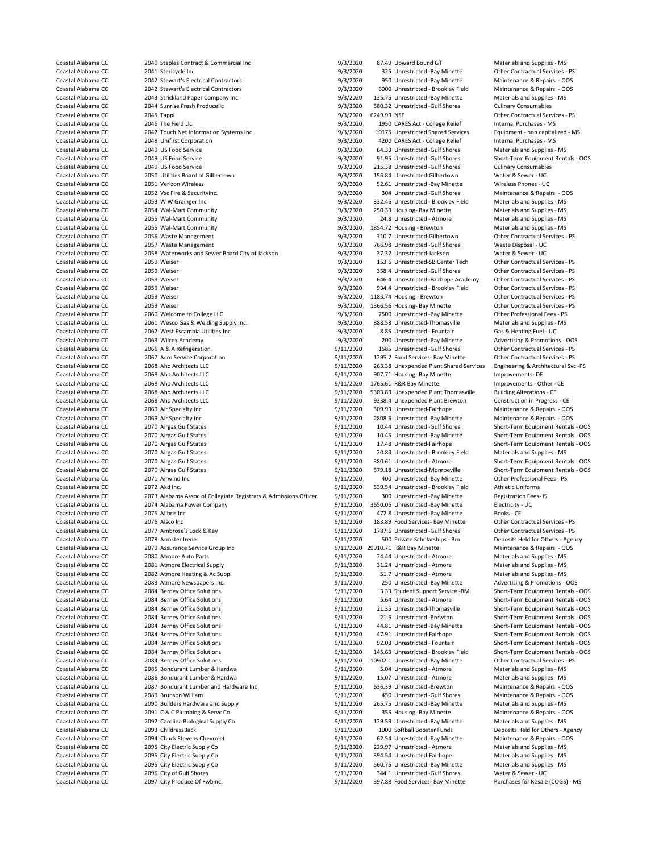Coastal Alabama CC 2041 Stericycle Inc 2004 2014 Stericycle Inc 300 2006 2014 Coastal Alabama CC 2014 Services - PS<br>Coastal Alabama CC 2042 Stewart's Electrical Contractors 2005 2014 2017 2020 950 Unrestricted -Bay Minette Coastal Alabama CC 2042 Stewart's Electrical Contractors 6 19/3/2020 950 Unrestricted -Bay Minette Maintenance & Repairs - OOS<br>Coastal Alabama CC 2042 Stewart's Electrical Contractors 9/3/2020 950 Unrestricted - Brookley F Coastal Alabama CC 2042 Stewart's Electrical Contractors and the Stepairs - Olympus Coastal Alabama CC 2043 Strickland Paper Company Inc contractors 9/3/2020 6000 Unrestricted - Brookley Field Maintenance & Repairs - Or Co Coastal Alabama CC 2043 Strickland Paper Company Inc 9/3/2020<br>Coastal Alabama CC 2044 Supplies - Materials and Supplies - MS 20020 Coastal Alabama CC 2044 Sunrise Fresh Producellc 2000 19/3/2020 580.32 Unrestricted -Gulf Shores Culinary Consumables<br>Coastal Alabama CC 2045 Tappi 2004 Sunrise Fresh Producellc 2004 19/3/2020 6249.99 NSF 2015 2016 2016 20 Coastal Alabama CC 2045 Tappi 9/3/2020 6249.99 NSF Other Contractual Services - PS Coastal Alabama CC 2046 The Field Llc **2046** The Field Llc **1950 CARES Act - College Relief Internal Purchases - MS** Coastal Alabama CC 2047 Touch Net Information Systems Inc 9/3/2020 10175 Unrestricted Shared Services Equipment - non capitalized - MS<br>Coastal Alabama CC 2008 Unifirst Corporation 2008 Unifirst Corporation 2008 Coastal Ala Coastal Alabama CC 2048 Unifirst Corporation 9/3/2020 4200 CARES Act - College Relief Internal Purchases - MS Coastal Alabama CC 2049 US Food Service entity of the Same of the Same of the Shores Materials and Supplies - MS<br>Coastal Alabama CC 2049 US Food Service entity of the Shores 19/3/2020 91.95 Unrestricted -Gulf Shores Short-Coastal Alabama CC 2049 US Food Service 2008 1978 Coastal Alabama CC 2049 US Food Service 9/3/2020 9/3/2020 91.95 Unrestricted -Gulf Shores Short-Term Equipment Rentals - OOS<br>Coastal Alabama CC 2049 US Food Service 2008 Co Coastal Alabama CC 2049 US Food Service 2008 US Food Service 9/3/2020 215.38 Unrestricted -Gulf Shores Culinary Consumables 2050 Utilities Board of Gilbertown 2008 15.38 Unrestricted -Gulf Shores Culinary Consumables Consu Coastal Alabama CC 2050 Utilities Board of Gilbertown 9/3/2020 156.84 Unrestricted-Gilbertown Water & Sewer - UC<br>Coastal Alabama CC 2051 Verizon Wireless 100 2051 1997/2020 52.61 Unrestricted -Bay Minette Wireless Phones -Coastal Alabama CC 2052 Vsc Fire & Securityinc. 
2003 Coastal Alabama CC 2053 WW Grainger Inc 2053 Coastal Alabama CC 2053 Vsc Fire & Securityinc.<br>
2053 Coastal Alabama CC 2053 WW Grainger Inc 2003 Coastal Alabama CC 2057/ Coastal Alabama CC 2053 W W Grainger Inc 2008 2008 2008 2008 2008 2012 25/3/2020 250.32.46 Unrestricted - Brookley Field Materials and Supplies - MS<br>Coastal Alabama CC 2054 Wal-Mart Community 2009 25/3/2020 250.33 250.33 H Coastal Alabama CC 2054 Wal-Mart Community 1993/2020 250.33 Housing- Bay Minette Coastal Alabama CC 2055 Wal-Mart Community 1993/2020 24.8 Unrestricted - Atmore Coastal Alabama CC 2055 Wal-Mart Community and the Supplies of the Supplies of Alabama CC 2055 Wal-Mart Community Coastal Alabama CC 2055 Wal-Mart Community and Supplies - MS 2010 2013 2013 2013 2014 2014 2015 2015 2016 20 Coastal Alabama CC 2055 Wal-Mart Community entity and the State of the State of Alabama CC 2055 Wal-Materials Community 19/3/2020 1854.72 Housing - Brewton Materials and Supplies - MS<br>Coastal Alabama CC 2056 Waste Manageme Coastal Alabama CC 2056 Waste Management 9/3/2020 310.7 Unrestricted-Gilbertown Other Contractual Services - PS Coastal Alabama CC 2057 Waste Management Coastal Alabama CC 2057 Waste Disposal - UC<br>Coastal Alabama CC 2058 Waterworks and Sewer Board City of Jackson 9/3/2020 37.32 Unrestricted-Jackson Water & Sewer - UC Coastal Alabama CC 2058 Waterworks and Sewer Board City of Jackson 9/3/2020<br>Coastal Alabama CC 2059 Weiser - UCC - 2059 Weiser - UCC - UCC - UCC - 9/3/2020 Coastal Alabama CC 2059 Weiser 2005 2006 2007 153.6 Unrestricted-SB Center Tech Other Contractual Services - PS<br>Coastal Alabama CC 2059 Weiser 2005 2006 2007 153.4 Unrestricted -Gulf Shores Other Contractual Services - PS Coastal Alabama CC 2059 Weiser 2008 2008 2008 12 2008 358.4 Unrestricted -Gulf Shores Other Contractual Services - PS<br>Coastal Alabama CC 2059 Weiser 2009 2009 2009 2009 2009 2009 201200 446.4 Unrestricted -Fairhope Academy Coastal Alabama CC 2059 Weiser 2008 2008 2008 93/2020 934.4 Unrestricted - Brookley Field Other Contractual Services - PS<br>Coastal Alabama CC 2059 Weiser 2009 2008 2009 2009 93/2020 934.4 Unrestricted - Browton 2009 Other C Coastal Alabama CC 2059 Weiser 2008 2008 2008 2008 2009 2012 2012 1183.74 Housing - Brewton Coastal Alabama CC<br>Coastal Alabama CC 2059 Weiser 2009 2012 2013 2014 2012 2013 2014 2014 2013 2014 2014 2014 2014 2014 2016 2016 Coastal Alabama CC 2059 Weiser 9/3/2020 1366.56 Housing- Bay Minette Other Contractual Services - PS Coastal Alabama CC 2060 Welcome to College LLC 9/3/2020 7500 Unrestricted -Bay Minette Other Professional Fees - PS Coastal Alabama CC 2061 Wesco Gas & Welding Supply Inc. 9/3/2020 888.58 Unrestricted-Thomasville Materials and Supplies - MS Coastal Alabama CC 2062 West Escambia Utilities Inc 1978 1978 1978 9/3/2020 8.85 Unrestricted - Fountain Coastal Alabama CC 2063 Wilcox Academy Coastal Alabama CC 2066 A & A Refrigeration 19/11/2020 1585 Unrestricted -Gulf Shores Coastal Alabama CC 2067 Acro Services - PS 2007 Acro Services Corporation 19/11/2020 1295.2 Food Services - Bay Minette Other Contractua Coastal Alabama CC 2067 Acro Service Corporation 19/11/2020 1295.2 Food Services- Bay Minette 19the Contractual Services - PS<br>Coastal Alabama CC 2068 Aho Architects LLC 19/11/2020 263.38 Unexpended Plant Shared Services En Coastal Alabama CC 2068 Aho Architects LLC 2000 263.38 Unexpended Plant Shared Services Engineering & Architects LLC<br>Coastal Alabama CC 2068 Aho Architects LLC 2000 2007.71 Housing- Bay Minette Improvements- DE Coastal Alabama CC 2068 Aho Architects LLC 1991 11/2020 1765.61 R&R Bay Minette Improvements - Other - CE<br>Coastal Alabama CC 2068 Aho Architects LLC 1991 11/2020 5303.83 Unexpended Plant Thomasville Building Alterations - Coastal Alabama CC 2068 Aho Architects LLC 2008 2008 2008 2011/2020 5303.83 Unexpended Plant Thomasville Building Alterations - CE<br>2008 Aho Architects LLC 2008 Aho Architects LLC 2008 2011/2020 9338.4 Unexpended Plant Brew Coastal Alabama CC 2068 Aho Architects LLC 9/11/2020 9338.4 Unexpended Plant Brewton Construction in Progress - CE Coastal Alabama CC 2069 Air Specialty Inc and the Superintent Coastal Alabama CC 2069 Air Specialty Inc and the Superintenance of the Superintenance of Coastal Alabama CC 2069 Air Specialty Inc and the Superintenance of th Coastal Alabama CC 2069 Air Specialty Inc 3000 1000 2808.6 Unrestricted -Bay Minette Coastal Alabama CC 2070 Airgas Gulf States 3000 2008.6 Unrestricted -Gulf Shores Coastal Alabama CC 2070 Airgas Gulf States 1988 1999 11/2020 10.44 Unrestricted -Gulf Shores Short-Term Equipment Rentals - OOS<br>2070 Airgas Gulf States 1999 11/2020 10.45 Unrestricted -Bay Minette Short-Term Equipment Rent Coastal Alabama CC 2070 Airgas Gulf States 19/11/2020 10.45 Unrestricted -Bay Minette Short-Term Equipment Rentals - OOS<br>2070 Airgas Gulf States 19/11/2020 17.48 Unrestricted -Fairhope Short-Term Equipment Rentals - OOS Coastal Alabama CC 2070 Airgas Gulf States et als extended the Short-Term Equipment Rentals - OOS<br>Coastal Alabama CC 2070 Airgas Gulf States et als extended the Short-Term Equipment Rentals - OOS 2011/2020 20.89 Unrestrict Coastal Alabama CC 2070 Airgas Gulf States 9/11/2020 20.89 Unrestricted - Brookley Field Coastal Alabama CC 2070 Airgas Gulf States - MS 2000 2000 2011/2020 20.89 Unrestricted - Atmore Coastal Alabama CC 2070 Airgas Gulf States 19/11/2020 380.61 Unrestricted - Atmore Short-Term Equipment Rentals - OOS<br>2009 9/11/2020 579.18 Unrestricted Monroeville Short-Term Equipment Rentals - OOS Coastal Alabama CC 2071 Airwind Inc 2000 100 11/2020 400 Unrestricted -Bay Minette Other Professional Fees - PS<br>Coastal Alabama CC 2072 Akd Inc 2007 Atoms 2007 12:00 11/2020 539 54 Unrestricted - Brookley Field 4thletic Un Coastal Alabama CC 2072 Akd Inc. و2072 Acd Inc. 9/11/2020 539.54 Unrestricted - Brookley Field Athletic Uniforms<br>Coastal Alabama CC 2073 Alabama Assoc of Collegiate Registrars & Admissions Officer 9/11/2020 300 Unrestricte Coastal Alabama CC 2073 Alabama Assoc of Collegiate Registrars & Admissions Officer 9/11/2020 300 Unrestricted -Bay Minette Registration Fe<br>Coastal Alabama CC 2074 Alabama Power Company 10 11/2020 9/11/2020 3650.06 Unrestr Coastal Alabama CC 2075 Alibris Inc 9/11/2020 477.8 Unrestricted -Bay Minette Books - CE Coastal Alabama CC 2076 Alsco Inc 9/11/2020 183.89 Food Services- Bay Minette Other Contractual Services - PS Coastal Alabama CC 2077 Ambrose's Lock & Key 9/11/2020 1787.6 Unrestricted -Gulf Shores Other Contractual Services - PS Coastal Alabama CC 2078 Armster Irene 2007 Armster Irene 19/11/2020 500 Private Scholarships - Bm Deposits Held for Others - Agency<br>Coastal Alabama CC 2079 Assurance Service Group Inc 19/11/2020 2910.71 R&R Bay Minette Mai Coastal Alabama CC 2079 Assurance Service Group Inc 6 19/11/2020 29910.71 R&R Bay Minette Coastal Alabama CC 2080 Atmore Auto Parts - On Parts - On Pairs - Operational - Operational - Operational - Operational - Operationa Coastal Alabama CC 2080 Atmore Auto Parts 1999 11/2020 24.44 Unrestricted - Atmore Materials and Supplies - MS<br>Coastal Alabama CC 2081 Atmore Flectrical Supply 1999 11/2020 31.24 Unrestricted - Atmore Materials and Supplie Coastal Alabama CC 2081 Atmore Electrical Supply 19/11/2020 31.24 Unrestricted - Atmore Materials and Supplies - MS<br>Coastal Alabama CC 2082 Atmore Heating & Ac Suppl 19/11/2020 51.7 Unrestricted - Atmore Materials and Supp Coastal Alabama CC 2082 Atmore Heating & Ac Suppl 9/11/2020 51.7 Unrestricted - Atmore Coastal Alabama CC 2083 Atmore Newspapers Inc. Coastal Alabama CC 2083 Atmore Newspapers Inc. Coastal Alabama CC 2083 Atmore Newspapers Coastal Alabama CC 2083 Atmore Newspapers Inc. 19/11/2020 250 Unrestricted -Bay Minette Advertising & Promotions - OOS<br>Coastal Alabama CC 2084 Berney Office Solutions 19/11/2020 3.33 Student Support Service -BM Short-Term Coastal Alabama CC 2084 Berney Office Solutions and the Solutions of the Short-Term Equipment Rentals - OOS<br>Coastal Alabama CC 2084 Berney Office Solutions and the Short-Term Equipment Rentals - OOS 21.35 Unrestricted Thom Coastal Alabama CC 2084 Berney Office Solutions and the Solutions of the Short-Term Equipment Rentals - OOS<br>2006 2084 Berney Office Solutions 19/11/2020 21.6 Unrestricted -Brewton Short-Term Equipment Rentals - OOS Coastal Alabama CC 2084 Berney Office Solutions external states and the Short-Term Equipment Rentals - OOS 2016<br>2084 Berney Office Solutions 19/11/2020 44.81 Unrestricted -Bay Minette Short-Term Equipment Rentals - OOS 3/1 Coastal Alabama CC 2084 Berney Office Solutions extending the Solutions of the Short-Term Equipment Rentals - OOS<br>2006 9/11/2020 47.91 Unrestricted-Fairhope Short-Term Equipment Rentals - OOS Coastal Alabama CC 2084 Berney Office Solutions external to the Solutions of the Solutions 9/11/2020 47.91 Unrestricted-Fairhope Short-Term Equipment Rentals - OOS<br>Coastal Alabama CC 2084 Berney Office Solutions external t Coastal Alabama CC 2084 Berney Office Solutions external states and the Short-Term Building of the Contractual Short-Term Equipment Rentals - OOS<br>9/11/2020 10902.1 Unrestricted - Bav Minette Contractual Services - PS (Coas Coastal Alabama CC 2085 Bondurant Lumber & Hardwa 9/11/2020 5.04 Unrestricted - Atmore Materials and Supplies - MS<br>Coastal Alabama CC 2006 Bondurant Lumber & Hardwa 9/11/2020 9/11/2020 15.07 Unrestricted - Atmore Materials Coastal Alabama CC 2086 Bondurant Lumber & Hardwa 19/11/2020 15.07 Unrestricted - Atmore Materials and Supplies - MS<br>Coastal Alabama CC 2087 Bondurant Lumber and Hardware Inc 9/11/2020 636.39 Unrestricted -Brewton Maintena Coastal Alabama CC 2087 Bondurant Lumber and Hardware Inc 9/11/2020 636.39 Unrestricted -Brewton Maintenance & Repairs - OOS Coastal Alabama CC 2089 Brunson William 9/11/2020 450 Unrestricted -Gulf Shores Maintenance & Repairs - OOS Coastal Alabama CC 2090 Builders Hardware and Supply 9/11/2020 265.75 Unrestricted -Bay Minette Materials and Supplies - MS Coastal Alabama CC 2091 C & C Plumbing & Servc Co 9/11/2020 355 Housing- Bay Minette Maintenance & Repairs - OOS Coastal Alabama CC 2092 Carolina Biological Supply Co 9/11/2020 129.59 Unrestricted -Bay Minette Materials and Supplies - MS Coastal Alabama CC 2093 Childress Jack 9/11/2020 1000 Softball Booster Funds Deposits Held for Others - Agency<br>Coastal Alabama CC 2094 Chuck Stevens Chevrolet 19/11/2020 62.54 Unrestricted - Bay Minette Maintenance & Repai Coastal Alabama CC 2095 City Electric Supply Co 3/11/2020 229.97 Unrestricted - Atmore Materials and Supplies - MS<br>Coastal Alabama CC 2095 City Electric Supply Co 3911/2020 394.54 Unrestricted Fairhope Materials and Suppli Coastal Alabama CC 2095 City Electric Supply Co 394.54 Unrestricted-Fairhope Materials and Supplies - MS Coastal Alabama CC 2095 City Electric Supply Co 9/11/2020 560.75 Unrestricted -Bay Minette Materials and Supplies - M Coastal Alabama CC 2095 City Electric Supply Co 9/11/2020 560.75 Unrestricted -Bay Minette Materials and Suppli<br>Coastal Alabama CC 2096 City of Gulf Shores - Materials and Supplies - MS 2011/2020 344.1 Unrestricted -Gulf S

Coastal Alabama CC 2040 Staples Contract & Commercial Inc 3000 9/3/2020 87.49 Upward Bound GT Materials and Supplies - MS 2041 Stericycle Inc 3041 Stericycle Inc 3041 Stericycle Inc 3000 9/3/2020 325 Unrestricted -Bay Mine 52.61 Unrestricted -Bay Minette 646.4 Unrestricted -Fairhope Academy 907.71 Housing- Bay Minette 3650.06 Unrestricted -Bay Minette 9/11/2020 3.33 Student Support Service -BM Short-Term Equipment Rentals - OOS 10902.1 Unrestricted -Bay Minette 62.54 Unrestricted -Bay Minette Coastal Alabama CC 2096 City of Gulf Shores 1998 Coastal Alabama CC 2096 Coastal Alabama CC 2097 City Produce Of Fwbinc.<br>
2097 City Produce Of Fwbinc. 1997 City Produce Of Fwbinc. 1997 City Produce Of Fwbinc. 2097 City Produce Of Fwbinc. 2097 City Produce Of Fwbinc. 2097.88 Food Services- Bay Minette Purchases for Resale (COGS) - MS

Advertising & Promotions - OOS Short-Term Equipment Rentals - OOS Short-Term Equipment Rentals - OOS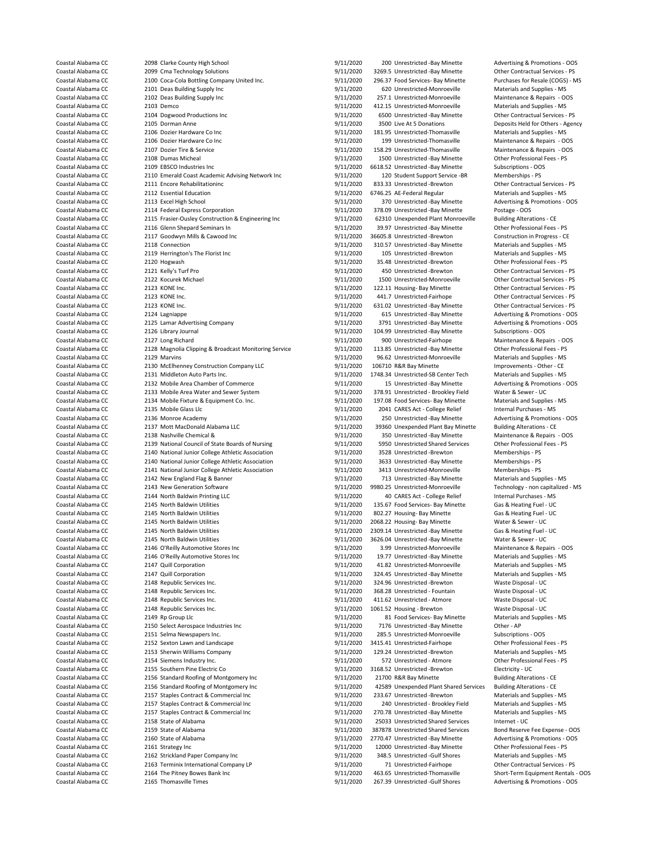Coastal Alabama CC 2098 Clarke County High School 9/11/2020 9/11/2020 200 Unrestricted -Bay Minette Advertising & Promotions - OOS<br>2011/2020 3269.5 Unrestricted -Bay Minette Other Contractual Services - PS Coastal Alabama CC 2099 Cma Technology Solutions 9/11/2020 3269.5 Unrestricted -Bay Minette Contractual Services - PS<br>2009 Coastal Alabama CC 2100 Coca-Cola Bottline Company United Inc. 9/11/2020 296.37 Food Services- Bay Coastal Alabama CC 2100 Coca-Cola Bottling Company United Inc. 9/11/2020 296.37 Food Services- Bay Minette Purchases for Resale (COGS)<br>Coastal Alabama CC 2101 Deas Building Supply Inc. 9/11/2020 5/0 Unrestricted-Monroevill Coastal Alabama CC 2101 Deas Building Supply Inc 9/11/2020 620 Unrestricted-Monroeville Materials and Supplies - MS Coastal Alabama CC 2102 Deas Building Supply Inc 19/11/2020 257.1 Unrestricted-Monroeville Maintenance & Repairs - OOS<br>Coastal Alabama CC 2103 Demco 2003 Demco 19/11/2020 412.15 Unrestricted-Monroeville Materials and Sunnl Coastal Alabama CC 2103 Demco 9/11/2020 412.15 Unrestricted-Monroeville Materials and Supplies - MS Coastal Alabama CC 2104 Dogwood Productions Inc 9/11/2020 6500 Unrestricted -Bay Minette Other Contractual Services - PS Coastal Alabama CC 2105 Dorman Anne 9/11/2020 3500 Live At 5 Donations Deposits Held for Others - Agency Coastal Alabama CC 2106 Dozier Hardware Co Inc Contract Communications of the Sylem and Supplies - MS 2006 Dozier Hardware Co Inc Contract Communications of the Properties of the Contract Contract Contract Contract Contrac Coastal Alabama CC 2106 Dozier Hardware Co Inc 1976 199 11/2020 199 Unrestricted-Thomasville Maintenance & Repairs - OOS Coastal Alabama CC 2107 Dozier Tire & Service 9/11/2020 158.29 Unrestricted-Thomasville Maintenance & Repairs - OOS Coastal Alabama CC 2108 Dumas Micheal 9/11/2020 1500 Unrestricted -Bay Minette Other Professional Fees - PS<br>Coastal Alabama CC 2109 EBSCO Industries Inc 1999 11/2020 6618.52 Unrestricted -Bay Minette Subscriptions - OOS Coastal Alabama CC 2109 EBSCO Industries Inc<br>Coastal Alabama CC 2110 Emerald Coast Academic Advising Network Inc 9/11/2020 120 Student Support Service -BR Memberships - PS Coastal Alabama CC 2110 Emerald Coast Academic Advising Network Inc 9/11/2020 120 Student Support Service -BR Memberships - PS<br>Coastal Alabama CC 2111 Encore Rehabilitationinc by the Student Support Service - PS 9/11/2020 Coastal Alabama Coastal Alabama Coastal Alabama Coastal Alabama Communicationing Communicationing Contractual Services - PS 9/11/2020 833.33 Unrestricted -Brewton Other Contractual Services - PS 9/11/2020 6746.25 AE-Federa Coastal Alabama CC 2112 Essential Education 19/11/2020 6746.25 AE-Federal Regular - Material Regular - Material Regular - Material Regular - Material Regular - Material Regular - MS 2013 Excel High School 19/11/2020 - MS 2 Coastal Alabama CC 2113 Excel High School 97 000 2011/2020 370 Unrestricted -Bay Minette Advertising & Promotions - OOS<br>Coastal Alabama CC 2114 Federal Express Corporation 1991 1991/2020 378.09 Unrestricted -Bay Minette Po Coastal Alabama CC 2114 Federal Express Corporation and the state of the Same of the Postage - 2005<br>Coastal Alabama CC 2115 Frasier-Ousley Construction & Engineering Inc 9/11/2020 62310 Unexpended Plant Monroeville Buildin Coastal Alabama CC 2115 Frasier-Ousley Construction & Engineering Inc 511/2020 62310 Unexpended Plant Monroeville Building Alterations - CE<br>Coastal Alabama CC 2116 Glenn Shepard Seminars In 1990 1990 9/11/2020 39.97 Unrest Coastal Alabama CC 2116 Glenn Shepard Seminars In enterty and the State of the Professional Fees - PS (Coastal Alabama CC 2117 Goodwyn Mills & Cawood Inc enterty and the State of the Professional Fees - PS (Coastal Alabama Coastal Alabama CC 2117 Goodwyn Mills & Cawood Inc 61 19/11/2020 36605.8 Unrestricted -Brewton Constal Alabama CC<br>Coastal Alabama CC 2118 Connection 19/11/2020 310.57 Unrestricted -Bay Minette Coastal Alabama CC 2118 Connection 2011 Connection 9/11/2020 310.57 Unrestricted -Bay Minette Materials and Supplies - MS<br>Coastal Alabama CC 2119 Herrington's The Florist Inc 9/11/2020 105 Unrestricted -Brewton Materials a Coastal Alabama CC 2119 Herrington's The Florist Inc 9/11/2020<br>
Coastal Alabama CC 2120 Hogwash Materials and Supplies - MS 2011/2020 Coastal Alabama CC 2120 Hogwash 2001 12020 35.48 Unrestricted -Brewton Other Professional Fees - PS<br>Coastal Alabama CC 2121 Kelly's Turf Pro Coastal Alabama CC 2121 Kelly's Turf Pro Coastal Alabama CC 2121 Kelly's Turf Pro 19/11/2020 450 Unrestricted -Brewton Other Contractual Services - PS<br>Coastal Alabama CC 2122 Kocurek Michael 19/11/2020 1500 Unrestricted Monroeville Other Contractual Services - P COASTAL ALABAMA COASTAL ALABAMA CONTROLLED 1500 Unrestricted-Monroeville Other Contractual Services - PSINC 011/2020 1500 Unrestricted-Monroeville Other Contractual Services - PSINC 011/2020 122.11 Housing-Bay Minette Coastal Alabama CC 2123 KONE Inc. <br>Coastal Alabama CC 2123 KONE Inc 3/11/2020 122.11 Housing- Bay Minette Other Contractual Services - PS Coastal Coastal Alabama CC 2123 KONE Inc. 9/11/2020 441.7 Unrestricted-Fairhope Other Contractual Services - PS Coastal Alabama CC 2123 KONE Inc. <br>Coastal Alabama CC 2124 Lagnianne 19/11/2020 9/11/2020 615 Unrestricted -Bay Minette Advertising & Promotions Coastal Alabama CC 2125 Lamar Advertising Company 9/11/2020 3791 Unrestricted -Bay Minette Advertising & Promotions - OOS<br>Coastal Alabama CC 2126 Library Journal 2008 Coastal Alabama CC 2126 Library Journal (2008) 2008 104.99 Unrestricted -Bay Minette Subscriptions - OOS<br>Coastal Alabama CC 2127 Long Richard (2008) 200 Unrestricted-Fairhope Maintenance & Repairs - OOS Coastal Alabama CC 2127 Long Richard 9/11/2020 900 Unrestricted-Fairhope Maintenance & Repairs - OOS Coastal Alabama CC 2128 Magnolia Clipping & Broadcast Monitoring Service 9/11/2020 113.85 Unrestricted -Bay Minette Other Professional Fees - PS<br>Coastal Alabama CC 2129 Marvins 1000 113.85 Unrestricted -Monroeville Montroe Coastal Alabama CC 2129 Marvins 2009 Marvins 9/11/2020 96.62 Unrestricted-Monroeville Materials and Supplies - MS<br>Coastal Alabama CC 2130 McElhenney Construction Company LLC 9/11/2020 106710 R&R Bay Minette Monroeville Mat Coastal Alabama CC 2130 McElhenney Construction Company LLC 9/11/2020 106710 R&R Bay Minette Improvements - Other - CE<br>Coastal Alabama CC 2131 Middleton Auto Parts Inc. 1999 11/2020 1748.34 Unrestricted-SB Center Tech Mate Coastal Alabama CC 2132 Mobile Area Chamber of Commerce 9/11/2020 15 Unrestricted -Bay Minette Advertising & Promotions - OOS<br>Coastal Alabama CC 2133 Mobile Area Water and Sewer System 9/11/2020 378.91 Unrestricted - Brook Coastal Alabama CC 2133 Mobile Area Water and Sewer System 9/11/2020 378.91 Unrestricted - Brookley Field Water & Sewer - UC<br>Coastal Alabama CC 2134 Mobile Fixture & Equipment Co. Inc. 9/11/2020 197.08 Food Services- Bay M Coastal Alabama CC 2134 Mobile Fixture & Equipment Co. Inc. 9/11/2020 197.08 Food Services- Bay Minette Materials and Supplies - MS 2011/2020 197.08 Food Services- Bay Minette Materials and Supplies - MS 2011/2020 197.08 F Coastal Alabama CC 2135 Mobile Glass Llc 9/11/2020 2041 CARES Act - College Relief Internal Purchases - MS<br>Coastal Alabama CC 2136 Monroe Academy 19/11/2020 250 Unrestricted - Bay Minette Advertising & Promotions - OOS Coastal Alabama CC 2136 Monroe Academy 9/11/2020 250 Unrestricted -Bay Minette Advertising & Promotion<br>Coastal Alabama CC 2137 Mott MacDonald Alabama LLC 9/11/2020 39360 Unexpended Plant Bay Minette Building Alterations - Coastal Alabama CC 2137 Mott MacDonald Alabama LLC 39/11/2020 39360 Unexpended Plant Bay Minette Building Alterations - CE<br>2138 Nashville Chemical & 30 Coastal Alabama LLC 9/11/2020 350 Unrestricted -Bay Minette Maintenanc Coastal Alabama CC 2138 Nashville Chemical & 9/11/2020 350 Unrestricted -Bay Minette Maintenance & Repairs - O<br>Coastal Alabama CC 2139 National Council of State Boards of Nursing 9/11/2020 5950 Unrestricted Shared Services Coastal Alabama CC 2139 National Council of State Boards of Nursing 9/11/2020 5950 Unrestricted Shared Services Other Professiona<br>Coastal Alabama CC 2140 National Junior College Athletic Association 9/11/2020 3528 Unrestri Coastal Alabama CC 2140 National Junior College Athletic Association 9/11/2020 3528 Unrestricted -Brewton Memberships - PS<br>Coastal Alabama CC 2140 National Junior College Athletic Association 9/11/2020 3633 Unrestricted -B Coastal Alabama CC 2140 National Junior College Athletic Association 9/11/2020 3633 Unrestricted -Bay Minette Memberships - PS<br>Coastal Alabama CC 2141 National Junior College Athletic Association 9/11/2020 3413 Unrestricte Coastal Alational Junior College Athletic Association 9/11/2020 3/11/2020 3413 Unrestricted-Monroeville Memberships - PS 411/2020 3413 Unrestricted-Monroeville Memberships - PS 411/2020 3413 Unrestricted-Monroeville Member Coastal Alabama CC 2142 New England Flag & Banner 9/11/2020 713 Unrestricted -Bay Minette Materials and Supplies - MS<br>Coastal Alabama CC 2143 New Generation Software 9/11/2020 9980.25 Unrestricted Monroeville Technology - Coastal Alabama CC 2143 New Generation Software 1980 19980.25 Unrestricted-Monroeville Technology - non capitalized - MS<br>Coastal Alabama CC 2144 North Baldwin Printine LLC 1998 19/11/2020 9980.25 Unrestricted-Monroeville I Coastal Alabama CC 2144 North Baldwin Printing LLC 1990 19/11/2020 40 CARES Act - College Relief Internal Purchases - MS<br>Coastal Alabama CC 2145 North Baldwin Utilities 1999 11/2020 135.67 Food Services- Bay Minette Gas & Coastal Alabama CC 2145 North Baldwin Utilities 1998 11/2020 802.27 Housing- Bay Minette Gas & Heating Fuel - UC Coastal Alabama CC 2145 North Baldwin Utilities 3000 10068.22 Housing- Bay Minette Water & Sewer - UC Coastal Alabama CC Coastal Alabama CC 2145 North Baldwin Utilities 19/11/2020 2309.14 Unrestricted -Bay Minette Gas & Heating Fuel - UC Coastal Alabama CC 2145 North Baldwin Utilities and the Sewer - UC 3626.04 Unrestricted -Bay Minette Water & Sewer - UC 2146 O'Reilly Automotive Stores Inc 3/11/2020 3.99 Unrestricted -Monroeville Maintenance & Repairs - O Coastal Alabama CC 2146 O'Reilly Automotive Stores Inc 19/11/2020 3.99 Unrestricted-Monroeville Maintenance & Repairs - OC 2146 O'Reilly Automotive Stores Inc 19/11/2020 3.99 Unrestricted-Bay Minette Materials and Supplies Coastal Alabama CC 2146 O'Reilly Automotive Stores Inc 1990 19/11/2020 19.77 Unrestricted -Bay Minette Automotive Stores Inc 1990 19/11/2020 19.77 Unrestricted -Bay Minette Automotive Stores Inc 19/11/2020 41.82 Unrestrict Coastal Alabama CC 2147 Quill Corporation 9/11/2020 41.82 Unrestricted-Monroeville Materials and Supplies - MS Coastal Alabama CC 2147 Quill Corporation 19/11/2020 324.45 Unrestricted -Bay Minette Materials and Supplies -<br>Coastal Alabama CC 2148 Republic Services Inc. 1999 11/2020 324.96 Unrestricted -Brewton Waste Disposal - UC Coastal Alabama CC 2148 Republic Services Inc. <br>2148 Republic Services Inc. 1999 11/2020 368.28 Unrestricted - Fountain Waste Disposal - UC Coastal Alabama CC Coastal Alabama CC 2148 Republic Services Inc. 2008 1201 1201/2020 411.62 Unrestricted - Atmore Waste Disposal - UC<br>2148 Republic Services Inc. 2008 2008 105 9/11/2020 1061.52 Housing - Brewton Waste Disposal - UC Coastal Alabama CC 2148 Republic Services Inc. <br>
Coastal Alabama CC 2149 Rp Group Llc<br>
2011/2020 81 Food Services- Bay Minette Materials and Supplies - MS Coastal Alabama CC 2149 Rp Group Llc 9/11/2020 81 Food Services- Bay Minette Materials and Supplies 12150 Select Aerospace Industries inc 9/11/2020 7176 Unrestricted -Bay Minette Other - AP Coastal Alabama CC 2150 Select Aerospace Industries Inc 19/11/2020 7176 Unrestricted -Bay Minette 19/ther - AP<br>Coastal Alabama CC 2151 Selma Newspapers Inc. 1999 11/2020 285.5 Unrestricted Monroeville Subscriptions - OOS Coastal Alabama CC 2151 Selma Newspapers Inc. 99/11/2020 285.5 Unrestricted-Monroeville Subscriptions - OOS<br>Coastal Alabama CC 2152 Sexton Lawn and Landscape 19/11/2020 3415.41 Unrestricted-Fairhope 19/ther Professional Fe 2152 Sexton Lawn and Landscape Coastal Alabama CC 2153 Sherwin Williams Company 19/11/2020 129.24 Unrestricted -Brewton Materials and Supplies - MS<br>Coastal Alabama CC 2154 Siemens Industry Inc. 1998 1998 11/2020 129.24 Unrestricted - Atmore 2154 Siemens Coastal Alabama CC 2154 Siemens Industry Inc. 9/11/2020 572 Unrestricted - Atmore Other Professional Fees - PS Coastal Alabama CC 2155 Southern Pine Electric Co 9/11/2020 3168.52 Unrestricted -Brewton Electricity - UC<br>Coastal Alabama CC 2156 Standard Roofing of Montgomery Inc 9/11/2020 31700 R&R Bay Minette Ruilding Alterat Coastal Alabama CC 2156 Standard Roofing of Montgomery Inc 9/11/2020 21700 R&R Bay Minette Building Alterations - CE<br>2156 Standard Roofing of Montgomery Inc 9/11/2020 42589 Unexpended Plant Shared Services Building Alterat Coastal Alabama CC 2156 Standard Roofing of Montgomery Inc 9/11/2020 42589 Unexpended Plant Shared Services Building Alterations - CE Coastal Alabama CC 2157 Staples Contract & Commercial Inc 9/11/2020 233.67 Unrestricted -Brewton Materials and Supplies - MS Coastal Alabama CC 2157 Staples Contract & Commercial Inc 9/11/2020 240 Unrestricted - Brookley Field Materials and Supplies - MS Coastal Alabama CC 2157 Staples Contract & Commercial Inc 9/11/2020 270.78 Unrestricted -Bay Minette Materials and Supplies - MS Coastal Alabama CC 2158 State of Alabama 9/11/2020 25033 Unrestricted Shared Services Internet - UC Coastal Alabama CC 2159 State of Alabama 2008 19/11/2020 387878 Unrestricted Shared Services Bond Reserve Fee Expense - OOS<br>2160 State of Alabama 2008 11/2020 2770.47 Unrestricted - Bay Minette Advertising & Promotions - O Coastal Alabama CC 2161 Strategy Inc 2161 Strategy Inc 2162 Strategy Inc 3/11/2020 12000 Unrestricted -Bay Minette Dther Professional Fees - PS<br>Coastal Alabama CC 2162 Strickland Paper Company Inc 31 9/11/2020 348.5 Unrest Coastal Alabama CC 2162 Strickland Paper Company Inc 9/11/2020<br>
Coastal Alabama CC 2163 Terminix International Company LP 9/11/2020 Coastal Alabama CC 2163 Terminix International Company LP 9/11/2020 71 Unrestricted-Fairhope Other Contractual Services - PS<br>Coastal Alabama CC 2164 The Pitney Bowes Bank Inc<br>
Coastal Alabama CC 2164 The Pitney Bowes Bank

1748.34 Unrestricted-SB Center Tech 135.67 Food Services- Bay Minette 9/11/2020 368.28 Unrestricted - Fountain 2770.47 Unrestricted -Bay Minette Coastal Alabama CC 2164 The Pitney Bowes Bank Inc 19/11/2020 463.65 Unrestricted-Thomasville Short-Term Equipment Rentals - OOS<br>Coastal Alabama CC 2165 Thomasville Times 19/11/2020 9/11/2020 267.39 Unrestricted -Gulf Shore 9/11/2020 267.39 Unrestricted -Gulf Shores Advertising & Promotions - OOS

Advertising & Promotions - OOS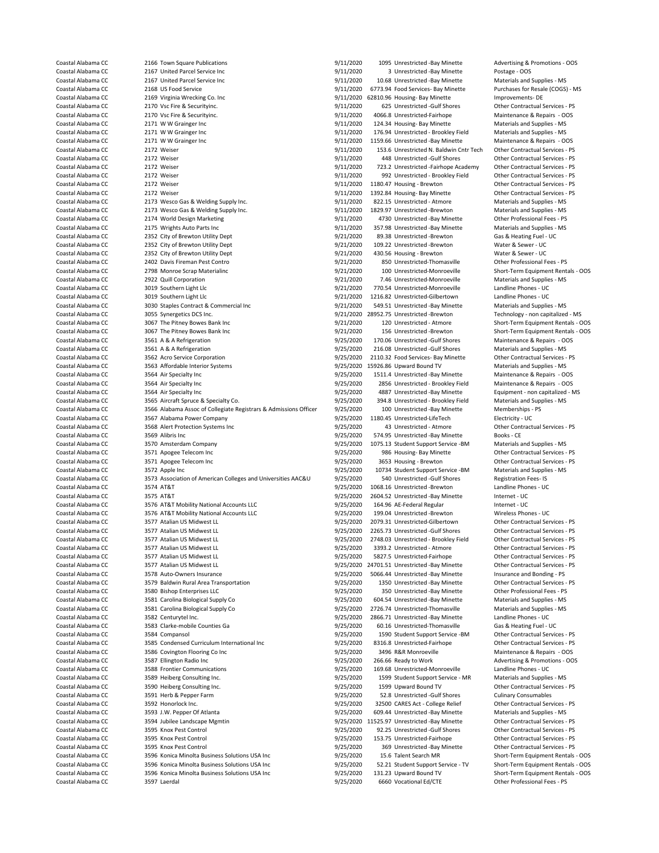Coastal Alabama CC 2166 Town Square Publications 1005 1000 1095 Unrestricted -Bay Minette Advertising & Promotions - OOS<br>
2167 United Parcel Service Inc 1005 1000 11/2020 3 Unrestricted -Bay Minette Postage - OOS Coastal Alabama CC 2167 United Parcel Service Inc<br>
Coastal Alabama CC 2167 United Parcel Service Inc 1000 000 9/11/2020 10.68 Unrestricted -Bay Minette Materials and Supplies - MS Coastal Alabama CC 2167 United Parcel Service Inc 9/11/2020 10.68 Unrestricted -Bay Minette Materials and Supplies - MS Coastal Alabama CC 2168 US Food Service 1 2000 Service 9/11/2020 6773.94 Food Services- Bay Minette Coastal Alabama CC 2169 Virginia Wrecking Co. Inc 1 2000 1 2000 - MS 2000 - MS 2000 - MS 2000 - MS 2000 - MS 2000 - MS 200 Coastal Alabama CC 2169 Virginia Wrecking Co. Inc 1991 11/2020 62810.96 Housing- Bay Minette Improvements- DE<br>Coastal Alabama CC 2170 Vsc Fire & Securityinc 1991 11/2020 625 Unrestricted Gulf Shores Other Contractual Str Coastal Alabama CC 2170 Vsc Fire & Securityinc. 9/11/2020 625 Unrestricted -Gulf Shores Other Contractual Services - PS Coastal Alabama CC 2170 Vsc Fire & Securityinc. 9/11/2020 4066.8 Unrestricted-Fairhope Maintenance & Repairs - OOS Coastal Alabama CC 2171 W W Grainger Inc 3000 100 1000 124.34 Housing- Bay Minette Materials and Supplies - MS Coastal Alabama CC 2171 W W Grainger Inc  $9/11/2020$  176.94 Unrestricted - Brookley Field Materials and Supplies - MS<br>Coastal Alabama CC 2171 W W Grainger Inc  $9/11/2020$  1159.66 Unrestricted - Bay Minette Maintenance & Re Coastal Alabama CC 2171 W W Grainger Inc CONTENT 1159.66 Unrestricted -Bay Minette Maintenance & Repairs - OOS<br>Coastal Alabama CC 2172 Weiser 25 PS (11/2020 153.6 Unrestricted N. Baldwin Cntr Tech Other Contractual Service Coastal Alabama CC 2172 Weiser 2007 153.6 Unrestricted N. Baldwin Cntr Tech Other Contractual Services - PS11/2020 153.6 Unrestricted N. Baldwin Cntr Tech Other Contractual Services - PS11/2020 153.6 Unrestricted - Gulf Sh Coastal Alabama CC 2172 Weiser 2002 2008 12 000 11/2020 448 Unrestricted -Gulf Shores Other Contractual Services - PS<br>2172 Weiser 2008 1212 Weiser 19/11/2020 723.2 Unrestricted -Fairhope Academy Other Contractual Services Coastal Alabama CC 2172 Weiser 2002 2003 123.2 Unrestricted -Fairhope Academy Other Contractual Services - PS<br>Coastal Alabama CC 2172 Weiser 2003 2003 123.2 Unrestricted - Rrookley Field Other Contractual Services - PS Coastal Alabama CC 2172 Weiser 2007 Coastal Alabama CC 2172 Weiser 9/11/2020 992 Unrestricted - Brookley Field<br>
2172 Weiser 2008 Contractual Services - PS/11/2020 1180.47 Housing - Brewton Coastal Alabama Coastal Alabama Coastal Alabama Coastal Alabama Computer 9/11/2020 1180.47 Housing - Brewton Computer Contractual Services - PS<br>2172 Weiser Contractual Services - PS (11/2020 1392.84 Housing - Bay Minette C Coastal Alabama CC 2172 Weiser 2172 Weiser 9/11/2020 1392.84 Housing- Bay Minette Other Contractual Services - PS<br>Coastal Alabama CC 2173 Wesco Gas & Welding Supply Inc. 19/11/2020 822.15 Unrestricted - Atmore Materials an Coastal Alabama CC 2173 Wesco Gas & Welding Supply Inc. <br>Coastal Alabama CC 2173 Wesco Gas & Welding Supply Inc. 6. The Supplies - MS 2011/2020 1829.97 Unrestricted -Brewton Materials and Supplies - MS Coastal Alabama CC 2173 Wesco Gas & Welding Supply Inc. <br>Coastal Alabama CC 2174 World Design Marketing 1991 1/2020 9/11/2020 4730 Unrestricted -Bay Minette 1991 Other Professional Fees - PS Coastal Alabama CC 2174 World Design Marketing and the Coastal Alabama CC 2175 Wrights Auto Parts Inc Coastal Fees - PS 2175 Wrights Auto Parts Inc Coastal Parts 1/2020 4730 Unrestricted -Bay Minette Materials and Supplies Coastal Alabama CC 2175 Wrights Auto Parts Inc 9/11/2020 357.98 Unrestricted -Bay Minette Materials and Supplies<br>Coastal Alabama CC 2352 City of Brewton Utility Dent 9/21/2020 9/21/2020 89.38 Unrestricted -Brewton Gas & He Coastal Alabama CC 2352 City of Brewton Utility Dept 9/21/2020 89.38 Unrestricted -Brewton Gas & Heating Fuel<br>Coastal Alabama CC 2352 City of Brewton Utility Dept 9/21/2020 9/21/2020 109.22 Unrestricted -Brewton Water & Se Coastal Alabama CC 2352 City of Brewton Utility Dept 9/21/2020 109.22 Unrestricted -Brewton Water & Sewer - UC<br>Coastal Alabama CC 2352 City of Brewton Utility Dept 9/21/2020 430.56 Housing - Brewton Water & Sewer - UC Coastal Alabama CC 2352 City of Brewton Utility Dept 9/21/2020<br>
Coastal Alabama CC 2402 Davis Fireman Pest Contro - 9/21/2020 Coastal Alabama CC 2402 Davis Fireman Pest Contro 19/21/2020 850 Unrestricted-Thomasville Conter Professional Fees - PS<br>Coastal Alabama CC 2798 Monroe Scrap Materialinc 19/21/2020 100 Unrestricted-Monroeville Short-Term Eq Coastal Alabama CC 2798 Monroe Scrap Materialinc 9/21/2020 100 Unrestricted-Monroeville Short-Term Equipment Rentals - OOS Coastal Alabama CC 3019 Southern Light Llc 9/21/2020 9/21/2020 770.54 Unrestricted-Monroeville Landline Phones - UC Coastal Alabama CC 3019 Southern Light Llc 9/21/2020 1216.82 Unrestricted-Gilbertown Landline Phones - UC<br>Coastal Alabama CC 3030 Staples Contract & Commercial Inc 9/21/2020 549.51 Unrestricted -Bay Minette Materials and S Coastal Alabama CC 3030 Staples Contract & Commercial Inc 9/21/2020 549.51 Unrestricted -Bay Minette Materials and Supplies - MS<br>Coastal Alabama CC 3055 Synergetics DCS Inc. 9/21/2020 9/21/2020 28952.75 Unrestricted -Brewt Coastal Alabama CC 3067 The Pitney Bowes Bank Inc 300 100 120 120 Unrestricted - Atmore Short-Term Equipment Rentals - OOS<br>2011/2020 156 Unrestricted - Republic Atmosfers Short-Term Equipment Rentals - OOS 156 Unrestricted Coastal Alabama CC 3067 The Pitney Bowes Bank Inc 9/21/2020 156 Unrestricted -Brewton Short-Term Equipment Rentals - OOS<br>Coastal Alabama CC 3561 A & A Refrigeration 9/25/2020 170.06 Unrestricted -Gulf Shores Maintenance & Coastal Alabama CC 3561 A & A Refrigeration 3562 A Refrigeration 3562 A Refrigeration 3562 A Refrigeration 9/25/2020 216.08 Unrestricted -Gulf Shores Materials and Supplies - MS<br>Coastal Alabama CC 3562 Acro Service Corpora Coastal Alabama CC 3562 Acro Service Corporation 9/25/2020 2110.32 Food Services- Bay Minette Other Contractual Services - PS Coastal Alabama CC 3563 Affordable Interior Systems 6 1993 1595/2020 15926.86 Upward Bound TV 10 Materials and Supplies - MS<br>2006 1511.4 Unrestricted - Bay Minette Maintenance & Repairs - OOS Coastal Alabama CC 3564 Air Specialty Inc 9/25/2020 2856 Unrestricted - Brookley Field Maintenance & Repairs - O<br>Coastal Alabama CC 3564 Air Specialty Inc 9/25/2020 4887 Unrestricted - Bay Minette Coastal Alabama CC 3564 Air Specialty Inc 1975 And 1975/2020 4887 Unrestricted -Bay Minette Equipment - non capitalized - MS<br>Coastal Alabama CC 3565 Aircraft Spruce & Specialty Co. 1995/2020 394.8 Unrestricted - Brookley F Coastal Alabama CC 3565 Aircraft Spruce & Specialty Co. 6 9/25/2020 394.8 Unrestricted - Brookley Field Materials and Sup<br>Coastal Alabama CC 3566 Alabama Assoc of Collegiate Registrars & Admissions Officer 9/25/2020 100 Un Coastal Alabama CC 3566 Alabama Assoc of Collegiate Registrars & Admissions Officer 9/25/2020 100 Unrestricted -Bay Minette Memberships -<br>Coastal Alabama CC 3567 Alabama Power Company - 9/25/2020 1180.45 Unrestricted LifeT Coastal Alabama CC 3567 Alabama Power Company 19/25/2020 1180.45 Unrestricted-LifeTech Electricity - UC<br>Coastal Alabama CC 3568 Alert Protection Systems Inc 19/25/2020 43 Unrestricted - Atmore 19/25/2020 1180.43 Unrestrict Coastal Alabama CC 3568 Alert Protection Systems Inc 19/25/2020 43 Unrestricted - Atmore Contractual Alabama CC<br>Coastal Alabama CC 3569 Alibris Inc 19/25/2020 574.95 Unrestricted - Books - PS Alabama CC 3569 Alibris Inc Coastal Alabama CC 3569 Alibris Inc 3569 Alibris Inc 9/25/2020 574.95 Unrestricted -Bay Minette Books - CE<br>Coastal Alabama CC 3570 Amsterdam Company 1995 1995/2020 1075.13 Student Support Service -BM Materials and Supplies Coastal Alabama CC 3570 Amsterdam Company 19925/2020 1075.13 Student Support Service -BM Materials and Supplies -BM<br>Coastal Alabama CC 3571 Apogee Telecom Inc 19925/2020 986 Housing- Bay Minette Coastal Alabama CC 3571 Apogee Telecom Inc and the Same of the Same of the Same of the Same Minette of the Contractual Services - PS Coastal Alabama CC 3571 Apogee Telecom Inc and the Same of the Same of the Same of the Co Coastal Alabama CC 3571 Apogee Telecom Inc and the Same of the Sanda Coastal Alabama CC 3572 Apple Inc 3572 Apple Inc and Services - PS 9/25/2020 3653 Housing - Brewton Other Contractual Services - PS 9/25/2020 10734 Stude Coastal Alabama CC 3573 Association of American Colleges and Universities AAC&U 9/25/2020 540 Unrestricted -Gulf Shores Registration Fees- IS<br>Coastal Alahama CC 3574 AT&T 3524 AT&T (1998) 76/2020 9/25/2020 1068 16 Unrestri Coastal Alabama CC 3574 AT&T 9/25/2020 1068.16 Unrestricted -Brewton 3574 AT&T 9/25/2020 1068.16 Unrestricted -Brewton Landline Phones - UCAS AT&T 9/25/2020 2604.52 Unrestricted -Bay Mine Coastal Alabama CC 3575 AT&T 3575 AT&T 9/25/2020 2604.52 Unrestricted -Bay Minette Internet - UC<br>Coastal Alabama CC 3576 AT&T Mobility National Accounts LLC 9/25/2020 164.96 AF-Federal Regular Internet - UC 3576 AT&T Mobility National Accounts LLC 3576 AT&T 9/25/2020 164.96 AE-Federal Regular Internet - UC Coastal Alabama CC 3576 AT&T Mobility National Accounts LLC 9/25/2020 199.04 Unrestricted -Brewton Wireless Phones - UC Coastal Alabama CC 3577 Atalian US Midwest LL 9/25/2020 2079.31 Unrestricted-Gilbertown Other Contractual Services - PS Coastal Alabama CC 3577 Atalian US Midwest LL 9/25/2020 2265.73 Unrestricted -Gulf Shores Other Contractual Services - PS Coastal Alabama CC 3577 Atalian US Midwest LL 19925/2020 2748.03 Unrestricted - Brookley Field Other Contractual Services - PS<br>26 Coastal Alabama CC 3577 Atalian US Midwest LL 19925/2020 3393.2 Unrestricted - Atmore Other Coastal Alabama CC 3577 Atalian US Midwest LL 9/25/2020 3393.2 Unrestricted - Atmore Other Contractual Services - PS 2014 01: 0 01: 0 01: 0 01: 0 01: 0 01: 0 01: 0 01: 0 01: 0 01: 0 01: 0 01: 0 01: 0 01: 0 01: 0 01: 0 01: Coastal Alabama CC 3577 Atalian US Midwest LL 1977 Coastal Alabama CC 3577 Atalian US Midwest LL 1975/2020 5827.5 Unrestricted-Fairhope Other Contractual Services - PS<br>Coastal Alabama CC 3577 Atalian US Midwest LL 1975/202 Coastal Alabama CC 3577 Atalian US Midwest LL 9/25/2020 24701.51 Unrestricted -Bay Minette Coastal Alabama CC<br>Coastal Alabama CC 3578 Auto-Owners Insurance - PS 25/2020 5066.44 Unrestricted -Bay Minette Coastal Alabama CC 3578 Auto-Owners Insurance 19/25/2020 5066.44 Unrestricted -Bay Minette Insurance and Bonding - PS<br>Coastal Alabama CC 3579 Baldwin Rural Area Transportation 19/25/2020 1350 Unrestricted -Bay Minette Othe Coastal Alabama CC 3579 Baldwin Rural Area Transportation<br>
2580 Bishop Enterprises LLC<br>
3580 Bishop Enterprises LLC Coastal Alabama CC 3580 Bishop Enterprises LLC 9/25/2020 350 Unrestricted -Bay Minette Other Professional Fees - PS Coastal Alabama CC 3581 Carolina Biological Supply Co 9/25/2020 604.54 Unrestricted -Bay Minette Materials and Supplies - MS Coastal Alabama CC 3581 Carolina Biological Supply Co 9/25/2020 2726.74 Unrestricted -Thomasville Coastal Alabama CC 3581 Carolina Biological Supply Co 9/25/2020 2726.74 Unrestricted-Thomasville Materials and Supplie<br>Coastal Alabama CC 3582 Centurytel Inc. Costal Alabama CO 9/25/2020 2866.71 Unrestricted -Bay Minette L Coastal Alabama CC 3582 Centurytel Inc. 9/25/2020 2866.71 Unrestricted -Bay Minette Landline Phones - UC Coastal Alabama CC 3583 Clarke-mobile Counties Ga 9/25/2020<br>
Coastal Alabama CC 3584 Compansol<br>
9/25/2020 Coastal Alabama CC 3584 Compansol 3584 Compansol 9/25/2020 1590 Student Support Service -BM Other Contractual Services - PS<br>Coastal Alabama CC 3585 Condensed Curriculum International Inc 9/25/2020 8316.8 Unrestricted-Fairh 3585 Condensed Curriculum International Inc Coastal Alabama CC 3586 Covington Flooring Co Inc 6 100 mm = 9/25/2020 3496 R&R Monroeville Maintenance & Repairs - OOS<br>Coastal Alabama CC 3587 Ellington Radio Inc 6 100 mm = 9/25/2020 9/25/2020 266.66 Ready to Work 6 4 Ad Coastal Alabama CC 3587 Ellington Radio Inc 9/25/2020 266.66 Ready to Work Advertising & Promotions - OOS Coastal Alabama CC 3588 Frontier Communications and the State of the State of the State of the State of the State of the State of the State of the Phones - UC<br>Coastal Alabama CC 3589 Heiberg Consulting Inc Coastal Alabama CC 3589 Heiberg Consulting Inc. 1997 1992 1592 1599 Student Support Service - MR Materials and Supplies - MS<br>Coastal Alabama CC 3590 Heiberg Consulting Inc. 1998 1995/2000 1599 Unward Bound TV Contractual S Coastal Alabama CC 3590 Heiberg Consulting Inc. 9/25/2020 1599 Upward Bound TV Other Contractual Services - PS Coastal Alabama CC 3591 Herb & Pepper Farm 9/25/2020 52.8 Unrestricted -Gulf Shores Culinary Consumables Coastal Alabama CC 3592 Honorlock Inc. 9/25/2020 32500 CARES Act - College Relief Other Contractual Services - PS Coastal Alabama CC 3593 J.W. Pepper Of Atlanta 19/25/2020 609.44 Unrestricted -Bay Minette Materials and Supplies - MS Coastal Alabama CC 3594 Jubilee Landscape Mgmtin 9/25/2020 11525.97 Unrestricted -Bay Minette Other Contractual Services - PS Coastal Alabama CC 3595 Knox Pest Control 19/25/2020 92.25 Unrestricted -Gulf Shores Other Contractual Services - PS<br>25/2020 153.75 Unrestricted -Fairhope Other Contractual Services - PS Coastal Alabama CC 3595 Knox Pest Control 9/25/2020 369 Unrestricted -Bay Minette Other Contractual Services - PS<br>Coastal Alabama CC 3596 Konica Minolta Business Solutions USA Inc 9/25/2020 15.6 Talent Search MR Short-Term Coastal Alabama CC 3596 Konica Minolta Business Solutions USA Inc 9/25/2020 15.6 Talent Search MR Short-Term Equipment Rentals - OOS<br>Coastal Alabama CC 3596 Konica Minolta Business Solutions USA Inc 9/25/2020 52.21 Student Coastal Alabama CC 3596 Konica Minolta Business Solutions USA Inc 9/25/2020 52.21 Student Support Service - TV Short-Term Equipment Rentals - OOS<br>2015/2020 131.23 Upward Bound TV Short-Term Equipment Rentals - OOS

G/21/2020 28952.75 Unrestricted -Brewton 170.06 Unrestricted -Gulf Shores Coastal Alabama Coastal Alabama COS 351.4 Unrestricted -Bay Minette Maintenance & Repairs - OOS<br>2025 1912. Maintenance & Repairs - OOS 10734 Student Support Service - BM Coastal Alabama CC 3596 Konica Minolta Business Solutions USA Inc 9/25/2020 131.23 Upward Bound TV Short-Term Equipment Rentals - Occastal Alabama CC 3597 Laerdal SSP7 Laerdal **Communist Communist Communist Communist Communist Communist Communist Communist Communist Communist Communist Communist Communist Communist Communist Communist Communist Communist Communist Communist Communis** 

Materials and Supplies - MS Other Contractual Services - PS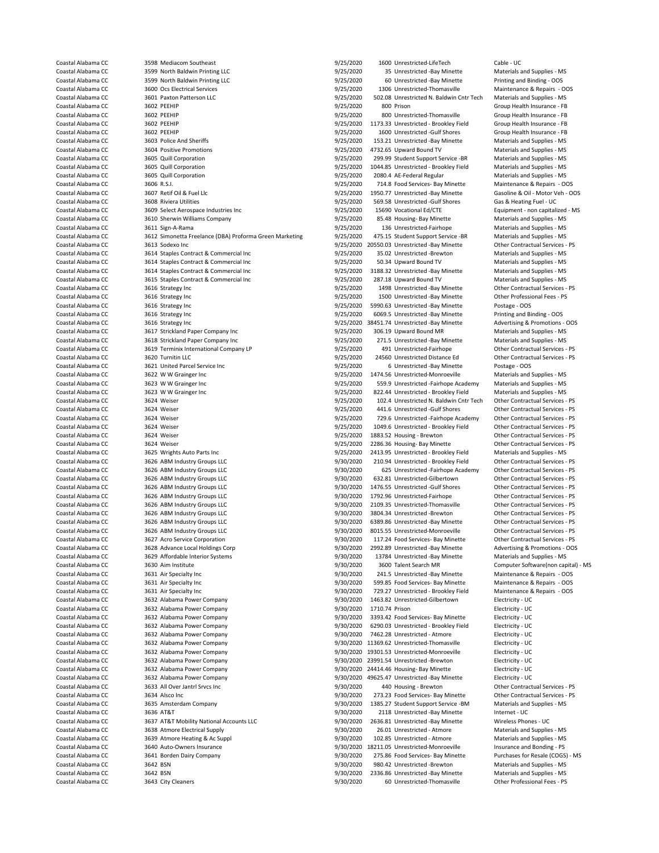Coastal Alabama CC 3603 Police And Sheriffs 3000 100 153.21 Unrestricted -Bay Minette - Materials and Supplies - Materials - Materials - Materials and Supplies - Materials - Materials - Materials - Materials - MSS - MSS - Coastal Alabama CC 3605 Quill Corporation 9000 1044.85 Unrestricted - Brookley Field Coastal Alabama CC 3605 Quill Corporation 4000 1044.85 Unrestricted - Brookley Field Materials and Supplies - MS 2001 4 Supplies - MS 200 Coastal Alabama Coastal Alabama CC 3606 R.S.I. 9/25/2020 714.8 Food Services- Bay Minette Maintenance Association A<br>COMPOSITION - OCS 25/2020 1950.77 Unrestricted -Bay Minette Coastal Alabama CC 3608 Riviera Utilities 3608 Book and the Search State 19/25/2020 569.58 Unrestricted -Gulf Shores Gas Andres Gas Andres Gas Andres Gas Andres Gas Andres Gas Andres Coastal Alabama CC 3609 Select Aerospac Coastal Alabama CC 3612 Simonetta Freelance (DBA) Proforma Green Marketing 9/25/2020 475.15 Student Support Service -E<br>Coastal Alabama CC 3613 Sodexo Inc 3615 Staples Contract & Commercial Inc 3616 Strategy Inc 3618 Strickland Paper Company Inc Coastal Alabama CC 3624 Weiser 9/25/2020 1049.6 Unrestricted - Brookley Field Coastal Alabama CC 3624 Weiser 6000 1049.6 Unrestricted - Brookley Field Contractual Services - PS 624 Weiser 6000 1083.52 Services - PS 625/202 Coastal Alabama CC 3629 Affordable Interior Systems 9/30/2020 13784 Unrestricted -Bay Minette - Materials and Supplies - Materials and Supplies - Materials and Supplies - Materials - Materials and Supplies - MS 0.0 Talent Coastal Air Specialty Inc 3631 Air Specialty Inc 9/30/2020 729.27 Unrestricted - Brookley Field 3639 Atmore Heating & Ac Suppl Coastal Alabama CC 3641 Borden Dairy Company 19/30/2020 275.86 Food Services- Bay Minette Coastal Alabama CC 3642 BSN

Coastal Alabama CC 3598 Mediacom Southeast 300 1 1600 Unrestricted-LifeTech Cable - UC<br>Coastal Alabama CC 3599 North Baldwin Printing LLC 300 19/25/2020 35 Unrestricted -Bay Minette Materials and Supplies - MS Coastal Alabama CC 3599 North Baldwin Printing LLC 1992 States and Supplies - Materials and Supplies - M<br>Coastal Alabama CC 3599 North Baldwin Printing LLC 19/25/2020 9/25/2020 60 Unrestricted -Bay Minette Printing and Bin Coastal Alabama CC 3599 North Baldwin Printing LLC 300 100 9/25/2020 60 Unrestricted -Bay Minette Printing and Binding - OOS<br>Coastal Alabama CC 3600 Ocs Electrical Services 300 Coastal Alabama CC 3600 Ocs Electrical Servic Coastal Alabama CC 3600 Ocs Electrical Services 9/25/2020 1306 Unrestricted-Thomasville Maintenance & Repairs - OOS Coastal Alabama CC 3601 Paxton Patterson LLC 300 100 100 9/25/2020 502.08 Unrestricted N. Baldwin Cntr Tech Materials and Supplies - MS<br>Coastal Alabama CC 3602 PEEHIP 3602 PEEHIP Coastal Alabama CC and 3602 PEEHIP 9/25/2020 9/25/2020 800 Prison Group Health Insurance - FBC 9/25/2020 9/25/2020 9/25/2020 9/25/2020 9/25/2020 9/25/2020 9/25/2020 9/25/2020 9/25/2020 9/25/2020 9/25/2020 9/25/2020 9/25/20 Coastal Alabama CC 3602 PEEHIP 9/25/2020 800 Unrestricted-Thomasville Group Health Insurance - FB Coastal Alabama CC 3602 PEEHIP 9/25/2020 1173.33 Unrestricted - Brookley Field Group Health Insurance - FB Coastal Alabama CC 3602 PEEHIP 3602 PEEHIP 9/25/2020 1600 Unrestricted -Gulf Shores Group Health Insurance - FB<br>Coastal Alabama CC 3603 Police And Sheriffs 3603 Police And Sheriffs 360 Coastal Alabama CC 3603 Police And St Coastal Alabama CC 3604 Positive Promotions and Supplies - MS 9/25/2020 4732.65 Upward Bound TV Materials and Supplies - MS 25/2020 199.99 Student Support Service - BR Materials and Supplies - MS 25/2020 199.99 Student Sup Coastal Alabama CC 3605 Quill Corporation 3605 Coastal Alabama CC 3605 Quill Corporation 3605 Quill Corporation<br>Coastal Alabama CC 3605 Quill Corporation 3605 Coastal Alabama 2025/2020 1044.85 Unrestricted - Brookley Field Coastal Alabama CC 3605 Quill Corporation 9/25/2020 2080.4 AE-Federal Regular Materials and Supplies - MS Coastal Alabama CC 3607 Retif Oil & Fuel Llc 300 Fuel Lic 300 September 2025/2020 1950.77 Unrestricted -Bay Minette 3001-Motor Veh - OOS<br>1925/2020 569.58 Unrestricted -Gulf Shores Gas & Heating Fuel - UC 360 Riviera Utilit Coastal Alabama CC 3609 Select Aerospace Industries Inc 9000 15690 Vocational Ed/CTE Equipment - non capitalized - MS<br>Coastal Alabama CC 3610 Sherwin Williams Company 1995/200 9/25/2020 85.48 Housing-Bay Minette Materials Coastal Alabama CC 3610 Sherwin Williams Company 19/25/2020 85.48 Housing- Bay Minette Materials and Supplies - MS<br>Coastal Alabama CC 3611 Sign-A-Rama 19/25/2020 9/25/2020 136 Unrestricted-Fairhope Materials and Supplies -Coastal Alabama CC 3611 Sign-A-Rama 3610 Supplies - MS 9/25/2020 136 Unrestricted-Fairhope Materials and Supplies - MS<br>Coastal Alabama CC 3612 Simonetta Freelance (DBA) Proforma Green Marketing 9/25/2020 475.15 Student Sup Coastal Alabama CC 3613 Sodexo Inc 3613 Sodexo Inc 3613 Sodexo Inc 3613 Sodexo Inc 3614 Staples Contractual Services - PS 4/25/2020 20550.03 Unrestricted -Bay Minette 36 Other Contractual Services - PS 4/25/2020 35.02 Unre Coastal Alabama CC 3614 Staples Contract & Commercial Inc 9/25/2020 35.02 Unrestricted -Brewton Materials and Supplies - MS<br>Coastal Alabama CC 3614 Staples Contract & Commercial Inc 9/25/2020 50.34 Upward Bound TV Material Coastal Alabama CC 3614 Staples Contract & Commercial Inc 9/25/2020 50.34 Upward Bound TV Materials and Supplies - MS<br>Coastal Alabama CC 3614 Staples Contract & Commercial Inc 9/25/2020 3188.32 Unrestricted -Bay Minette Ma Coastal Alabama CC 3614 Staples Contract & Commercial Inc 9/25/2020 3188.32 Unrestricted -Bay Minette Materials and Supplies - MS<br>Coastal Alabama CC 3615 Staples Contract & Commercial Inc 9/25/2020 287.18 Upward Bound TV M Coastal Alabama CC 3616 Strategy Inc 9/25/2020 9/25/2020 1498 Unrestricted -Bay Minette Other Contractual Services - PS Coastal Alabama CC 3616 Strategy Inc 3616 Strategy Inc 3616 Strategy Inc 3616 Strategy Inc 3616 Strategy Inc 3616 Strategy Inc 3616 Strategy Inc 3616 Strategy Inc 3616 Strategy Inc 3616 Strategy Inc 3616 Strategy Inc 3616 Coastal Alabama CC 3616 Strategy Inc<br>
Coastal Alabama CC 3616 Strategy Inc Santa Computer Strategy Inc 3/25/2020 5990.63 Unrestricted -Bay Minette Postage - OOS<br>
Coastal Alabama CC 3616 Strategy Inc Strategy Inc Coastal Alabama CC 3616 Strategy Inc 9/25/2020 6069.5 Unrestricted -Bay Minette Printing and Binding - OOS Coastal Alabama CC 3616 Strategy Inc 9/25/2020 38451.74 Unrestricted -Bay Minette Advertising & Promotions - OOS<br>Coastal Alabama CC 3617 Strickland Paner Company Inc 9/25/2020 306 19 Unward Bound MR Coastal Alabama CC 3617 Strickland Paper Company Inc 9/25/2020 306.19 Upward Bound MR Materials and Supplies - MS<br>Coastal Alabama CC 3618 Strickland Paper Company Inc 9/25/2020 9/25/2020 271.5 Unrestricted -Bay Minette Mat Coastal Alabama CC 3619 Terminix International Company LP 9/25/2020 491 Unrestricted-Fairhope Other Contractual Services - PS<br>Coastal Alabama CC 3620 Turnitin LLC 1620 Turnitin LLC 19/25/2020 24560 Unrestricted Distance Ed Coastal Alabama CC 3620 Turnitin LLC 3620 Turnitin LLC 3620 Turnitin LLC 3620 Turnitin LLC 3621 United Parcel Service Inc 3621 United Parcel Service Inc 3621 United Parcel Service Inc 3621 United Parcel Service Inc 3621 Un Coastal Alabama CC 3621 United Parcel Service Inc 3021 Coastal Alabama CC 3622 WW Grainger Inc 9/25/2020 5 SUNTED 40000 9/25/2020 5 Unrestricted -Monroeville Materials and Supplies - MS Coastal Alabama CC 3622 WW Grainger 1474.56 Unrestricted-Monroeville Materials and Supplies - MS<br>559.9 Unrestricted -Fairhope Academy Materials and Supplies - MS Coastal Alabama CC 3623 W W Grainger Inc 3623 Coastal Alabama CC 3623 W W Grainger Inc 9/25/2020 559.9 Unrestricted - Fairhope Academy Materials and Supplies - MS Coastal Alabama CC 3623 W W Grainger Inc 3623 Coastal Alaba Coastal Alabama CC 3623 W W Grainger Inc 3623 Coastal Alabama CC 3623 W W Grainger Inc 3622 MS<br>Coastal Alabama CC 3624 Weiser 3624 Weiser 3624 Weiser 9/25/2020 102.4 Unrestricted N. Baldwin Cntr Tech 0ther Contractual Serv Coastal Alabama CC 3624 Weiser 3624 Weiser 3624 Weiser 19/25/2020 102.4 Unrestricted N. Baldwin Cntr Tech Other Contractual Services - PS<br>265/2020 12.4 Unrestricted Gulf Shores 0ther Contractual Services - PS 441.6 Unrestr Coastal Alabama CC 3624 Weiser 3624 Weiser 9/25/2020 441.6 Unrestricted -Gulf Shores Other Contractual Services - PS<br>Coastal Alabama CC 3624 Weiser 3624 Weiser 3624 Weiser 3624 Meiser 30/25/2020 729.6 Unrestricted -Fairhop Coastal Alabama CC 3624 Weiser 3624 Weiser 9/25/2020 729.6 Unrestricted -Fairhope Academy Cher Contractual Services - PS<br>Coastal Alabama CC 3624 Weiser 3624 Weiser 9/25/2020 9/25/2020 1049.6 Unrestricted - Brookley Field O Coastal Alabama CC 3624 Weiser 3624 Weiser 3624 Weiser 9/25/2020 1883.52 Housing - Brewton 3624 Weiser - PS Coastal Alabama CC 3624 Weiser 3624 Weiser 3624 Weiser 3624 Weiser 3624 Weiser 3624 Weiser 3624 Weiser 3624 Weiser Coastal Alabama CC 3624 Weiser 3624 Weiser 9/25/2020 2286.36 Housing- Bay Minette Other Contractual Services -<br>Coastal Alabama CC 3625 Wrights Auto Parts Inc 3625 Weiser 19/25/2020 2413.95 Unrestricted - Brookley Field Mat Coastal Alabama CC 3625 Wrights Auto Parts Inc 3625 Coastal Alabama CC 3625 Virestricted - Brookley Field Materials and Supplies - MS<br>26 Automa CC 3626 ABM Industry Groups LLC 3626 AUCO 3626 210.94 Unrestricted - Brookley Coastal Alabama CC 3626 ABM Industry Groups LLC 19930/2020 200.94 Unrestricted - Brookley Field 0ther Contractual Services - PS<br>Coastal Alabama CC 3626 ABM Industry Groups LLC 19930/2020 525 Unrestricted -Fairhope Academy 625 Unrestricted -Fairhope Academy Coastal Alabama CC 3626 ABM Industry Groups LLC 9/30/2020 632.81 Unrestricted-Gilbertown Other Contractual Services - PS<br>Coastal Alabama CC 3626 ABM Industry Groups LLC 9/30/2020 9/30/2020 1476 55 Linrestricted -Gulf Shore Coastal Alabama CC 3626 ABM Industry Groups LLC 9/30/2020 1476.55 Unrestricted -Gulf Shores Other Contractual Services - PS<br>Coastal Alabama CC 3626 ABM Industry Groups LLC 9/30/2020 1792.96 Unrestricted-Fairhope Other Cont Coastal Alabama CC 3626 ABM Industry Groups LLC 9/30/2020 1792.96 Unrestricted-Fairhope Other Contractual Services - PS<br>Coastal Alabama CC 3626 ABM Industry Groups LLC 9/30/2020 2109.35 Unrestricted-Thomasville Other Contr Coastal Alabama CC 3626 ABM Industry Groups LLC 9/30/2020 2109.35 Unrestricted-Thomasville Other Contractual Services - PS Coastal Alabama CC 3626 ABM Industry Groups LLC 9/30/2020 3804.34 Unrestricted -Brewton Other Contractual Services - PS Coastal Alabama CC 3626 ABM Industry Groups LLC 9/30/2020 6389.86 Unrestricted -Bay Minette Other Contractual Services - PS Coastal Alabama CC 3626 ABM Industry Groups LLC 9/30/2020 8015.55 Unrestricted-Monroeville Other Contractual Services - PS Coastal Alabama CC 3627 Acro Service Corporation 9/30/2020 117.24 Food Services- Bay Minette Other Contractual Services - PS<br>2012/020 2992.89 Unrestricted - Bay Minette Advertising & Promotions - OOS 4950/2020 2992.89 Unre Coastal Alabama CC 3628 Advance Local Holdings Corp 19/30/2020 2992.89 Unrestricted -Bay Minette Advertising & Promotions - Coastal Alabama CC 3629 Affordable Interior Systems 19/30/2020 13784 Unrestricted -Bay Minette Mat Coastal Alabama CC 3630 Aim Institute 19/30/2020 3600 Talent Search MR Computer Software(non capital) - MS<br>Coastal Alabama CC 3631 Air Specialty Inc 19/30/2020 3/30/2020 201.5 Unrestricted -Bay Minette Maintenance & Repair Coastal Alabama CC 3631 Air Specialty Inc 9/30/2020 241.5 Unrestricted -Bay Minette Maintenance & Repairs - OOS Coastal Alabama CC 3631 Air Specialty Inc 9/30/2020 599.85 Food Services- Bay Minette Maintenance & Repairs - OOS Coastal Alabama CC 3632 Alabama Power Company 19/30/2020 1463.82 Unrestricted-Gilbertown Electricity - UC<br>Coastal Alabama CC 3632 Alabama Power Company 19/30/2020 1710.74 Prison 1710.74 Prison Coastal Alabama CC 3632 Alabama Power Company 9/30/2020 1710.74 Prison Electricity - UC<br>Coastal Alabama CC 3632 Alabama Power Company 9/30/2020 3393.42 Food Services- Bay Minette Electricity - UC Coastal Alabama CC 3632 Alabama Power Company 3632 Alabama Power Company 9/30/2020 3393.42 Food Services- Bay Minette Electricity - UC<br>Coastal Alabama CC 3632 Alabama Power Company 3632 Alabama Power Company 9/30/2020 5290 Coastal Alabama CC 3632 Alabama Power Company 19/30/2020 6290.03 Unrestricted - Brookley Field Electricity - UC<br>Coastal Alabama CC 3632 Alabama Power Company 19/30/2020 7462.28 Unrestricted - Atmore Electricity - UC Coastal Alabama CC 3632 Alabama Power Company 19/30/2020 9/30/2020 7462.28 Unrestricted - Atmore Electricity - UC<br>Coastal Alabama CC 3632 Alabama Power Company 19/30/2020 9/30/2020 11369.62 Unrestricted-Thomasville Electri 9/30/2020 11369.62 Unrestricted-Thomasville Coastal Alabama CC 3632 Alabama Power Company 9/30/2020 19301.53 Unrestricted-Monroeville Electricity - UC<br>Coastal Alabama CC 3632 Alabama Power Company 9/30/2020 19301.54 Unrestricted -Brewton Electricity - UC 9/30/2020 23991.54 Unrestricted -Brewton Electricity - UC Coastal Alabama CC 3632 Alabama Power Company 9/30/2020 24414.46 Housing- Bay Minette Electricity - UC<br>Coastal Alahama CC 3632 Alahama Power Company 9/30/2000 49625 47 Unrestricted - Ray Minette Flectricity - UC Coastal Alabama CC 3632 Alabama Power Company 300000 49625.47 Unrestricted -Bay Minette Electricity - UC<br>Coastal Alabama CC 3633 All Over Jantri Srvcs Inc 300000 9/30/2020 406 Housing - Brewton Other Contract 9/30/2020 440 Housing - Brewton Other Contractual Services - PS Coastal Alabama CC 3634 Alsco Inc 9/30/2020 273.23 Food Services- Bay Minette Other Contractual Services - PS Coastal Alabama CC 3635 Amsterdam Company 9/30/2020 1385.27 Student Support Service -BM Materials and Supplies - MS Coastal Alabama CC 3636 AT&T 3636 AT&T 3636 AT&T 3636 AT&T 9/30/2020 2118 Unrestricted -Bay Minette Internet - UC Coastal Alabama CC 3637 AT&T Mobility National Accounts LLC 9/30/2020 2636.81 Unrestricted -Bay Minette Wireless Phones - UC Coastal Alabama CC 3638 Atmore Electrical Supply 19/30 9/30/2020 26.01 Unrestricted - Atmore 19/30/2020 Materials and Supplies - MS Coastal Alabama CC 3639 Atmore Heating & Ac Suppl<br>Coastal Alabama CC 3639 Atmore Heating & Coastal Alabama CC 3640 Auto-Owners Insurance 1998 1998 1998/2020 18211.05 Unrestricted-Monroeville Insurance and Bonding - PS<br>Coastal Alabama CC 3641 Borden Dairy Company 1998 1998/2020 275.86 Food Services- Bay Minette P Coastal Alabama CC 3642 BSN 9/30/2020 980.42 Unrestricted -Brewton Materials and Supplies - MS Coastal Alabama CC 3642 BSN 9/30/2020 2336.86 Unrestricted -Bay Minette - Say Minette Materials and Supplies - M<br>Coastal Alabama CC 3643 City Cleaners - MS and Supplies - MS 9/30/2020 60 Unrestricted - Thomasville Coastal Alabama CC 3643 City Cleaners 9/30/2020 60 Unrestricted-Thomasville Other Professional Fees - PS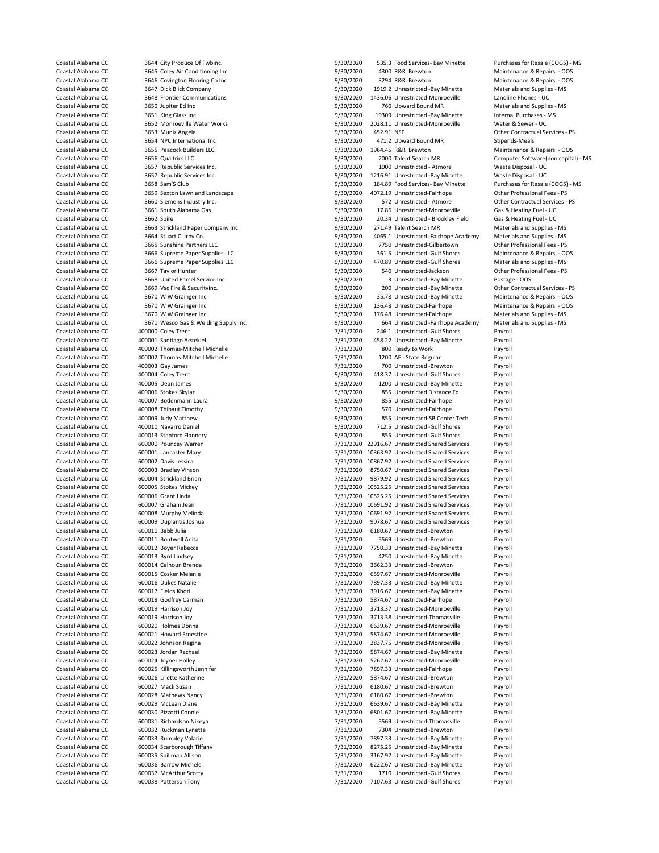3668 United Parcel Service Inc

Coastal Alabama CC 3644 City Produce Of Fwbinc. (2008) 9/30/2020 535.3 Food Services- Bay Minette Purchases for Resale (COGS) - MS<br>Coastal Alabama CC 3645 Colev Air Conditioning Inc (2008) 9/30/2020 4300 R&R Brewton Mainte Coastal Alabama CC 3645 Coley Air Conditioning Inc and the State of the State of Alabama CC 3645 Coley Air Conditioning Inc 9/30/2020 4300 R&R Brewton Constal Alabama CC 3646 Covington Flooring Col 10 Constal 4500 4300 430 Coastal Alabama CC 3646 Covington Flooring Co Inc 300 100 9/30/2020 3294 R&R Brewton Maintenance & Repairs - O<br>Coastal Alabama CC 3647 Dick Blick Company 366 100 100 9/30/2020 1919.2 Unrestricted -Bay Minette Materials and Coastal Alabama CC 3647 Dick Blick Company 9/30/2020 1919.2 Unrestricted -Bay Minette Materials and Supplies - MS 3648 Frontier Communications extendions and the State of the State Alabama CO20 1436.06 Unrestricted-Monroeville Landline Phones - UC Coastal Alabama CC and 3650 Jupiter Ed Inc and Supplies - MS and Supplies - MS and Supplies - MS and Supplies - MS and Supplies - MS and Supplies - MS and Supplies - MS and Supplies - MS and Supplies - MS and Supplies - MS Coastal Alabama CC 3651 King Glass Inc. 9/30/2020 19309 Unrestricted -Bay Minette Internal Purchases - MS<br>Coastal Alabama CC 3652 Monroeville Water Works 9/30/2000 1008 11 Unrestricted Monroeville Water & Sewer - IIC Coastal Alabama CC 3652 Monroeville Water Works 9/30/2020 2028.11 Unrestricted-Monroeville Water & Sewer - UC Coastal Alabama CC 3653 Muniz Angela<br>Coastal Alabama CC 3654 NPC International Inc 3664 Coastal Alabama CO 3/30/2020 452.91 NSF Other Contractual Services - PS Coastal Alabama CC 3654 NPC International Inc 9/30/2020 471.2 Upward Bound MR Stipends-Meals Coastal Alabama CC 3655 Peacock Builders LLC 9/30/2020 1964.45 R&R Brewton Maintenance & Repairs - OOS Coastal Alabama CC 3656 Qualtrics LLC 3656 Qualtrics LLC 9/30 1930/2020 2000 Talent Search MR Computer Software(non capital) - MS Coastal Alabama CC 3657 Republic Services Inc. 3657 Republic Services Inc. 369 1990/2020 100 Coastal Alabama CC 3657 Republic Services Inc. <br>Coastal Alabama CC 3657 Republic Services Inc. 1978 1978/2020 1216.91 Unrestricted - Bay Minette Waste Disposal - UC Coastal Alabama CC 3657 Republic Services Inc. 1997 1997 1216.91 Unrestricted -Bay Minette Waste Disposal - UC<br>1990/2020 184.89 Food Services Bay Minette Purchases for Resale (COGS) - MS (Coastal Alabama CC 3658 Sam'S Club 184.89 Food Services- Bay Minette Coastal Alabama CC 3659 Sexton Lawn and Landscape 9/30/2020 4072.19 Unrestricted-Fairhope Other Professional Fees - PS Coastal Alabama CC 3660 Siemens Industry Inc. 9/30/2020 572 Unrestricted - Atmore Other Contractual Services - PS Coastal Alabama CC 3661 South Alabama Gas 36 1978 1998 9/30/2020 17.86 Unrestricted-Monroeville Gas & Heating Fuel - UC<br>1990/2020 20.34 Unrestricted - Brookley Field Gas & Heating Fuel - UC 366 Unit and the UC Gas & Heatin Coastal Alabama CC 3662 Spire 3662 Spire 9/30/2020 30.34 Unrestricted - Brookley Field Gas & Heating Fuel - UC<br>Coastal Alabama CC 3663 Strickland Paper Company Inc 19/30/2020 3/30/2020 271.49 Talent Search MR Coastal Alabama CC 3663 Strickland Paper Company Inc 9/30/2020 271.49 Talent Search MR Materials and Supplies - MS<br>Coastal Alabama CC 3664 Stuart Curby Co Company Inc 9/30/2020 4065.1 Unrestricted - Fairhone Academy Materi Coastal Alabama CC 3664 Stuart C. Irby Co. 9/30 1000 1000 1000 10000 4065.1 Unrestricted -Fairhope Academy Materials and Supplies - MS<br>2012/020 7750 Unrestricted Gilbertown Other Professional Fees - PS Coastal Alabama CC 3665 Sunshine Partners LLC 1978 Coastal Alabama CC 3665 Sunshine Partners LLC 19760 2020 7750 Unrestricted-Gilbertown Other Professional Fees - PS Coastal Alabama CC 3666 Supreme Paper Supplies LLC 19780 Coastal Alabama CC 3666 Supreme Paper Supplies LLC 9/30/2020 361.5 Unrestricted -Gulf Shores Maintenance & Repairs - OC<br>Coastal Alabama CC 3666 Supreme Paper Supplies LLC 9/30/2020 470.89 Unrestricted -Gulf Shores Material Coastal Alabama CC 3666 Supreme Paper Supplies LLC 9/30/2020 470.89 Unrestricted -Gulf Shores Materials and Supplies Applies LLC 9/30/2020 540 Unrestricted -Jackson Coastal Alabama CC 3667 Taylor Hunter Materials and Suppl Coastal Alabama CC 3667 Taylor Hunter (3667 Taylor Hunter 9/30/2020 540 Unrestricted-Jackson Other Professional Fees - PS<br>Coastal Alabama CC 3668 United Parcel Service Inc. (9/30/2020 9/30/2020 3 Unrestricted -Bay Minette Coastal Alabama CC 3669 Vsc Fire & Securityinc. etc. 8/30/2020 3/30/2020 200 Unrestricted -Bay Minette Other Contractual Services - PS Coastal Alabama CC 3670 W W Grainger Inc 300 Coastal Alabama CC 35.78 Unrestricted -Bay Minette Maintenance & Repairs - OOS<br>2007020 315.48 Unrestricted-Fairhope Maintenance & Repairs - OOS 36.78 Unrestricted-Fairhope Maint Coastal Alabama CC 3670 W W Grainger Inc 2003 136.48 Unrestricted-Fairhope Maintenance & Repairs - OOS Coastal Alabama CC 3670 W W Grainger Inc 2003 Coastal Alabama CC 3670 Materials and Supplies - MS Coastal Alabama CC Coastal Alabama CC 3671 Wesco Gas & Welding Supply Inc. 9/30/2020 664 Unrestricted -Fairhope Academy Materials and Supplies - MS<br>Coastal Alabama CC 400000 Coley Trent 10000 Coley Trent Coastal Alabama CC 400000 Coley Trent 1997 12000 12000 2001 7/31/2020 246.1 Unrestricted -Gulf Shores Payroll<br>Coastal Alabama CC 400001 Santiago Aezekiel 1997 12000 7/31/2020 458.22 Unrestricted -Bay Minette Payroll 458.22 Unrestricted -Bay Minette Coastal Alabama CC 400002 Thomas-Mitchell Michelle 1988 1998 1998 7/31/2020 800 Ready to Work Payroll<br>Coastal Alabama CC 400002 Thomas-Mitchell Michelle 1998 1999 7/31/2020 1200 AE - State Regular Payroll Coastal Alabama CC 400002 Thomas-Mitchell Michelle 7/31/2020 1200 AE - State Regular Payroll Coastal Alabama CC 400003 Gay James 7/31/2020 700 Unrestricted -Brewton Payroll Coastal Alabama CC 400004 Coley Trent 19730 1200 1200 9/30/2020 418.37 Unrestricted -Gulf Shores Payroll Coastal Alabama CC and Annes and Alabama CC and Alabama CO 40005 Dean James 90 and 1200 Unrestricted -Bay Minette Payroll<br>Coastal Alabama CC 400006 Stokes Skylar and Alabama CO 9/30/2020 855 Unrestricted Distance Ed Payrol Coastal Alabama CC and Any and Alabama CC and Alabama CO 400006 Stokes Skylar 9/30/2020 855 Unrestricted Distance Ed Payroll<br>
Coastal Alabama CC 400007 Bodenmann Laura and Brown 9/30/2020 855 Unrestricted-Fairhope Payroll Coastal Alabama CC 400007 Bodenmann Laura and the state of the state of 9/30/2020 855 Unrestricted-Fairhope Payroll<br>Coastal Alabama CC 400008 Thibaut Timothy and the state of 9/30/2020 570 Unrestricted-Fairhope Payroll Coastal Alabama CC 400008 Thibaut Timothy 9/30/2020 570 Unrestricted-Fairhope Payroll Coastal Alabama CC 400009 Judy Matthew 19/30/2020 855 Unrestricted-SB Center Tech Payroll<br>Coastal Alabama CC 400010 Navarro Daniel 19/30 19/30/2020 712.5 Unrestricted -Gulf Shores Payroll Coastal Alabama CC 400010 Navarro Daniel 1978 1978 1978 12.5 Unrestricted -Gulf Shores Payroll<br>Coastal Alabama CC 400013 Stanford Flannery 1978 1979 1980/2020 855 Unrestricted -Gulf Shores Payroll Coastal Alabama CC 400013 Stanford Flannery 9/30/2020 855 Unrestricted -Gulf Shores Payroll Coastal Alabama CC 600000 Pouncey Warren 7/31/2020 22916.67 Unrestricted Shared Services Payroll Coastal Alabama CC 600001 Lancaster Mary 1988 1988 1988 1989 7/31/2020 10363.92 Unrestricted Shared Services Payroll<br>Coastal Alabama CC 600002 Davis Jessica 1988 1989 1989 7/31/2020 10867.92 Unrestricted Shared Services Pa Coastal Alabama CC 600002 Davis Jessica and the Coastal Alabama CC 600002 Davis Jessica 2011 Coastal Alabama CC<br>Coastal Alabama CC 600003 Bradley Vinson Coastal Alabama CC 600003 Bradley Vinson Coastal Alabama CC 600003 Br 7/31/2020 8750.67 Unrestricted Shared Services Coastal Alabama CC 600004 Strickland Brian 7/31/2020 9879.92 Unrestricted Shared Services Payroll Coastal Alabama CC 600005 Stokes Mickey (2008) 7/31/2020 10525.25 Unrestricted Shared Services Payroll<br>Coastal Alabama CC 600006 Grant Linda (2008) 7/31/2020 10525.25 Unrestricted Shared Services Payroll Coastal Alabama CC 600006 Grant Linda **COMP** 1988 1989 1989 1989 1989 10525.25 Unrestricted Shared Services Payroll<br>Coastal Alabama CC 600007 Graham Jean 1989 1999 1999 1999 10691.92 Unrestricted Shared Services Pavroll 7/31/2020 10691.92 Unrestricted Shared Services Payroll Coastal Alabama CC 600008 Murphy Melinda 7/31/2020 10691.92 Unrestricted Shared Services Payroll Coastal Alabama CC 600009 Duplantis Joshua 7/31/2020 9078.67 Unrestricted Shared Services Payroll Coastal Alabama CC 600010 Babb Julia 7/31/2020 6180.67 Unrestricted -Brewton Payroll Coastal Alabama CC 600011 Boutwell Anita and the state of the coastal Alabama CC 600012 Boyroll<br>Coastal Alabama CC 600012 Boyer Rebecca and the coastal Alabama 7/31/2020 7750.33 Unrestricted -Bay Minette Payroll Coastal Alabama CC 600012 Boyer Rebecca and the coastal Alabama CC 600012 Boyer Rebecca 100013 Exproll<br>Coastal Alabama CC 600013 Byrd Lindsey 1997 1997 1997 1998 7/31/2020 4250 Unrestricted -Bay Minette Payroll Coastal Alabama CC 600013 Byrd Lindsey 7/31/2020 4250 Unrestricted -Bay Minette Payroll Coastal Alabama CC 600014 Calhoun Brenda 600014 Calhoun Brenda EXTERN ALABAM COLORER COASTAL ALABAM COLORER 1999 1999 1999 1999 1999 1000015 Cosker Melanie Payroll<br>COOOLS Cosker Melanie Payroll Payroll (Payroll 7/31/2020 6597.67 Unrestricted Monroeville Payroll Coastal Alabama CC 600015 Cosker Melanie 1988 1988 1989 1989 1989 1989 1989. Coastal Alabama CC 600016 Dukes Natalie<br>Coastal Alabama CC 600016 Dukes Natalie 1989 1989 1989 1989 1989 1989.33 Unrestricted -Bay Minette 1989. External Alabama COAStal Alabama CC 600016 Dukes Natalie 1990 Minette 1991 131/2020 7897.33 Unrestricted -Bay Minette Payroll 131/2020 7/31/2020 7916.67 Unrestricted -Bay Minette Payroll 131/2020 13916.67 Unrestricted -Bay Coastal Alabama CC 600017 Fields Khori 7/31/2020 3916.67 Unrestricted -Bay Minette Payroll Coastal Alabama CC 600018 Godfrey Carman 7/31/2020 5874.67 Unrestricted-Fairhope Payroll Coastal Alabama CC 600019 Harrison Joy 7/31/2020 3713.37 Unrestricted-Monroeville Payroll Coastal Alabama CC 600019 Harrison Joy 700019 12000 17/31/2020 3713.38 Unrestricted-Thomasville Payroll<br>Coastal Alabama CC 600020 Holmes Donna 70000 100000 17/31/2020 6639.67 Unrestricted-Monroeville Pavroll Coastal Alabama CC 600020 Holmes Donna 1999 1999 12/31/2020 6639.67 Unrestricted-Monroeville<br>Coastal Alabama CC 600021 Howard Ernestine 1999 12/31/2020 5874.67 Unrestricted-Monroeville Coastal Alabama CC 600021 Howard Ernestine 1998 1999 12/31/2020 5874.67 Unrestricted-Monroeville Payroll<br>Coastal Alabama CC 600022 Johnson Regina 1999 12/31/2020 2837.75 Unrestricted-Monroeville Pavroll 2837.75 Unrestricted-Monroeville Payroll Coastal Alabama CC 600023 Jordan Rachael 1988 1988 1988 1988 12/31/2020 5874.67 Unrestricted -Bay Minette Payroll<br>Coastal Alabama CC 600024 Jovner Holley 1988 1988 1988 12/31/2020 5262.67 Unrestricted Monroeville Payroll 5262.67 Unrestricted-Monroeville Payroll Coastal Alabama CC 600025 Killingsworth Jennifer 7/31/2020 7897.33 Unrestricted-Fairhope Payroll Coastal Alabama CC 600026 Lirette Katherine 7/31/2020 5874.67 Unrestricted -Brewton Payroll Coastal Alabama CC 600027 Mack Susan 7/31/2020 6180.67 Unrestricted -Brewton Payroll Coastal Alabama CC 600028 Mathews Nancy 7/31/2020 6180.67 Unrestricted -Brewton Payroll Coastal Alabama CC 600029 McLean Diane 7/31/2020 6639.67 Unrestricted -Bay Minette Payroll Coastal Alabama CC 600030 Pizzotti Connie 7/31/2020 6801.67 Unrestricted -Bay Minette Payroll Coastal Alabama CC 600031 Richardson Nikeya 7/31/2020 5569 Unrestricted-Thomasville Payroll Coastal Alabama CC 600032 Ruckman Lynette 1988 1999 12/31/2020 7304 Unrestricted -Brewton Payroll Coastal Alabama CC 600033 Rumbley Valarie 1999 1201 1201 12/31/2020 7897.33 Unrestricted -Bay Mine 7897.33 Unrestricted -Bay Minette Payroll Coastal Alabama CC 600034 Scarborough Tiffany 1988 1988 1989 7/31/2020 8275.25 Unrestricted -Bay Minette Payroll<br>Coastal Alabama CC 600035 Spillman Allison 1989 1989 1989 7/31/2020 3167.92 Unrestricted -Bay Minette Payroll Coastal Alabama CC 600035 Spillman Allison 1988 1998 1999 12/31/2020 3167.92 Unrestricted -Bay Minette Payroll<br>Coastal Alabama CC 600036 Barrow Michele 1997 131/2020 6222.67 Unrestricted -Bay Minette Payroll Coastal Alabama CC 600036 Barrow Michele 1997 1200 6222.67 Unrestricted -Bay Minette 1997 12076 1212<br>Coastal Alabama CC 600037 McArthur Scotty 1997 1200 7/31/2020 1710 Unrestricted -Gulf Shores Pavroll 1710 Unrestricted -Gulf Shores Coastal Alabama CC 600038 Patterson Tony 7/31/2020 7107.63 Unrestricted -Gulf Shores Payroll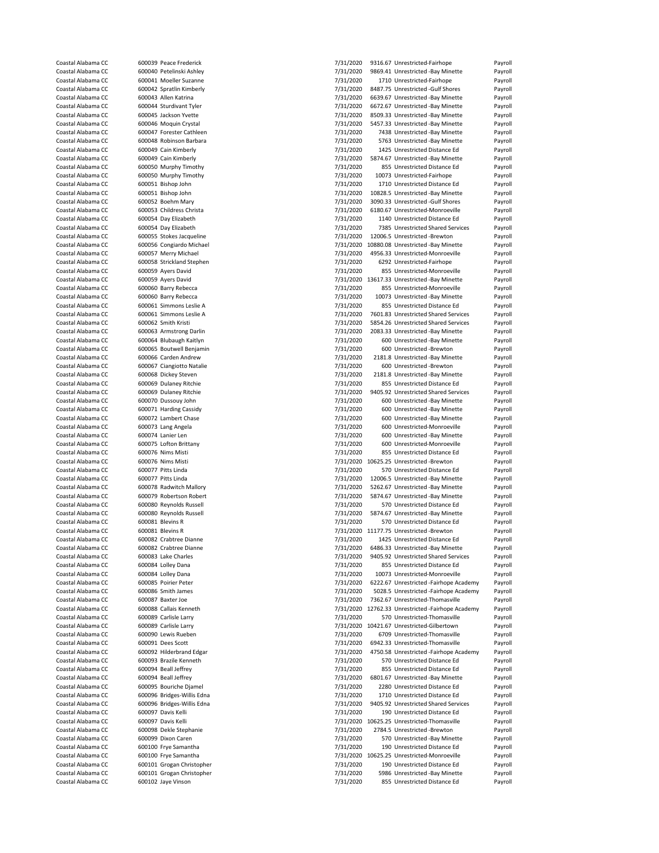| Coastal Alabama CC                       | 600039 Peace Frederick                          | 7/31/2020              | 9316.67 Unrestricted-Fairhope                                               | Payroll            |
|------------------------------------------|-------------------------------------------------|------------------------|-----------------------------------------------------------------------------|--------------------|
| Coastal Alabama CC                       | 600040 Petelinski Ashley                        | 7/31/2020              | 9869.41 Unrestricted -Bay Minette                                           | Payroll            |
| Coastal Alabama CC                       | 600041 Moeller Suzanne                          | 7/31/2020              | 1710 Unrestricted-Fairhope                                                  | Payroll            |
| Coastal Alabama CC                       | 600042 Spratlin Kimberly                        | 7/31/2020              | 8487.75 Unrestricted -Gulf Shores                                           | Payroll            |
| Coastal Alabama CC                       | 600043 Allen Katrina                            | 7/31/2020              | 6639.67 Unrestricted -Bay Minette                                           | Payroll            |
| Coastal Alabama CC                       | 600044 Sturdivant Tyler                         | 7/31/2020              | 6672.67 Unrestricted -Bay Minette                                           | Payroll            |
| Coastal Alabama CC                       | 600045 Jackson Yvette                           |                        |                                                                             |                    |
|                                          |                                                 | 7/31/2020              | 8509.33 Unrestricted -Bay Minette                                           | Payroll            |
| Coastal Alabama CC                       | 600046 Moquin Crystal                           | 7/31/2020              | 5457.33 Unrestricted -Bay Minette                                           | Payroll            |
| Coastal Alabama CC                       | 600047 Forester Cathleen                        | 7/31/2020              | 7438 Unrestricted -Bay Minette                                              | Payroll            |
| Coastal Alabama CC                       | 600048 Robinson Barbara                         | 7/31/2020              | 5763 Unrestricted -Bay Minette                                              | Payroll            |
| Coastal Alabama CC                       | 600049 Cain Kimberly                            | 7/31/2020              | 1425 Unrestricted Distance Ed                                               | Payroll            |
| Coastal Alabama CC                       | 600049 Cain Kimberly                            | 7/31/2020              | 5874.67 Unrestricted -Bay Minette                                           | Payroll            |
| Coastal Alabama CC                       | 600050 Murphy Timothy                           | 7/31/2020              | 855 Unrestricted Distance Ed                                                | Payroll            |
| Coastal Alabama CC                       | 600050 Murphy Timothy                           | 7/31/2020              | 10073 Unrestricted-Fairhope                                                 | Payroll            |
| Coastal Alabama CC                       | 600051 Bishop John                              | 7/31/2020              | 1710 Unrestricted Distance Ed                                               | Payroll            |
| Coastal Alabama CC                       | 600051 Bishop John                              | 7/31/2020              | 10828.5 Unrestricted -Bay Minette                                           | Payroll            |
| Coastal Alabama CC                       | 600052 Boehm Mary                               | 7/31/2020              | 3090.33 Unrestricted -Gulf Shores                                           | Payroll            |
| Coastal Alabama CC                       | 600053 Childress Christa                        | 7/31/2020              | 6180.67 Unrestricted-Monroeville                                            | Payroll            |
|                                          |                                                 |                        |                                                                             |                    |
| Coastal Alabama CC                       | 600054 Day Elizabeth                            | 7/31/2020              | 1140 Unrestricted Distance Ed                                               | Payroll            |
| Coastal Alabama CC                       | 600054 Day Elizabeth                            | 7/31/2020              | 7385 Unrestricted Shared Services                                           | Payroll            |
| Coastal Alabama CC                       | 600055 Stokes Jacqueline                        | 7/31/2020              | 12006.5 Unrestricted -Brewton                                               | Payroll            |
| Coastal Alabama CC                       | 600056 Congiardo Michael                        |                        | 7/31/2020 10880.08 Unrestricted -Bay Minette                                | Payroll            |
| Coastal Alabama CC                       | 600057 Merry Michael                            | 7/31/2020              | 4956.33 Unrestricted-Monroeville                                            | Payroll            |
| Coastal Alabama CC                       | 600058 Strickland Stephen                       | 7/31/2020              | 6292 Unrestricted-Fairhope                                                  | Payroll            |
| Coastal Alabama CC                       | 600059 Ayers David                              | 7/31/2020              | 855 Unrestricted-Monroeville                                                | Payroll            |
| Coastal Alabama CC                       | 600059 Ayers David                              |                        | 7/31/2020 13617.33 Unrestricted -Bay Minette                                | Payroll            |
| Coastal Alabama CC                       | 600060 Barry Rebecca                            | 7/31/2020              | 855 Unrestricted-Monroeville                                                | Payroll            |
| Coastal Alabama CC                       | 600060 Barry Rebecca                            | 7/31/2020              | 10073 Unrestricted -Bay Minette                                             | Payroll            |
| Coastal Alabama CC                       | 600061 Simmons Leslie A                         | 7/31/2020              | 855 Unrestricted Distance Ed                                                | Payroll            |
|                                          |                                                 |                        |                                                                             |                    |
| Coastal Alabama CC                       | 600061 Simmons Leslie A                         | 7/31/2020              | 7601.83 Unrestricted Shared Services                                        | Payroll            |
| Coastal Alabama CC                       | 600062 Smith Kristi                             | 7/31/2020              | 5854.26 Unrestricted Shared Services                                        | Payroll            |
| Coastal Alabama CC                       | 600063 Armstrong Darlin                         | 7/31/2020              | 2083.33 Unrestricted -Bay Minette                                           | Payroll            |
| Coastal Alabama CC                       | 600064 Blubaugh Kaitlyn                         | 7/31/2020              | 600 Unrestricted -Bay Minette                                               | Payroll            |
| Coastal Alabama CC                       | 600065 Boutwell Benjamin                        | 7/31/2020              | 600 Unrestricted -Brewton                                                   | Payroll            |
| Coastal Alabama CC                       | 600066 Carden Andrew                            | 7/31/2020              | 2181.8 Unrestricted -Bay Minette                                            | Payroll            |
| Coastal Alabama CC                       | 600067 Ciangiotto Natalie                       | 7/31/2020              | 600 Unrestricted -Brewton                                                   | Payroll            |
| Coastal Alabama CC                       | 600068 Dickey Steven                            | 7/31/2020              | 2181.8 Unrestricted -Bay Minette                                            | Payroll            |
| Coastal Alabama CC                       | 600069 Dulaney Ritchie                          | 7/31/2020              | 855 Unrestricted Distance Ed                                                | Payroll            |
| Coastal Alabama CC                       | 600069 Dulaney Ritchie                          | 7/31/2020              | 9405.92 Unrestricted Shared Services                                        | Payroll            |
|                                          |                                                 |                        |                                                                             |                    |
| Coastal Alabama CC                       | 600070 Dussouy John                             | 7/31/2020              | 600 Unrestricted -Bay Minette                                               | Payroll            |
| Coastal Alabama CC                       | 600071 Harding Cassidy                          | 7/31/2020              | 600 Unrestricted -Bay Minette                                               | Payroll            |
| Coastal Alabama CC                       | 600072 Lambert Chase                            | 7/31/2020              | 600 Unrestricted -Bay Minette                                               | Payroll            |
| Coastal Alabama CC                       | 600073 Lang Angela                              | 7/31/2020              | 600 Unrestricted-Monroeville                                                | Payroll            |
| Coastal Alabama CC                       | 600074 Lanier Len                               | 7/31/2020              | 600 Unrestricted -Bay Minette                                               | Payroll            |
| Coastal Alabama CC                       | 600075 Lofton Brittany                          | 7/31/2020              | 600 Unrestricted-Monroeville                                                | Payroll            |
| Coastal Alabama CC                       | 600076 Nims Misti                               | 7/31/2020              | 855 Unrestricted Distance Ed                                                | Payroll            |
| Coastal Alabama CC                       | 600076 Nims Misti                               |                        | 7/31/2020 10625.25 Unrestricted -Brewton                                    | Payroll            |
| Coastal Alabama CC                       | 600077 Pitts Linda                              | 7/31/2020              | 570 Unrestricted Distance Ed                                                | Payroll            |
| Coastal Alabama CC                       | 600077 Pitts Linda                              | 7/31/2020              | 12006.5 Unrestricted -Bay Minette                                           |                    |
|                                          |                                                 |                        |                                                                             | Payroll            |
| Coastal Alabama CC                       | 600078 Radwitch Mallory                         | 7/31/2020              | 5262.67 Unrestricted -Bay Minette                                           | Payroll            |
| Coastal Alabama CC                       | 600079 Robertson Robert                         | 7/31/2020              | 5874.67 Unrestricted -Bay Minette                                           | Payroll            |
| Coastal Alabama CC                       | 600080 Reynolds Russell                         | 7/31/2020              | 570 Unrestricted Distance Ed                                                | Payroll            |
|                                          |                                                 |                        |                                                                             |                    |
| Coastal Alabama CC                       | 600080 Reynolds Russell                         | 7/31/2020              | 5874.67 Unrestricted -Bay Minette                                           | Payroll            |
| Coastal Alabama CC                       | 600081 Blevins R                                | 7/31/2020              | 570 Unrestricted Distance Ed                                                | Payroll            |
| Coastal Alabama CC                       | 600081 Blevins R                                |                        |                                                                             |                    |
|                                          |                                                 |                        | 7/31/2020 11177.75 Unrestricted -Brewton                                    | Payroll            |
| Coastal Alabama CC                       | 600082 Crabtree Dianne                          | 7/31/2020              | 1425 Unrestricted Distance Ed                                               | Payroll            |
| Coastal Alabama CC                       | 600082 Crabtree Dianne                          | 7/31/2020              | 6486.33 Unrestricted -Bay Minette                                           | Payroll            |
| Coastal Alabama CC                       | 600083 Lake Charles                             | 7/31/2020              | 9405.92 Unrestricted Shared Services                                        | Payroll            |
| Coastal Alabama CC                       | 600084 Lolley Dana                              | 7/31/2020              | 855 Unrestricted Distance Ed                                                | Payroll            |
| Coastal Alabama CC                       | 600084 Lolley Dana                              | 7/31/2020              | 10073 Unrestricted-Monroeville                                              | Payroll            |
| Coastal Alabama CC                       | 600085 Poirier Peter                            | 7/31/2020              | 6222.67 Unrestricted -Fairhope Academy                                      | Payroll            |
| Coastal Alabama CC                       | 600086 Smith James                              | 7/31/2020              | 5028.5 Unrestricted -Fairhope Academy                                       | Payroll            |
| Coastal Alabama CC                       | 600087 Baxter Joe                               | 7/31/2020              | 7362.67 Unrestricted-Thomasville                                            | Payroll            |
| Coastal Alabama CC                       | 600088 Callais Kenneth                          |                        | 7/31/2020 12762.33 Unrestricted -Fairhope Academy                           | Payroll            |
| Coastal Alabama CC                       | 600089 Carlisle Larry                           | 7/31/2020              | 570 Unrestricted-Thomasville                                                | Payroll            |
|                                          | 600089 Carlisle Larry                           |                        |                                                                             | Payroll            |
| Coastal Alabama CC<br>Coastal Alabama CC | 600090 Lewis Rueben                             |                        | 7/31/2020 10421.67 Unrestricted-Gilbertown<br>6709 Unrestricted-Thomasville |                    |
|                                          |                                                 | 7/31/2020              |                                                                             | Payroll            |
| Coastal Alabama CC                       | 600091 Dees Scott                               | 7/31/2020              | 6942.33 Unrestricted-Thomasville                                            | Payroll            |
| Coastal Alabama CC                       | 600092 Hilderbrand Edgar                        | 7/31/2020              | 4750.58 Unrestricted -Fairhope Academy                                      | Payroll            |
| Coastal Alabama CC                       | 600093 Brazile Kenneth                          | 7/31/2020              | 570 Unrestricted Distance Ed                                                | Payroll            |
| Coastal Alabama CC                       | 600094 Beall Jeffrey                            | 7/31/2020              | 855 Unrestricted Distance Ed                                                | Payroll            |
| Coastal Alabama CC                       | 600094 Beall Jeffrey                            | 7/31/2020              | 6801.67 Unrestricted -Bay Minette                                           | Payroll            |
| Coastal Alabama CC                       | 600095 Bouriche Djamel                          | 7/31/2020              | 2280 Unrestricted Distance Ed                                               | Payroll            |
| Coastal Alabama CC                       | 600096 Bridges-Willis Edna                      | 7/31/2020              | 1710 Unrestricted Distance Ed                                               | Payroll            |
| Coastal Alabama CC                       | 600096 Bridges-Willis Edna                      | 7/31/2020              | 9405.92 Unrestricted Shared Services                                        | Payroll            |
| Coastal Alabama CC                       | 600097 Davis Kelli                              | 7/31/2020              | 190 Unrestricted Distance Ed                                                | Payroll            |
| Coastal Alabama CC                       | 600097 Davis Kelli                              |                        | 7/31/2020 10625.25 Unrestricted-Thomasville                                 | Payroll            |
| Coastal Alabama CC                       |                                                 |                        |                                                                             |                    |
|                                          | 600098 Dekle Stephanie                          | 7/31/2020              | 2784.5 Unrestricted -Brewton                                                | Payroll            |
| Coastal Alabama CC                       | 600099 Dixon Caren                              | 7/31/2020              | 570 Unrestricted -Bay Minette                                               | Payroll            |
| Coastal Alabama CC                       | 600100 Frye Samantha                            | 7/31/2020              | 190 Unrestricted Distance Ed                                                | Payroll            |
| Coastal Alabama CC                       | 600100 Frye Samantha                            |                        | 7/31/2020 10625.25 Unrestricted-Monroeville                                 | Payroll            |
| Coastal Alabama CC                       | 600101 Grogan Christopher                       | 7/31/2020              | 190 Unrestricted Distance Ed                                                | Payroll            |
| Coastal Alabama CC<br>Coastal Alabama CC | 600101 Grogan Christopher<br>600102 Jaye Vinson | 7/31/2020<br>7/31/2020 | 5986 Unrestricted -Bay Minette<br>855 Unrestricted Distance Ed              | Payroll<br>Payroll |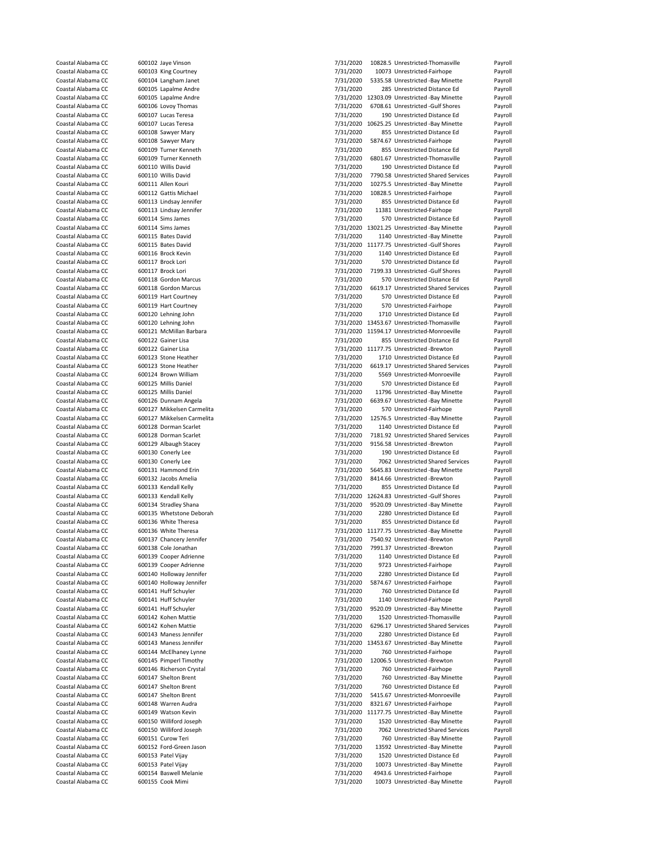| Coastal Alabama CC | 600102 Jaye Vinson         | 7/31/2020 | 10828.5 Unrestricted-Thomasville             | Payroll |
|--------------------|----------------------------|-----------|----------------------------------------------|---------|
| Coastal Alabama CC | 600103 King Courtney       | 7/31/2020 | 10073 Unrestricted-Fairhope                  | Payroll |
| Coastal Alabama CC | 600104 Langham Janet       | 7/31/2020 | 5335.58 Unrestricted -Bay Minette            | Payroll |
| Coastal Alabama CC | 600105 Lapalme Andre       | 7/31/2020 | 285 Unrestricted Distance Ed                 | Payroll |
| Coastal Alabama CC | 600105 Lapalme Andre       |           | 7/31/2020 12303.09 Unrestricted -Bay Minette | Payroll |
| Coastal Alabama CC | 600106 Lovoy Thomas        | 7/31/2020 | 6708.61 Unrestricted -Gulf Shores            |         |
| Coastal Alabama CC |                            |           |                                              | Payroll |
|                    | 600107 Lucas Teresa        | 7/31/2020 | 190 Unrestricted Distance Ed                 | Payroll |
| Coastal Alabama CC | 600107 Lucas Teresa        |           | 7/31/2020 10625.25 Unrestricted -Bay Minette | Payroll |
| Coastal Alabama CC | 600108 Sawyer Mary         | 7/31/2020 | 855 Unrestricted Distance Ed                 | Payroll |
| Coastal Alabama CC | 600108 Sawyer Mary         | 7/31/2020 | 5874.67 Unrestricted-Fairhope                | Payroll |
| Coastal Alabama CC | 600109 Turner Kenneth      | 7/31/2020 | 855 Unrestricted Distance Ed                 | Payroll |
| Coastal Alabama CC | 600109 Turner Kenneth      | 7/31/2020 | 6801.67 Unrestricted-Thomasville             | Payroll |
| Coastal Alabama CC | 600110 Willis David        | 7/31/2020 | 190 Unrestricted Distance Ed                 | Payroll |
| Coastal Alabama CC | 600110 Willis David        | 7/31/2020 | 7790.58 Unrestricted Shared Services         | Payroll |
| Coastal Alabama CC | 600111 Allen Kouri         | 7/31/2020 | 10275.5 Unrestricted -Bay Minette            | Payroll |
| Coastal Alabama CC | 600112 Gattis Michael      | 7/31/2020 | 10828.5 Unrestricted-Fairhope                | Payroll |
|                    |                            |           |                                              |         |
| Coastal Alabama CC | 600113 Lindsay Jennifer    | 7/31/2020 | 855 Unrestricted Distance Ed                 | Payroll |
| Coastal Alabama CC | 600113 Lindsay Jennifer    | 7/31/2020 | 11381 Unrestricted-Fairhope                  | Payroll |
| Coastal Alabama CC | 600114 Sims James          | 7/31/2020 | 570 Unrestricted Distance Ed                 | Payroll |
| Coastal Alabama CC | 600114 Sims James          |           | 7/31/2020 13021.25 Unrestricted -Bay Minette | Payroll |
| Coastal Alabama CC | 600115 Bates David         | 7/31/2020 | 1140 Unrestricted -Bay Minette               | Payroll |
| Coastal Alabama CC | 600115 Bates David         |           | 7/31/2020 11177.75 Unrestricted -Gulf Shores | Payroll |
| Coastal Alabama CC | 600116 Brock Kevin         | 7/31/2020 | 1140 Unrestricted Distance Ed                | Payroll |
| Coastal Alabama CC | 600117 Brock Lori          | 7/31/2020 | 570 Unrestricted Distance Ed                 | Payroll |
| Coastal Alabama CC | 600117 Brock Lori          | 7/31/2020 | 7199.33 Unrestricted -Gulf Shores            | Payroll |
|                    |                            |           |                                              |         |
| Coastal Alabama CC | 600118 Gordon Marcus       | 7/31/2020 | 570 Unrestricted Distance Ed                 | Payroll |
| Coastal Alabama CC | 600118 Gordon Marcus       | 7/31/2020 | 6619.17 Unrestricted Shared Services         | Payroll |
| Coastal Alabama CC | 600119 Hart Courtney       | 7/31/2020 | 570 Unrestricted Distance Ed                 | Payroll |
| Coastal Alabama CC | 600119 Hart Courtney       | 7/31/2020 | 570 Unrestricted-Fairhope                    | Payroll |
| Coastal Alabama CC | 600120 Lehning John        | 7/31/2020 | 1710 Unrestricted Distance Ed                | Payroll |
| Coastal Alabama CC | 600120 Lehning John        |           | 7/31/2020 13453.67 Unrestricted-Thomasville  | Payroll |
| Coastal Alabama CC | 600121 McMillan Barbara    |           | 7/31/2020 11594.17 Unrestricted-Monroeville  | Payroll |
| Coastal Alabama CC | 600122 Gainer Lisa         | 7/31/2020 | 855 Unrestricted Distance Ed                 | Payroll |
| Coastal Alabama CC | 600122 Gainer Lisa         |           | 7/31/2020 11177.75 Unrestricted -Brewton     |         |
|                    |                            |           |                                              | Payroll |
| Coastal Alabama CC | 600123 Stone Heather       | 7/31/2020 | 1710 Unrestricted Distance Ed                | Payroll |
| Coastal Alabama CC | 600123 Stone Heather       | 7/31/2020 | 6619.17 Unrestricted Shared Services         | Payroll |
| Coastal Alabama CC | 600124 Brown William       | 7/31/2020 | 5569 Unrestricted-Monroeville                | Payroll |
| Coastal Alabama CC | 600125 Millis Daniel       | 7/31/2020 | 570 Unrestricted Distance Ed                 | Payroll |
| Coastal Alabama CC | 600125 Millis Daniel       | 7/31/2020 | 11796 Unrestricted -Bay Minette              | Payroll |
| Coastal Alabama CC | 600126 Dunnam Angela       | 7/31/2020 | 6639.67 Unrestricted -Bay Minette            | Payroll |
| Coastal Alabama CC | 600127 Mikkelsen Carmelita | 7/31/2020 | 570 Unrestricted-Fairhope                    | Payroll |
| Coastal Alabama CC | 600127 Mikkelsen Carmelita | 7/31/2020 | 12576.5 Unrestricted -Bay Minette            | Payroll |
| Coastal Alabama CC | 600128 Dorman Scarlet      | 7/31/2020 | 1140 Unrestricted Distance Ed                | Payroll |
|                    |                            |           |                                              |         |
| Coastal Alabama CC | 600128 Dorman Scarlet      | 7/31/2020 | 7181.92 Unrestricted Shared Services         | Payroll |
| Coastal Alabama CC | 600129 Albaugh Stacey      | 7/31/2020 | 9156.58 Unrestricted -Brewton                | Payroll |
| Coastal Alabama CC | 600130 Conerly Lee         | 7/31/2020 | 190 Unrestricted Distance Ed                 | Payroll |
| Coastal Alabama CC | 600130 Conerly Lee         | 7/31/2020 | 7062 Unrestricted Shared Services            | Payroll |
| Coastal Alabama CC | 600131 Hammond Erin        | 7/31/2020 | 5645.83 Unrestricted -Bay Minette            | Payroll |
| Coastal Alabama CC | 600132 Jacobs Amelia       | 7/31/2020 | 8414.66 Unrestricted -Brewton                | Payroll |
| Coastal Alabama CC | 600133 Kendall Kelly       | 7/31/2020 | 855 Unrestricted Distance Ed                 | Payroll |
| Coastal Alabama CC | 600133 Kendall Kelly       |           | 7/31/2020 12624.83 Unrestricted -Gulf Shores | Payroll |
| Coastal Alabama CC | 600134 Stradley Shana      | 7/31/2020 | 9520.09 Unrestricted -Bay Minette            | Payroll |
| Coastal Alabama CC | 600135 Whetstone Deborah   | 7/31/2020 | 2280 Unrestricted Distance Ed                | Payroll |
|                    |                            |           |                                              |         |
| Coastal Alabama CC | 600136 White Theresa       | 7/31/2020 | 855 Unrestricted Distance Ed                 | Payroll |
| Coastal Alabama CC | 600136 White Theresa       |           | 7/31/2020 11177.75 Unrestricted -Bay Minette | Payroll |
| Coastal Alabama CC | 600137 Chancery Jennifer   | 7/31/2020 | 7540.92 Unrestricted -Brewton                | Payroll |
| Coastal Alabama CC | 600138 Cole Jonathan       | 7/31/2020 | 7991.37 Unrestricted -Brewton                | Payroll |
| Coastal Alabama CC | 600139 Cooper Adrienne     | 7/31/2020 | 1140 Unrestricted Distance Ed                | Payroll |
| Coastal Alabama CC | 600139 Cooper Adrienne     | 7/31/2020 | 9723 Unrestricted-Fairhope                   | Payroll |
| Coastal Alabama CC | 600140 Holloway Jennifer   | 7/31/2020 | 2280 Unrestricted Distance Ed                | Payroll |
| Coastal Alabama CC | 600140 Holloway Jennifer   | 7/31/2020 | 5874.67 Unrestricted-Fairhope                | Payroll |
| Coastal Alabama CC | 600141 Huff Schuyler       | 7/31/2020 | 760 Unrestricted Distance Ed                 | Payroll |
| Coastal Alabama CC | 600141 Huff Schuyler       | 7/31/2020 | 1140 Unrestricted-Fairhope                   | Payroll |
| Coastal Alabama CC | 600141 Huff Schuyler       |           | 9520.09 Unrestricted -Bay Minette            |         |
|                    |                            | 7/31/2020 |                                              | Payroll |
| Coastal Alabama CC | 600142 Kohen Mattie        | 7/31/2020 | 1520 Unrestricted-Thomasville                | Payroll |
| Coastal Alabama CC | 600142 Kohen Mattie        | 7/31/2020 | 6296.17 Unrestricted Shared Services         | Payroll |
| Coastal Alabama CC | 600143 Maness Jennifer     | 7/31/2020 | 2280 Unrestricted Distance Ed                | Payroll |
| Coastal Alabama CC | 600143 Maness Jennifer     |           | 7/31/2020 13453.67 Unrestricted -Bay Minette | Payroll |
| Coastal Alabama CC | 600144 McElhaney Lynne     | 7/31/2020 | 760 Unrestricted-Fairhope                    | Payroll |
| Coastal Alabama CC | 600145 Pimperl Timothy     | 7/31/2020 | 12006.5 Unrestricted -Brewton                | Payroll |
| Coastal Alabama CC | 600146 Richerson Crystal   | 7/31/2020 | 760 Unrestricted-Fairhope                    | Payroll |
| Coastal Alabama CC | 600147 Shelton Brent       | 7/31/2020 | 760 Unrestricted -Bay Minette                | Payroll |
| Coastal Alabama CC | 600147 Shelton Brent       | 7/31/2020 | 760 Unrestricted Distance Ed                 | Payroll |
|                    |                            |           |                                              |         |
| Coastal Alabama CC | 600147 Shelton Brent       | 7/31/2020 | 5415.67 Unrestricted-Monroeville             | Payroll |
| Coastal Alabama CC | 600148 Warren Audra        | 7/31/2020 | 8321.67 Unrestricted-Fairhope                | Payroll |
| Coastal Alabama CC | 600149 Watson Kevin        |           | 7/31/2020 11177.75 Unrestricted -Bay Minette | Payroll |
| Coastal Alabama CC | 600150 Williford Joseph    | 7/31/2020 | 1520 Unrestricted -Bay Minette               | Payroll |
| Coastal Alabama CC | 600150 Williford Joseph    | 7/31/2020 | 7062 Unrestricted Shared Services            | Payroll |
| Coastal Alabama CC | 600151 Curow Teri          | 7/31/2020 | 760 Unrestricted -Bay Minette                | Payroll |
| Coastal Alabama CC | 600152 Ford-Green Jason    | 7/31/2020 | 13592 Unrestricted -Bay Minette              | Payroll |
| Coastal Alabama CC | 600153 Patel Vijay         | 7/31/2020 | 1520 Unrestricted Distance Ed                | Payroll |
| Coastal Alabama CC | 600153 Patel Vijay         | 7/31/2020 | 10073 Unrestricted -Bay Minette              | Payroll |
| Coastal Alabama CC | 600154 Baswell Melanie     | 7/31/2020 |                                              |         |
|                    |                            |           | 4943.6 Unrestricted-Fairhope                 | Payroll |
| Coastal Alabama CC | 600155 Cook Mimi           | 7/31/2020 | 10073 Unrestricted -Bay Minette              | Payroll |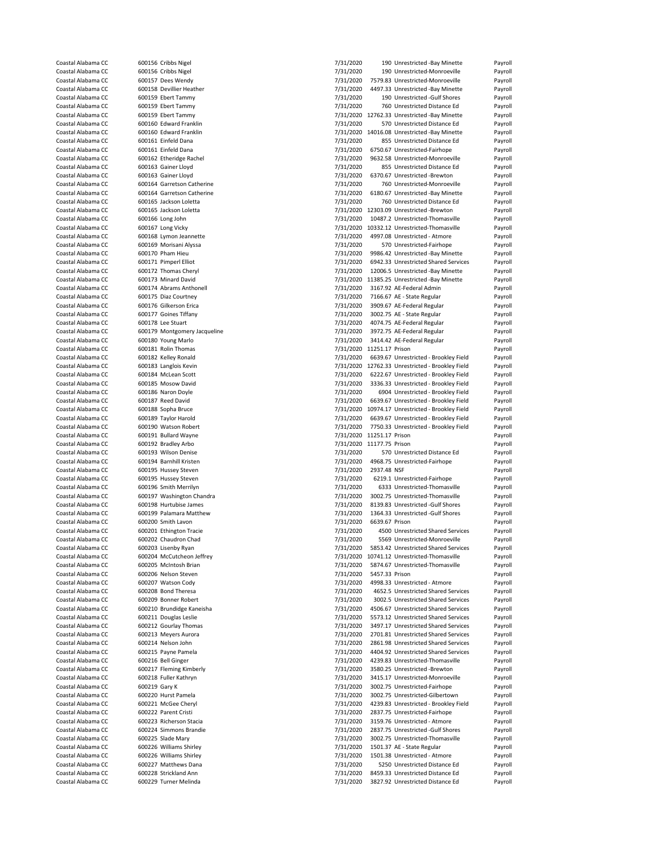| Coastal Alabama CC |               | 600156 Cribbs Nigel          | 7/31/2020                 |                | 190 Unrestricted -Bay Minette                    | Payroll |
|--------------------|---------------|------------------------------|---------------------------|----------------|--------------------------------------------------|---------|
| Coastal Alabama CC |               |                              |                           |                | 190 Unrestricted-Monroeville                     |         |
|                    |               | 600156 Cribbs Nigel          | 7/31/2020                 |                |                                                  | Payroll |
| Coastal Alabama CC |               | 600157 Dees Wendy            | 7/31/2020                 |                | 7579.83 Unrestricted-Monroeville                 | Payroll |
| Coastal Alabama CC |               | 600158 Devillier Heather     | 7/31/2020                 |                | 4497.33 Unrestricted -Bay Minette                | Payroll |
| Coastal Alabama CC |               | 600159 Ebert Tammy           | 7/31/2020                 |                | 190 Unrestricted -Gulf Shores                    | Payroll |
| Coastal Alabama CC |               | 600159 Ebert Tammy           | 7/31/2020                 |                | 760 Unrestricted Distance Ed                     | Payroll |
| Coastal Alabama CC |               | 600159 Ebert Tammy           |                           |                | 7/31/2020 12762.33 Unrestricted -Bay Minette     | Payroll |
|                    |               |                              |                           |                |                                                  |         |
| Coastal Alabama CC |               | 600160 Edward Franklin       | 7/31/2020                 |                | 570 Unrestricted Distance Ed                     | Payroll |
| Coastal Alabama CC |               | 600160 Edward Franklin       |                           |                | 7/31/2020 14016.08 Unrestricted -Bay Minette     | Payroll |
| Coastal Alabama CC |               | 600161 Einfeld Dana          | 7/31/2020                 |                | 855 Unrestricted Distance Ed                     | Payroll |
| Coastal Alabama CC |               | 600161 Einfeld Dana          | 7/31/2020                 |                | 6750.67 Unrestricted-Fairhope                    | Payroll |
|                    |               |                              |                           |                |                                                  |         |
| Coastal Alabama CC |               | 600162 Etheridge Rachel      | 7/31/2020                 |                | 9632.58 Unrestricted-Monroeville                 | Payroll |
| Coastal Alabama CC |               | 600163 Gainer Lloyd          | 7/31/2020                 |                | 855 Unrestricted Distance Ed                     | Payroll |
| Coastal Alabama CC |               | 600163 Gainer Lloyd          | 7/31/2020                 |                | 6370.67 Unrestricted -Brewton                    | Payroll |
| Coastal Alabama CC |               | 600164 Garretson Catherine   | 7/31/2020                 |                | 760 Unrestricted-Monroeville                     | Payroll |
| Coastal Alabama CC |               | 600164 Garretson Catherine   | 7/31/2020                 |                | 6180.67 Unrestricted -Bay Minette                | Payroll |
|                    |               |                              |                           |                |                                                  |         |
| Coastal Alabama CC |               | 600165 Jackson Loletta       | 7/31/2020                 |                | 760 Unrestricted Distance Ed                     | Payroll |
| Coastal Alabama CC |               | 600165 Jackson Loletta       |                           |                | 7/31/2020 12303.09 Unrestricted -Brewton         | Payroll |
| Coastal Alabama CC |               | 600166 Long John             | 7/31/2020                 |                | 10487.2 Unrestricted-Thomasville                 | Payroll |
| Coastal Alabama CC |               | 600167 Long Vicky            |                           |                | 7/31/2020 10332.12 Unrestricted-Thomasville      | Payroll |
|                    |               |                              |                           |                |                                                  |         |
| Coastal Alabama CC |               | 600168 Lymon Jeannette       | 7/31/2020                 |                | 4997.08 Unrestricted - Atmore                    | Payroll |
| Coastal Alabama CC |               | 600169 Morisani Alyssa       | 7/31/2020                 |                | 570 Unrestricted-Fairhope                        | Payroll |
| Coastal Alabama CC |               | 600170 Pham Hieu             | 7/31/2020                 |                | 9986.42 Unrestricted -Bay Minette                | Payroll |
| Coastal Alabama CC |               | 600171 Pimperl Elliot        | 7/31/2020                 |                | 6942.33 Unrestricted Shared Services             | Payroll |
| Coastal Alabama CC |               | 600172 Thomas Cheryl         | 7/31/2020                 |                | 12006.5 Unrestricted -Bay Minette                | Payroll |
|                    |               |                              |                           |                |                                                  |         |
| Coastal Alabama CC |               | 600173 Minard David          |                           |                | 7/31/2020 11385.25 Unrestricted -Bay Minette     | Payroll |
| Coastal Alabama CC |               | 600174 Abrams Anthonell      | 7/31/2020                 |                | 3167.92 AE-Federal Admin                         | Payroll |
| Coastal Alabama CC |               | 600175 Diaz Courtney         | 7/31/2020                 |                | 7166.67 AE - State Regular                       | Payroll |
| Coastal Alabama CC |               | 600176 Gilkerson Erica       | 7/31/2020                 |                | 3909.67 AE-Federal Regular                       | Payroll |
|                    |               |                              |                           |                |                                                  |         |
| Coastal Alabama CC |               | 600177 Goines Tiffany        | 7/31/2020                 |                | 3002.75 AE - State Regular                       | Payroll |
| Coastal Alabama CC |               | 600178 Lee Stuart            | 7/31/2020                 |                | 4074.75 AE-Federal Regular                       | Payroll |
| Coastal Alabama CC |               | 600179 Montgomery Jacqueline | 7/31/2020                 |                | 3972.75 AE-Federal Regular                       | Payroll |
| Coastal Alabama CC |               | 600180 Young Marlo           | 7/31/2020                 |                | 3414.42 AE-Federal Regular                       | Payroll |
|                    |               | 600181 Rolin Thomas          |                           |                |                                                  |         |
| Coastal Alabama CC |               |                              | 7/31/2020 11251.17 Prison |                |                                                  | Payroll |
| Coastal Alabama CC |               | 600182 Kelley Ronald         | 7/31/2020                 |                | 6639.67 Unrestricted - Brookley Field            | Payroll |
| Coastal Alabama CC |               | 600183 Langlois Kevin        |                           |                | 7/31/2020 12762.33 Unrestricted - Brookley Field | Payroll |
| Coastal Alabama CC |               | 600184 McLean Scott          | 7/31/2020                 |                | 6222.67 Unrestricted - Brookley Field            | Payroll |
| Coastal Alabama CC |               | 600185 Mosow David           | 7/31/2020                 |                | 3336.33 Unrestricted - Brookley Field            | Payroll |
|                    |               |                              |                           |                |                                                  |         |
| Coastal Alabama CC |               | 600186 Naron Doyle           | 7/31/2020                 |                | 6904 Unrestricted - Brookley Field               | Payroll |
| Coastal Alabama CC |               | 600187 Reed David            | 7/31/2020                 |                | 6639.67 Unrestricted - Brookley Field            | Payroll |
| Coastal Alabama CC |               | 600188 Sopha Bruce           |                           |                | 7/31/2020 10974.17 Unrestricted - Brookley Field | Payroll |
|                    |               |                              |                           |                |                                                  |         |
|                    |               |                              |                           |                |                                                  |         |
| Coastal Alabama CC |               | 600189 Taylor Harold         | 7/31/2020                 |                | 6639.67 Unrestricted - Brookley Field            | Payroll |
| Coastal Alabama CC |               | 600190 Watson Robert         | 7/31/2020                 |                | 7750.33 Unrestricted - Brookley Field            | Payroll |
| Coastal Alabama CC |               | 600191 Bullard Wayne         | 7/31/2020 11251.17 Prison |                |                                                  | Payroll |
| Coastal Alabama CC |               | 600192 Bradley Arbo          | 7/31/2020 11177.75 Prison |                |                                                  | Payroll |
| Coastal Alabama CC |               | 600193 Wilson Denise         | 7/31/2020                 |                | 570 Unrestricted Distance Ed                     | Payroll |
|                    |               |                              |                           |                |                                                  |         |
| Coastal Alabama CC |               | 600194 Barnhill Kristen      | 7/31/2020                 |                | 4968.75 Unrestricted-Fairhope                    | Payroll |
| Coastal Alabama CC |               | 600195 Hussey Steven         | 7/31/2020                 | 2937.48 NSF    |                                                  | Payroll |
| Coastal Alabama CC |               | 600195 Hussey Steven         | 7/31/2020                 |                | 6219.1 Unrestricted-Fairhope                     | Payroll |
| Coastal Alabama CC |               | 600196 Smith Merrilyn        | 7/31/2020                 |                | 6333 Unrestricted-Thomasville                    | Payroll |
| Coastal Alabama CC |               |                              | 7/31/2020                 |                | 3002.75 Unrestricted-Thomasville                 | Payroll |
|                    |               | 600197 Washington Chandra    |                           |                |                                                  |         |
| Coastal Alabama CC |               | 600198 Hurtubise James       | 7/31/2020                 |                | 8139.83 Unrestricted -Gulf Shores                | Payroll |
| Coastal Alabama CC |               | 600199 Palamara Matthew      | 7/31/2020                 |                | 1364.33 Unrestricted -Gulf Shores                | Payroll |
| Coastal Alabama CC |               | 600200 Smith Lavon           | 7/31/2020                 | 6639.67 Prison |                                                  | Payroll |
| Coastal Alabama CC |               | 600201 Ethington Tracie      | 7/31/2020                 |                | 4500 Unrestricted Shared Services                | Payroll |
|                    |               | 600202 Chaudron Chad         |                           |                |                                                  |         |
| Coastal Alabama CC |               |                              | 7/31/2020                 |                | 5569 Unrestricted-Monroeville                    | Payroll |
| Coastal Alabama CC |               | 600203 Lisenby Ryan          | 7/31/2020                 |                | 5853.42 Unrestricted Shared Services             | Payroll |
| Coastal Alabama CC |               | 600204 McCutcheon Jeffrey    |                           |                | 7/31/2020 10741.12 Unrestricted-Thomasville      | Payroll |
| Coastal Alabama CC |               | 600205 McIntosh Brian        | 7/31/2020                 |                | 5874.67 Unrestricted-Thomasville                 | Payroll |
| Coastal Alabama CC |               | 600206 Nelson Steven         | 7/31/2020                 | 5457.33 Prison |                                                  | Payroll |
|                    |               |                              |                           |                |                                                  |         |
| Coastal Alabama CC |               | 600207 Watson Cody           | 7/31/2020                 |                | 4998.33 Unrestricted - Atmore                    | Payroll |
| Coastal Alabama CC |               | 600208 Bond Theresa          | 7/31/2020                 |                | 4652.5 Unrestricted Shared Services              | Payroll |
| Coastal Alabama CC |               | 600209 Bonner Robert         | 7/31/2020                 |                | 3002.5 Unrestricted Shared Services              | Payroll |
| Coastal Alabama CC |               | 600210 Brundidge Kaneisha    | 7/31/2020                 |                | 4506.67 Unrestricted Shared Services             | Payroll |
| Coastal Alabama CC |               | 600211 Douglas Leslie        | 7/31/2020                 |                | 5573.12 Unrestricted Shared Services             | Payroll |
| Coastal Alabama CC |               |                              |                           |                |                                                  |         |
|                    |               | 600212 Gourlay Thomas        | 7/31/2020                 |                | 3497.17 Unrestricted Shared Services             | Payroll |
| Coastal Alabama CC |               | 600213 Meyers Aurora         | 7/31/2020                 |                | 2701.81 Unrestricted Shared Services             | Payroll |
| Coastal Alabama CC |               | 600214 Nelson John           | 7/31/2020                 |                | 2861.98 Unrestricted Shared Services             | Payroll |
| Coastal Alabama CC |               | 600215 Payne Pamela          | 7/31/2020                 |                | 4404.92 Unrestricted Shared Services             | Payroll |
|                    |               |                              |                           |                | 4239.83 Unrestricted-Thomasville                 |         |
| Coastal Alabama CC |               | 600216 Bell Ginger           | 7/31/2020                 |                |                                                  | Payroll |
| Coastal Alabama CC |               | 600217 Fleming Kimberly      | 7/31/2020                 |                | 3580.25 Unrestricted -Brewton                    | Payroll |
| Coastal Alabama CC |               | 600218 Fuller Kathryn        | 7/31/2020                 |                | 3415.17 Unrestricted-Monroeville                 | Payroll |
| Coastal Alabama CC | 600219 Gary K |                              | 7/31/2020                 |                | 3002.75 Unrestricted-Fairhope                    | Payroll |
| Coastal Alabama CC |               | 600220 Hurst Pamela          | 7/31/2020                 |                | 3002.75 Unrestricted-Gilbertown                  | Payroll |
|                    |               |                              |                           |                |                                                  |         |
| Coastal Alabama CC |               | 600221 McGee Cheryl          | 7/31/2020                 |                | 4239.83 Unrestricted - Brookley Field            | Payroll |
| Coastal Alabama CC |               | 600222 Parent Cristi         | 7/31/2020                 |                | 2837.75 Unrestricted-Fairhope                    | Payroll |
| Coastal Alabama CC |               | 600223 Richerson Stacia      | 7/31/2020                 |                | 3159.76 Unrestricted - Atmore                    | Payroll |
| Coastal Alabama CC |               | 600224 Simmons Brandie       | 7/31/2020                 |                | 2837.75 Unrestricted -Gulf Shores                | Payroll |
| Coastal Alabama CC |               | 600225 Slade Mary            | 7/31/2020                 |                | 3002.75 Unrestricted-Thomasville                 | Payroll |
|                    |               |                              |                           |                |                                                  |         |
| Coastal Alabama CC |               | 600226 Williams Shirley      | 7/31/2020                 |                | 1501.37 AE - State Regular                       | Payroll |
| Coastal Alabama CC |               | 600226 Williams Shirley      | 7/31/2020                 |                | 1501.38 Unrestricted - Atmore                    | Payroll |
| Coastal Alabama CC |               | 600227 Matthews Dana         | 7/31/2020                 |                | 5250 Unrestricted Distance Ed                    | Payroll |
| Coastal Alabama CC |               | 600228 Strickland Ann        | 7/31/2020                 |                | 8459.33 Unrestricted Distance Ed                 | Payroll |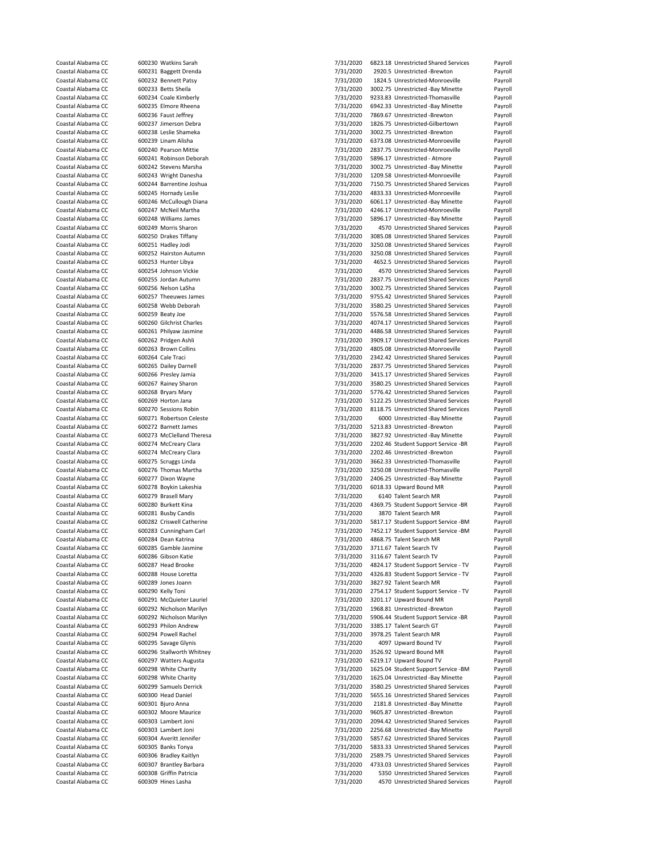| Coastal Alabama CC | 600230 Watkins Sarah                            | 7/31/2020 | 6823.18 Unrestricted Shared Services                                   | Payroll |
|--------------------|-------------------------------------------------|-----------|------------------------------------------------------------------------|---------|
| Coastal Alabama CC | 600231 Baggett Drenda                           | 7/31/2020 | 2920.5 Unrestricted -Brewton                                           | Payroll |
| Coastal Alabama CC | 600232 Bennett Patsy                            | 7/31/2020 | 1824.5 Unrestricted-Monroeville                                        | Payroll |
| Coastal Alabama CC | 600233 Betts Sheila                             | 7/31/2020 | 3002.75 Unrestricted -Bay Minette                                      | Payroll |
| Coastal Alabama CC | 600234 Coale Kimberly                           | 7/31/2020 | 9233.83 Unrestricted-Thomasville                                       | Payroll |
| Coastal Alabama CC | 600235 Elmore Rheena                            | 7/31/2020 | 6942.33 Unrestricted -Bay Minette                                      | Payroll |
| Coastal Alabama CC | 600236 Faust Jeffrey                            |           |                                                                        |         |
|                    |                                                 | 7/31/2020 | 7869.67 Unrestricted -Brewton                                          | Payroll |
| Coastal Alabama CC | 600237 Jimerson Debra                           | 7/31/2020 | 1826.75 Unrestricted-Gilbertown                                        | Payroll |
| Coastal Alabama CC | 600238 Leslie Shameka                           | 7/31/2020 | 3002.75 Unrestricted -Brewton                                          | Payroll |
| Coastal Alabama CC | 600239 Linam Alisha                             | 7/31/2020 | 6373.08 Unrestricted-Monroeville                                       | Payroll |
| Coastal Alabama CC | 600240 Pearson Mittie                           | 7/31/2020 | 2837.75 Unrestricted-Monroeville                                       | Payroll |
| Coastal Alabama CC | 600241 Robinson Deborah                         | 7/31/2020 | 5896.17 Unrestricted - Atmore                                          | Payroll |
| Coastal Alabama CC | 600242 Stevens Marsha                           | 7/31/2020 | 3002.75 Unrestricted -Bay Minette                                      | Payroll |
| Coastal Alabama CC | 600243 Wright Danesha                           | 7/31/2020 | 1209.58 Unrestricted-Monroeville                                       | Payroll |
| Coastal Alabama CC | 600244 Barrentine Joshua                        | 7/31/2020 | 7150.75 Unrestricted Shared Services                                   | Payroll |
| Coastal Alabama CC | 600245 Hornady Leslie                           | 7/31/2020 | 4833.33 Unrestricted-Monroeville                                       | Payroll |
| Coastal Alabama CC |                                                 | 7/31/2020 | 6061.17 Unrestricted -Bay Minette                                      | Payroll |
| Coastal Alabama CC | 600246 McCullough Diana<br>600247 McNeil Martha |           |                                                                        |         |
|                    |                                                 | 7/31/2020 | 4246.17 Unrestricted-Monroeville                                       | Payroll |
| Coastal Alabama CC | 600248 Williams James                           | 7/31/2020 | 5896.17 Unrestricted -Bay Minette                                      | Payroll |
| Coastal Alabama CC | 600249 Morris Sharon                            | 7/31/2020 | 4570 Unrestricted Shared Services                                      | Payroll |
| Coastal Alabama CC | 600250 Drakes Tiffany                           | 7/31/2020 | 3085.08 Unrestricted Shared Services                                   | Payroll |
| Coastal Alabama CC | 600251 Hadley Jodi                              | 7/31/2020 | 3250.08 Unrestricted Shared Services                                   | Payroll |
| Coastal Alabama CC | 600252 Hairston Autumn                          | 7/31/2020 | 3250.08 Unrestricted Shared Services                                   | Payroll |
| Coastal Alabama CC | 600253 Hunter Libya                             | 7/31/2020 | 4652.5 Unrestricted Shared Services                                    | Payroll |
| Coastal Alabama CC | 600254 Johnson Vickie                           | 7/31/2020 | 4570 Unrestricted Shared Services                                      | Payroll |
| Coastal Alabama CC | 600255 Jordan Autumn                            | 7/31/2020 | 2837.75 Unrestricted Shared Services                                   | Payroll |
| Coastal Alabama CC | 600256 Nelson LaSha                             | 7/31/2020 | 3002.75 Unrestricted Shared Services                                   | Payroll |
|                    |                                                 |           | 9755.42 Unrestricted Shared Services                                   |         |
| Coastal Alabama CC | 600257 Theeuwes James                           | 7/31/2020 |                                                                        | Payroll |
| Coastal Alabama CC | 600258 Webb Deborah                             | 7/31/2020 | 3580.25 Unrestricted Shared Services                                   | Payroll |
| Coastal Alabama CC | 600259 Beaty Joe                                | 7/31/2020 | 5576.58 Unrestricted Shared Services                                   | Payroll |
| Coastal Alabama CC | 600260 Gilchrist Charles                        | 7/31/2020 | 4074.17 Unrestricted Shared Services                                   | Payroll |
| Coastal Alabama CC | 600261 Philyaw Jasmine                          | 7/31/2020 | 4486.58 Unrestricted Shared Services                                   | Payroll |
| Coastal Alabama CC | 600262 Pridgen Ashli                            | 7/31/2020 | 3909.17 Unrestricted Shared Services                                   | Payroll |
| Coastal Alabama CC | 600263 Brown Collins                            | 7/31/2020 | 4805.08 Unrestricted-Monroeville                                       | Payroll |
| Coastal Alabama CC | 600264 Cale Traci                               | 7/31/2020 | 2342.42 Unrestricted Shared Services                                   | Payroll |
| Coastal Alabama CC | 600265 Dailey Darnell                           | 7/31/2020 | 2837.75 Unrestricted Shared Services                                   | Payroll |
| Coastal Alabama CC | 600266 Presley Jamia                            | 7/31/2020 | 3415.17 Unrestricted Shared Services                                   | Payroll |
|                    |                                                 |           |                                                                        |         |
| Coastal Alabama CC | 600267 Rainey Sharon                            | 7/31/2020 | 3580.25 Unrestricted Shared Services                                   | Payroll |
| Coastal Alabama CC | 600268 Bryars Mary                              | 7/31/2020 | 5776.42 Unrestricted Shared Services                                   | Payroll |
| Coastal Alabama CC | 600269 Horton Jana                              | 7/31/2020 | 5122.25 Unrestricted Shared Services                                   | Payroll |
| Coastal Alabama CC | 600270 Sessions Robin                           | 7/31/2020 | 8118.75 Unrestricted Shared Services                                   | Payroll |
| Coastal Alabama CC |                                                 |           |                                                                        |         |
|                    | 600271 Robertson Celeste                        | 7/31/2020 | 6000 Unrestricted -Bay Minette                                         | Payroll |
| Coastal Alabama CC | 600272 Barnett James                            |           | 5213.83 Unrestricted -Brewton                                          | Payroll |
|                    |                                                 | 7/31/2020 |                                                                        |         |
| Coastal Alabama CC | 600273 McClelland Theresa                       | 7/31/2020 | 3827.92 Unrestricted -Bay Minette                                      | Payroll |
| Coastal Alabama CC | 600274 McCreary Clara                           | 7/31/2020 | 2202.46 Student Support Service -BR                                    | Payroll |
| Coastal Alabama CC | 600274 McCreary Clara                           | 7/31/2020 | 2202.46 Unrestricted -Brewton                                          | Payroll |
| Coastal Alabama CC | 600275 Scruggs Linda                            | 7/31/2020 | 3662.33 Unrestricted-Thomasville                                       | Payroll |
| Coastal Alabama CC | 600276 Thomas Martha                            | 7/31/2020 | 3250.08 Unrestricted-Thomasville                                       | Payroll |
| Coastal Alabama CC | 600277 Dixon Wayne                              | 7/31/2020 | 2406.25 Unrestricted -Bay Minette                                      | Payroll |
| Coastal Alabama CC | 600278 Boykin Lakeshia                          | 7/31/2020 | 6018.33 Upward Bound MR                                                | Payroll |
| Coastal Alabama CC | 600279 Brasell Mary                             | 7/31/2020 | 6140 Talent Search MR                                                  | Payroll |
| Coastal Alabama CC | 600280 Burkett Kina                             | 7/31/2020 | 4369.75 Student Support Service -BR                                    | Payroll |
| Coastal Alabama CC | 600281 Busby Candis                             |           | 3870 Talent Search MR                                                  |         |
|                    |                                                 | 7/31/2020 |                                                                        | Payroll |
| Coastal Alabama CC | 600282 Criswell Catherine                       | 7/31/2020 | 5817.17 Student Support Service -BM                                    | Payroll |
| Coastal Alabama CC | 600283 Cunningham Carl                          | 7/31/2020 | 7452.17 Student Support Service -BM                                    | Payroll |
| Coastal Alabama CC | 600284 Dean Katrina                             | 7/31/2020 | 4868.75 Talent Search MR                                               | Payroll |
| Coastal Alabama CC | 600285 Gamble Jasmine                           | 7/31/2020 | 3711.67 Talent Search TV                                               | Payroll |
| Coastal Alabama CC | 600286 Gibson Katie                             | 7/31/2020 | 3116.67 Talent Search TV                                               | Payroll |
| Coastal Alabama CC | 600287 Head Brooke                              | 7/31/2020 | 4824.17 Student Support Service - TV                                   | Payroll |
| Coastal Alabama CC | 600288 House Loretta                            | 7/31/2020 | 4326.83 Student Support Service - TV                                   | Payroll |
| Coastal Alabama CC | 600289 Jones Joann                              | 7/31/2020 | 3827.92 Talent Search MR                                               | Payroll |
| Coastal Alabama CC | 600290 Kelly Toni                               | 7/31/2020 | 2754.17 Student Support Service - TV                                   | Payroll |
| Coastal Alabama CC | 600291 McQuieter Lauriel                        | 7/31/2020 | 3201.17 Upward Bound MR                                                | Payroll |
| Coastal Alabama CC | 600292 Nicholson Marilyn                        |           | 1968.81 Unrestricted -Brewton                                          | Payroll |
|                    |                                                 | 7/31/2020 |                                                                        |         |
| Coastal Alabama CC | 600292 Nicholson Marilyn                        | 7/31/2020 | 5906.44 Student Support Service -BR                                    | Payroll |
| Coastal Alabama CC | 600293 Philon Andrew                            | 7/31/2020 | 3385.17 Talent Search GT                                               | Payroll |
| Coastal Alabama CC | 600294 Powell Rachel                            | 7/31/2020 | 3978.25 Talent Search MR                                               | Payroll |
| Coastal Alabama CC | 600295 Savage Glynis                            | 7/31/2020 | 4097 Upward Bound TV                                                   | Payroll |
| Coastal Alabama CC | 600296 Stallworth Whitney                       | 7/31/2020 | 3526.92 Upward Bound MR                                                | Payroll |
| Coastal Alabama CC | 600297 Watters Augusta                          | 7/31/2020 | 6219.17 Upward Bound TV                                                | Payroll |
| Coastal Alabama CC | 600298 White Charity                            | 7/31/2020 | 1625.04 Student Support Service -BM                                    | Payroll |
| Coastal Alabama CC | 600298 White Charity                            | 7/31/2020 | 1625.04 Unrestricted -Bay Minette                                      | Payroll |
| Coastal Alabama CC | 600299 Samuels Derrick                          | 7/31/2020 | 3580.25 Unrestricted Shared Services                                   | Payroll |
| Coastal Alabama CC | 600300 Head Daniel                              | 7/31/2020 | 5655.16 Unrestricted Shared Services                                   | Payroll |
| Coastal Alabama CC | 600301 Bjuro Anna                               |           | 2181.8 Unrestricted -Bay Minette                                       | Payroll |
|                    |                                                 | 7/31/2020 |                                                                        |         |
| Coastal Alabama CC | 600302 Moore Maurice                            | 7/31/2020 | 9605.87 Unrestricted -Brewton                                          | Payroll |
| Coastal Alabama CC | 600303 Lambert Joni                             | 7/31/2020 | 2094.42 Unrestricted Shared Services                                   | Payroll |
| Coastal Alabama CC | 600303 Lambert Joni                             | 7/31/2020 | 2256.68 Unrestricted -Bay Minette                                      | Payroll |
| Coastal Alabama CC | 600304 Averitt Jennifer                         | 7/31/2020 | 5857.62 Unrestricted Shared Services                                   | Payroll |
| Coastal Alabama CC | 600305 Banks Tonya                              | 7/31/2020 | 5833.33 Unrestricted Shared Services                                   | Payroll |
| Coastal Alabama CC | 600306 Bradley Kaitlyn                          | 7/31/2020 | 2589.75 Unrestricted Shared Services                                   | Payroll |
| Coastal Alabama CC | 600307 Brantley Barbara                         | 7/31/2020 | 4733.03 Unrestricted Shared Services                                   | Payroll |
| Coastal Alabama CC | 600308 Griffin Patricia                         | 7/31/2020 | 5350 Unrestricted Shared Services<br>4570 Unrestricted Shared Services | Payroll |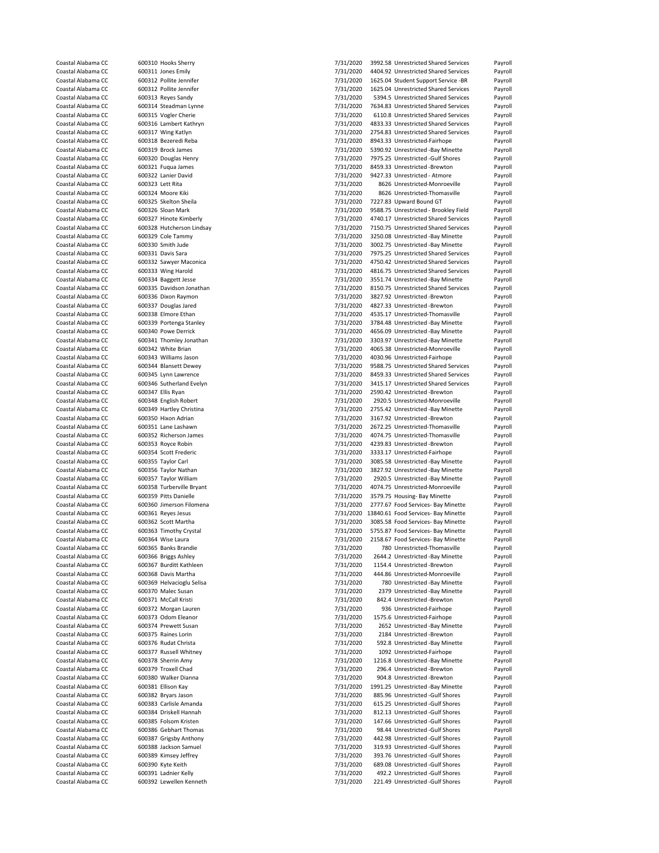| Coastal Alabama CC<br>Coastal Alabama CC |                  | 600310 Hooks Sherry                             | 7/31/2020              | 3992.58 Unrestricted Shared Services                                | Payroll            |
|------------------------------------------|------------------|-------------------------------------------------|------------------------|---------------------------------------------------------------------|--------------------|
|                                          |                  | 600311 Jones Emily                              | 7/31/2020              | 4404.92 Unrestricted Shared Services                                | Payroll            |
|                                          |                  |                                                 |                        |                                                                     |                    |
| Coastal Alabama CC                       |                  | 600312 Pollite Jennifer                         | 7/31/2020              | 1625.04 Student Support Service -BR                                 | Payroll            |
| Coastal Alabama CC                       |                  | 600312 Pollite Jennifer                         | 7/31/2020              | 1625.04 Unrestricted Shared Services                                | Payroll            |
| Coastal Alabama CC                       |                  | 600313 Reyes Sandy                              | 7/31/2020              | 5394.5 Unrestricted Shared Services                                 | Payroll            |
| Coastal Alabama CC                       |                  | 600314 Steadman Lynne                           | 7/31/2020              | 7634.83 Unrestricted Shared Services                                | Payroll            |
| Coastal Alabama CC                       |                  | 600315 Vogler Cherie                            | 7/31/2020              | 6110.8 Unrestricted Shared Services                                 | Payroll            |
| Coastal Alabama CC                       |                  | 600316 Lambert Kathryn                          | 7/31/2020              | 4833.33 Unrestricted Shared Services                                | Payroll            |
| Coastal Alabama CC                       |                  | 600317 Wing Katlyn                              | 7/31/2020              | 2754.83 Unrestricted Shared Services                                | Payroll            |
|                                          |                  |                                                 |                        |                                                                     |                    |
| Coastal Alabama CC                       |                  | 600318 Bezeredi Reba                            | 7/31/2020              | 8943.33 Unrestricted-Fairhope                                       | Payroll            |
| Coastal Alabama CC                       |                  | 600319 Brock James                              | 7/31/2020              | 5390.92 Unrestricted -Bay Minette                                   | Payroll            |
| Coastal Alabama CC                       |                  | 600320 Douglas Henry                            | 7/31/2020              | 7975.25 Unrestricted -Gulf Shores                                   | Payroll            |
| Coastal Alabama CC                       |                  | 600321 Fuqua James                              | 7/31/2020              | 8459.33 Unrestricted -Brewton                                       | Payroll            |
| Coastal Alabama CC                       |                  | 600322 Lanier David                             | 7/31/2020              | 9427.33 Unrestricted - Atmore                                       | Payroll            |
| Coastal Alabama CC                       | 600323 Lett Rita |                                                 | 7/31/2020              | 8626 Unrestricted-Monroeville                                       | Payroll            |
| Coastal Alabama CC                       |                  | 600324 Moore Kiki                               | 7/31/2020              | 8626 Unrestricted-Thomasville                                       | Payroll            |
|                                          |                  |                                                 |                        |                                                                     |                    |
| Coastal Alabama CC                       |                  | 600325 Skelton Sheila                           | 7/31/2020              | 7227.83 Upward Bound GT                                             | Payroll            |
| Coastal Alabama CC                       |                  | 600326 Sloan Mark                               | 7/31/2020              | 9588.75 Unrestricted - Brookley Field                               | Payroll            |
| Coastal Alabama CC                       |                  | 600327 Hinote Kimberly                          | 7/31/2020              | 4740.17 Unrestricted Shared Services                                | Payroll            |
| Coastal Alabama CC                       |                  | 600328 Hutcherson Lindsay                       | 7/31/2020              | 7150.75 Unrestricted Shared Services                                | Payroll            |
| Coastal Alabama CC                       |                  | 600329 Cole Tammy                               | 7/31/2020              | 3250.08 Unrestricted -Bay Minette                                   | Payroll            |
| Coastal Alabama CC                       |                  | 600330 Smith Jude                               | 7/31/2020              | 3002.75 Unrestricted -Bay Minette                                   | Payroll            |
| Coastal Alabama CC                       |                  | 600331 Davis Sara                               | 7/31/2020              | 7975.25 Unrestricted Shared Services                                | Payroll            |
|                                          |                  |                                                 |                        |                                                                     |                    |
| Coastal Alabama CC                       |                  | 600332 Sawyer Maconica                          | 7/31/2020              | 4750.42 Unrestricted Shared Services                                | Payroll            |
| Coastal Alabama CC                       |                  | 600333 Wing Harold                              | 7/31/2020              | 4816.75 Unrestricted Shared Services                                | Payroll            |
| Coastal Alabama CC                       |                  | 600334 Baggett Jesse                            | 7/31/2020              | 3551.74 Unrestricted -Bay Minette                                   | Payroll            |
| Coastal Alabama CC                       |                  | 600335 Davidson Jonathan                        | 7/31/2020              | 8150.75 Unrestricted Shared Services                                | Payroll            |
| Coastal Alabama CC                       |                  | 600336 Dixon Raymon                             | 7/31/2020              | 3827.92 Unrestricted -Brewton                                       | Payroll            |
| Coastal Alabama CC                       |                  | 600337 Douglas Jared                            | 7/31/2020              | 4827.33 Unrestricted -Brewton                                       | Payroll            |
| Coastal Alabama CC                       |                  | 600338 Elmore Ethan                             | 7/31/2020              | 4535.17 Unrestricted-Thomasville                                    | Payroll            |
|                                          |                  |                                                 |                        |                                                                     |                    |
| Coastal Alabama CC                       |                  | 600339 Portenga Stanley                         | 7/31/2020              | 3784.48 Unrestricted -Bay Minette                                   | Payroll            |
| Coastal Alabama CC                       |                  | 600340 Powe Derrick                             | 7/31/2020              | 4656.09 Unrestricted -Bay Minette                                   | Payroll            |
| Coastal Alabama CC                       |                  | 600341 Thomley Jonathan                         | 7/31/2020              | 3303.97 Unrestricted -Bay Minette                                   | Payroll            |
| Coastal Alabama CC                       |                  | 600342 White Brian                              | 7/31/2020              | 4065.38 Unrestricted-Monroeville                                    | Payroll            |
| Coastal Alabama CC                       |                  | 600343 Williams Jason                           | 7/31/2020              | 4030.96 Unrestricted-Fairhope                                       | Payroll            |
| Coastal Alabama CC                       |                  | 600344 Blansett Dewey                           | 7/31/2020              | 9588.75 Unrestricted Shared Services                                | Payroll            |
| Coastal Alabama CC                       |                  |                                                 |                        | 8459.33 Unrestricted Shared Services                                |                    |
|                                          |                  | 600345 Lynn Lawrence                            | 7/31/2020              |                                                                     | Payroll            |
| Coastal Alabama CC                       |                  | 600346 Sutherland Evelyn                        | 7/31/2020              | 3415.17 Unrestricted Shared Services                                | Payroll            |
| Coastal Alabama CC                       |                  | 600347 Ellis Ryan                               | 7/31/2020              | 2590.42 Unrestricted -Brewton                                       | Payroll            |
| Coastal Alabama CC                       |                  | 600348 English Robert                           | 7/31/2020              | 2920.5 Unrestricted-Monroeville                                     | Payroll            |
| Coastal Alabama CC                       |                  | 600349 Hartley Christina                        | 7/31/2020              | 2755.42 Unrestricted -Bay Minette                                   | Payroll            |
| Coastal Alabama CC                       |                  | 600350 Hixon Adrian                             | 7/31/2020              | 3167.92 Unrestricted -Brewton                                       | Payroll            |
| Coastal Alabama CC                       |                  | 600351 Lane Lashawn                             | 7/31/2020              | 2672.25 Unrestricted-Thomasville                                    | Payroll            |
| Coastal Alabama CC                       |                  | 600352 Richerson James                          | 7/31/2020              | 4074.75 Unrestricted-Thomasville                                    | Payroll            |
|                                          |                  |                                                 |                        |                                                                     |                    |
| Coastal Alabama CC                       |                  | 600353 Royce Robin                              | 7/31/2020              | 4239.83 Unrestricted -Brewton                                       | Payroll            |
| Coastal Alabama CC                       |                  | 600354 Scott Frederic                           | 7/31/2020              | 3333.17 Unrestricted-Fairhope                                       | Payroll            |
| Coastal Alabama CC                       |                  | 600355 Taylor Carl                              | 7/31/2020              | 3085.58 Unrestricted -Bay Minette                                   | Payroll            |
| Coastal Alabama CC                       |                  | 600356 Taylor Nathan                            | 7/31/2020              | 3827.92 Unrestricted -Bay Minette                                   | Payroll            |
| Coastal Alabama CC                       |                  | 600357 Taylor William                           | 7/31/2020              | 2920.5 Unrestricted -Bay Minette                                    | Payroll            |
| Coastal Alabama CC                       |                  | 600358 Turberville Bryant                       | 7/31/2020              | 4074.75 Unrestricted-Monroeville                                    | Payroll            |
| Coastal Alabama CC                       |                  |                                                 |                        |                                                                     |                    |
|                                          |                  |                                                 |                        |                                                                     |                    |
|                                          |                  | 600359 Pitts Danielle                           | 7/31/2020              | 3579.75 Housing- Bay Minette                                        | Payroll            |
| Coastal Alabama CC                       |                  | 600360 Jimerson Filomena                        | 7/31/2020              | 2777.67 Food Services- Bay Minette                                  | Payroll            |
| Coastal Alabama CC                       |                  | 600361 Reyes Jesus                              |                        | 7/31/2020 13840.61 Food Services- Bay Minette                       | Payroll            |
| Coastal Alabama CC                       |                  | 600362 Scott Martha                             | 7/31/2020              | 3085.58 Food Services- Bay Minette                                  | Payroll            |
| Coastal Alabama CC                       |                  | 600363 Timothy Crystal                          | 7/31/2020              | 5755.87 Food Services- Bay Minette                                  | Payroll            |
| Coastal Alabama CC                       |                  | 600364 Wise Laura                               |                        | 2158.67 Food Services- Bay Minette                                  | Payroll            |
|                                          |                  |                                                 | 7/31/2020              |                                                                     |                    |
| Coastal Alabama CC                       |                  | 600365 Banks Brandie                            | 7/31/2020              | 780 Unrestricted-Thomasville                                        | Payroll            |
| Coastal Alabama CC                       |                  | 600366 Briggs Ashley                            | 7/31/2020              | 2644.2 Unrestricted -Bay Minette                                    | Payroll            |
| Coastal Alabama CC                       |                  | 600367 Burditt Kathleen                         | 7/31/2020              | 1154.4 Unrestricted -Brewton                                        | Payroll            |
| Coastal Alabama CC                       |                  | 600368 Davis Martha                             | 7/31/2020              | 444.86 Unrestricted-Monroeville                                     | Payroll            |
| Coastal Alabama CC                       |                  | 600369 Helvacioglu Selisa                       | 7/31/2020              | 780 Unrestricted -Bay Minette                                       | Payroll            |
| Coastal Alabama CC                       |                  | 600370 Malec Susan                              | 7/31/2020              | 2379 Unrestricted -Bay Minette                                      | Payroll            |
| Coastal Alabama CC                       |                  | 600371 McCall Kristi                            | 7/31/2020              | 842.4 Unrestricted -Brewton                                         | Payroll            |
| Coastal Alabama CC                       |                  |                                                 |                        | 936 Unrestricted-Fairhope                                           |                    |
|                                          |                  | 600372 Morgan Lauren                            | 7/31/2020              |                                                                     | Payroll            |
| Coastal Alabama CC                       |                  | 600373 Odom Eleanor                             | 7/31/2020              | 1575.6 Unrestricted-Fairhope                                        | Payroll            |
| Coastal Alabama CC                       |                  | 600374 Prewett Susan                            | 7/31/2020              | 2652 Unrestricted -Bay Minette                                      | Payroll            |
| Coastal Alabama CC                       |                  | 600375 Raines Lorin                             | 7/31/2020              | 2184 Unrestricted -Brewton                                          | Payroll            |
| Coastal Alabama CC                       |                  | 600376 Rudat Christa                            | 7/31/2020              | 592.8 Unrestricted -Bay Minette                                     | Payroll            |
| Coastal Alabama CC                       |                  | 600377 Russell Whitney                          | 7/31/2020              | 1092 Unrestricted-Fairhope                                          | Payroll            |
| Coastal Alabama CC                       |                  | 600378 Sherrin Amy                              | 7/31/2020              | 1216.8 Unrestricted -Bay Minette                                    | Payroll            |
| Coastal Alabama CC                       |                  | 600379 Troxell Chad                             | 7/31/2020              | 296.4 Unrestricted -Brewton                                         | Payroll            |
| Coastal Alabama CC                       |                  | 600380 Walker Dianna                            |                        | 904.8 Unrestricted -Brewton                                         | Payroll            |
|                                          |                  |                                                 | 7/31/2020              |                                                                     |                    |
| Coastal Alabama CC                       |                  | 600381 Ellison Kay                              | 7/31/2020              | 1991.25 Unrestricted -Bay Minette                                   | Payroll            |
| Coastal Alabama CC                       |                  | 600382 Bryars Jason                             | 7/31/2020              | 885.96 Unrestricted -Gulf Shores                                    | Payroll            |
| Coastal Alabama CC                       |                  | 600383 Carlisle Amanda                          | 7/31/2020              | 615.25 Unrestricted -Gulf Shores                                    | Payroll            |
| Coastal Alabama CC                       |                  | 600384 Driskell Hannah                          | 7/31/2020              | 812.13 Unrestricted -Gulf Shores                                    | Payroll            |
| Coastal Alabama CC                       |                  | 600385 Folsom Kristen                           | 7/31/2020              | 147.66 Unrestricted -Gulf Shores                                    | Payroll            |
| Coastal Alabama CC                       |                  | 600386 Gebhart Thomas                           | 7/31/2020              | 98.44 Unrestricted -Gulf Shores                                     | Payroll            |
|                                          |                  |                                                 |                        |                                                                     |                    |
| Coastal Alabama CC                       |                  | 600387 Grigsby Anthony                          | 7/31/2020              | 442.98 Unrestricted -Gulf Shores                                    | Payroll            |
| Coastal Alabama CC                       |                  | 600388 Jackson Samuel                           | 7/31/2020              | 319.93 Unrestricted -Gulf Shores                                    | Payroll            |
| Coastal Alabama CC                       |                  | 600389 Kimsey Jeffrey                           | 7/31/2020              | 393.76 Unrestricted -Gulf Shores                                    | Payroll            |
| Coastal Alabama CC                       |                  | 600390 Kyte Keith                               | 7/31/2020              | 689.08 Unrestricted -Gulf Shores                                    | Payroll            |
| Coastal Alabama CC<br>Coastal Alabama CC |                  | 600391 Ladnier Kelly<br>600392 Lewellen Kenneth | 7/31/2020<br>7/31/2020 | 492.2 Unrestricted -Gulf Shores<br>221.49 Unrestricted -Gulf Shores | Payroll<br>Payroll |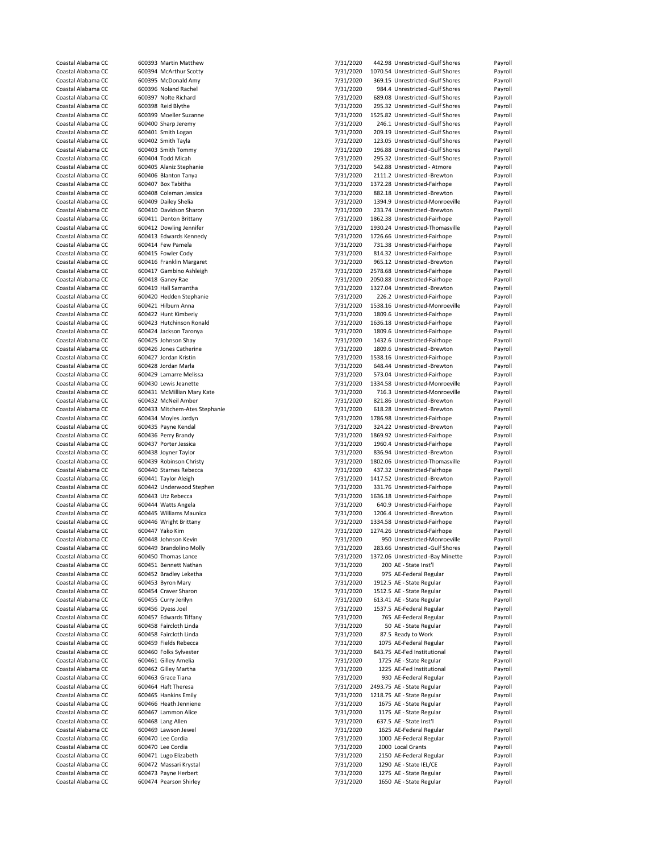| Coastal Alabama CC                       | 600393 Martin Matthew                          | 7/31/2020              | 442.98 Unrestricted -Gulf Shores                   | Payroll            |
|------------------------------------------|------------------------------------------------|------------------------|----------------------------------------------------|--------------------|
| Coastal Alabama CC                       | 600394 McArthur Scotty                         | 7/31/2020              | 1070.54 Unrestricted -Gulf Shores                  | Payroll            |
|                                          |                                                |                        |                                                    |                    |
| Coastal Alabama CC                       | 600395 McDonald Amy                            | 7/31/2020              | 369.15 Unrestricted -Gulf Shores                   | Payroll            |
| Coastal Alabama CC                       | 600396 Noland Rachel                           | 7/31/2020              | 984.4 Unrestricted -Gulf Shores                    | Payroll            |
| Coastal Alabama CC                       | 600397 Nolte Richard                           | 7/31/2020              | 689.08 Unrestricted -Gulf Shores                   | Payroll            |
| Coastal Alabama CC                       | 600398 Reid Blythe                             | 7/31/2020              | 295.32 Unrestricted -Gulf Shores                   | Payroll            |
| Coastal Alabama CC                       | 600399 Moeller Suzanne                         | 7/31/2020              | 1525.82 Unrestricted -Gulf Shores                  | Payroll            |
| Coastal Alabama CC                       | 600400 Sharp Jeremy                            | 7/31/2020              | 246.1 Unrestricted -Gulf Shores                    | Payroll            |
| Coastal Alabama CC                       | 600401 Smith Logan                             | 7/31/2020              | 209.19 Unrestricted -Gulf Shores                   | Payroll            |
|                                          |                                                |                        |                                                    |                    |
| Coastal Alabama CC                       | 600402 Smith Tayla                             | 7/31/2020              | 123.05 Unrestricted -Gulf Shores                   | Payroll            |
| Coastal Alabama CC                       | 600403 Smith Tommy                             | 7/31/2020              | 196.88 Unrestricted -Gulf Shores                   | Payroll            |
| Coastal Alabama CC                       | 600404 Todd Micah                              | 7/31/2020              | 295.32 Unrestricted -Gulf Shores                   | Payroll            |
| Coastal Alabama CC                       | 600405 Alaniz Stephanie                        | 7/31/2020              | 542.88 Unrestricted - Atmore                       | Payroll            |
| Coastal Alabama CC                       | 600406 Blanton Tanya                           | 7/31/2020              | 2111.2 Unrestricted -Brewton                       | Payroll            |
| Coastal Alabama CC                       | 600407 Box Tabitha                             | 7/31/2020              | 1372.28 Unrestricted-Fairhope                      | Payroll            |
| Coastal Alabama CC                       | 600408 Coleman Jessica                         | 7/31/2020              | 882.18 Unrestricted -Brewton                       | Payroll            |
|                                          |                                                |                        |                                                    |                    |
| Coastal Alabama CC                       | 600409 Dailey Shelia                           | 7/31/2020              | 1394.9 Unrestricted-Monroeville                    | Payroll            |
| Coastal Alabama CC                       | 600410 Davidson Sharon                         | 7/31/2020              | 233.74 Unrestricted -Brewton                       | Payroll            |
| Coastal Alabama CC                       | 600411 Denton Brittany                         | 7/31/2020              | 1862.38 Unrestricted-Fairhope                      | Payroll            |
| Coastal Alabama CC                       | 600412 Dowling Jennifer                        | 7/31/2020              | 1930.24 Unrestricted-Thomasville                   | Payroll            |
| Coastal Alabama CC                       | 600413 Edwards Kennedy                         | 7/31/2020              | 1726.66 Unrestricted-Fairhope                      | Payroll            |
| Coastal Alabama CC                       | 600414 Few Pamela                              | 7/31/2020              | 731.38 Unrestricted-Fairhope                       | Payroll            |
| Coastal Alabama CC                       | 600415 Fowler Cody                             | 7/31/2020              | 814.32 Unrestricted-Fairhope                       | Payroll            |
|                                          |                                                |                        |                                                    |                    |
| Coastal Alabama CC                       | 600416 Franklin Margaret                       | 7/31/2020              | 965.12 Unrestricted -Brewton                       | Payroll            |
| Coastal Alabama CC                       | 600417 Gambino Ashleigh                        | 7/31/2020              | 2578.68 Unrestricted-Fairhope                      | Payroll            |
| Coastal Alabama CC                       | 600418 Ganey Rae                               | 7/31/2020              | 2050.88 Unrestricted-Fairhope                      | Payroll            |
| Coastal Alabama CC                       | 600419 Hall Samantha                           | 7/31/2020              | 1327.04 Unrestricted -Brewton                      | Payroll            |
| Coastal Alabama CC                       | 600420 Hedden Stephanie                        | 7/31/2020              | 226.2 Unrestricted-Fairhope                        | Payroll            |
| Coastal Alabama CC                       | 600421 Hilburn Anna                            | 7/31/2020              | 1538.16 Unrestricted-Monroeville                   | Payroll            |
| Coastal Alabama CC                       | 600422 Hunt Kimberly                           | 7/31/2020              | 1809.6 Unrestricted-Fairhope                       | Payroll            |
|                                          |                                                |                        |                                                    |                    |
| Coastal Alabama CC                       | 600423 Hutchinson Ronald                       | 7/31/2020              | 1636.18 Unrestricted-Fairhope                      | Payroll            |
| Coastal Alabama CC                       | 600424 Jackson Taronya                         | 7/31/2020              | 1809.6 Unrestricted-Fairhope                       | Payroll            |
| Coastal Alabama CC                       | 600425 Johnson Shay                            | 7/31/2020              | 1432.6 Unrestricted-Fairhope                       | Payroll            |
| Coastal Alabama CC                       | 600426 Jones Catherine                         | 7/31/2020              | 1809.6 Unrestricted -Brewton                       | Payroll            |
| Coastal Alabama CC                       | 600427 Jordan Kristin                          | 7/31/2020              | 1538.16 Unrestricted-Fairhope                      | Payroll            |
| Coastal Alabama CC                       | 600428 Jordan Marla                            | 7/31/2020              | 648.44 Unrestricted -Brewton                       | Payroll            |
|                                          |                                                |                        |                                                    |                    |
| Coastal Alabama CC                       | 600429 Lamarre Melissa                         | 7/31/2020              | 573.04 Unrestricted-Fairhope                       | Payroll            |
| Coastal Alabama CC                       | 600430 Lewis Jeanette                          | 7/31/2020              | 1334.58 Unrestricted-Monroeville                   | Payroll            |
| Coastal Alabama CC                       | 600431 McMillian Mary Kate                     | 7/31/2020              | 716.3 Unrestricted-Monroeville                     | Payroll            |
| Coastal Alabama CC                       | 600432 McNeil Amber                            | 7/31/2020              | 821.86 Unrestricted -Brewton                       | Payroll            |
| Coastal Alabama CC                       | 600433 Mitchem-Ates Stephanie                  | 7/31/2020              | 618.28 Unrestricted -Brewton                       | Payroll            |
| Coastal Alabama CC                       | 600434 Moyles Jordyn                           | 7/31/2020              | 1786.98 Unrestricted-Fairhope                      | Payroll            |
| Coastal Alabama CC                       | 600435 Payne Kendal                            | 7/31/2020              | 324.22 Unrestricted -Brewton                       | Payroll            |
| Coastal Alabama CC                       |                                                |                        | 1869.92 Unrestricted-Fairhope                      |                    |
|                                          | 600436 Perry Brandy                            | 7/31/2020              |                                                    | Payroll            |
|                                          |                                                |                        |                                                    |                    |
| Coastal Alabama CC                       | 600437 Porter Jessica                          | 7/31/2020              | 1960.4 Unrestricted-Fairhope                       | Payroll            |
| Coastal Alabama CC                       | 600438 Joyner Taylor                           | 7/31/2020              | 836.94 Unrestricted -Brewton                       | Payroll            |
| Coastal Alabama CC                       | 600439 Robinson Christy                        | 7/31/2020              | 1802.06 Unrestricted-Thomasville                   | Payroll            |
| Coastal Alabama CC                       | 600440 Starnes Rebecca                         |                        |                                                    |                    |
|                                          |                                                | 7/31/2020              | 437.32 Unrestricted-Fairhope                       | Payroll            |
| Coastal Alabama CC                       | 600441 Taylor Aleigh                           | 7/31/2020              | 1417.52 Unrestricted -Brewton                      | Payroll            |
| Coastal Alabama CC                       | 600442 Underwood Stephen                       | 7/31/2020              | 331.76 Unrestricted-Fairhope                       | Payroll            |
| Coastal Alabama CC                       | 600443 Utz Rebecca                             | 7/31/2020              | 1636.18 Unrestricted-Fairhope                      | Payroll            |
| Coastal Alabama CC                       | 600444 Watts Angela                            | 7/31/2020              | 640.9 Unrestricted-Fairhope                        | Payroll            |
| Coastal Alabama CC                       | 600445 Williams Maunica                        | 7/31/2020              | 1206.4 Unrestricted -Brewton                       | Payroll            |
| Coastal Alabama CC                       | 600446 Wright Brittany                         | 7/31/2020              | 1334.58 Unrestricted-Fairhope                      | Payroll            |
| Coastal Alabama CC                       | 600447 Yako Kim                                | 7/31/2020              | 1274.26 Unrestricted-Fairhope                      | Payroll            |
| Coastal Alabama CC                       | 600448 Johnson Kevin                           | 7/31/2020              | 950 Unrestricted-Monroeville                       | Pavroll            |
|                                          |                                                |                        |                                                    |                    |
| Coastal Alabama CC                       | 600449 Brandolino Molly                        | 7/31/2020              | 283.66 Unrestricted -Gulf Shores                   | Payroll            |
| Coastal Alabama CC                       | 600450 Thomas Lance                            | 7/31/2020              | 1372.06 Unrestricted -Bay Minette                  | Payroll            |
| Coastal Alabama CC                       | 600451 Bennett Nathan                          | 7/31/2020              | 200 AE - State Inst'l                              | Payroll            |
| Coastal Alabama CC                       | 600452 Bradley Leketha                         | 7/31/2020              | 975 AE-Federal Regular                             | Payroll            |
| Coastal Alabama CC                       | 600453 Byron Mary                              | 7/31/2020              | 1912.5 AE - State Regular                          | Payroll            |
| Coastal Alabama CC                       | 600454 Craver Sharon                           | 7/31/2020              | 1512.5 AE - State Regular                          | Payroll            |
| Coastal Alabama CC                       | 600455 Curry Jerilyn                           | 7/31/2020              | 613.41 AE - State Regular                          | Payroll            |
|                                          |                                                |                        |                                                    |                    |
| Coastal Alabama CC                       | 600456 Dyess Joel                              | 7/31/2020              | 1537.5 AE-Federal Regular                          | Payroll            |
| Coastal Alabama CC                       | 600457 Edwards Tiffany                         | 7/31/2020              | 765 AE-Federal Regular                             | Payroll            |
| Coastal Alabama CC                       | 600458 Faircloth Linda                         | 7/31/2020              | 50 AE - State Regular                              | Payroll            |
| Coastal Alabama CC                       | 600458 Faircloth Linda                         | 7/31/2020              | 87.5 Ready to Work                                 | Payroll            |
| Coastal Alabama CC                       | 600459 Fields Rebecca                          | 7/31/2020              | 1075 AE-Federal Regular                            | Payroll            |
| Coastal Alabama CC                       | 600460 Folks Sylvester                         | 7/31/2020              | 843.75 AE-Fed Institutional                        | Payroll            |
| Coastal Alabama CC                       | 600461 Gilley Amelia                           | 7/31/2020              | 1725 AE - State Regular                            | Payroll            |
| Coastal Alabama CC                       | 600462 Gilley Martha                           | 7/31/2020              | 1225 AE-Fed Institutional                          | Payroll            |
| Coastal Alabama CC                       |                                                |                        | 930 AE-Federal Regular                             |                    |
|                                          | 600463 Grace Tiana                             | 7/31/2020              |                                                    | Payroll            |
| Coastal Alabama CC                       | 600464 Haft Theresa                            | 7/31/2020              | 2493.75 AE - State Regular                         | Payroll            |
| Coastal Alabama CC                       | 600465 Hankins Emily                           | 7/31/2020              | 1218.75 AE - State Regular                         | Payroll            |
| Coastal Alabama CC                       | 600466 Heath Jenniene                          | 7/31/2020              | 1675 AE - State Regular                            | Payroll            |
| Coastal Alabama CC                       | 600467 Lammon Alice                            | 7/31/2020              | 1175 AE - State Regular                            | Payroll            |
| Coastal Alabama CC                       | 600468 Lang Allen                              | 7/31/2020              | 637.5 AE - State Inst'l                            | Payroll            |
| Coastal Alabama CC                       | 600469 Lawson Jewel                            | 7/31/2020              | 1625 AE-Federal Regular                            | Payroll            |
|                                          | 600470 Lee Cordia                              |                        |                                                    |                    |
| Coastal Alabama CC                       |                                                | 7/31/2020              | 1000 AE-Federal Regular                            | Payroll            |
| Coastal Alabama CC                       | 600470 Lee Cordia                              | 7/31/2020              | 2000 Local Grants                                  | Payroll            |
| Coastal Alabama CC                       | 600471 Lugo Elizabeth                          | 7/31/2020              | 2150 AE-Federal Regular                            | Payroll            |
| Coastal Alabama CC                       | 600472 Massari Krystal                         | 7/31/2020              | 1290 AE - State IEL/CE                             | Payroll            |
| Coastal Alabama CC<br>Coastal Alabama CC | 600473 Payne Herbert<br>600474 Pearson Shirley | 7/31/2020<br>7/31/2020 | 1275 AE - State Regular<br>1650 AE - State Regular | Payroll<br>Payroll |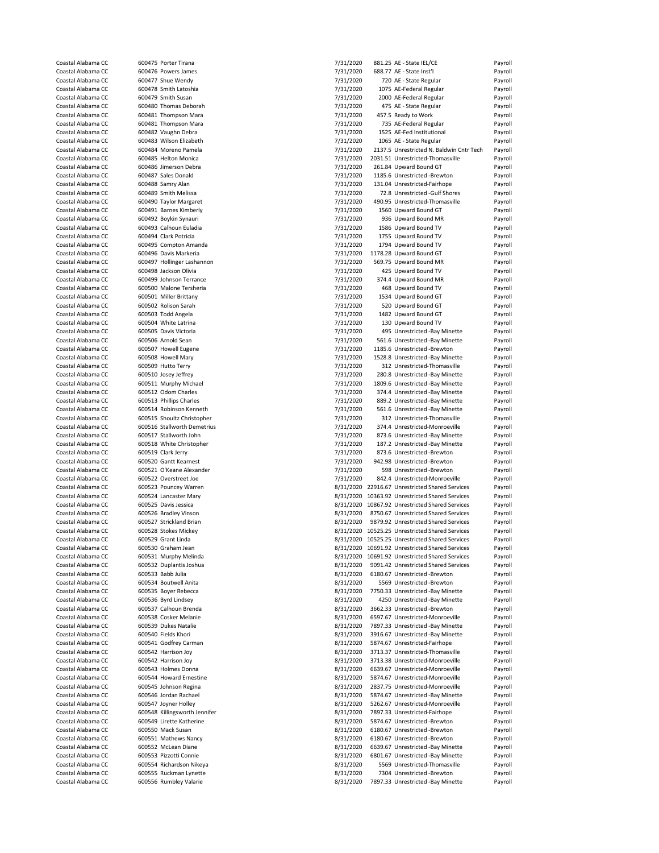| Coastal Alabama CC                       | 600475 Porter Tirana                             | 7/31/2020 | 881.25 AE - State IEL/CE                                                  | Payroll            |
|------------------------------------------|--------------------------------------------------|-----------|---------------------------------------------------------------------------|--------------------|
|                                          |                                                  |           |                                                                           |                    |
| Coastal Alabama CC                       | 600476 Powers James                              | 7/31/2020 | 688.77 AE - State Inst'l                                                  | Payroll            |
| Coastal Alabama CC                       | 600477 Shue Wendy                                | 7/31/2020 | 720 AE - State Regular                                                    | Payroll            |
| Coastal Alabama CC                       | 600478 Smith Latoshia                            | 7/31/2020 | 1075 AE-Federal Regular                                                   | Payroll            |
| Coastal Alabama CC                       | 600479 Smith Susan                               | 7/31/2020 | 2000 AE-Federal Regular                                                   | Payroll            |
| Coastal Alabama CC                       | 600480 Thomas Deborah                            | 7/31/2020 | 475 AE - State Regular                                                    | Payroll            |
|                                          | 600481 Thompson Mara                             |           | 457.5 Ready to Work                                                       |                    |
| Coastal Alabama CC                       |                                                  | 7/31/2020 |                                                                           | Payroll            |
| Coastal Alabama CC                       | 600481 Thompson Mara                             | 7/31/2020 | 735 AE-Federal Regular                                                    | Payroll            |
| Coastal Alabama CC                       | 600482 Vaughn Debra                              | 7/31/2020 | 1525 AE-Fed Institutional                                                 | Payroll            |
| Coastal Alabama CC                       | 600483 Wilson Elizabeth                          | 7/31/2020 | 1065 AE - State Regular                                                   | Payroll            |
| Coastal Alabama CC                       | 600484 Moreno Pamela                             | 7/31/2020 | 2137.5 Unrestricted N. Baldwin Cntr Tech                                  | Payroll            |
|                                          |                                                  |           |                                                                           |                    |
| Coastal Alabama CC                       | 600485 Helton Monica                             | 7/31/2020 | 2031.51 Unrestricted-Thomasville                                          | Payroll            |
| Coastal Alabama CC                       | 600486 Jimerson Debra                            | 7/31/2020 | 261.84 Upward Bound GT                                                    | Payroll            |
| Coastal Alabama CC                       | 600487 Sales Donald                              | 7/31/2020 | 1185.6 Unrestricted -Brewton                                              | Payroll            |
| Coastal Alabama CC                       | 600488 Samry Alan                                | 7/31/2020 | 131.04 Unrestricted-Fairhope                                              | Payroll            |
| Coastal Alabama CC                       | 600489 Smith Melissa                             | 7/31/2020 | 72.8 Unrestricted -Gulf Shores                                            | Payroll            |
|                                          |                                                  |           |                                                                           |                    |
| Coastal Alabama CC                       | 600490 Taylor Margaret                           | 7/31/2020 | 490.95 Unrestricted-Thomasville                                           | Payroll            |
| Coastal Alabama CC                       | 600491 Barnes Kimberly                           | 7/31/2020 | 1560 Upward Bound GT                                                      | Payroll            |
| Coastal Alabama CC                       | 600492 Boykin Synauri                            | 7/31/2020 | 936 Upward Bound MR                                                       | Payroll            |
| Coastal Alabama CC                       | 600493 Calhoun Euladia                           | 7/31/2020 | 1586 Upward Bound TV                                                      | Payroll            |
| Coastal Alabama CC                       | 600494 Clark Potricia                            | 7/31/2020 | 1755 Upward Bound TV                                                      | Payroll            |
|                                          |                                                  |           |                                                                           |                    |
| Coastal Alabama CC                       | 600495 Compton Amanda                            | 7/31/2020 | 1794 Upward Bound TV                                                      | Payroll            |
| Coastal Alabama CC                       | 600496 Davis Markeria                            | 7/31/2020 | 1178.28 Upward Bound GT                                                   | Payroll            |
| Coastal Alabama CC                       | 600497 Hollinger Lashannon                       | 7/31/2020 | 569.75 Upward Bound MR                                                    | Payroll            |
| Coastal Alabama CC                       | 600498 Jackson Olivia                            | 7/31/2020 | 425 Upward Bound TV                                                       | Payroll            |
| Coastal Alabama CC                       | 600499 Johnson Terrance                          | 7/31/2020 | 374.4 Upward Bound MR                                                     | Payroll            |
|                                          |                                                  |           |                                                                           |                    |
| Coastal Alabama CC                       | 600500 Malone Tersheria                          | 7/31/2020 | 468 Upward Bound TV                                                       | Payroll            |
| Coastal Alabama CC                       | 600501 Miller Brittany                           | 7/31/2020 | 1534 Upward Bound GT                                                      | Payroll            |
| Coastal Alabama CC                       | 600502 Rolison Sarah                             | 7/31/2020 | 520 Upward Bound GT                                                       | Payroll            |
| Coastal Alabama CC                       | 600503 Todd Angela                               | 7/31/2020 | 1482 Upward Bound GT                                                      | Payroll            |
| Coastal Alabama CC                       | 600504 White Latrina                             | 7/31/2020 | 130 Upward Bound TV                                                       | Payroll            |
|                                          |                                                  |           |                                                                           |                    |
| Coastal Alabama CC                       | 600505 Davis Victoria                            | 7/31/2020 | 495 Unrestricted -Bay Minette                                             | Payroll            |
| Coastal Alabama CC                       | 600506 Arnold Sean                               | 7/31/2020 | 561.6 Unrestricted -Bay Minette                                           | Payroll            |
| Coastal Alabama CC                       | 600507 Howell Eugene                             | 7/31/2020 | 1185.6 Unrestricted -Brewton                                              | Payroll            |
| Coastal Alabama CC                       | 600508 Howell Mary                               | 7/31/2020 | 1528.8 Unrestricted -Bay Minette                                          | Payroll            |
|                                          |                                                  |           |                                                                           |                    |
| Coastal Alabama CC                       | 600509 Hutto Terry                               | 7/31/2020 | 312 Unrestricted-Thomasville                                              | Payroll            |
| Coastal Alabama CC                       | 600510 Josey Jeffrey                             | 7/31/2020 | 280.8 Unrestricted -Bay Minette                                           | Payroll            |
| Coastal Alabama CC                       | 600511 Murphy Michael                            | 7/31/2020 | 1809.6 Unrestricted -Bay Minette                                          | Payroll            |
| Coastal Alabama CC                       | 600512 Odom Charles                              | 7/31/2020 | 374.4 Unrestricted -Bay Minette                                           | Payroll            |
| Coastal Alabama CC                       | 600513 Phillips Charles                          | 7/31/2020 | 889.2 Unrestricted -Bay Minette                                           | Payroll            |
|                                          |                                                  |           |                                                                           |                    |
| Coastal Alabama CC                       | 600514 Robinson Kenneth                          | 7/31/2020 | 561.6 Unrestricted -Bay Minette                                           | Payroll            |
| Coastal Alabama CC                       | 600515 Shoultz Christopher                       | 7/31/2020 | 312 Unrestricted-Thomasville                                              | Payroll            |
| Coastal Alabama CC                       | 600516 Stallworth Demetrius                      | 7/31/2020 | 374.4 Unrestricted-Monroeville                                            | Payroll            |
| Coastal Alabama CC                       | 600517 Stallworth John                           | 7/31/2020 | 873.6 Unrestricted -Bay Minette                                           | Payroll            |
|                                          |                                                  |           |                                                                           |                    |
| Coastal Alabama CC                       | 600518 White Christopher                         | 7/31/2020 | 187.2 Unrestricted -Bay Minette                                           | Payroll            |
| Coastal Alabama CC                       | 600519 Clark Jerry                               | 7/31/2020 | 873.6 Unrestricted -Brewton                                               | Payroll            |
| Coastal Alabama CC                       | 600520 Gantt Kearnest                            | 7/31/2020 | 942.98 Unrestricted -Brewton                                              | Payroll            |
| Coastal Alabama CC                       | 600521 O'Keane Alexander                         | 7/31/2020 | 598 Unrestricted -Brewton                                                 | Payroll            |
| Coastal Alabama CC                       | 600522 Overstreet Joe                            | 7/31/2020 | 842.4 Unrestricted-Monroeville                                            | Payroll            |
|                                          |                                                  |           |                                                                           |                    |
| Coastal Alabama CC                       | 600523 Pouncey Warren                            |           | 8/31/2020 22916.67 Unrestricted Shared Services                           | Payroll            |
| Coastal Alabama CC                       | 600524 Lancaster Mary                            |           | 8/31/2020 10363.92 Unrestricted Shared Services                           | Payroll            |
| Coastal Alabama CC                       | 600525 Davis Jessica                             |           | 8/31/2020 10867.92 Unrestricted Shared Services                           | Payroll            |
| Coastal Alabama CC                       | 600526 Bradley Vinson                            | 8/31/2020 | 8750.67 Unrestricted Shared Services                                      | Payroll            |
| Coastal Alabama CC                       | 600527 Strickland Brian                          | 8/31/2020 | 9879.92 Unrestricted Shared Services                                      | Payroll            |
|                                          |                                                  |           |                                                                           |                    |
| Coastal Alabama CC                       | 600528 Stokes Mickey                             |           | 8/31/2020 10525.25 Unrestricted Shared Services                           | Payroll            |
| Coastal Alabama CC                       | 600529 Grant Linda                               |           | 8/31/2020 10525.25 Unrestricted Shared Services                           | Pavroll            |
| Coastal Alabama CC                       | 600530 Graham Jean                               |           | 8/31/2020 10691.92 Unrestricted Shared Services                           | Payroll            |
| Coastal Alabama CC                       | 600531 Murphy Melinda                            | 8/31/2020 | 10691.92 Unrestricted Shared Services                                     | Payroll            |
| Coastal Alabama CC                       | 600532 Duplantis Joshua                          |           |                                                                           |                    |
|                                          |                                                  | 8/31/2020 | 9091.42 Unrestricted Shared Services                                      | Payroll            |
| Coastal Alabama CC                       | 600533 Babb Julia                                | 8/31/2020 | 6180.67 Unrestricted -Brewton                                             | Payroll            |
| Coastal Alabama CC                       | 600534 Boutwell Anita                            | 8/31/2020 | 5569 Unrestricted -Brewton                                                | Payroll            |
| Coastal Alabama CC                       | 600535 Boyer Rebecca                             | 8/31/2020 | 7750.33 Unrestricted -Bay Minette                                         | Payroll            |
| Coastal Alabama CC                       | 600536 Byrd Lindsey                              | 8/31/2020 | 4250 Unrestricted -Bay Minette                                            | Payroll            |
|                                          | 600537 Calhoun Brenda                            |           |                                                                           | Payroll            |
| Coastal Alabama CC                       |                                                  |           | 3662.33 Unrestricted -Brewton                                             |                    |
| Coastal Alabama CC                       |                                                  | 8/31/2020 |                                                                           |                    |
|                                          | 600538 Cosker Melanie                            | 8/31/2020 | 6597.67 Unrestricted-Monroeville                                          | Payroll            |
| Coastal Alabama CC                       | 600539 Dukes Natalie                             | 8/31/2020 | 7897.33 Unrestricted -Bay Minette                                         | Payroll            |
|                                          |                                                  |           |                                                                           |                    |
| Coastal Alabama CC                       | 600540 Fields Khori                              | 8/31/2020 | 3916.67 Unrestricted -Bay Minette                                         | Payroll            |
| Coastal Alabama CC                       | 600541 Godfrey Carman                            | 8/31/2020 | 5874.67 Unrestricted-Fairhope                                             | Payroll            |
| Coastal Alabama CC                       | 600542 Harrison Joy                              | 8/31/2020 | 3713.37 Unrestricted-Thomasville                                          | Payroll            |
| Coastal Alabama CC                       | 600542 Harrison Joy                              | 8/31/2020 | 3713.38 Unrestricted-Monroeville                                          | Payroll            |
| Coastal Alabama CC                       | 600543 Holmes Donna                              | 8/31/2020 | 6639.67 Unrestricted-Monroeville                                          | Payroll            |
|                                          |                                                  |           |                                                                           |                    |
| Coastal Alabama CC                       | 600544 Howard Ernestine                          | 8/31/2020 | 5874.67 Unrestricted-Monroeville                                          | Payroll            |
| Coastal Alabama CC                       | 600545 Johnson Regina                            | 8/31/2020 | 2837.75 Unrestricted-Monroeville                                          | Payroll            |
| Coastal Alabama CC                       | 600546 Jordan Rachael                            | 8/31/2020 | 5874.67 Unrestricted -Bay Minette                                         | Payroll            |
| Coastal Alabama CC                       | 600547 Joyner Holley                             | 8/31/2020 | 5262.67 Unrestricted-Monroeville                                          | Payroll            |
| Coastal Alabama CC                       | 600548 Killingsworth Jennifer                    | 8/31/2020 | 7897.33 Unrestricted-Fairhope                                             | Payroll            |
|                                          |                                                  |           |                                                                           |                    |
| Coastal Alabama CC                       | 600549 Lirette Katherine                         | 8/31/2020 | 5874.67 Unrestricted -Brewton                                             | Payroll            |
| Coastal Alabama CC                       | 600550 Mack Susan                                | 8/31/2020 | 6180.67 Unrestricted -Brewton                                             | Payroll            |
| Coastal Alabama CC                       | 600551 Mathews Nancy                             | 8/31/2020 | 6180.67 Unrestricted -Brewton                                             | Payroll            |
| Coastal Alabama CC                       | 600552 McLean Diane                              | 8/31/2020 | 6639.67 Unrestricted -Bay Minette                                         | Payroll            |
| Coastal Alabama CC                       | 600553 Pizzotti Connie                           |           | 6801.67 Unrestricted -Bay Minette                                         | Payroll            |
|                                          |                                                  | 8/31/2020 |                                                                           |                    |
| Coastal Alabama CC                       | 600554 Richardson Nikeya                         | 8/31/2020 | 5569 Unrestricted-Thomasville                                             | Payroll            |
| Coastal Alabama CC<br>Coastal Alabama CC | 600555 Ruckman Lynette<br>600556 Rumbley Valarie | 8/31/2020 | 7304 Unrestricted -Brewton<br>8/31/2020 7897.33 Unrestricted -Bay Minette | Payroll<br>Payroll |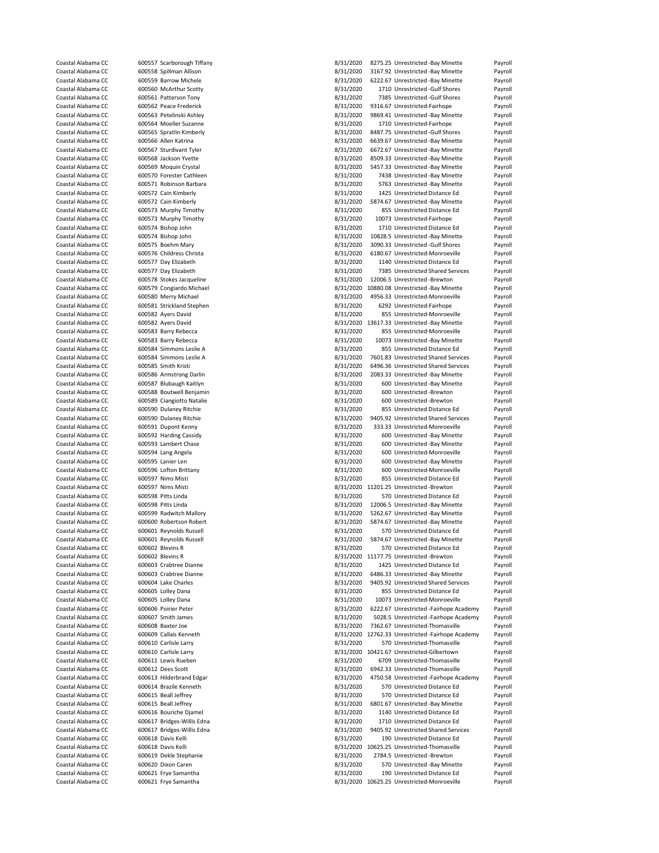|                                          |                   | 600557 Scarborough Tiffany                      | 8/31/2020 | 8275.25 Unrestricted -Bay Minette                                           | Payroll            |
|------------------------------------------|-------------------|-------------------------------------------------|-----------|-----------------------------------------------------------------------------|--------------------|
| Coastal Alabama CC                       |                   | 600558 Spillman Allison                         | 8/31/2020 | 3167.92 Unrestricted -Bay Minette                                           | Payroll            |
| Coastal Alabama CC                       |                   | 600559 Barrow Michele                           | 8/31/2020 | 6222.67 Unrestricted -Bay Minette                                           | Payroll            |
| Coastal Alabama CC                       |                   | 600560 McArthur Scotty                          | 8/31/2020 | 1710 Unrestricted -Gulf Shores                                              | Payroll            |
| Coastal Alabama CC                       |                   | 600561 Patterson Tony                           | 8/31/2020 | 7385 Unrestricted -Gulf Shores                                              | Payroll            |
| Coastal Alabama CC                       |                   | 600562 Peace Frederick                          | 8/31/2020 | 9316.67 Unrestricted-Fairhope                                               | Payroll            |
| Coastal Alabama CC                       |                   | 600563 Petelinski Ashley                        | 8/31/2020 | 9869.41 Unrestricted -Bay Minette                                           | Payroll            |
| Coastal Alabama CC                       |                   | 600564 Moeller Suzanne                          | 8/31/2020 | 1710 Unrestricted-Fairhope                                                  | Payroll            |
| Coastal Alabama CC                       |                   | 600565 Spratlin Kimberly                        | 8/31/2020 | 8487.75 Unrestricted -Gulf Shores                                           | Payroll            |
| Coastal Alabama CC                       |                   | 600566 Allen Katrina                            | 8/31/2020 | 6639.67 Unrestricted -Bay Minette                                           | Payroll            |
|                                          |                   |                                                 | 8/31/2020 | 6672.67 Unrestricted -Bay Minette                                           | Payroll            |
| Coastal Alabama CC                       |                   | 600567 Sturdivant Tyler                         |           |                                                                             |                    |
| Coastal Alabama CC                       |                   | 600568 Jackson Yvette                           | 8/31/2020 | 8509.33 Unrestricted -Bay Minette                                           | Payroll            |
| Coastal Alabama CC                       |                   | 600569 Moquin Crystal                           | 8/31/2020 | 5457.33 Unrestricted -Bay Minette                                           | Payroll            |
| Coastal Alabama CC                       |                   | 600570 Forester Cathleen                        | 8/31/2020 | 7438 Unrestricted -Bay Minette                                              | Payroll            |
| Coastal Alabama CC                       |                   | 600571 Robinson Barbara                         | 8/31/2020 | 5763 Unrestricted -Bay Minette                                              | Payroll            |
| Coastal Alabama CC                       |                   | 600572 Cain Kimberly                            | 8/31/2020 | 1425 Unrestricted Distance Ed                                               | Payroll            |
| Coastal Alabama CC                       |                   | 600572 Cain Kimberly                            | 8/31/2020 | 5874.67 Unrestricted -Bay Minette                                           | Payroll            |
| Coastal Alabama CC                       |                   | 600573 Murphy Timothy                           | 8/31/2020 | 855 Unrestricted Distance Ed                                                | Payroll            |
| Coastal Alabama CC                       |                   | 600573 Murphy Timothy                           | 8/31/2020 | 10073 Unrestricted-Fairhope                                                 | Payroll            |
| Coastal Alabama CC                       |                   | 600574 Bishop John                              | 8/31/2020 | 1710 Unrestricted Distance Ed                                               | Payroll            |
| Coastal Alabama CC                       |                   | 600574 Bishop John                              | 8/31/2020 | 10828.5 Unrestricted -Bay Minette                                           | Payroll            |
| Coastal Alabama CC                       |                   | 600575 Boehm Mary                               | 8/31/2020 | 3090.33 Unrestricted -Gulf Shores                                           | Payroll            |
| Coastal Alabama CC                       |                   | 600576 Childress Christa                        | 8/31/2020 | 6180.67 Unrestricted-Monroeville                                            | Payroll            |
| Coastal Alabama CC                       |                   | 600577 Day Elizabeth                            | 8/31/2020 | 1140 Unrestricted Distance Ed                                               | Payroll            |
| Coastal Alabama CC                       |                   | 600577 Day Elizabeth                            | 8/31/2020 | 7385 Unrestricted Shared Services                                           | Payroll            |
| Coastal Alabama CC                       |                   | 600578 Stokes Jacqueline                        | 8/31/2020 | 12006.5 Unrestricted -Brewton                                               | Payroll            |
| Coastal Alabama CC                       |                   | 600579 Congiardo Michael                        |           | 8/31/2020 10880.08 Unrestricted -Bay Minette                                | Payroll            |
| Coastal Alabama CC                       |                   | 600580 Merry Michael                            | 8/31/2020 | 4956.33 Unrestricted-Monroeville                                            | Payroll            |
| Coastal Alabama CC                       |                   | 600581 Strickland Stephen                       | 8/31/2020 | 6292 Unrestricted-Fairhope                                                  | Payroll            |
| Coastal Alabama CC                       |                   | 600582 Ayers David                              | 8/31/2020 | 855 Unrestricted-Monroeville                                                | Payroll            |
| Coastal Alabama CC                       |                   | 600582 Ayers David                              |           | 8/31/2020 13617.33 Unrestricted -Bay Minette                                | Payroll            |
|                                          |                   |                                                 | 8/31/2020 |                                                                             |                    |
| Coastal Alabama CC                       |                   | 600583 Barry Rebecca<br>600583 Barry Rebecca    |           | 855 Unrestricted-Monroeville                                                | Payroll            |
| Coastal Alabama CC                       |                   |                                                 | 8/31/2020 | 10073 Unrestricted -Bay Minette                                             | Payroll            |
| Coastal Alabama CC                       |                   | 600584 Simmons Leslie A                         | 8/31/2020 | 855 Unrestricted Distance Ed                                                | Payroll            |
| Coastal Alabama CC                       |                   | 600584 Simmons Leslie A                         | 8/31/2020 | 7601.83 Unrestricted Shared Services                                        | Payroll            |
| Coastal Alabama CC                       |                   | 600585 Smith Kristi                             | 8/31/2020 | 6496.36 Unrestricted Shared Services                                        | Payroll            |
| Coastal Alabama CC                       |                   | 600586 Armstrong Darlin                         | 8/31/2020 | 2083.33 Unrestricted -Bay Minette                                           | Payroll            |
| Coastal Alabama CC                       |                   | 600587 Blubaugh Kaitlyn                         | 8/31/2020 | 600 Unrestricted -Bay Minette                                               | Payroll            |
| Coastal Alabama CC                       |                   | 600588 Boutwell Benjamin                        | 8/31/2020 | 600 Unrestricted -Brewton                                                   | Payroll            |
| Coastal Alabama CC                       |                   | 600589 Ciangiotto Natalie                       | 8/31/2020 | 600 Unrestricted -Brewton                                                   | Payroll            |
| Coastal Alabama CC                       |                   | 600590 Dulaney Ritchie                          | 8/31/2020 | 855 Unrestricted Distance Ed                                                | Payroll            |
| Coastal Alabama CC                       |                   | 600590 Dulaney Ritchie                          | 8/31/2020 | 9405.92 Unrestricted Shared Services                                        | Payroll            |
| Coastal Alabama CC                       |                   | 600591 Dupont Kenny                             | 8/31/2020 | 333.33 Unrestricted-Monroeville                                             | Payroll            |
| Coastal Alabama CC                       |                   | 600592 Harding Cassidy                          | 8/31/2020 | 600 Unrestricted -Bay Minette                                               | Payroll            |
| Coastal Alabama CC                       |                   | 600593 Lambert Chase                            | 8/31/2020 | 600 Unrestricted -Bay Minette                                               | Payroll            |
| Coastal Alabama CC                       |                   | 600594 Lang Angela                              | 8/31/2020 | 600 Unrestricted-Monroeville                                                | Payroll            |
| Coastal Alabama CC                       |                   | 600595 Lanier Len                               | 8/31/2020 | 600 Unrestricted -Bay Minette                                               | Payroll            |
| Coastal Alabama CC                       |                   | 600596 Lofton Brittany                          | 8/31/2020 | 600 Unrestricted-Monroeville                                                | Payroll            |
|                                          |                   |                                                 | 8/31/2020 | 855 Unrestricted Distance Ed                                                | Payroll            |
|                                          |                   |                                                 |           | 8/31/2020 11201.25 Unrestricted -Brewton                                    |                    |
| Coastal Alabama CC                       | 600597 Nims Misti |                                                 |           |                                                                             |                    |
| Coastal Alabama CC                       |                   | 600597 Nims Misti                               |           |                                                                             | Payroll            |
| Coastal Alabama CC                       |                   | 600598 Pitts Linda                              | 8/31/2020 | 570 Unrestricted Distance Ed                                                | Payroll            |
| Coastal Alabama CC                       |                   | 600598 Pitts Linda                              | 8/31/2020 | 12006.5 Unrestricted -Bay Minette                                           | Payroll            |
| Coastal Alabama CC                       |                   | 600599 Radwitch Mallory                         | 8/31/2020 | 5262.67 Unrestricted -Bay Minette                                           | Payroll            |
| Coastal Alabama CC                       |                   | 600600 Robertson Robert                         | 8/31/2020 | 5874.67 Unrestricted -Bay Minette                                           | Payroll            |
| Coastal Alabama CC                       |                   | 600601 Reynolds Russell                         | 8/31/2020 | 570 Unrestricted Distance Ed                                                | Payroll            |
| Coastal Alabama CC                       |                   | 600601 Reynolds Russell                         | 8/31/2020 | 5874.67 Unrestricted -Bay Minette                                           | Payroll            |
| Coastal Alabama CC                       |                   | 600602 Blevins R                                | 8/31/2020 | 570 Unrestricted Distance Ed                                                | Payroll            |
| Coastal Alabama CC                       |                   | 600602 Blevins R                                |           | 8/31/2020 11177.75 Unrestricted -Brewton                                    | Payroll            |
| Coastal Alabama CC                       |                   | 600603 Crabtree Dianne                          | 8/31/2020 | 1425 Unrestricted Distance Ed                                               | Payroll            |
| Coastal Alabama CC                       |                   | 600603 Crabtree Dianne                          | 8/31/2020 | 6486.33 Unrestricted -Bay Minette                                           | Payroll            |
| Coastal Alabama CC                       |                   | 600604 Lake Charles                             | 8/31/2020 | 9405.92 Unrestricted Shared Services                                        | Payroll            |
| Coastal Alabama CC                       |                   | 600605 Lolley Dana                              | 8/31/2020 | 855 Unrestricted Distance Ed                                                | Payroll            |
| Coastal Alabama CC                       |                   | 600605 Lolley Dana                              | 8/31/2020 | 10073 Unrestricted-Monroeville                                              | Payroll            |
| Coastal Alabama CC                       |                   | 600606 Poirier Peter                            | 8/31/2020 | 6222.67 Unrestricted -Fairhope Academy                                      | Payroll            |
| Coastal Alabama CC                       |                   | 600607 Smith James                              | 8/31/2020 | 5028.5 Unrestricted -Fairhope Academy                                       | Payroll            |
| Coastal Alabama CC                       |                   | 600608 Baxter Joe                               |           | 7362.67 Unrestricted-Thomasville                                            | Payroll            |
| Coastal Alabama CC                       |                   |                                                 | 8/31/2020 |                                                                             |                    |
|                                          |                   | 600609 Callais Kenneth<br>600610 Carlisle Larry |           | 8/31/2020 12762.33 Unrestricted -Fairhope Academy                           | Payroll            |
| Coastal Alabama CC                       |                   |                                                 | 8/31/2020 | 570 Unrestricted-Thomasville                                                | Payroll            |
| Coastal Alabama CC                       |                   | 600610 Carlisle Larry                           |           | 8/31/2020 10421.67 Unrestricted-Gilbertown<br>6709 Unrestricted-Thomasville | Payroll            |
| Coastal Alabama CC                       |                   | 600611 Lewis Rueben                             | 8/31/2020 |                                                                             | Payroll            |
| Coastal Alabama CC                       |                   | 600612 Dees Scott                               | 8/31/2020 | 6942.33 Unrestricted-Thomasville                                            | Payroll            |
| Coastal Alabama CC                       |                   | 600613 Hilderbrand Edgar                        | 8/31/2020 | 4750.58 Unrestricted -Fairhope Academy                                      | Payroll            |
| Coastal Alabama CC                       |                   | 600614 Brazile Kenneth                          | 8/31/2020 | 570 Unrestricted Distance Ed                                                | Payroll            |
| Coastal Alabama CC                       |                   | 600615 Beall Jeffrey                            | 8/31/2020 | 570 Unrestricted Distance Ed                                                | Payroll            |
| Coastal Alabama CC                       |                   | 600615 Beall Jeffrey                            | 8/31/2020 | 6801.67 Unrestricted -Bay Minette                                           | Payroll            |
| Coastal Alabama CC                       |                   | 600616 Bouriche Djamel                          | 8/31/2020 | 1140 Unrestricted Distance Ed                                               | Payroll            |
| Coastal Alabama CC                       |                   | 600617 Bridges-Willis Edna                      | 8/31/2020 | 1710 Unrestricted Distance Ed                                               | Payroll            |
| Coastal Alabama CC                       |                   | 600617 Bridges-Willis Edna                      | 8/31/2020 | 9405.92 Unrestricted Shared Services                                        | Payroll            |
| Coastal Alabama CC                       |                   | 600618 Davis Kelli                              | 8/31/2020 | 190 Unrestricted Distance Ed                                                | Payroll            |
| Coastal Alabama CC                       |                   | 600618 Davis Kelli                              |           | 8/31/2020 10625.25 Unrestricted-Thomasville                                 | Payroll            |
| Coastal Alabama CC                       |                   | 600619 Dekle Stephanie                          | 8/31/2020 | 2784.5 Unrestricted -Brewton                                                | Payroll            |
| Coastal Alabama CC                       |                   | 600620 Dixon Caren                              | 8/31/2020 | 570 Unrestricted -Bay Minette                                               | Payroll            |
| Coastal Alabama CC<br>Coastal Alabama CC |                   | 600621 Frye Samantha<br>600621 Frye Samantha    | 8/31/2020 | 190 Unrestricted Distance Ed<br>8/31/2020 10625.25 Unrestricted-Monroeville | Payroll<br>Payroll |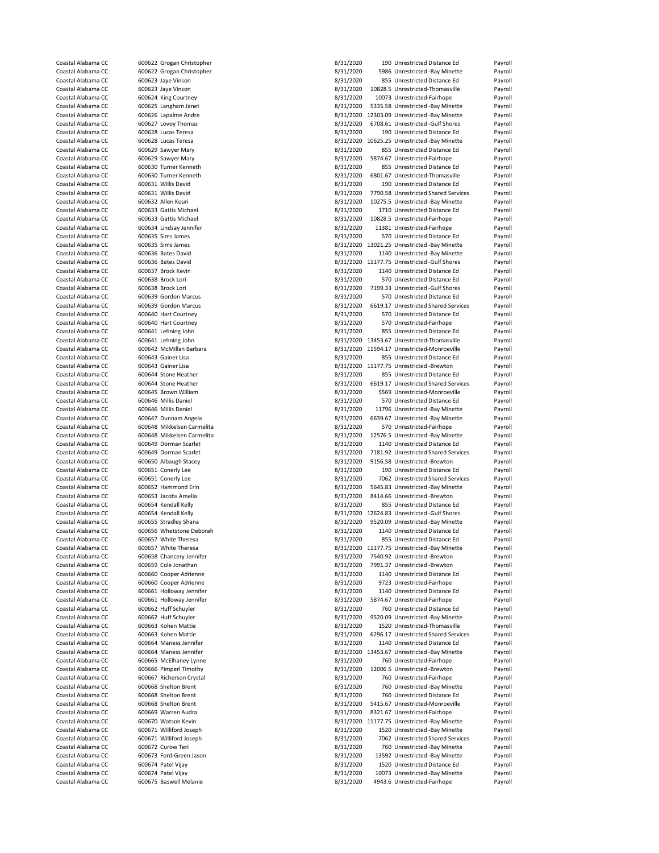| Coastal Alabama CC |                            |           |                                              |         |
|--------------------|----------------------------|-----------|----------------------------------------------|---------|
|                    | 600622 Grogan Christopher  | 8/31/2020 | 190 Unrestricted Distance Ed                 | Payroll |
| Coastal Alabama CC | 600622 Grogan Christopher  | 8/31/2020 | 5986 Unrestricted -Bay Minette               | Payroll |
| Coastal Alabama CC | 600623 Jaye Vinson         | 8/31/2020 | 855 Unrestricted Distance Ed                 | Payroll |
| Coastal Alabama CC | 600623 Jaye Vinson         | 8/31/2020 | 10828.5 Unrestricted-Thomasville             | Payroll |
|                    | 600624 King Courtney       | 8/31/2020 | 10073 Unrestricted-Fairhope                  |         |
| Coastal Alabama CC |                            |           |                                              | Payroll |
| Coastal Alabama CC | 600625 Langham Janet       | 8/31/2020 | 5335.58 Unrestricted -Bay Minette            | Payroll |
| Coastal Alabama CC | 600626 Lapalme Andre       |           | 8/31/2020 12303.09 Unrestricted -Bay Minette | Payroll |
| Coastal Alabama CC | 600627 Lovoy Thomas        | 8/31/2020 | 6708.61 Unrestricted -Gulf Shores            | Payroll |
| Coastal Alabama CC | 600628 Lucas Teresa        | 8/31/2020 | 190 Unrestricted Distance Ed                 | Payroll |
| Coastal Alabama CC | 600628 Lucas Teresa        |           | 8/31/2020 10625.25 Unrestricted -Bay Minette | Payroll |
| Coastal Alabama CC | 600629 Sawyer Mary         | 8/31/2020 | 855 Unrestricted Distance Ed                 | Payroll |
|                    |                            |           |                                              |         |
| Coastal Alabama CC | 600629 Sawyer Mary         | 8/31/2020 | 5874.67 Unrestricted-Fairhope                | Payroll |
| Coastal Alabama CC | 600630 Turner Kenneth      | 8/31/2020 | 855 Unrestricted Distance Ed                 | Payroll |
| Coastal Alabama CC | 600630 Turner Kenneth      | 8/31/2020 | 6801.67 Unrestricted-Thomasville             | Payroll |
| Coastal Alabama CC | 600631 Willis David        | 8/31/2020 | 190 Unrestricted Distance Ed                 | Payroll |
| Coastal Alabama CC | 600631 Willis David        | 8/31/2020 | 7790.58 Unrestricted Shared Services         | Payroll |
| Coastal Alabama CC | 600632 Allen Kouri         | 8/31/2020 | 10275.5 Unrestricted -Bay Minette            | Payroll |
| Coastal Alabama CC | 600633 Gattis Michael      | 8/31/2020 | 1710 Unrestricted Distance Ed                | Payroll |
|                    |                            |           |                                              |         |
| Coastal Alabama CC | 600633 Gattis Michael      | 8/31/2020 | 10828.5 Unrestricted-Fairhope                | Payroll |
| Coastal Alabama CC | 600634 Lindsay Jennifer    | 8/31/2020 | 11381 Unrestricted-Fairhope                  | Payroll |
| Coastal Alabama CC | 600635 Sims James          | 8/31/2020 | 570 Unrestricted Distance Ed                 | Payroll |
| Coastal Alabama CC | 600635 Sims James          |           | 8/31/2020 13021.25 Unrestricted -Bay Minette | Payroll |
| Coastal Alabama CC | 600636 Bates David         | 8/31/2020 | 1140 Unrestricted -Bay Minette               | Payroll |
| Coastal Alabama CC | 600636 Bates David         |           | 8/31/2020 11177.75 Unrestricted -Gulf Shores | Payroll |
| Coastal Alabama CC | 600637 Brock Kevin         | 8/31/2020 | 1140 Unrestricted Distance Ed                | Payroll |
|                    |                            |           |                                              |         |
| Coastal Alabama CC | 600638 Brock Lori          | 8/31/2020 | 570 Unrestricted Distance Ed                 | Payroll |
| Coastal Alabama CC | 600638 Brock Lori          | 8/31/2020 | 7199.33 Unrestricted -Gulf Shores            | Payroll |
| Coastal Alabama CC | 600639 Gordon Marcus       | 8/31/2020 | 570 Unrestricted Distance Ed                 | Payroll |
| Coastal Alabama CC | 600639 Gordon Marcus       | 8/31/2020 | 6619.17 Unrestricted Shared Services         | Payroll |
| Coastal Alabama CC | 600640 Hart Courtney       | 8/31/2020 | 570 Unrestricted Distance Ed                 | Payroll |
| Coastal Alabama CC | 600640 Hart Courtney       | 8/31/2020 | 570 Unrestricted-Fairhope                    | Payroll |
|                    |                            |           |                                              |         |
| Coastal Alabama CC | 600641 Lehning John        | 8/31/2020 | 855 Unrestricted Distance Ed                 | Payroll |
| Coastal Alabama CC | 600641 Lehning John        |           | 8/31/2020 13453.67 Unrestricted-Thomasville  | Payroll |
| Coastal Alabama CC | 600642 McMillan Barbara    |           | 8/31/2020 11594.17 Unrestricted-Monroeville  | Payroll |
| Coastal Alabama CC | 600643 Gainer Lisa         | 8/31/2020 | 855 Unrestricted Distance Ed                 | Payroll |
| Coastal Alabama CC | 600643 Gainer Lisa         |           | 8/31/2020 11177.75 Unrestricted -Brewton     | Payroll |
| Coastal Alabama CC | 600644 Stone Heather       | 8/31/2020 | 855 Unrestricted Distance Ed                 | Payroll |
|                    | 600644 Stone Heather       | 8/31/2020 | 6619.17 Unrestricted Shared Services         |         |
| Coastal Alabama CC |                            |           |                                              | Payroll |
| Coastal Alabama CC | 600645 Brown William       | 8/31/2020 | 5569 Unrestricted-Monroeville                | Payroll |
| Coastal Alabama CC | 600646 Millis Daniel       | 8/31/2020 | 570 Unrestricted Distance Ed                 | Payroll |
| Coastal Alabama CC | 600646 Millis Daniel       | 8/31/2020 | 11796 Unrestricted -Bay Minette              | Payroll |
| Coastal Alabama CC | 600647 Dunnam Angela       | 8/31/2020 | 6639.67 Unrestricted -Bay Minette            | Payroll |
| Coastal Alabama CC | 600648 Mikkelsen Carmelita | 8/31/2020 | 570 Unrestricted-Fairhope                    | Payroll |
| Coastal Alabama CC | 600648 Mikkelsen Carmelita | 8/31/2020 | 12576.5 Unrestricted -Bay Minette            | Payroll |
|                    |                            |           |                                              |         |
|                    |                            |           |                                              |         |
| Coastal Alabama CC | 600649 Dorman Scarlet      | 8/31/2020 | 1140 Unrestricted Distance Ed                | Payroll |
| Coastal Alabama CC | 600649 Dorman Scarlet      | 8/31/2020 | 7181.92 Unrestricted Shared Services         | Payroll |
| Coastal Alabama CC | 600650 Albaugh Stacey      | 8/31/2020 | 9156.58 Unrestricted -Brewton                | Payroll |
| Coastal Alabama CC | 600651 Conerly Lee         | 8/31/2020 | 190 Unrestricted Distance Ed                 | Payroll |
|                    |                            |           |                                              |         |
| Coastal Alabama CC | 600651 Conerly Lee         | 8/31/2020 | 7062 Unrestricted Shared Services            | Payroll |
| Coastal Alabama CC | 600652 Hammond Erin        | 8/31/2020 | 5645.83 Unrestricted -Bay Minette            | Payroll |
| Coastal Alabama CC | 600653 Jacobs Amelia       | 8/31/2020 | 8414.66 Unrestricted -Brewton                | Payroll |
| Coastal Alabama CC | 600654 Kendall Kelly       | 8/31/2020 | 855 Unrestricted Distance Ed                 | Payroll |
| Coastal Alabama CC | 600654 Kendall Kelly       |           | 8/31/2020 12624.83 Unrestricted -Gulf Shores | Payroll |
| Coastal Alabama CC | 600655 Stradley Shana      | 8/31/2020 | 9520.09 Unrestricted -Bay Minette            | Payroll |
| Coastal Alabama CC | 600656 Whetstone Deborah   | 8/31/2020 | 1140 Unrestricted Distance Ed                | Payroll |
| Coastal Alabama CC | 600657 White Theresa       |           |                                              |         |
|                    |                            | 8/31/2020 | 855 Unrestricted Distance Ed                 | Payroll |
| Coastal Alabama CC | 600657 White Theresa       |           | 8/31/2020 11177.75 Unrestricted -Bay Minette | Payroll |
| Coastal Alabama CC | 600658 Chancery Jennifer   | 8/31/2020 | 7540.92 Unrestricted -Brewton                | Payroll |
| Coastal Alabama CC | 600659 Cole Jonathan       | 8/31/2020 | 7991.37 Unrestricted -Brewton                | Payroll |
| Coastal Alabama CC | 600660 Cooper Adrienne     | 8/31/2020 | 1140 Unrestricted Distance Ed                | Payroll |
| Coastal Alabama CC | 600660 Cooper Adrienne     | 8/31/2020 | 9723 Unrestricted-Fairhope                   | Payroll |
| Coastal Alabama CC | 600661 Holloway Jennifer   | 8/31/2020 | 1140 Unrestricted Distance Ed                | Payroll |
| Coastal Alabama CC | 600661 Holloway Jennifer   | 8/31/2020 | 5874.67 Unrestricted-Fairhope                | Payroll |
|                    |                            |           |                                              |         |
| Coastal Alabama CC | 600662 Huff Schuyler       | 8/31/2020 | 760 Unrestricted Distance Ed                 | Payroll |
| Coastal Alabama CC | 600662 Huff Schuyler       | 8/31/2020 | 9520.09 Unrestricted -Bay Minette            | Payroll |
| Coastal Alabama CC | 600663 Kohen Mattie        | 8/31/2020 | 1520 Unrestricted-Thomasville                | Payroll |
| Coastal Alabama CC | 600663 Kohen Mattie        | 8/31/2020 | 6296.17 Unrestricted Shared Services         | Payroll |
| Coastal Alabama CC | 600664 Maness Jennifer     | 8/31/2020 | 1140 Unrestricted Distance Ed                | Payroll |
| Coastal Alabama CC | 600664 Maness Jennifer     |           | 8/31/2020 13453.67 Unrestricted -Bay Minette | Payroll |
| Coastal Alabama CC | 600665 McElhaney Lynne     | 8/31/2020 | 760 Unrestricted-Fairhope                    | Payroll |
|                    |                            |           | 12006.5 Unrestricted -Brewton                |         |
| Coastal Alabama CC | 600666 Pimperl Timothy     | 8/31/2020 |                                              | Payroll |
| Coastal Alabama CC | 600667 Richerson Crystal   | 8/31/2020 | 760 Unrestricted-Fairhope                    | Payroll |
| Coastal Alabama CC | 600668 Shelton Brent       | 8/31/2020 | 760 Unrestricted -Bay Minette                | Payroll |
| Coastal Alabama CC | 600668 Shelton Brent       | 8/31/2020 | 760 Unrestricted Distance Ed                 | Payroll |
| Coastal Alabama CC | 600668 Shelton Brent       | 8/31/2020 | 5415.67 Unrestricted-Monroeville             | Payroll |
| Coastal Alabama CC | 600669 Warren Audra        | 8/31/2020 | 8321.67 Unrestricted-Fairhope                | Payroll |
| Coastal Alabama CC | 600670 Watson Kevin        |           |                                              | Payroll |
|                    |                            |           | 8/31/2020 11177.75 Unrestricted -Bay Minette |         |
| Coastal Alabama CC | 600671 Williford Joseph    | 8/31/2020 | 1520 Unrestricted -Bay Minette               | Payroll |
| Coastal Alabama CC | 600671 Williford Joseph    | 8/31/2020 | 7062 Unrestricted Shared Services            | Payroll |
| Coastal Alabama CC | 600672 Curow Teri          | 8/31/2020 | 760 Unrestricted -Bay Minette                | Payroll |
| Coastal Alabama CC | 600673 Ford-Green Jason    | 8/31/2020 | 13592 Unrestricted -Bay Minette              | Payroll |
| Coastal Alabama CC | 600674 Patel Vijay         | 8/31/2020 | 1520 Unrestricted Distance Ed                | Payroll |
| Coastal Alabama CC | 600674 Patel Vijay         | 8/31/2020 | 10073 Unrestricted -Bay Minette              | Payroll |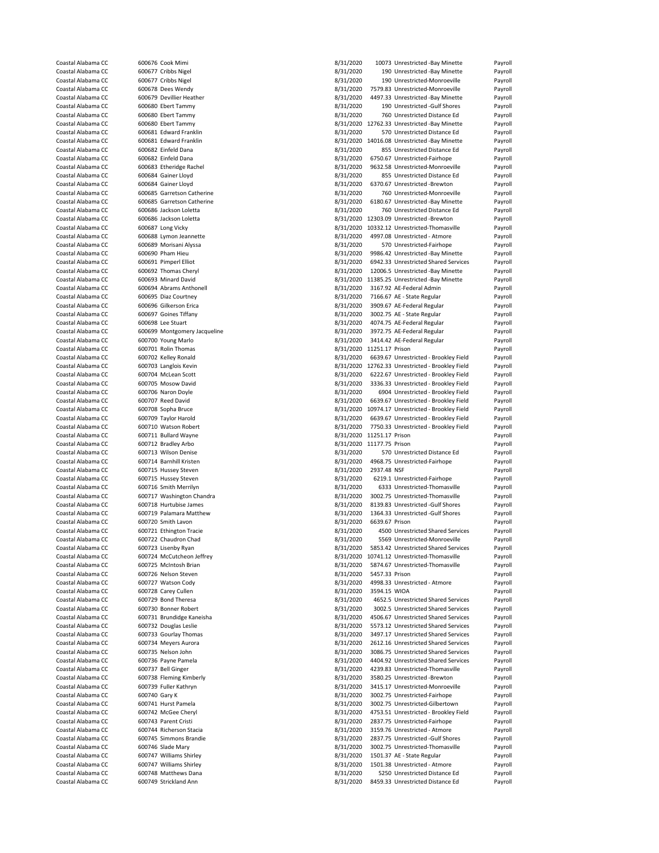| Coastal Alabama CC |               | 600676 Cook Mimi             | 8/31/2020                 |                | 10073 Unrestricted -Bay Minette                  | Payroll |
|--------------------|---------------|------------------------------|---------------------------|----------------|--------------------------------------------------|---------|
| Coastal Alabama CC |               | 600677 Cribbs Nigel          | 8/31/2020                 |                | 190 Unrestricted -Bay Minette                    | Payroll |
|                    |               |                              |                           |                |                                                  |         |
| Coastal Alabama CC |               | 600677 Cribbs Nigel          | 8/31/2020                 |                | 190 Unrestricted-Monroeville                     | Payroll |
| Coastal Alabama CC |               | 600678 Dees Wendy            | 8/31/2020                 |                | 7579.83 Unrestricted-Monroeville                 | Payroll |
| Coastal Alabama CC |               | 600679 Devillier Heather     | 8/31/2020                 |                | 4497.33 Unrestricted -Bay Minette                | Payroll |
| Coastal Alabama CC |               | 600680 Ebert Tammy           | 8/31/2020                 |                | 190 Unrestricted -Gulf Shores                    | Payroll |
| Coastal Alabama CC |               | 600680 Ebert Tammy           | 8/31/2020                 |                | 760 Unrestricted Distance Ed                     | Payroll |
| Coastal Alabama CC |               | 600680 Ebert Tammy           |                           |                | 8/31/2020 12762.33 Unrestricted -Bay Minette     | Payroll |
| Coastal Alabama CC |               | 600681 Edward Franklin       | 8/31/2020                 |                | 570 Unrestricted Distance Ed                     |         |
|                    |               |                              |                           |                |                                                  | Payroll |
| Coastal Alabama CC |               | 600681 Edward Franklin       |                           |                | 8/31/2020 14016.08 Unrestricted -Bay Minette     | Payroll |
| Coastal Alabama CC |               | 600682 Einfeld Dana          | 8/31/2020                 |                | 855 Unrestricted Distance Ed                     | Payroll |
| Coastal Alabama CC |               | 600682 Einfeld Dana          | 8/31/2020                 |                | 6750.67 Unrestricted-Fairhope                    | Payroll |
| Coastal Alabama CC |               | 600683 Etheridge Rachel      | 8/31/2020                 |                | 9632.58 Unrestricted-Monroeville                 | Payroll |
| Coastal Alabama CC |               | 600684 Gainer Lloyd          | 8/31/2020                 |                | 855 Unrestricted Distance Ed                     | Payroll |
| Coastal Alabama CC |               | 600684 Gainer Lloyd          | 8/31/2020                 |                | 6370.67 Unrestricted -Brewton                    | Payroll |
|                    |               |                              |                           |                |                                                  |         |
| Coastal Alabama CC |               | 600685 Garretson Catherine   | 8/31/2020                 |                | 760 Unrestricted-Monroeville                     | Payroll |
| Coastal Alabama CC |               | 600685 Garretson Catherine   | 8/31/2020                 |                | 6180.67 Unrestricted -Bay Minette                | Payroll |
| Coastal Alabama CC |               | 600686 Jackson Loletta       | 8/31/2020                 |                | 760 Unrestricted Distance Ed                     | Payroll |
| Coastal Alabama CC |               | 600686 Jackson Loletta       |                           |                | 8/31/2020 12303.09 Unrestricted -Brewton         | Payroll |
| Coastal Alabama CC |               | 600687 Long Vicky            |                           |                | 8/31/2020 10332.12 Unrestricted-Thomasville      | Payroll |
| Coastal Alabama CC |               | 600688 Lymon Jeannette       | 8/31/2020                 |                | 4997.08 Unrestricted - Atmore                    | Payroll |
|                    |               |                              |                           |                |                                                  |         |
| Coastal Alabama CC |               | 600689 Morisani Alyssa       | 8/31/2020                 |                | 570 Unrestricted-Fairhope                        | Payroll |
| Coastal Alabama CC |               | 600690 Pham Hieu             | 8/31/2020                 |                | 9986.42 Unrestricted -Bay Minette                | Payroll |
| Coastal Alabama CC |               | 600691 Pimperl Elliot        | 8/31/2020                 |                | 6942.33 Unrestricted Shared Services             | Payroll |
| Coastal Alabama CC |               | 600692 Thomas Cheryl         | 8/31/2020                 |                | 12006.5 Unrestricted -Bay Minette                | Payroll |
| Coastal Alabama CC |               | 600693 Minard David          |                           |                | 8/31/2020 11385.25 Unrestricted -Bay Minette     | Payroll |
| Coastal Alabama CC |               | 600694 Abrams Anthonell      | 8/31/2020                 |                | 3167.92 AE-Federal Admin                         | Payroll |
|                    |               |                              | 8/31/2020                 |                |                                                  |         |
| Coastal Alabama CC |               | 600695 Diaz Courtney         |                           |                | 7166.67 AE - State Regular                       | Payroll |
| Coastal Alabama CC |               | 600696 Gilkerson Erica       | 8/31/2020                 |                | 3909.67 AE-Federal Regular                       | Payroll |
| Coastal Alabama CC |               | 600697 Goines Tiffany        | 8/31/2020                 |                | 3002.75 AE - State Regular                       | Payroll |
| Coastal Alabama CC |               | 600698 Lee Stuart            | 8/31/2020                 |                | 4074.75 AE-Federal Regular                       | Payroll |
| Coastal Alabama CC |               | 600699 Montgomery Jacqueline | 8/31/2020                 |                | 3972.75 AE-Federal Regular                       | Payroll |
| Coastal Alabama CC |               | 600700 Young Marlo           | 8/31/2020                 |                | 3414.42 AE-Federal Regular                       | Payroll |
|                    |               |                              |                           |                |                                                  |         |
| Coastal Alabama CC |               | 600701 Rolin Thomas          | 8/31/2020 11251.17 Prison |                |                                                  | Payroll |
| Coastal Alabama CC |               | 600702 Kelley Ronald         | 8/31/2020                 |                | 6639.67 Unrestricted - Brookley Field            | Payroll |
| Coastal Alabama CC |               | 600703 Langlois Kevin        |                           |                | 8/31/2020 12762.33 Unrestricted - Brookley Field | Payroll |
| Coastal Alabama CC |               | 600704 McLean Scott          | 8/31/2020                 |                | 6222.67 Unrestricted - Brookley Field            | Payroll |
| Coastal Alabama CC |               | 600705 Mosow David           | 8/31/2020                 |                | 3336.33 Unrestricted - Brookley Field            | Payroll |
| Coastal Alabama CC |               | 600706 Naron Doyle           | 8/31/2020                 |                | 6904 Unrestricted - Brookley Field               | Payroll |
|                    |               |                              |                           |                |                                                  |         |
| Coastal Alabama CC |               | 600707 Reed David            | 8/31/2020                 |                | 6639.67 Unrestricted - Brookley Field            | Payroll |
|                    |               |                              |                           |                |                                                  |         |
| Coastal Alabama CC |               | 600708 Sopha Bruce           |                           |                | 8/31/2020 10974.17 Unrestricted - Brookley Field | Payroll |
| Coastal Alabama CC |               | 600709 Taylor Harold         | 8/31/2020                 |                | 6639.67 Unrestricted - Brookley Field            | Payroll |
| Coastal Alabama CC |               | 600710 Watson Robert         | 8/31/2020                 |                | 7750.33 Unrestricted - Brookley Field            | Payroll |
|                    |               |                              |                           |                |                                                  |         |
| Coastal Alabama CC |               | 600711 Bullard Wayne         | 8/31/2020 11251.17 Prison |                |                                                  | Payroll |
| Coastal Alabama CC |               | 600712 Bradley Arbo          | 8/31/2020 11177.75 Prison |                |                                                  | Payroll |
| Coastal Alabama CC |               | 600713 Wilson Denise         | 8/31/2020                 |                | 570 Unrestricted Distance Ed                     | Payroll |
| Coastal Alabama CC |               | 600714 Barnhill Kristen      | 8/31/2020                 |                | 4968.75 Unrestricted-Fairhope                    | Payroll |
| Coastal Alabama CC |               | 600715 Hussey Steven         | 8/31/2020                 | 2937.48 NSF    |                                                  | Payroll |
| Coastal Alabama CC |               | 600715 Hussey Steven         | 8/31/2020                 |                | 6219.1 Unrestricted-Fairhope                     | Payroll |
|                    |               |                              |                           |                |                                                  |         |
| Coastal Alabama CC |               | 600716 Smith Merrilyn        | 8/31/2020                 |                | 6333 Unrestricted-Thomasville                    | Payroll |
| Coastal Alabama CC |               | 600717 Washington Chandra    | 8/31/2020                 |                | 3002.75 Unrestricted-Thomasville                 | Payroll |
| Coastal Alabama CC |               | 600718 Hurtubise James       | 8/31/2020                 |                | 8139.83 Unrestricted -Gulf Shores                | Payroll |
| Coastal Alabama CC |               | 600719 Palamara Matthew      | 8/31/2020                 |                | 1364.33 Unrestricted -Gulf Shores                | Payroll |
| Coastal Alabama CC |               | 600720 Smith Lavon           | 8/31/2020                 | 6639.67 Prison |                                                  | Payroll |
| Coastal Alabama CC |               | 600721 Ethington Tracie      | 8/31/2020                 |                | 4500 Unrestricted Shared Services                | Payroll |
| Coastal Alabama CC |               | 600722 Chaudron Chad         | 8/31/2020                 |                | 5569 Unrestricted-Monroeville                    | Payroll |
|                    |               |                              |                           |                |                                                  |         |
| Coastal Alabama CC |               | 600723 Lisenby Ryan          | 8/31/2020                 |                | 5853.42 Unrestricted Shared Services             | Payroll |
| Coastal Alabama CC |               | 600724 McCutcheon Jeffrey    |                           |                | 8/31/2020 10741.12 Unrestricted-Thomasville      | Payroll |
| Coastal Alabama CC |               | 600725 McIntosh Brian        | 8/31/2020                 |                | 5874.67 Unrestricted-Thomasville                 | Payroll |
| Coastal Alabama CC |               | 600726 Nelson Steven         | 8/31/2020                 | 5457.33 Prison |                                                  | Payroll |
| Coastal Alabama CC |               | 600727 Watson Cody           | 8/31/2020                 |                | 4998.33 Unrestricted - Atmore                    | Payroll |
| Coastal Alabama CC |               | 600728 Carey Cullen          | 8/31/2020                 | 3594.15 WIOA   |                                                  | Payroll |
| Coastal Alabama CC |               | 600729 Bond Theresa          | 8/31/2020                 |                | 4652.5 Unrestricted Shared Services              | Payroll |
|                    |               | 600730 Bonner Robert         |                           |                |                                                  |         |
| Coastal Alabama CC |               |                              | 8/31/2020                 |                | 3002.5 Unrestricted Shared Services              | Payroll |
| Coastal Alabama CC |               | 600731 Brundidge Kaneisha    | 8/31/2020                 |                | 4506.67 Unrestricted Shared Services             | Payroll |
| Coastal Alabama CC |               | 600732 Douglas Leslie        | 8/31/2020                 |                | 5573.12 Unrestricted Shared Services             | Payroll |
| Coastal Alabama CC |               | 600733 Gourlay Thomas        | 8/31/2020                 |                | 3497.17 Unrestricted Shared Services             | Payroll |
| Coastal Alabama CC |               | 600734 Meyers Aurora         | 8/31/2020                 |                | 2612.16 Unrestricted Shared Services             | Payroll |
| Coastal Alabama CC |               | 600735 Nelson John           | 8/31/2020                 |                | 3086.75 Unrestricted Shared Services             | Payroll |
| Coastal Alabama CC |               | 600736 Payne Pamela          | 8/31/2020                 |                | 4404.92 Unrestricted Shared Services             | Payroll |
| Coastal Alabama CC |               |                              |                           |                | 4239.83 Unrestricted-Thomasville                 |         |
|                    |               | 600737 Bell Ginger           | 8/31/2020                 |                |                                                  | Payroll |
| Coastal Alabama CC |               | 600738 Fleming Kimberly      | 8/31/2020                 |                | 3580.25 Unrestricted -Brewton                    | Payroll |
| Coastal Alabama CC |               | 600739 Fuller Kathryn        | 8/31/2020                 |                | 3415.17 Unrestricted-Monroeville                 | Payroll |
| Coastal Alabama CC | 600740 Gary K |                              | 8/31/2020                 |                | 3002.75 Unrestricted-Fairhope                    | Payroll |
| Coastal Alabama CC |               | 600741 Hurst Pamela          | 8/31/2020                 |                | 3002.75 Unrestricted-Gilbertown                  | Payroll |
| Coastal Alabama CC |               | 600742 McGee Cheryl          | 8/31/2020                 |                | 4753.51 Unrestricted - Brookley Field            | Payroll |
|                    |               |                              |                           |                |                                                  |         |
| Coastal Alabama CC |               | 600743 Parent Cristi         | 8/31/2020                 |                | 2837.75 Unrestricted-Fairhope                    | Payroll |
| Coastal Alabama CC |               | 600744 Richerson Stacia      | 8/31/2020                 |                | 3159.76 Unrestricted - Atmore                    | Payroll |
| Coastal Alabama CC |               | 600745 Simmons Brandie       | 8/31/2020                 |                | 2837.75 Unrestricted -Gulf Shores                | Payroll |
| Coastal Alabama CC |               | 600746 Slade Mary            | 8/31/2020                 |                | 3002.75 Unrestricted-Thomasville                 | Payroll |
| Coastal Alabama CC |               | 600747 Williams Shirley      | 8/31/2020                 |                | 1501.37 AE - State Regular                       | Payroll |
| Coastal Alabama CC |               | 600747 Williams Shirley      | 8/31/2020                 |                | 1501.38 Unrestricted - Atmore                    | Payroll |
| Coastal Alabama CC |               | 600748 Matthews Dana         | 8/31/2020                 |                | 5250 Unrestricted Distance Ed                    | Payroll |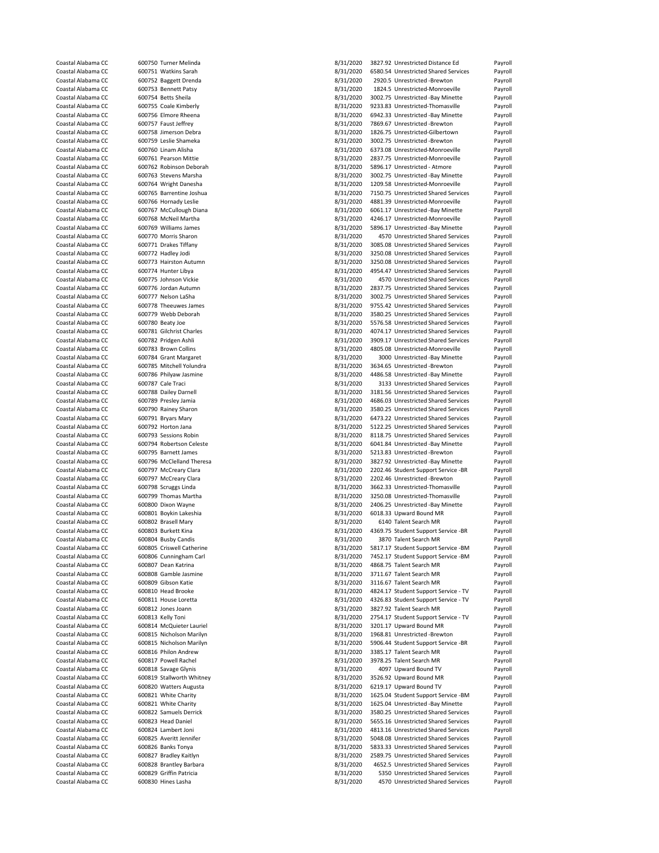|                    | 600750 Turner Melinda     | 8/31/2020 | 3827.92 Unrestricted Distance Ed     | Payroll |
|--------------------|---------------------------|-----------|--------------------------------------|---------|
| Coastal Alabama CC |                           |           |                                      |         |
| Coastal Alabama CC | 600751 Watkins Sarah      | 8/31/2020 | 6580.54 Unrestricted Shared Services | Payroll |
| Coastal Alabama CC | 600752 Baggett Drenda     | 8/31/2020 | 2920.5 Unrestricted -Brewton         | Payroll |
| Coastal Alabama CC | 600753 Bennett Patsy      | 8/31/2020 | 1824.5 Unrestricted-Monroeville      | Payroll |
| Coastal Alabama CC | 600754 Betts Sheila       | 8/31/2020 | 3002.75 Unrestricted -Bay Minette    | Payroll |
| Coastal Alabama CC | 600755 Coale Kimberly     | 8/31/2020 | 9233.83 Unrestricted-Thomasville     | Payroll |
|                    | 600756 Elmore Rheena      |           |                                      |         |
| Coastal Alabama CC |                           | 8/31/2020 | 6942.33 Unrestricted -Bay Minette    | Payroll |
| Coastal Alabama CC | 600757 Faust Jeffrey      | 8/31/2020 | 7869.67 Unrestricted -Brewton        | Payroll |
| Coastal Alabama CC | 600758 Jimerson Debra     | 8/31/2020 | 1826.75 Unrestricted-Gilbertown      | Payroll |
| Coastal Alabama CC | 600759 Leslie Shameka     | 8/31/2020 | 3002.75 Unrestricted -Brewton        | Payroll |
| Coastal Alabama CC | 600760 Linam Alisha       | 8/31/2020 | 6373.08 Unrestricted-Monroeville     | Payroll |
|                    |                           |           |                                      |         |
| Coastal Alabama CC | 600761 Pearson Mittie     | 8/31/2020 | 2837.75 Unrestricted-Monroeville     | Payroll |
| Coastal Alabama CC | 600762 Robinson Deborah   | 8/31/2020 | 5896.17 Unrestricted - Atmore        | Payroll |
| Coastal Alabama CC | 600763 Stevens Marsha     | 8/31/2020 | 3002.75 Unrestricted -Bay Minette    | Payroll |
| Coastal Alabama CC | 600764 Wright Danesha     | 8/31/2020 | 1209.58 Unrestricted-Monroeville     | Payroll |
| Coastal Alabama CC | 600765 Barrentine Joshua  | 8/31/2020 | 7150.75 Unrestricted Shared Services |         |
|                    |                           |           |                                      | Payroll |
| Coastal Alabama CC | 600766 Hornady Leslie     | 8/31/2020 | 4881.39 Unrestricted-Monroeville     | Payroll |
| Coastal Alabama CC | 600767 McCullough Diana   | 8/31/2020 | 6061.17 Unrestricted -Bay Minette    | Payroll |
| Coastal Alabama CC | 600768 McNeil Martha      | 8/31/2020 | 4246.17 Unrestricted-Monroeville     | Payroll |
| Coastal Alabama CC | 600769 Williams James     | 8/31/2020 | 5896.17 Unrestricted -Bay Minette    | Payroll |
|                    |                           |           |                                      |         |
| Coastal Alabama CC | 600770 Morris Sharon      | 8/31/2020 | 4570 Unrestricted Shared Services    | Payroll |
| Coastal Alabama CC | 600771 Drakes Tiffany     | 8/31/2020 | 3085.08 Unrestricted Shared Services | Payroll |
| Coastal Alabama CC | 600772 Hadley Jodi        | 8/31/2020 | 3250.08 Unrestricted Shared Services | Payroll |
| Coastal Alabama CC | 600773 Hairston Autumn    | 8/31/2020 | 3250.08 Unrestricted Shared Services | Payroll |
| Coastal Alabama CC | 600774 Hunter Libya       | 8/31/2020 | 4954.47 Unrestricted Shared Services | Payroll |
|                    |                           |           |                                      |         |
| Coastal Alabama CC | 600775 Johnson Vickie     | 8/31/2020 | 4570 Unrestricted Shared Services    | Payroll |
| Coastal Alabama CC | 600776 Jordan Autumn      | 8/31/2020 | 2837.75 Unrestricted Shared Services | Payroll |
| Coastal Alabama CC | 600777 Nelson LaSha       | 8/31/2020 | 3002.75 Unrestricted Shared Services | Payroll |
| Coastal Alabama CC | 600778 Theeuwes James     | 8/31/2020 | 9755.42 Unrestricted Shared Services | Payroll |
|                    |                           |           |                                      |         |
| Coastal Alabama CC | 600779 Webb Deborah       | 8/31/2020 | 3580.25 Unrestricted Shared Services | Payroll |
| Coastal Alabama CC | 600780 Beaty Joe          | 8/31/2020 | 5576.58 Unrestricted Shared Services | Payroll |
| Coastal Alabama CC | 600781 Gilchrist Charles  | 8/31/2020 | 4074.17 Unrestricted Shared Services | Payroll |
| Coastal Alabama CC | 600782 Pridgen Ashli      | 8/31/2020 | 3909.17 Unrestricted Shared Services | Payroll |
| Coastal Alabama CC |                           |           | 4805.08 Unrestricted-Monroeville     |         |
|                    | 600783 Brown Collins      | 8/31/2020 |                                      | Payroll |
| Coastal Alabama CC | 600784 Grant Margaret     | 8/31/2020 | 3000 Unrestricted -Bay Minette       | Payroll |
| Coastal Alabama CC | 600785 Mitchell Yolundra  | 8/31/2020 | 3634.65 Unrestricted -Brewton        | Payroll |
| Coastal Alabama CC | 600786 Philyaw Jasmine    | 8/31/2020 | 4486.58 Unrestricted -Bay Minette    | Payroll |
| Coastal Alabama CC | 600787 Cale Traci         | 8/31/2020 | 3133 Unrestricted Shared Services    | Payroll |
|                    |                           |           |                                      |         |
| Coastal Alabama CC | 600788 Dailey Darnell     | 8/31/2020 | 3181.56 Unrestricted Shared Services | Payroll |
| Coastal Alabama CC | 600789 Presley Jamia      | 8/31/2020 | 4686.03 Unrestricted Shared Services | Payroll |
| Coastal Alabama CC | 600790 Rainey Sharon      | 8/31/2020 | 3580.25 Unrestricted Shared Services | Payroll |
| Coastal Alabama CC | 600791 Bryars Mary        | 8/31/2020 | 6473.22 Unrestricted Shared Services | Payroll |
|                    |                           |           |                                      |         |
|                    |                           |           |                                      |         |
| Coastal Alabama CC | 600792 Horton Jana        | 8/31/2020 | 5122.25 Unrestricted Shared Services | Payroll |
| Coastal Alabama CC | 600793 Sessions Robin     | 8/31/2020 | 8118.75 Unrestricted Shared Services | Payroll |
| Coastal Alabama CC | 600794 Robertson Celeste  | 8/31/2020 | 6041.84 Unrestricted -Bay Minette    | Payroll |
| Coastal Alabama CC | 600795 Barnett James      | 8/31/2020 | 5213.83 Unrestricted -Brewton        | Payroll |
|                    |                           |           |                                      |         |
| Coastal Alabama CC | 600796 McClelland Theresa | 8/31/2020 | 3827.92 Unrestricted -Bay Minette    | Payroll |
| Coastal Alabama CC | 600797 McCreary Clara     | 8/31/2020 | 2202.46 Student Support Service -BR  | Payroll |
| Coastal Alabama CC | 600797 McCreary Clara     | 8/31/2020 | 2202.46 Unrestricted -Brewton        | Payroll |
| Coastal Alabama CC | 600798 Scruggs Linda      | 8/31/2020 | 3662.33 Unrestricted-Thomasville     | Payroll |
| Coastal Alabama CC |                           |           | 3250.08 Unrestricted-Thomasville     |         |
|                    | 600799 Thomas Martha      | 8/31/2020 |                                      | Payroll |
| Coastal Alabama CC | 600800 Dixon Wayne        | 8/31/2020 | 2406.25 Unrestricted -Bay Minette    | Payroll |
| Coastal Alabama CC | 600801 Boykin Lakeshia    | 8/31/2020 | 6018.33 Upward Bound MR              | Payroll |
| Coastal Alabama CC | 600802 Brasell Mary       | 8/31/2020 | 6140 Talent Search MR                | Payroll |
| Coastal Alabama CC | 600803 Burkett Kina       | 8/31/2020 | 4369.75 Student Support Service -BR  | Payroll |
| Coastal Alabama CC | 600804 Busby Candis       | 8/31/2020 | 3870 Talent Search MR                | Pavroll |
|                    |                           |           |                                      |         |
| Coastal Alabama CC | 600805 Criswell Catherine | 8/31/2020 | 5817.17 Student Support Service -BM  | Payroll |
| Coastal Alabama CC | 600806 Cunningham Carl    | 8/31/2020 | 7452.17 Student Support Service -BM  | Payroll |
| Coastal Alabama CC | 600807 Dean Katrina       | 8/31/2020 | 4868.75 Talent Search MR             | Payroll |
| Coastal Alabama CC | 600808 Gamble Jasmine     | 8/31/2020 | 3711.67 Talent Search MR             | Payroll |
| Coastal Alabama CC | 600809 Gibson Katie       |           |                                      |         |
|                    |                           | 8/31/2020 | 3116.67 Talent Search MR             | Payroll |
| Coastal Alabama CC | 600810 Head Brooke        | 8/31/2020 | 4824.17 Student Support Service - TV | Payroll |
| Coastal Alabama CC | 600811 House Loretta      | 8/31/2020 | 4326.83 Student Support Service - TV | Payroll |
| Coastal Alabama CC | 600812 Jones Joann        | 8/31/2020 | 3827.92 Talent Search MR             | Payroll |
| Coastal Alabama CC | 600813 Kelly Toni         |           | 2754.17 Student Support Service - TV | Payroll |
|                    |                           | 8/31/2020 |                                      |         |
| Coastal Alabama CC | 600814 McQuieter Lauriel  | 8/31/2020 | 3201.17 Upward Bound MR              | Payroll |
| Coastal Alabama CC | 600815 Nicholson Marilyn  | 8/31/2020 | 1968.81 Unrestricted -Brewton        | Payroll |
| Coastal Alabama CC | 600815 Nicholson Marilyn  | 8/31/2020 | 5906.44 Student Support Service -BR  | Payroll |
| Coastal Alabama CC | 600816 Philon Andrew      | 8/31/2020 | 3385.17 Talent Search MR             | Payroll |
| Coastal Alabama CC | 600817 Powell Rachel      |           | 3978.25 Talent Search MR             |         |
|                    |                           | 8/31/2020 |                                      | Payroll |
| Coastal Alabama CC | 600818 Savage Glynis      | 8/31/2020 | 4097 Upward Bound TV                 | Payroll |
| Coastal Alabama CC | 600819 Stallworth Whitney | 8/31/2020 | 3526.92 Upward Bound MR              | Payroll |
| Coastal Alabama CC | 600820 Watters Augusta    | 8/31/2020 | 6219.17 Upward Bound TV              | Payroll |
| Coastal Alabama CC | 600821 White Charity      | 8/31/2020 | 1625.04 Student Support Service -BM  | Payroll |
|                    |                           |           |                                      |         |
| Coastal Alabama CC | 600821 White Charity      | 8/31/2020 | 1625.04 Unrestricted -Bay Minette    | Payroll |
| Coastal Alabama CC | 600822 Samuels Derrick    | 8/31/2020 | 3580.25 Unrestricted Shared Services | Payroll |
| Coastal Alabama CC | 600823 Head Daniel        | 8/31/2020 | 5655.16 Unrestricted Shared Services | Payroll |
| Coastal Alabama CC | 600824 Lambert Joni       | 8/31/2020 | 4813.16 Unrestricted Shared Services | Payroll |
| Coastal Alabama CC | 600825 Averitt Jennifer   | 8/31/2020 | 5048.08 Unrestricted Shared Services | Payroll |
|                    |                           |           |                                      |         |
| Coastal Alabama CC | 600826 Banks Tonya        | 8/31/2020 | 5833.33 Unrestricted Shared Services | Payroll |
| Coastal Alabama CC | 600827 Bradley Kaitlyn    | 8/31/2020 | 2589.75 Unrestricted Shared Services | Payroll |
| Coastal Alabama CC | 600828 Brantley Barbara   | 8/31/2020 | 4652.5 Unrestricted Shared Services  | Payroll |
| Coastal Alabama CC | 600829 Griffin Patricia   | 8/31/2020 | 5350 Unrestricted Shared Services    | Payroll |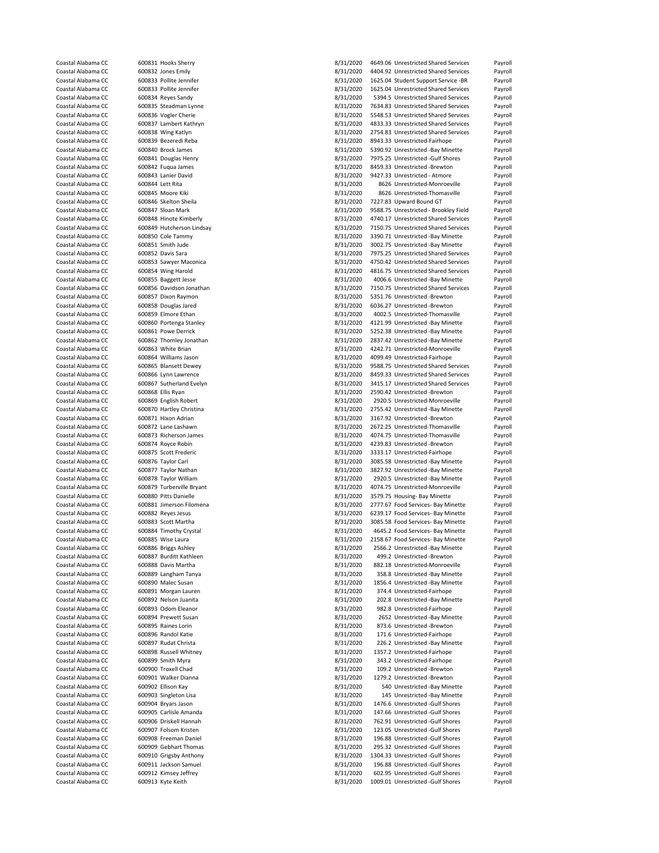| Coastal Alabama CC | 600831 Hooks Sherry       | 8/31/2020 | 4649.06 Unrestricted Shared Services  | Payroll |
|--------------------|---------------------------|-----------|---------------------------------------|---------|
| Coastal Alabama CC | 600832 Jones Emily        | 8/31/2020 | 4404.92 Unrestricted Shared Services  | Payroll |
| Coastal Alabama CC | 600833 Pollite Jennifer   | 8/31/2020 | 1625.04 Student Support Service -BR   | Payroll |
| Coastal Alabama CC | 600833 Pollite Jennifer   | 8/31/2020 | 1625.04 Unrestricted Shared Services  | Payroll |
| Coastal Alabama CC | 600834 Reyes Sandy        | 8/31/2020 | 5394.5 Unrestricted Shared Services   | Payroll |
| Coastal Alabama CC |                           |           | 7634.83 Unrestricted Shared Services  |         |
|                    | 600835 Steadman Lynne     | 8/31/2020 |                                       | Payroll |
| Coastal Alabama CC | 600836 Vogler Cherie      | 8/31/2020 | 5548.53 Unrestricted Shared Services  | Payroll |
| Coastal Alabama CC | 600837 Lambert Kathryn    | 8/31/2020 | 4833.33 Unrestricted Shared Services  | Payroll |
| Coastal Alabama CC | 600838 Wing Katlyn        | 8/31/2020 | 2754.83 Unrestricted Shared Services  | Payroll |
| Coastal Alabama CC | 600839 Bezeredi Reba      | 8/31/2020 | 8943.33 Unrestricted-Fairhope         | Payroll |
| Coastal Alabama CC | 600840 Brock James        | 8/31/2020 | 5390.92 Unrestricted -Bay Minette     | Payroll |
| Coastal Alabama CC | 600841 Douglas Henry      | 8/31/2020 | 7975.25 Unrestricted -Gulf Shores     | Payroll |
| Coastal Alabama CC | 600842 Fuqua James        | 8/31/2020 | 8459.33 Unrestricted -Brewton         | Payroll |
| Coastal Alabama CC | 600843 Lanier David       | 8/31/2020 | 9427.33 Unrestricted - Atmore         | Payroll |
| Coastal Alabama CC | 600844 Lett Rita          | 8/31/2020 | 8626 Unrestricted-Monroeville         | Payroll |
| Coastal Alabama CC | 600845 Moore Kiki         |           | 8626 Unrestricted-Thomasville         |         |
|                    |                           | 8/31/2020 |                                       | Payroll |
| Coastal Alabama CC | 600846 Skelton Sheila     | 8/31/2020 | 7227.83 Upward Bound GT               | Payroll |
| Coastal Alabama CC | 600847 Sloan Mark         | 8/31/2020 | 9588.75 Unrestricted - Brookley Field | Payroll |
| Coastal Alabama CC | 600848 Hinote Kimberly    | 8/31/2020 | 4740.17 Unrestricted Shared Services  | Payroll |
| Coastal Alabama CC | 600849 Hutcherson Lindsay | 8/31/2020 | 7150.75 Unrestricted Shared Services  | Payroll |
| Coastal Alabama CC | 600850 Cole Tammy         | 8/31/2020 | 3390.71 Unrestricted -Bay Minette     | Payroll |
| Coastal Alabama CC | 600851 Smith Jude         | 8/31/2020 | 3002.75 Unrestricted -Bay Minette     | Payroll |
| Coastal Alabama CC | 600852 Davis Sara         | 8/31/2020 | 7975.25 Unrestricted Shared Services  | Payroll |
| Coastal Alabama CC | 600853 Sawyer Maconica    | 8/31/2020 | 4750.42 Unrestricted Shared Services  | Payroll |
| Coastal Alabama CC | 600854 Wing Harold        | 8/31/2020 | 4816.75 Unrestricted Shared Services  | Payroll |
|                    |                           |           |                                       |         |
| Coastal Alabama CC | 600855 Baggett Jesse      | 8/31/2020 | 4006.6 Unrestricted -Bay Minette      | Payroll |
| Coastal Alabama CC | 600856 Davidson Jonathan  | 8/31/2020 | 7150.75 Unrestricted Shared Services  | Payroll |
| Coastal Alabama CC | 600857 Dixon Raymon       | 8/31/2020 | 5351.76 Unrestricted -Brewton         | Payroll |
| Coastal Alabama CC | 600858 Douglas Jared      | 8/31/2020 | 6036.27 Unrestricted -Brewton         | Payroll |
| Coastal Alabama CC | 600859 Elmore Ethan       | 8/31/2020 | 4002.5 Unrestricted-Thomasville       | Payroll |
| Coastal Alabama CC | 600860 Portenga Stanley   | 8/31/2020 | 4121.99 Unrestricted -Bay Minette     | Payroll |
| Coastal Alabama CC | 600861 Powe Derrick       | 8/31/2020 | 5252.38 Unrestricted -Bay Minette     | Payroll |
| Coastal Alabama CC | 600862 Thomley Jonathan   | 8/31/2020 | 2837.42 Unrestricted -Bay Minette     | Payroll |
|                    |                           | 8/31/2020 |                                       |         |
| Coastal Alabama CC | 600863 White Brian        |           | 4242.71 Unrestricted-Monroeville      | Payroll |
| Coastal Alabama CC | 600864 Williams Jason     | 8/31/2020 | 4099.49 Unrestricted-Fairhope         | Payroll |
| Coastal Alabama CC | 600865 Blansett Dewey     | 8/31/2020 | 9588.75 Unrestricted Shared Services  | Payroll |
| Coastal Alabama CC | 600866 Lynn Lawrence      | 8/31/2020 | 8459.33 Unrestricted Shared Services  | Payroll |
| Coastal Alabama CC | 600867 Sutherland Evelyn  | 8/31/2020 | 3415.17 Unrestricted Shared Services  | Payroll |
| Coastal Alabama CC | 600868 Ellis Ryan         | 8/31/2020 | 2590.42 Unrestricted -Brewton         | Payroll |
| Coastal Alabama CC | 600869 English Robert     | 8/31/2020 | 2920.5 Unrestricted-Monroeville       | Payroll |
| Coastal Alabama CC | 600870 Hartley Christina  | 8/31/2020 | 2755.42 Unrestricted -Bay Minette     | Payroll |
| Coastal Alabama CC | 600871 Hixon Adrian       | 8/31/2020 | 3167.92 Unrestricted -Brewton         | Payroll |
| Coastal Alabama CC | 600872 Lane Lashawn       | 8/31/2020 | 2672.25 Unrestricted-Thomasville      | Payroll |
| Coastal Alabama CC | 600873 Richerson James    |           | 4074.75 Unrestricted-Thomasville      |         |
|                    |                           | 8/31/2020 |                                       | Payroll |
| Coastal Alabama CC | 600874 Royce Robin        | 8/31/2020 | 4239.83 Unrestricted -Brewton         | Payroll |
| Coastal Alabama CC | 600875 Scott Frederic     | 8/31/2020 | 3333.17 Unrestricted-Fairhope         | Payroll |
| Coastal Alabama CC | 600876 Taylor Carl        | 8/31/2020 | 3085.58 Unrestricted -Bay Minette     | Payroll |
| Coastal Alabama CC | 600877 Taylor Nathan      | 8/31/2020 | 3827.92 Unrestricted -Bay Minette     | Payroll |
| Coastal Alabama CC | 600878 Taylor William     | 8/31/2020 | 2920.5 Unrestricted -Bay Minette      | Payroll |
| Coastal Alabama CC | 600879 Turberville Bryant | 8/31/2020 | 4074.75 Unrestricted-Monroeville      | Payroll |
| Coastal Alabama CC | 600880 Pitts Danielle     | 8/31/2020 | 3579.75 Housing- Bay Minette          | Payroll |
| Coastal Alabama CC | 600881 Jimerson Filomena  | 8/31/2020 | 2777.67 Food Services- Bay Minette    | Payroll |
| Coastal Alabama CC | 600882 Reyes Jesus        | 8/31/2020 | 6239.17 Food Services- Bay Minette    | Payroll |
| Coastal Alabama CC | 600883 Scott Martha       | 8/31/2020 | 3085.58 Food Services- Bay Minette    |         |
| Coastal Alabama CC |                           |           |                                       | Payroll |
|                    | 600884 Timothy Crystal    | 8/31/2020 | 4645.2 Food Services- Bay Minette     | Payroll |
| Coastal Alabama CC | 600885 Wise Laura         | 8/31/2020 | 2158.67 Food Services- Bay Minette    | Payroll |
| Coastal Alabama CC | 600886 Briggs Ashley      | 8/31/2020 | 2566.2 Unrestricted -Bay Minette      | Payroll |
| Coastal Alabama CC | 600887 Burditt Kathleen   | 8/31/2020 | 499.2 Unrestricted -Brewton           | Payroll |
| Coastal Alabama CC | 600888 Davis Martha       | 8/31/2020 | 882.18 Unrestricted-Monroeville       | Payroll |
| Coastal Alabama CC | 600889 Langham Tanya      | 8/31/2020 | 358.8 Unrestricted -Bay Minette       | Payroll |
| Coastal Alabama CC | 600890 Malec Susan        | 8/31/2020 | 1856.4 Unrestricted -Bay Minette      | Payroll |
| Coastal Alabama CC | 600891 Morgan Lauren      | 8/31/2020 | 374.4 Unrestricted-Fairhope           | Payroll |
| Coastal Alabama CC | 600892 Nelson Juanita     | 8/31/2020 | 202.8 Unrestricted -Bay Minette       | Payroll |
| Coastal Alabama CC | 600893 Odom Eleanor       | 8/31/2020 | 982.8 Unrestricted-Fairhope           | Payroll |
|                    |                           |           |                                       |         |
| Coastal Alabama CC | 600894 Prewett Susan      | 8/31/2020 | 2652 Unrestricted -Bay Minette        | Payroll |
| Coastal Alabama CC | 600895 Raines Lorin       | 8/31/2020 | 873.6 Unrestricted -Brewton           | Payroll |
| Coastal Alabama CC | 600896 Randol Katie       | 8/31/2020 | 171.6 Unrestricted-Fairhope           | Payroll |
| Coastal Alabama CC | 600897 Rudat Christa      | 8/31/2020 | 226.2 Unrestricted -Bay Minette       | Payroll |
| Coastal Alabama CC | 600898 Russell Whitney    | 8/31/2020 | 1357.2 Unrestricted-Fairhope          | Payroll |
| Coastal Alabama CC | 600899 Smith Myra         | 8/31/2020 | 343.2 Unrestricted-Fairhope           | Payroll |
| Coastal Alabama CC | 600900 Troxell Chad       | 8/31/2020 | 109.2 Unrestricted -Brewton           | Payroll |
| Coastal Alabama CC | 600901 Walker Dianna      | 8/31/2020 | 1279.2 Unrestricted -Brewton          | Payroll |
| Coastal Alabama CC | 600902 Ellison Kay        | 8/31/2020 | 540 Unrestricted -Bay Minette         | Payroll |
| Coastal Alabama CC | 600903 Singleton Lisa     | 8/31/2020 | 145 Unrestricted -Bay Minette         | Payroll |
|                    |                           |           |                                       |         |
| Coastal Alabama CC | 600904 Bryars Jason       | 8/31/2020 | 1476.6 Unrestricted -Gulf Shores      | Payroll |
| Coastal Alabama CC | 600905 Carlisle Amanda    | 8/31/2020 | 147.66 Unrestricted -Gulf Shores      | Payroll |
| Coastal Alabama CC | 600906 Driskell Hannah    | 8/31/2020 | 762.91 Unrestricted -Gulf Shores      | Payroll |
| Coastal Alabama CC | 600907 Folsom Kristen     | 8/31/2020 | 123.05 Unrestricted -Gulf Shores      | Payroll |
| Coastal Alabama CC | 600908 Freeman Daniel     | 8/31/2020 | 196.88 Unrestricted -Gulf Shores      | Payroll |
| Coastal Alabama CC | 600909 Gebhart Thomas     | 8/31/2020 | 295.32 Unrestricted -Gulf Shores      | Payroll |
| Coastal Alabama CC | 600910 Grigsby Anthony    | 8/31/2020 | 1304.33 Unrestricted -Gulf Shores     | Payroll |
| Coastal Alabama CC | 600911 Jackson Samuel     | 8/31/2020 | 196.88 Unrestricted -Gulf Shores      | Payroll |
| Coastal Alabama CC | 600912 Kimsey Jeffrey     | 8/31/2020 | 602.95 Unrestricted -Gulf Shores      | Payroll |
| Coastal Alabama CC | 600913 Kyte Keith         | 8/31/2020 | 1009.01 Unrestricted -Gulf Shores     | Payroll |
|                    |                           |           |                                       |         |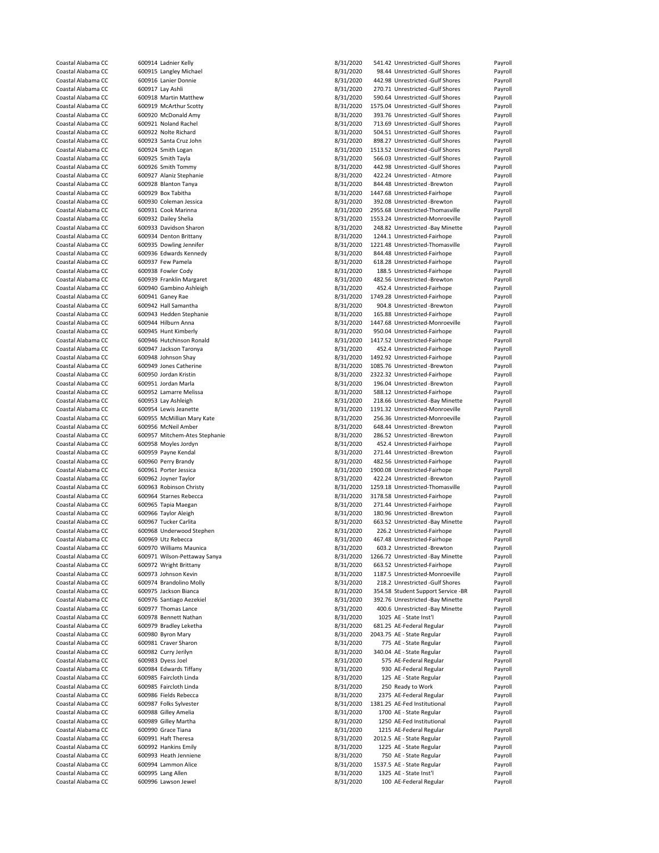| Coastal Alabama CC | 600914 Ladnier Kelly          | 8/31/2020 | 541.42 Unrestricted -Gulf Shores   | Payroll |
|--------------------|-------------------------------|-----------|------------------------------------|---------|
| Coastal Alabama CC | 600915 Langley Michael        | 8/31/2020 | 98.44 Unrestricted -Gulf Shores    | Payroll |
|                    |                               |           |                                    |         |
| Coastal Alabama CC | 600916 Lanier Donnie          | 8/31/2020 | 442.98 Unrestricted -Gulf Shores   | Payroll |
| Coastal Alabama CC | 600917 Lay Ashli              | 8/31/2020 | 270.71 Unrestricted -Gulf Shores   | Payroll |
| Coastal Alabama CC | 600918 Martin Matthew         | 8/31/2020 | 590.64 Unrestricted -Gulf Shores   | Payroll |
| Coastal Alabama CC | 600919 McArthur Scotty        | 8/31/2020 | 1575.04 Unrestricted -Gulf Shores  | Payroll |
| Coastal Alabama CC | 600920 McDonald Amy           | 8/31/2020 | 393.76 Unrestricted -Gulf Shores   | Payroll |
| Coastal Alabama CC | 600921 Noland Rachel          | 8/31/2020 | 713.69 Unrestricted -Gulf Shores   | Payroll |
| Coastal Alabama CC | 600922 Nolte Richard          | 8/31/2020 | 504.51 Unrestricted -Gulf Shores   | Payroll |
|                    |                               |           |                                    |         |
| Coastal Alabama CC | 600923 Santa Cruz John        | 8/31/2020 | 898.27 Unrestricted -Gulf Shores   | Payroll |
| Coastal Alabama CC | 600924 Smith Logan            | 8/31/2020 | 1513.52 Unrestricted -Gulf Shores  | Payroll |
| Coastal Alabama CC | 600925 Smith Tayla            | 8/31/2020 | 566.03 Unrestricted -Gulf Shores   | Payroll |
| Coastal Alabama CC | 600926 Smith Tommy            | 8/31/2020 | 442.98 Unrestricted -Gulf Shores   | Payroll |
| Coastal Alabama CC | 600927 Alaniz Stephanie       | 8/31/2020 | 422.24 Unrestricted - Atmore       | Payroll |
| Coastal Alabama CC | 600928 Blanton Tanya          | 8/31/2020 | 844.48 Unrestricted -Brewton       | Payroll |
| Coastal Alabama CC | 600929 Box Tabitha            | 8/31/2020 | 1447.68 Unrestricted-Fairhope      | Payroll |
|                    |                               |           |                                    |         |
| Coastal Alabama CC | 600930 Coleman Jessica        | 8/31/2020 | 392.08 Unrestricted -Brewton       | Payroll |
| Coastal Alabama CC | 600931 Cook Marinna           | 8/31/2020 | 2955.68 Unrestricted-Thomasville   | Payroll |
| Coastal Alabama CC | 600932 Dailey Shelia          | 8/31/2020 | 1553.24 Unrestricted-Monroeville   | Payroll |
| Coastal Alabama CC | 600933 Davidson Sharon        | 8/31/2020 | 248.82 Unrestricted -Bay Minette   | Payroll |
| Coastal Alabama CC | 600934 Denton Brittany        | 8/31/2020 | 1244.1 Unrestricted-Fairhope       | Payroll |
| Coastal Alabama CC | 600935 Dowling Jennifer       | 8/31/2020 | 1221.48 Unrestricted-Thomasville   | Payroll |
| Coastal Alabama CC | 600936 Edwards Kennedy        | 8/31/2020 | 844.48 Unrestricted-Fairhope       | Payroll |
| Coastal Alabama CC |                               |           |                                    |         |
|                    | 600937 Few Pamela             | 8/31/2020 | 618.28 Unrestricted-Fairhope       | Payroll |
| Coastal Alabama CC | 600938 Fowler Cody            | 8/31/2020 | 188.5 Unrestricted-Fairhope        | Payroll |
| Coastal Alabama CC | 600939 Franklin Margaret      | 8/31/2020 | 482.56 Unrestricted -Brewton       | Payroll |
| Coastal Alabama CC | 600940 Gambino Ashleigh       | 8/31/2020 | 452.4 Unrestricted-Fairhope        | Payroll |
| Coastal Alabama CC | 600941 Ganey Rae              | 8/31/2020 | 1749.28 Unrestricted-Fairhope      | Payroll |
| Coastal Alabama CC | 600942 Hall Samantha          | 8/31/2020 | 904.8 Unrestricted -Brewton        | Payroll |
| Coastal Alabama CC | 600943 Hedden Stephanie       | 8/31/2020 | 165.88 Unrestricted-Fairhope       | Payroll |
|                    |                               |           |                                    |         |
| Coastal Alabama CC | 600944 Hilburn Anna           | 8/31/2020 | 1447.68 Unrestricted-Monroeville   | Payroll |
| Coastal Alabama CC | 600945 Hunt Kimberly          | 8/31/2020 | 950.04 Unrestricted-Fairhope       | Payroll |
| Coastal Alabama CC | 600946 Hutchinson Ronald      | 8/31/2020 | 1417.52 Unrestricted-Fairhope      | Payroll |
| Coastal Alabama CC | 600947 Jackson Taronya        | 8/31/2020 | 452.4 Unrestricted-Fairhope        | Payroll |
| Coastal Alabama CC | 600948 Johnson Shay           | 8/31/2020 | 1492.92 Unrestricted-Fairhope      | Payroll |
| Coastal Alabama CC | 600949 Jones Catherine        | 8/31/2020 | 1085.76 Unrestricted -Brewton      | Payroll |
| Coastal Alabama CC | 600950 Jordan Kristin         | 8/31/2020 |                                    | Payroll |
|                    |                               |           | 2322.32 Unrestricted-Fairhope      |         |
| Coastal Alabama CC | 600951 Jordan Marla           | 8/31/2020 | 196.04 Unrestricted -Brewton       | Payroll |
| Coastal Alabama CC | 600952 Lamarre Melissa        | 8/31/2020 | 588.12 Unrestricted-Fairhope       | Payroll |
| Coastal Alabama CC | 600953 Lay Ashleigh           | 8/31/2020 | 218.66 Unrestricted -Bay Minette   | Payroll |
| Coastal Alabama CC | 600954 Lewis Jeanette         | 8/31/2020 | 1191.32 Unrestricted-Monroeville   | Payroll |
|                    |                               |           |                                    |         |
|                    |                               |           |                                    |         |
| Coastal Alabama CC | 600955 McMillian Mary Kate    | 8/31/2020 | 256.36 Unrestricted-Monroeville    | Payroll |
| Coastal Alabama CC | 600956 McNeil Amber           | 8/31/2020 | 648.44 Unrestricted -Brewton       | Payroll |
| Coastal Alabama CC | 600957 Mitchem-Ates Stephanie | 8/31/2020 | 286.52 Unrestricted -Brewton       | Payroll |
| Coastal Alabama CC | 600958 Moyles Jordyn          | 8/31/2020 | 452.4 Unrestricted-Fairhope        | Payroll |
| Coastal Alabama CC | 600959 Payne Kendal           | 8/31/2020 | 271.44 Unrestricted -Brewton       | Payroll |
| Coastal Alabama CC | 600960 Perry Brandy           | 8/31/2020 | 482.56 Unrestricted-Fairhope       | Payroll |
|                    |                               |           |                                    |         |
| Coastal Alabama CC | 600961 Porter Jessica         | 8/31/2020 | 1900.08 Unrestricted-Fairhope      | Payroll |
| Coastal Alabama CC | 600962 Joyner Taylor          | 8/31/2020 | 422.24 Unrestricted -Brewton       | Payroll |
| Coastal Alabama CC | 600963 Robinson Christy       | 8/31/2020 | 1259.18 Unrestricted-Thomasville   | Payroll |
| Coastal Alabama CC | 600964 Starnes Rebecca        | 8/31/2020 | 3178.58 Unrestricted-Fairhope      | Payroll |
| Coastal Alabama CC | 600965 Tapia Maegan           | 8/31/2020 | 271.44 Unrestricted-Fairhope       | Payroll |
| Coastal Alabama CC | 600966 Taylor Aleigh          | 8/31/2020 | 180.96 Unrestricted -Brewton       | Payroll |
| Coastal Alabama CC | 600967 Tucker Carlita         | 8/31/2020 | 663.52 Unrestricted -Bay Minette   | Payroll |
| Coastal Alabama CC | 600968 Underwood Stephen      |           | 226.2 Unrestricted-Fairhope        | Payroll |
|                    |                               | 8/31/2020 |                                    |         |
| Coastal Alabama CC | 600969 Utz Rebecca            | 8/31/2020 | 467.48 Unrestricted-Fairhope       | Payroll |
| Coastal Alabama CC | 600970 Williams Maunica       | 8/31/2020 | 603.2 Unrestricted -Brewton        | Payroll |
| Coastal Alabama CC | 600971 Wilson-Pettaway Sanya  | 8/31/2020 | 1266.72 Unrestricted -Bay Minette  | Payroll |
| Coastal Alabama CC | 600972 Wright Brittany        | 8/31/2020 | 663.52 Unrestricted-Fairhope       | Payroll |
| Coastal Alabama CC | 600973 Johnson Kevin          | 8/31/2020 | 1187.5 Unrestricted-Monroeville    | Payroll |
| Coastal Alabama CC | 600974 Brandolino Molly       | 8/31/2020 | 218.2 Unrestricted -Gulf Shores    | Payroll |
| Coastal Alabama CC | 600975 Jackson Bianca         | 8/31/2020 | 354.58 Student Support Service -BR | Payroll |
| Coastal Alabama CC | 600976 Santiago Aezekiel      | 8/31/2020 | 392.76 Unrestricted -Bay Minette   | Payroll |
|                    |                               |           |                                    |         |
| Coastal Alabama CC | 600977 Thomas Lance           | 8/31/2020 | 400.6 Unrestricted -Bay Minette    | Payroll |
| Coastal Alabama CC | 600978 Bennett Nathan         | 8/31/2020 | 1025 AE - State Inst'l             | Payroll |
| Coastal Alabama CC | 600979 Bradley Leketha        | 8/31/2020 | 681.25 AE-Federal Regular          | Payroll |
| Coastal Alabama CC | 600980 Byron Mary             | 8/31/2020 | 2043.75 AE - State Regular         | Payroll |
| Coastal Alabama CC | 600981 Craver Sharon          | 8/31/2020 | 775 AE - State Regular             | Payroll |
| Coastal Alabama CC | 600982 Curry Jerilyn          | 8/31/2020 | 340.04 AE - State Regular          | Payroll |
| Coastal Alabama CC | 600983 Dyess Joel             | 8/31/2020 | 575 AE-Federal Regular             | Payroll |
|                    |                               |           |                                    |         |
| Coastal Alabama CC | 600984 Edwards Tiffany        | 8/31/2020 | 930 AE-Federal Regular             | Payroll |
| Coastal Alabama CC | 600985 Faircloth Linda        | 8/31/2020 | 125 AE - State Regular             | Payroll |
| Coastal Alabama CC | 600985 Faircloth Linda        | 8/31/2020 | 250 Ready to Work                  | Payroll |
| Coastal Alabama CC | 600986 Fields Rebecca         | 8/31/2020 | 2375 AE-Federal Regular            | Payroll |
| Coastal Alabama CC | 600987 Folks Sylvester        | 8/31/2020 | 1381.25 AE-Fed Institutional       | Payroll |
| Coastal Alabama CC | 600988 Gilley Amelia          | 8/31/2020 | 1700 AE - State Regular            | Payroll |
| Coastal Alabama CC | 600989 Gilley Martha          | 8/31/2020 | 1250 AE-Fed Institutional          | Payroll |
|                    |                               |           |                                    |         |
| Coastal Alabama CC | 600990 Grace Tiana            | 8/31/2020 | 1215 AE-Federal Regular            | Payroll |
| Coastal Alabama CC | 600991 Haft Theresa           | 8/31/2020 | 2012.5 AE - State Regular          | Payroll |
| Coastal Alabama CC | 600992 Hankins Emily          | 8/31/2020 | 1225 AE - State Regular            | Payroll |
| Coastal Alabama CC | 600993 Heath Jenniene         | 8/31/2020 | 750 AE - State Regular             | Payroll |
| Coastal Alabama CC | 600994 Lammon Alice           | 8/31/2020 | 1537.5 AE - State Regular          | Payroll |
| Coastal Alabama CC | 600995 Lang Allen             | 8/31/2020 | 1325 AE - State Inst'l             | Payroll |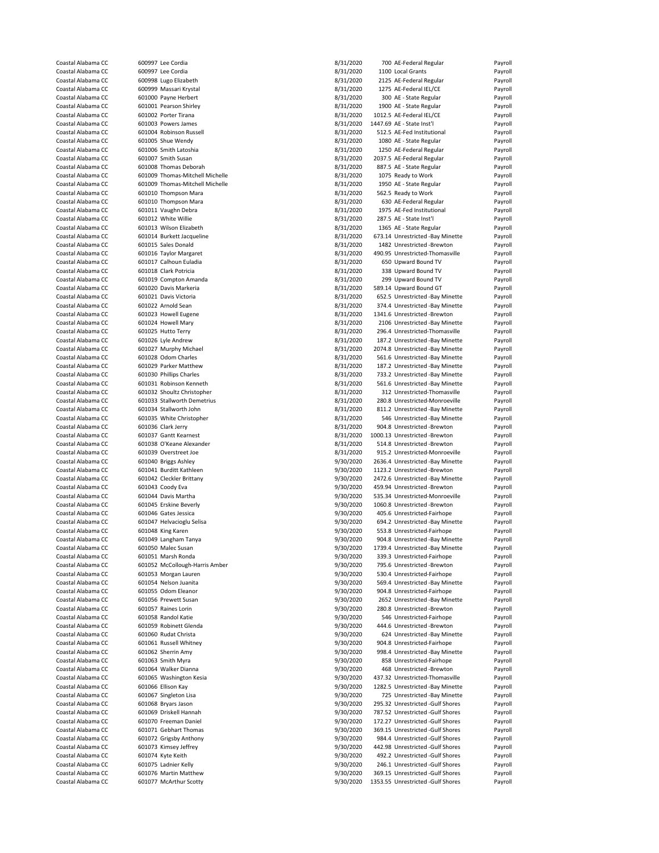| Coastal Alabama CC                       |                      | 600997 Lee Cordia                               | 8/31/2020              | 700 AE-Federal Regular                                                | Payroll            |
|------------------------------------------|----------------------|-------------------------------------------------|------------------------|-----------------------------------------------------------------------|--------------------|
| Coastal Alabama CC                       |                      | 600997 Lee Cordia                               | 8/31/2020              | 1100 Local Grants                                                     | Payroll            |
| Coastal Alabama CC                       |                      | 600998 Lugo Elizabeth                           | 8/31/2020              | 2125 AE-Federal Regular                                               | Payroll            |
| Coastal Alabama CC                       |                      | 600999 Massari Krystal                          | 8/31/2020              | 1275 AE-Federal IEL/CE                                                | Payroll            |
| Coastal Alabama CC                       |                      | 601000 Payne Herbert                            | 8/31/2020              | 300 AE - State Regular                                                | Payroll            |
| Coastal Alabama CC                       |                      | 601001 Pearson Shirley                          | 8/31/2020              | 1900 AE - State Regular                                               | Payroll            |
| Coastal Alabama CC                       |                      | 601002 Porter Tirana                            | 8/31/2020              | 1012.5 AE-Federal IEL/CE                                              | Payroll            |
|                                          |                      |                                                 |                        |                                                                       |                    |
| Coastal Alabama CC                       |                      | 601003 Powers James                             | 8/31/2020              | 1447.69 AE - State Inst'l                                             | Payroll            |
| Coastal Alabama CC                       |                      | 601004 Robinson Russell                         | 8/31/2020              | 512.5 AE-Fed Institutional                                            | Payroll            |
| Coastal Alabama CC                       |                      | 601005 Shue Wendy                               | 8/31/2020              | 1080 AE - State Regular                                               | Payroll            |
| Coastal Alabama CC                       |                      | 601006 Smith Latoshia                           | 8/31/2020              | 1250 AE-Federal Regular                                               | Payroll            |
| Coastal Alabama CC                       |                      | 601007 Smith Susan                              | 8/31/2020              | 2037.5 AE-Federal Regular                                             | Payroll            |
| Coastal Alabama CC                       |                      | 601008 Thomas Deborah                           | 8/31/2020              | 887.5 AE - State Regular                                              | Payroll            |
| Coastal Alabama CC                       |                      | 601009 Thomas-Mitchell Michelle                 | 8/31/2020              | 1075 Ready to Work                                                    | Payroll            |
| Coastal Alabama CC                       |                      | 601009 Thomas-Mitchell Michelle                 | 8/31/2020              | 1950 AE - State Regular                                               | Payroll            |
| Coastal Alabama CC                       |                      | 601010 Thompson Mara                            | 8/31/2020              | 562.5 Ready to Work                                                   | Payroll            |
| Coastal Alabama CC                       |                      | 601010 Thompson Mara                            | 8/31/2020              | 630 AE-Federal Regular                                                | Payroll            |
| Coastal Alabama CC                       |                      | 601011 Vaughn Debra                             | 8/31/2020              | 1975 AE-Fed Institutional                                             | Payroll            |
|                                          |                      |                                                 |                        |                                                                       |                    |
| Coastal Alabama CC                       |                      | 601012 White Willie                             | 8/31/2020              | 287.5 AE - State Inst'l                                               | Payroll            |
| Coastal Alabama CC                       |                      | 601013 Wilson Elizabeth                         | 8/31/2020              | 1365 AE - State Regular                                               | Payroll            |
| Coastal Alabama CC                       |                      | 601014 Burkett Jacqueline                       | 8/31/2020              | 673.14 Unrestricted -Bay Minette                                      | Payroll            |
| Coastal Alabama CC                       |                      | 601015 Sales Donald                             | 8/31/2020              | 1482 Unrestricted -Brewton                                            | Payroll            |
| Coastal Alabama CC                       |                      | 601016 Taylor Margaret                          | 8/31/2020              | 490.95 Unrestricted-Thomasville                                       | Payroll            |
| Coastal Alabama CC                       |                      | 601017 Calhoun Euladia                          | 8/31/2020              | 650 Upward Bound TV                                                   | Payroll            |
| Coastal Alabama CC                       |                      | 601018 Clark Potricia                           | 8/31/2020              | 338 Upward Bound TV                                                   | Payroll            |
| Coastal Alabama CC                       |                      | 601019 Compton Amanda                           | 8/31/2020              | 299 Upward Bound TV                                                   | Payroll            |
| Coastal Alabama CC                       |                      | 601020 Davis Markeria                           | 8/31/2020              | 589.14 Upward Bound GT                                                | Payroll            |
| Coastal Alabama CC                       |                      | 601021 Davis Victoria                           | 8/31/2020              | 652.5 Unrestricted -Bay Minette                                       | Payroll            |
| Coastal Alabama CC                       |                      | 601022 Arnold Sean                              | 8/31/2020              | 374.4 Unrestricted -Bay Minette                                       | Payroll            |
|                                          |                      | 601023 Howell Eugene                            |                        |                                                                       |                    |
| Coastal Alabama CC                       |                      |                                                 | 8/31/2020              | 1341.6 Unrestricted -Brewton                                          | Payroll            |
| Coastal Alabama CC                       |                      | 601024 Howell Mary                              | 8/31/2020              | 2106 Unrestricted -Bay Minette                                        | Payroll            |
| Coastal Alabama CC                       |                      | 601025 Hutto Terry                              | 8/31/2020              | 296.4 Unrestricted-Thomasville                                        | Payroll            |
| Coastal Alabama CC                       |                      | 601026 Lyle Andrew                              | 8/31/2020              | 187.2 Unrestricted -Bay Minette                                       | Payroll            |
| Coastal Alabama CC                       |                      | 601027 Murphy Michael                           | 8/31/2020              | 2074.8 Unrestricted -Bay Minette                                      | Payroll            |
| Coastal Alabama CC                       |                      | 601028 Odom Charles                             | 8/31/2020              | 561.6 Unrestricted -Bay Minette                                       | Payroll            |
| Coastal Alabama CC                       |                      | 601029 Parker Matthew                           | 8/31/2020              | 187.2 Unrestricted -Bay Minette                                       | Payroll            |
| Coastal Alabama CC                       |                      | 601030 Phillips Charles                         | 8/31/2020              | 733.2 Unrestricted -Bay Minette                                       | Payroll            |
| Coastal Alabama CC                       |                      | 601031 Robinson Kenneth                         | 8/31/2020              | 561.6 Unrestricted -Bay Minette                                       | Payroll            |
| Coastal Alabama CC                       |                      | 601032 Shoultz Christopher                      | 8/31/2020              | 312 Unrestricted-Thomasville                                          | Payroll            |
|                                          |                      |                                                 |                        |                                                                       |                    |
| Coastal Alabama CC                       |                      | 601033 Stallworth Demetrius                     | 8/31/2020              | 280.8 Unrestricted-Monroeville                                        | Payroll            |
| Coastal Alabama CC                       |                      | 601034 Stallworth John                          | 8/31/2020              | 811.2 Unrestricted -Bay Minette                                       | Payroll            |
| Coastal Alabama CC                       |                      | 601035 White Christopher                        | 8/31/2020              | 546 Unrestricted -Bay Minette                                         | Payroll            |
| Coastal Alabama CC                       |                      | 601036 Clark Jerry                              | 8/31/2020              | 904.8 Unrestricted -Brewton                                           | Payroll            |
| Coastal Alabama CC                       |                      | 601037 Gantt Kearnest                           | 8/31/2020              | 1000.13 Unrestricted -Brewton                                         | Payroll            |
| Coastal Alabama CC                       |                      | 601038 O'Keane Alexander                        | 8/31/2020              | 514.8 Unrestricted -Brewton                                           | Payroll            |
| Coastal Alabama CC                       |                      | 601039 Overstreet Joe                           | 8/31/2020              | 915.2 Unrestricted-Monroeville                                        | Payroll            |
| Coastal Alabama CC                       |                      | 601040 Briggs Ashley                            | 9/30/2020              | 2636.4 Unrestricted -Bay Minette                                      | Payroll            |
| Coastal Alabama CC                       |                      | 601041 Burditt Kathleen                         | 9/30/2020              | 1123.2 Unrestricted -Brewton                                          | Payroll            |
| Coastal Alabama CC                       |                      | 601042 Cleckler Brittany                        | 9/30/2020              | 2472.6 Unrestricted -Bay Minette                                      | Payroll            |
|                                          |                      |                                                 |                        |                                                                       |                    |
| Coastal Alabama CC                       |                      | 601043 Coody Eva                                | 9/30/2020              | 459.94 Unrestricted -Brewton                                          | Payroll            |
| Coastal Alabama CC                       |                      | 601044 Davis Martha                             | 9/30/2020              | 535.34 Unrestricted-Monroeville                                       | Payroll            |
| Coastal Alabama CC                       |                      | 601045 Erskine Beverly                          | 9/30/2020              | 1060.8 Unrestricted -Brewton                                          | Payroll            |
| Coastal Alabama CC                       |                      |                                                 |                        | 405.6 Unrestricted-Fairhope                                           |                    |
|                                          | 601046 Gates Jessica |                                                 | 9/30/2020              |                                                                       | Payroll            |
| Coastal Alabama CC                       |                      | 601047 Helvacioglu Selisa                       | 9/30/2020              | 694.2 Unrestricted -Bay Minette                                       | Payroll            |
| Coastal Alabama CC                       |                      | 601048 King Karen                               | 9/30/2020              | 553.8 Unrestricted-Fairhope                                           | Payroll            |
| Coastal Alabama CC                       |                      | 601049 Langham Tanya                            |                        | 904.8 Unrestricted -Bay Minette                                       | Payroll            |
|                                          |                      |                                                 | 9/30/2020              |                                                                       |                    |
| Coastal Alabama CC<br>Coastal Alabama CC |                      | 601050 Malec Susan                              | 9/30/2020              | 1739.4 Unrestricted -Bay Minette                                      | Payroll            |
|                                          |                      | 601051 Marsh Ronda                              | 9/30/2020              | 339.3 Unrestricted-Fairhope                                           | Payroll            |
| Coastal Alabama CC                       |                      | 601052 McCollough-Harris Amber                  | 9/30/2020              | 795.6 Unrestricted -Brewton                                           | Payroll            |
| Coastal Alabama CC                       |                      | 601053 Morgan Lauren                            | 9/30/2020              | 530.4 Unrestricted-Fairhope                                           | Payroll            |
| Coastal Alabama CC                       |                      | 601054 Nelson Juanita                           | 9/30/2020              | 569.4 Unrestricted -Bay Minette                                       | Payroll            |
| Coastal Alabama CC                       |                      | 601055 Odom Eleanor                             | 9/30/2020              | 904.8 Unrestricted-Fairhope                                           | Payroll            |
| Coastal Alabama CC                       |                      | 601056 Prewett Susan                            | 9/30/2020              | 2652 Unrestricted -Bay Minette                                        | Payroll            |
| Coastal Alabama CC                       |                      | 601057 Raines Lorin                             | 9/30/2020              | 280.8 Unrestricted -Brewton                                           | Payroll            |
| Coastal Alabama CC                       |                      | 601058 Randol Katie                             | 9/30/2020              | 546 Unrestricted-Fairhope                                             | Payroll            |
| Coastal Alabama CC                       |                      | 601059 Robinett Glenda                          | 9/30/2020              | 444.6 Unrestricted -Brewton                                           | Payroll            |
| Coastal Alabama CC                       |                      | 601060 Rudat Christa                            | 9/30/2020              | 624 Unrestricted -Bay Minette                                         | Payroll            |
| Coastal Alabama CC                       |                      | 601061 Russell Whitney                          |                        | 904.8 Unrestricted-Fairhope                                           |                    |
| Coastal Alabama CC                       |                      |                                                 | 9/30/2020              |                                                                       | Payroll            |
|                                          |                      | 601062 Sherrin Amy                              | 9/30/2020              | 998.4 Unrestricted -Bay Minette                                       | Payroll            |
| Coastal Alabama CC                       |                      | 601063 Smith Myra                               | 9/30/2020              | 858 Unrestricted-Fairhope                                             | Payroll            |
| Coastal Alabama CC                       |                      | 601064 Walker Dianna                            | 9/30/2020              | 468 Unrestricted -Brewton                                             | Payroll            |
| Coastal Alabama CC                       |                      | 601065 Washington Kesia                         | 9/30/2020              | 437.32 Unrestricted-Thomasville                                       | Payroll            |
| Coastal Alabama CC                       |                      | 601066 Ellison Kay                              | 9/30/2020              | 1282.5 Unrestricted -Bay Minette                                      | Payroll            |
| Coastal Alabama CC                       |                      | 601067 Singleton Lisa                           | 9/30/2020              | 725 Unrestricted -Bay Minette                                         | Payroll            |
| Coastal Alabama CC                       |                      | 601068 Bryars Jason                             | 9/30/2020              | 295.32 Unrestricted -Gulf Shores                                      | Payroll            |
| Coastal Alabama CC                       |                      | 601069 Driskell Hannah                          | 9/30/2020              | 787.52 Unrestricted -Gulf Shores                                      | Payroll            |
| Coastal Alabama CC                       |                      | 601070 Freeman Daniel                           | 9/30/2020              | 172.27 Unrestricted -Gulf Shores                                      | Payroll            |
| Coastal Alabama CC                       |                      | 601071 Gebhart Thomas                           | 9/30/2020              | 369.15 Unrestricted -Gulf Shores                                      | Payroll            |
| Coastal Alabama CC                       |                      | 601072 Grigsby Anthony                          | 9/30/2020              | 984.4 Unrestricted -Gulf Shores                                       | Payroll            |
| Coastal Alabama CC                       |                      |                                                 |                        | 442.98 Unrestricted -Gulf Shores                                      |                    |
|                                          |                      | 601073 Kimsey Jeffrey                           | 9/30/2020              |                                                                       | Payroll            |
| Coastal Alabama CC                       |                      | 601074 Kyte Keith                               | 9/30/2020              | 492.2 Unrestricted -Gulf Shores                                       | Payroll            |
| Coastal Alabama CC                       |                      | 601075 Ladnier Kelly                            | 9/30/2020              | 246.1 Unrestricted -Gulf Shores                                       | Payroll            |
| Coastal Alabama CC<br>Coastal Alabama CC |                      | 601076 Martin Matthew<br>601077 McArthur Scotty | 9/30/2020<br>9/30/2020 | 369.15 Unrestricted -Gulf Shores<br>1353.55 Unrestricted -Gulf Shores | Payroll<br>Payroll |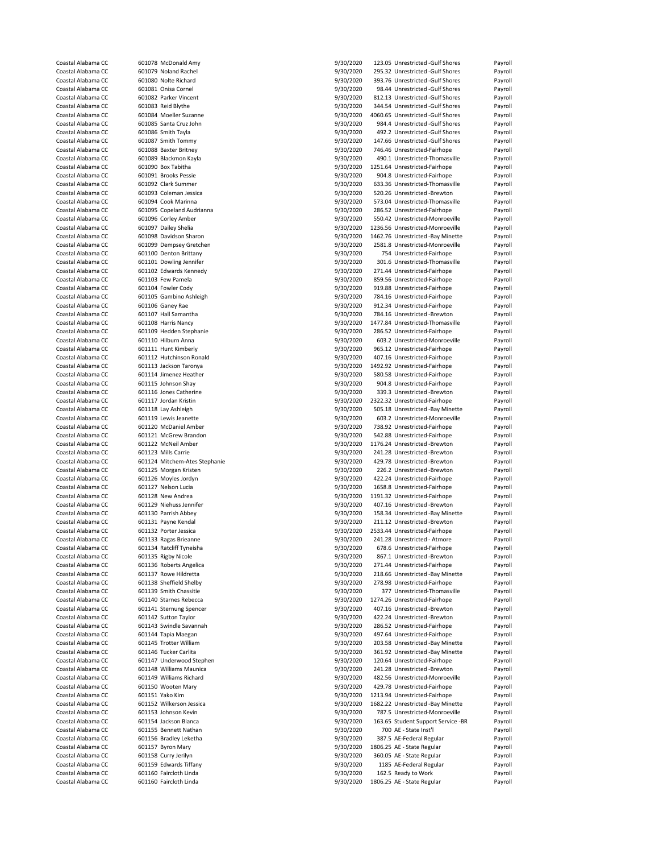| Coastal Alabama CC | 601078 McDonald Amy           | 9/30/2020 | 123.05 Unrestricted -Gulf Shores   | Payroll |
|--------------------|-------------------------------|-----------|------------------------------------|---------|
| Coastal Alabama CC | 601079 Noland Rachel          | 9/30/2020 | 295.32 Unrestricted -Gulf Shores   | Payroll |
| Coastal Alabama CC | 601080 Nolte Richard          | 9/30/2020 | 393.76 Unrestricted -Gulf Shores   | Payroll |
| Coastal Alabama CC | 601081 Onisa Cornel           | 9/30/2020 | 98.44 Unrestricted -Gulf Shores    | Payroll |
| Coastal Alabama CC | 601082 Parker Vincent         | 9/30/2020 | 812.13 Unrestricted -Gulf Shores   | Payroll |
|                    |                               |           |                                    |         |
| Coastal Alabama CC | 601083 Reid Blythe            | 9/30/2020 | 344.54 Unrestricted -Gulf Shores   | Payroll |
| Coastal Alabama CC | 601084 Moeller Suzanne        | 9/30/2020 | 4060.65 Unrestricted -Gulf Shores  | Payroll |
| Coastal Alabama CC | 601085 Santa Cruz John        | 9/30/2020 | 984.4 Unrestricted -Gulf Shores    | Payroll |
| Coastal Alabama CC | 601086 Smith Tayla            | 9/30/2020 | 492.2 Unrestricted -Gulf Shores    | Payroll |
| Coastal Alabama CC | 601087 Smith Tommy            | 9/30/2020 | 147.66 Unrestricted -Gulf Shores   | Payroll |
| Coastal Alabama CC | 601088 Baxter Britney         | 9/30/2020 | 746.46 Unrestricted-Fairhope       | Payroll |
| Coastal Alabama CC | 601089 Blackmon Kayla         | 9/30/2020 | 490.1 Unrestricted-Thomasville     | Payroll |
| Coastal Alabama CC | 601090 Box Tabitha            | 9/30/2020 | 1251.64 Unrestricted-Fairhope      | Payroll |
| Coastal Alabama CC | 601091 Brooks Pessie          | 9/30/2020 | 904.8 Unrestricted-Fairhope        | Payroll |
| Coastal Alabama CC | 601092 Clark Summer           | 9/30/2020 | 633.36 Unrestricted-Thomasville    | Payroll |
| Coastal Alabama CC | 601093 Coleman Jessica        | 9/30/2020 | 520.26 Unrestricted -Brewton       | Payroll |
|                    |                               |           |                                    |         |
| Coastal Alabama CC | 601094 Cook Marinna           | 9/30/2020 | 573.04 Unrestricted-Thomasville    | Payroll |
| Coastal Alabama CC | 601095 Copeland Audrianna     | 9/30/2020 | 286.52 Unrestricted-Fairhope       | Payroll |
| Coastal Alabama CC | 601096 Corley Amber           | 9/30/2020 | 550.42 Unrestricted-Monroeville    | Payroll |
| Coastal Alabama CC | 601097 Dailey Shelia          | 9/30/2020 | 1236.56 Unrestricted-Monroeville   | Payroll |
| Coastal Alabama CC | 601098 Davidson Sharon        | 9/30/2020 | 1462.76 Unrestricted -Bay Minette  | Payroll |
| Coastal Alabama CC | 601099 Dempsey Gretchen       | 9/30/2020 | 2581.8 Unrestricted-Monroeville    | Payroll |
| Coastal Alabama CC | 601100 Denton Brittany        | 9/30/2020 | 754 Unrestricted-Fairhope          | Payroll |
| Coastal Alabama CC | 601101 Dowling Jennifer       | 9/30/2020 | 301.6 Unrestricted-Thomasville     | Payroll |
| Coastal Alabama CC | 601102 Edwards Kennedy        | 9/30/2020 | 271.44 Unrestricted-Fairhope       | Payroll |
| Coastal Alabama CC | 601103 Few Pamela             | 9/30/2020 | 859.56 Unrestricted-Fairhope       | Payroll |
|                    |                               |           |                                    | Payroll |
| Coastal Alabama CC | 601104 Fowler Cody            | 9/30/2020 | 919.88 Unrestricted-Fairhope       |         |
| Coastal Alabama CC | 601105 Gambino Ashleigh       | 9/30/2020 | 784.16 Unrestricted-Fairhope       | Payroll |
| Coastal Alabama CC | 601106 Ganey Rae              | 9/30/2020 | 912.34 Unrestricted-Fairhope       | Payroll |
| Coastal Alabama CC | 601107 Hall Samantha          | 9/30/2020 | 784.16 Unrestricted -Brewton       | Payroll |
| Coastal Alabama CC | 601108 Harris Nancy           | 9/30/2020 | 1477.84 Unrestricted-Thomasville   | Payroll |
| Coastal Alabama CC | 601109 Hedden Stephanie       | 9/30/2020 | 286.52 Unrestricted-Fairhope       | Payroll |
| Coastal Alabama CC | 601110 Hilburn Anna           | 9/30/2020 | 603.2 Unrestricted-Monroeville     | Payroll |
| Coastal Alabama CC | 601111 Hunt Kimberly          | 9/30/2020 | 965.12 Unrestricted-Fairhope       | Payroll |
| Coastal Alabama CC | 601112 Hutchinson Ronald      | 9/30/2020 | 407.16 Unrestricted-Fairhope       | Payroll |
| Coastal Alabama CC | 601113 Jackson Taronya        | 9/30/2020 | 1492.92 Unrestricted-Fairhope      | Payroll |
|                    |                               |           |                                    |         |
| Coastal Alabama CC | 601114 Jimenez Heather        | 9/30/2020 | 580.58 Unrestricted-Fairhope       | Payroll |
| Coastal Alabama CC | 601115 Johnson Shay           | 9/30/2020 | 904.8 Unrestricted-Fairhope        | Payroll |
| Coastal Alabama CC | 601116 Jones Catherine        | 9/30/2020 | 339.3 Unrestricted -Brewton        | Payroll |
| Coastal Alabama CC | 601117 Jordan Kristin         | 9/30/2020 | 2322.32 Unrestricted-Fairhope      | Payroll |
| Coastal Alabama CC | 601118 Lay Ashleigh           | 9/30/2020 | 505.18 Unrestricted -Bay Minette   | Payroll |
|                    |                               |           |                                    |         |
| Coastal Alabama CC | 601119 Lewis Jeanette         | 9/30/2020 | 603.2 Unrestricted-Monroeville     | Payroll |
|                    |                               |           |                                    |         |
| Coastal Alabama CC | 601120 McDaniel Amber         | 9/30/2020 | 738.92 Unrestricted-Fairhope       | Payroll |
| Coastal Alabama CC | 601121 McGrew Brandon         | 9/30/2020 | 542.88 Unrestricted-Fairhope       | Payroll |
| Coastal Alabama CC | 601122 McNeil Amber           | 9/30/2020 | 1176.24 Unrestricted -Brewton      | Payroll |
| Coastal Alabama CC | 601123 Mills Carrie           | 9/30/2020 | 241.28 Unrestricted -Brewton       | Payroll |
| Coastal Alabama CC | 601124 Mitchem-Ates Stephanie | 9/30/2020 | 429.78 Unrestricted -Brewton       | Payroll |
| Coastal Alabama CC | 601125 Morgan Kristen         | 9/30/2020 | 226.2 Unrestricted -Brewton        | Payroll |
| Coastal Alabama CC | 601126 Moyles Jordyn          | 9/30/2020 | 422.24 Unrestricted-Fairhope       | Payroll |
| Coastal Alabama CC | 601127 Nelson Lucia           | 9/30/2020 | 1658.8 Unrestricted-Fairhope       | Payroll |
| Coastal Alabama CC | 601128 New Andrea             | 9/30/2020 | 1191.32 Unrestricted-Fairhope      | Payroll |
| Coastal Alabama CC | 601129 Niehuss Jennifer       | 9/30/2020 | 407.16 Unrestricted -Brewton       |         |
|                    |                               |           |                                    | Payroll |
| Coastal Alabama CC | 601130 Parrish Abbey          | 9/30/2020 | 158.34 Unrestricted -Bay Minette   | Payroll |
| Coastal Alabama CC | 601131 Payne Kendal           | 9/30/2020 | 211.12 Unrestricted -Brewton       | Payroll |
| Coastal Alabama CC | 601132 Porter Jessica         | 9/30/2020 | 2533.44 Unrestricted-Fairhope      | Payroll |
| Coastal Alabama CC | 601133 Ragas Brieanne         | 9/30/2020 | 241.28 Unrestricted - Atmore       | Payroll |
| Coastal Alabama CC | 601134 Ratcliff Tyneisha      | 9/30/2020 | 678.6 Unrestricted-Fairhope        | Payroll |
| Coastal Alabama CC | 601135 Rigby Nicole           | 9/30/2020 | 867.1 Unrestricted -Brewton        | Payroll |
| Coastal Alabama CC | 601136 Roberts Angelica       | 9/30/2020 | 271.44 Unrestricted-Fairhope       | Payroll |
| Coastal Alabama CC | 601137 Rowe Hildretta         | 9/30/2020 | 218.66 Unrestricted -Bay Minette   | Payroll |
| Coastal Alabama CC | 601138 Sheffield Shelby       | 9/30/2020 | 278.98 Unrestricted-Fairhope       | Payroll |
| Coastal Alabama CC | 601139 Smith Chassitie        | 9/30/2020 | 377 Unrestricted-Thomasville       | Payroll |
| Coastal Alabama CC | 601140 Starnes Rebecca        |           | 1274.26 Unrestricted-Fairhope      | Payroll |
|                    |                               | 9/30/2020 |                                    |         |
| Coastal Alabama CC | 601141 Sternung Spencer       | 9/30/2020 | 407.16 Unrestricted -Brewton       | Payroll |
| Coastal Alabama CC | 601142 Sutton Taylor          | 9/30/2020 | 422.24 Unrestricted -Brewton       | Payroll |
| Coastal Alabama CC | 601143 Swindle Savannah       | 9/30/2020 | 286.52 Unrestricted-Fairhope       | Payroll |
| Coastal Alabama CC | 601144 Tapia Maegan           | 9/30/2020 | 497.64 Unrestricted-Fairhope       | Payroll |
| Coastal Alabama CC | 601145 Trotter William        | 9/30/2020 | 203.58 Unrestricted -Bay Minette   | Payroll |
| Coastal Alabama CC | 601146 Tucker Carlita         | 9/30/2020 | 361.92 Unrestricted -Bay Minette   | Payroll |
| Coastal Alabama CC | 601147 Underwood Stephen      | 9/30/2020 | 120.64 Unrestricted-Fairhope       | Payroll |
| Coastal Alabama CC | 601148 Williams Maunica       | 9/30/2020 | 241.28 Unrestricted -Brewton       | Payroll |
| Coastal Alabama CC | 601149 Williams Richard       | 9/30/2020 | 482.56 Unrestricted-Monroeville    | Payroll |
| Coastal Alabama CC | 601150 Wooten Mary            | 9/30/2020 | 429.78 Unrestricted-Fairhope       | Payroll |
|                    |                               |           |                                    |         |
| Coastal Alabama CC | 601151 Yako Kim               | 9/30/2020 | 1213.94 Unrestricted-Fairhope      | Payroll |
| Coastal Alabama CC | 601152 Wilkerson Jessica      | 9/30/2020 | 1682.22 Unrestricted -Bay Minette  | Payroll |
| Coastal Alabama CC | 601153 Johnson Kevin          | 9/30/2020 | 787.5 Unrestricted-Monroeville     | Payroll |
| Coastal Alabama CC | 601154 Jackson Bianca         | 9/30/2020 | 163.65 Student Support Service -BR | Payroll |
| Coastal Alabama CC | 601155 Bennett Nathan         | 9/30/2020 | 700 AE - State Inst'l              | Payroll |
| Coastal Alabama CC | 601156 Bradley Leketha        | 9/30/2020 | 387.5 AE-Federal Regular           | Payroll |
| Coastal Alabama CC | 601157 Byron Mary             | 9/30/2020 | 1806.25 AE - State Regular         | Payroll |
| Coastal Alabama CC | 601158 Curry Jerilyn          | 9/30/2020 | 360.05 AE - State Regular          | Payroll |
| Coastal Alabama CC | 601159 Edwards Tiffany        | 9/30/2020 | 1185 AE-Federal Regular            | Payroll |
| Coastal Alabama CC | 601160 Faircloth Linda        | 9/30/2020 | 162.5 Ready to Work                | Payroll |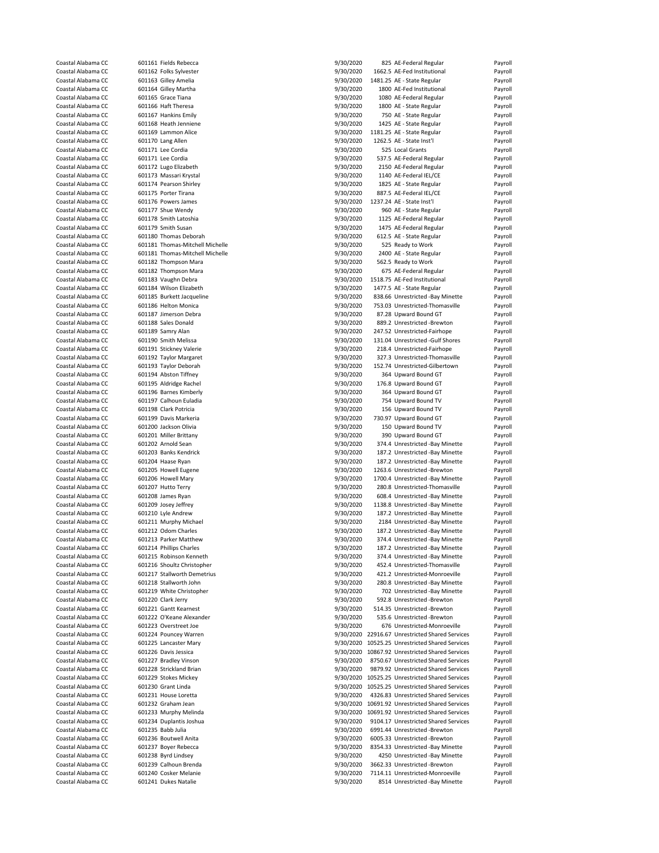| Coastal Alabama CC                       | 601161 Fields Rebecca                                 | 9/30/2020              | 825 AE-Federal Regular                                             | Payroll            |
|------------------------------------------|-------------------------------------------------------|------------------------|--------------------------------------------------------------------|--------------------|
| Coastal Alabama CC                       | 601162 Folks Sylvester                                | 9/30/2020              | 1662.5 AE-Fed Institutional                                        | Payroll            |
| Coastal Alabama CC                       | 601163 Gilley Amelia                                  | 9/30/2020              | 1481.25 AE - State Regular                                         | Payroll            |
| Coastal Alabama CC                       | 601164 Gilley Martha                                  | 9/30/2020              | 1800 AE-Fed Institutional                                          | Payroll            |
| Coastal Alabama CC                       | 601165 Grace Tiana                                    | 9/30/2020              | 1080 AE-Federal Regular                                            | Payroll            |
| Coastal Alabama CC                       | 601166 Haft Theresa                                   |                        | 1800 AE - State Regular                                            | Payroll            |
| Coastal Alabama CC                       |                                                       | 9/30/2020              |                                                                    |                    |
|                                          | 601167 Hankins Emily                                  | 9/30/2020              | 750 AE - State Regular                                             | Payroll            |
| Coastal Alabama CC                       | 601168 Heath Jenniene                                 | 9/30/2020              | 1425 AE - State Regular                                            | Payroll            |
| Coastal Alabama CC                       | 601169 Lammon Alice                                   | 9/30/2020              | 1181.25 AE - State Regular                                         | Payroll            |
| Coastal Alabama CC                       | 601170 Lang Allen                                     | 9/30/2020              | 1262.5 AE - State Inst'l                                           | Payroll            |
| Coastal Alabama CC                       | 601171 Lee Cordia                                     | 9/30/2020              | 525 Local Grants                                                   | Payroll            |
| Coastal Alabama CC                       | 601171 Lee Cordia                                     | 9/30/2020              | 537.5 AE-Federal Regular                                           | Payroll            |
| Coastal Alabama CC                       | 601172 Lugo Elizabeth                                 | 9/30/2020              | 2150 AE-Federal Regular                                            | Payroll            |
| Coastal Alabama CC                       | 601173 Massari Krystal                                | 9/30/2020              | 1140 AE-Federal IEL/CE                                             | Payroll            |
| Coastal Alabama CC                       | 601174 Pearson Shirley                                | 9/30/2020              | 1825 AE - State Regular                                            | Payroll            |
| Coastal Alabama CC                       | 601175 Porter Tirana                                  | 9/30/2020              | 887.5 AE-Federal IEL/CE                                            | Payroll            |
|                                          |                                                       |                        |                                                                    |                    |
| Coastal Alabama CC                       | 601176 Powers James                                   | 9/30/2020              | 1237.24 AE - State Inst'l                                          | Payroll            |
| Coastal Alabama CC                       | 601177 Shue Wendy                                     | 9/30/2020              | 960 AE - State Regular                                             | Payroll            |
| Coastal Alabama CC                       | 601178 Smith Latoshia                                 | 9/30/2020              | 1125 AE-Federal Regular                                            | Payroll            |
| Coastal Alabama CC                       | 601179 Smith Susan                                    | 9/30/2020              | 1475 AE-Federal Regular                                            | Payroll            |
| Coastal Alabama CC                       | 601180 Thomas Deborah                                 | 9/30/2020              | 612.5 AE - State Regular                                           | Payroll            |
| Coastal Alabama CC                       | 601181 Thomas-Mitchell Michelle                       | 9/30/2020              | 525 Ready to Work                                                  | Payroll            |
| Coastal Alabama CC                       | 601181 Thomas-Mitchell Michelle                       | 9/30/2020              | 2400 AE - State Regular                                            | Payroll            |
| Coastal Alabama CC                       | 601182 Thompson Mara                                  | 9/30/2020              | 562.5 Ready to Work                                                | Payroll            |
| Coastal Alabama CC                       |                                                       |                        |                                                                    | Payroll            |
|                                          | 601182 Thompson Mara                                  | 9/30/2020              | 675 AE-Federal Regular                                             |                    |
| Coastal Alabama CC                       | 601183 Vaughn Debra                                   | 9/30/2020              | 1518.75 AE-Fed Institutional                                       | Payroll            |
| Coastal Alabama CC                       | 601184 Wilson Elizabeth                               | 9/30/2020              | 1477.5 AE - State Regular                                          | Payroll            |
| Coastal Alabama CC                       | 601185 Burkett Jacqueline                             | 9/30/2020              | 838.66 Unrestricted -Bay Minette                                   | Payroll            |
| Coastal Alabama CC                       | 601186 Helton Monica                                  | 9/30/2020              | 753.03 Unrestricted-Thomasville                                    | Payroll            |
| Coastal Alabama CC                       | 601187 Jimerson Debra                                 | 9/30/2020              | 87.28 Upward Bound GT                                              | Payroll            |
| Coastal Alabama CC                       | 601188 Sales Donald                                   | 9/30/2020              | 889.2 Unrestricted -Brewton                                        | Payroll            |
| Coastal Alabama CC                       | 601189 Samry Alan                                     | 9/30/2020              | 247.52 Unrestricted-Fairhope                                       | Payroll            |
| Coastal Alabama CC                       | 601190 Smith Melissa                                  | 9/30/2020              | 131.04 Unrestricted -Gulf Shores                                   | Payroll            |
| Coastal Alabama CC                       |                                                       |                        |                                                                    |                    |
|                                          | 601191 Stickney Valerie                               | 9/30/2020              | 218.4 Unrestricted-Fairhope                                        | Payroll            |
| Coastal Alabama CC                       | 601192 Taylor Margaret                                | 9/30/2020              | 327.3 Unrestricted-Thomasville                                     | Payroll            |
| Coastal Alabama CC                       | 601193 Taylor Deborah                                 | 9/30/2020              | 152.74 Unrestricted-Gilbertown                                     | Payroll            |
| Coastal Alabama CC                       | 601194 Abston Tiffney                                 | 9/30/2020              | 364 Upward Bound GT                                                | Payroll            |
| Coastal Alabama CC                       | 601195 Aldridge Rachel                                | 9/30/2020              | 176.8 Upward Bound GT                                              | Payroll            |
| Coastal Alabama CC                       | 601196 Barnes Kimberly                                | 9/30/2020              | 364 Upward Bound GT                                                | Payroll            |
| Coastal Alabama CC                       | 601197 Calhoun Euladia                                | 9/30/2020              | 754 Upward Bound TV                                                | Payroll            |
| Coastal Alabama CC                       | 601198 Clark Potricia                                 | 9/30/2020              | 156 Upward Bound TV                                                | Payroll            |
| Coastal Alabama CC                       | 601199 Davis Markeria                                 | 9/30/2020              | 730.97 Upward Bound GT                                             | Payroll            |
| Coastal Alabama CC                       | 601200 Jackson Olivia                                 | 9/30/2020              | 150 Upward Bound TV                                                | Payroll            |
|                                          |                                                       |                        |                                                                    |                    |
| Coastal Alabama CC                       | 601201 Miller Brittany                                | 9/30/2020              | 390 Upward Bound GT                                                | Payroll            |
| Coastal Alabama CC                       | 601202 Arnold Sean                                    | 9/30/2020              | 374.4 Unrestricted -Bay Minette                                    | Payroll            |
| Coastal Alabama CC                       | 601203 Banks Kendrick                                 | 9/30/2020              | 187.2 Unrestricted -Bay Minette                                    | Payroll            |
| Coastal Alabama CC                       | 601204 Haase Ryan                                     | 9/30/2020              | 187.2 Unrestricted -Bay Minette                                    | Payroll            |
| Coastal Alabama CC                       | 601205 Howell Eugene                                  | 9/30/2020              | 1263.6 Unrestricted -Brewton                                       | Payroll            |
| Coastal Alabama CC                       | 601206 Howell Mary                                    | 9/30/2020              | 1700.4 Unrestricted -Bay Minette                                   | Payroll            |
| Coastal Alabama CC                       | 601207 Hutto Terry                                    | 9/30/2020              | 280.8 Unrestricted-Thomasville                                     | Payroll            |
| Coastal Alabama CC                       | 601208 James Ryan                                     | 9/30/2020              | 608.4 Unrestricted -Bay Minette                                    | Payroll            |
| Coastal Alabama CC                       | 601209 Josey Jeffrey                                  | 9/30/2020              | 1138.8 Unrestricted -Bay Minette                                   | Payroll            |
| Coastal Alabama CC                       | 601210 Lyle Andrew                                    | 9/30/2020              | 187.2 Unrestricted -Bay Minette                                    | Payroll            |
|                                          |                                                       |                        |                                                                    |                    |
| Coastal Alabama CC                       | 601211 Murphy Michael                                 | 9/30/2020              | 2184 Unrestricted -Bay Minette                                     | Payroll            |
| Coastal Alabama CC                       | 601212 Odom Charles                                   | 9/30/2020              | 187.2 Unrestricted -Bay Minette                                    | Payroll            |
| Coastal Alabama CC                       | 601213 Parker Matthew                                 | 9/30/2020              | 374.4 Unrestricted -Bay Minette                                    | Payroll            |
| Coastal Alabama CC                       | 601214 Phillips Charles                               | 9/30/2020              | 187.2 Unrestricted -Bay Minette                                    | Payroll            |
| Coastal Alabama CC                       | 601215 Robinson Kenneth                               |                        |                                                                    |                    |
| Coastal Alabama CC                       |                                                       | 9/30/2020              | 374.4 Unrestricted -Bay Minette                                    | Payroll            |
| Coastal Alabama CC                       | 601216 Shoultz Christopher                            | 9/30/2020              | 452.4 Unrestricted-Thomasville                                     | Payroll            |
|                                          |                                                       |                        | 421.2 Unrestricted-Monroeville                                     |                    |
| Coastal Alabama CC                       | 601217 Stallworth Demetrius<br>601218 Stallworth John | 9/30/2020              |                                                                    | Payroll            |
|                                          |                                                       | 9/30/2020              | 280.8 Unrestricted -Bay Minette                                    | Payroll            |
| Coastal Alabama CC                       | 601219 White Christopher                              | 9/30/2020              | 702 Unrestricted -Bay Minette                                      | Payroll            |
| Coastal Alabama CC                       | 601220 Clark Jerry                                    | 9/30/2020              | 592.8 Unrestricted -Brewton                                        | Payroll            |
| Coastal Alabama CC                       | 601221 Gantt Kearnest                                 | 9/30/2020              | 514.35 Unrestricted -Brewton                                       | Payroll            |
| Coastal Alabama CC                       | 601222 O'Keane Alexander                              | 9/30/2020              | 535.6 Unrestricted -Brewton                                        | Payroll            |
| Coastal Alabama CC                       | 601223 Overstreet Joe                                 | 9/30/2020              | 676 Unrestricted-Monroeville                                       | Payroll            |
| Coastal Alabama CC                       | 601224 Pouncey Warren                                 |                        | 9/30/2020 22916.67 Unrestricted Shared Services                    | Payroll            |
| Coastal Alabama CC                       | 601225 Lancaster Mary                                 |                        | 9/30/2020 10525.25 Unrestricted Shared Services                    | Payroll            |
| Coastal Alabama CC                       | 601226 Davis Jessica                                  | 9/30/2020              | 10867.92 Unrestricted Shared Services                              | Payroll            |
|                                          |                                                       |                        |                                                                    |                    |
| Coastal Alabama CC                       | 601227 Bradley Vinson                                 | 9/30/2020              | 8750.67 Unrestricted Shared Services                               | Payroll            |
| Coastal Alabama CC                       | 601228 Strickland Brian                               | 9/30/2020              | 9879.92 Unrestricted Shared Services                               | Payroll            |
| Coastal Alabama CC                       | 601229 Stokes Mickey                                  |                        | 9/30/2020 10525.25 Unrestricted Shared Services                    | Payroll            |
| Coastal Alabama CC                       | 601230 Grant Linda                                    |                        | 9/30/2020 10525.25 Unrestricted Shared Services                    | Payroll            |
| Coastal Alabama CC                       | 601231 House Loretta                                  | 9/30/2020              | 4326.83 Unrestricted Shared Services                               | Payroll            |
| Coastal Alabama CC                       | 601232 Graham Jean                                    |                        | 9/30/2020 10691.92 Unrestricted Shared Services                    | Payroll            |
| Coastal Alabama CC                       | 601233 Murphy Melinda                                 |                        | 9/30/2020 10691.92 Unrestricted Shared Services                    | Payroll            |
| Coastal Alabama CC                       | 601234 Duplantis Joshua                               | 9/30/2020              | 9104.17 Unrestricted Shared Services                               | Payroll            |
| Coastal Alabama CC                       | 601235 Babb Julia                                     | 9/30/2020              | 6991.44 Unrestricted -Brewton                                      | Payroll            |
|                                          |                                                       |                        |                                                                    |                    |
| Coastal Alabama CC                       | 601236 Boutwell Anita                                 | 9/30/2020              | 6005.33 Unrestricted -Brewton                                      | Payroll            |
| Coastal Alabama CC                       | 601237 Boyer Rebecca                                  | 9/30/2020              | 8354.33 Unrestricted -Bay Minette                                  | Payroll            |
| Coastal Alabama CC                       | 601238 Byrd Lindsey                                   | 9/30/2020              | 4250 Unrestricted -Bay Minette                                     | Payroll            |
| Coastal Alabama CC                       | 601239 Calhoun Brenda                                 | 9/30/2020              | 3662.33 Unrestricted -Brewton                                      | Payroll            |
| Coastal Alabama CC<br>Coastal Alabama CC | 601240 Cosker Melanie<br>601241 Dukes Natalie         | 9/30/2020<br>9/30/2020 | 7114.11 Unrestricted-Monroeville<br>8514 Unrestricted -Bay Minette | Payroll<br>Payroll |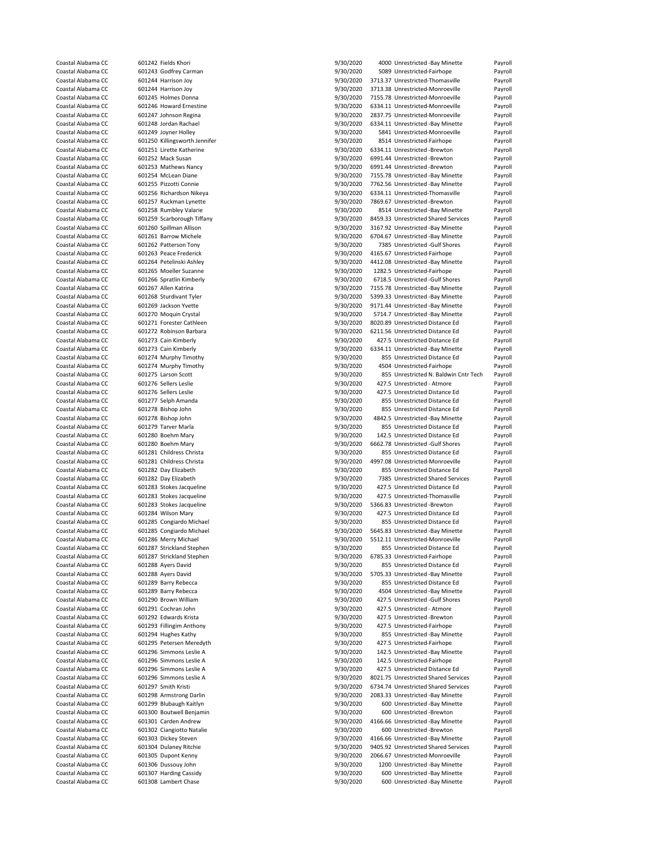| Coastal Alabama CC | 601242 Fields Khori           | 9/30/2020 | 4000 Unrestricted -Bay Minette        | Payroll |
|--------------------|-------------------------------|-----------|---------------------------------------|---------|
| Coastal Alabama CC | 601243 Godfrey Carman         | 9/30/2020 | 5089 Unrestricted-Fairhope            | Payroll |
|                    |                               |           |                                       |         |
| Coastal Alabama CC | 601244 Harrison Joy           | 9/30/2020 | 3713.37 Unrestricted-Thomasville      | Payroll |
| Coastal Alabama CC | 601244 Harrison Joy           | 9/30/2020 | 3713.38 Unrestricted-Monroeville      | Payroll |
| Coastal Alabama CC | 601245 Holmes Donna           | 9/30/2020 | 7155.78 Unrestricted-Monroeville      | Payroll |
| Coastal Alabama CC | 601246 Howard Ernestine       | 9/30/2020 | 6334.11 Unrestricted-Monroeville      |         |
|                    |                               |           |                                       | Payroll |
| Coastal Alabama CC | 601247 Johnson Regina         | 9/30/2020 | 2837.75 Unrestricted-Monroeville      | Payroll |
| Coastal Alabama CC | 601248 Jordan Rachael         | 9/30/2020 | 6334.11 Unrestricted -Bay Minette     | Payroll |
| Coastal Alabama CC | 601249 Joyner Holley          | 9/30/2020 | 5841 Unrestricted-Monroeville         | Payroll |
|                    |                               |           |                                       |         |
| Coastal Alabama CC | 601250 Killingsworth Jennifer | 9/30/2020 | 8514 Unrestricted-Fairhope            | Payroll |
| Coastal Alabama CC | 601251 Lirette Katherine      | 9/30/2020 | 6334.11 Unrestricted -Brewton         | Payroll |
| Coastal Alabama CC | 601252 Mack Susan             | 9/30/2020 | 6991.44 Unrestricted -Brewton         | Payroll |
| Coastal Alabama CC |                               |           | 6991.44 Unrestricted -Brewton         |         |
|                    | 601253 Mathews Nancy          | 9/30/2020 |                                       | Payroll |
| Coastal Alabama CC | 601254 McLean Diane           | 9/30/2020 | 7155.78 Unrestricted -Bay Minette     | Payroll |
| Coastal Alabama CC | 601255 Pizzotti Connie        | 9/30/2020 | 7762.56 Unrestricted -Bay Minette     | Payroll |
| Coastal Alabama CC | 601256 Richardson Nikeya      | 9/30/2020 | 6334.11 Unrestricted-Thomasville      | Payroll |
|                    |                               |           |                                       |         |
| Coastal Alabama CC | 601257 Ruckman Lynette        | 9/30/2020 | 7869.67 Unrestricted -Brewton         | Payroll |
| Coastal Alabama CC | 601258 Rumbley Valarie        | 9/30/2020 | 8514 Unrestricted -Bay Minette        | Payroll |
| Coastal Alabama CC | 601259 Scarborough Tiffany    | 9/30/2020 | 8459.33 Unrestricted Shared Services  | Payroll |
| Coastal Alabama CC | 601260 Spillman Allison       | 9/30/2020 | 3167.92 Unrestricted -Bay Minette     | Payroll |
|                    |                               |           |                                       |         |
| Coastal Alabama CC | 601261 Barrow Michele         | 9/30/2020 | 6704.67 Unrestricted -Bay Minette     | Payroll |
| Coastal Alabama CC | 601262 Patterson Tony         | 9/30/2020 | 7385 Unrestricted -Gulf Shores        | Payroll |
| Coastal Alabama CC | 601263 Peace Frederick        | 9/30/2020 | 4165.67 Unrestricted-Fairhope         | Payroll |
|                    |                               |           |                                       |         |
| Coastal Alabama CC | 601264 Petelinski Ashley      | 9/30/2020 | 4412.08 Unrestricted -Bay Minette     | Payroll |
| Coastal Alabama CC | 601265 Moeller Suzanne        | 9/30/2020 | 1282.5 Unrestricted-Fairhope          | Payroll |
| Coastal Alabama CC | 601266 Spratlin Kimberly      | 9/30/2020 | 6718.5 Unrestricted -Gulf Shores      | Payroll |
| Coastal Alabama CC | 601267 Allen Katrina          | 9/30/2020 | 7155.78 Unrestricted -Bay Minette     | Payroll |
|                    |                               |           |                                       |         |
| Coastal Alabama CC | 601268 Sturdivant Tyler       | 9/30/2020 | 5399.33 Unrestricted -Bay Minette     | Payroll |
| Coastal Alabama CC | 601269 Jackson Yvette         | 9/30/2020 | 9171.44 Unrestricted -Bay Minette     | Payroll |
| Coastal Alabama CC | 601270 Moquin Crystal         | 9/30/2020 | 5714.7 Unrestricted -Bay Minette      | Payroll |
|                    |                               |           |                                       |         |
| Coastal Alabama CC | 601271 Forester Cathleen      | 9/30/2020 | 8020.89 Unrestricted Distance Ed      | Payroll |
| Coastal Alabama CC | 601272 Robinson Barbara       | 9/30/2020 | 6211.56 Unrestricted Distance Ed      | Payroll |
| Coastal Alabama CC | 601273 Cain Kimberly          | 9/30/2020 | 427.5 Unrestricted Distance Ed        | Payroll |
| Coastal Alabama CC | 601273 Cain Kimberly          |           | 6334.11 Unrestricted -Bay Minette     | Payroll |
|                    |                               | 9/30/2020 |                                       |         |
| Coastal Alabama CC | 601274 Murphy Timothy         | 9/30/2020 | 855 Unrestricted Distance Ed          | Payroll |
| Coastal Alabama CC | 601274 Murphy Timothy         | 9/30/2020 | 4504 Unrestricted-Fairhope            | Payroll |
| Coastal Alabama CC | 601275 Larson Scott           | 9/30/2020 | 855 Unrestricted N. Baldwin Cntr Tech | Payroll |
|                    |                               |           |                                       |         |
| Coastal Alabama CC | 601276 Sellers Leslie         | 9/30/2020 | 427.5 Unrestricted - Atmore           | Payroll |
| Coastal Alabama CC | 601276 Sellers Leslie         | 9/30/2020 | 427.5 Unrestricted Distance Ed        | Payroll |
| Coastal Alabama CC | 601277 Selph Amanda           | 9/30/2020 | 855 Unrestricted Distance Ed          | Payroll |
| Coastal Alabama CC | 601278 Bishop John            | 9/30/2020 | 855 Unrestricted Distance Ed          | Payroll |
|                    |                               |           |                                       |         |
|                    |                               |           | 4842.5 Unrestricted -Bay Minette      |         |
| Coastal Alabama CC | 601278 Bishop John            | 9/30/2020 |                                       | Payroll |
| Coastal Alabama CC | 601279 Tarver Marla           |           | 855 Unrestricted Distance Ed          | Payroll |
|                    |                               | 9/30/2020 |                                       |         |
| Coastal Alabama CC | 601280 Boehm Mary             | 9/30/2020 | 142.5 Unrestricted Distance Ed        | Payroll |
| Coastal Alabama CC | 601280 Boehm Mary             | 9/30/2020 | 6662.78 Unrestricted -Gulf Shores     | Payroll |
| Coastal Alabama CC | 601281 Childress Christa      | 9/30/2020 | 855 Unrestricted Distance Ed          | Payroll |
|                    |                               |           |                                       |         |
| Coastal Alabama CC | 601281 Childress Christa      | 9/30/2020 | 4997.08 Unrestricted-Monroeville      | Payroll |
| Coastal Alabama CC | 601282 Day Elizabeth          | 9/30/2020 | 855 Unrestricted Distance Ed          | Payroll |
| Coastal Alabama CC | 601282 Day Elizabeth          | 9/30/2020 | 7385 Unrestricted Shared Services     | Payroll |
| Coastal Alabama CC | 601283 Stokes Jacqueline      | 9/30/2020 | 427.5 Unrestricted Distance Ed        | Payroll |
|                    |                               |           |                                       |         |
| Coastal Alabama CC | 601283 Stokes Jacqueline      | 9/30/2020 | 427.5 Unrestricted-Thomasville        | Payroll |
| Coastal Alabama CC | 601283 Stokes Jacqueline      | 9/30/2020 | 5366.83 Unrestricted -Brewton         | Payroll |
| Coastal Alabama CC | 601284 Wilson Mary            | 9/30/2020 | 427.5 Unrestricted Distance Ed        | Payroll |
|                    |                               |           |                                       |         |
| Coastal Alabama CC | 601285 Congiardo Michael      | 9/30/2020 | 855 Unrestricted Distance Ed          | Payroll |
| Coastal Alabama CC | 601285 Congiardo Michael      | 9/30/2020 | 5645.83 Unrestricted -Bay Minette     | Payroll |
| Coastal Alabama CC | 601286 Merry Michael          | 9/30/2020 | 5512.11 Unrestricted-Monroeville      | Payroll |
| Coastal Alabama CC | 601287 Strickland Stephen     | 9/30/2020 | 855 Unrestricted Distance Ed          | Payroll |
|                    |                               |           |                                       |         |
| Coastal Alabama CC | 601287 Strickland Stephen     | 9/30/2020 | 6785.33 Unrestricted-Fairhope         | Payroll |
| Coastal Alabama CC | 601288 Ayers David            | 9/30/2020 | 855 Unrestricted Distance Ed          | Payroll |
| Coastal Alabama CC | 601288 Ayers David            | 9/30/2020 | 5705.33 Unrestricted -Bay Minette     | Payroll |
| Coastal Alabama CC | 601289 Barry Rebecca          | 9/30/2020 | 855 Unrestricted Distance Ed          | Payroll |
| Coastal Alabama CC | 601289 Barry Rebecca          | 9/30/2020 | 4504 Unrestricted -Bay Minette        |         |
|                    |                               |           |                                       | Payroll |
| Coastal Alabama CC | 601290 Brown William          | 9/30/2020 | 427.5 Unrestricted -Gulf Shores       | Payroll |
| Coastal Alabama CC | 601291 Cochran John           | 9/30/2020 | 427.5 Unrestricted - Atmore           | Payroll |
| Coastal Alabama CC | 601292 Edwards Krista         | 9/30/2020 | 427.5 Unrestricted -Brewton           | Payroll |
|                    |                               |           |                                       |         |
| Coastal Alabama CC | 601293 Fillingim Anthony      | 9/30/2020 | 427.5 Unrestricted-Fairhope           | Payroll |
| Coastal Alabama CC | 601294 Hughes Kathy           | 9/30/2020 | 855 Unrestricted -Bay Minette         | Payroll |
| Coastal Alabama CC | 601295 Petersen Meredyth      | 9/30/2020 | 427.5 Unrestricted-Fairhope           | Payroll |
| Coastal Alabama CC | 601296 Simmons Leslie A       | 9/30/2020 | 142.5 Unrestricted -Bay Minette       | Payroll |
|                    |                               |           |                                       |         |
| Coastal Alabama CC | 601296 Simmons Leslie A       | 9/30/2020 | 142.5 Unrestricted-Fairhope           | Payroll |
| Coastal Alabama CC | 601296 Simmons Leslie A       | 9/30/2020 | 427.5 Unrestricted Distance Ed        | Payroll |
| Coastal Alabama CC | 601296 Simmons Leslie A       | 9/30/2020 | 8021.75 Unrestricted Shared Services  | Payroll |
|                    |                               |           |                                       |         |
| Coastal Alabama CC | 601297 Smith Kristi           | 9/30/2020 | 6734.74 Unrestricted Shared Services  | Payroll |
| Coastal Alabama CC | 601298 Armstrong Darlin       | 9/30/2020 | 2083.33 Unrestricted -Bay Minette     | Payroll |
| Coastal Alabama CC | 601299 Blubaugh Kaitlyn       | 9/30/2020 | 600 Unrestricted -Bay Minette         | Payroll |
| Coastal Alabama CC | 601300 Boutwell Benjamin      | 9/30/2020 | 600 Unrestricted -Brewton             | Payroll |
|                    |                               |           |                                       |         |
| Coastal Alabama CC | 601301 Carden Andrew          | 9/30/2020 | 4166.66 Unrestricted -Bay Minette     | Payroll |
| Coastal Alabama CC | 601302 Ciangiotto Natalie     | 9/30/2020 | 600 Unrestricted -Brewton             | Payroll |
| Coastal Alabama CC | 601303 Dickey Steven          | 9/30/2020 | 4166.66 Unrestricted -Bay Minette     | Payroll |
|                    |                               |           |                                       |         |
| Coastal Alabama CC | 601304 Dulaney Ritchie        | 9/30/2020 | 9405.92 Unrestricted Shared Services  | Payroll |
| Coastal Alabama CC | 601305 Dupont Kenny           | 9/30/2020 | 2066.67 Unrestricted-Monroeville      | Payroll |
| Coastal Alabama CC | 601306 Dussouy John           | 9/30/2020 | 1200 Unrestricted -Bay Minette        | Payroll |
| Coastal Alabama CC | 601307 Harding Cassidy        | 9/30/2020 | 600 Unrestricted -Bay Minette         | Payroll |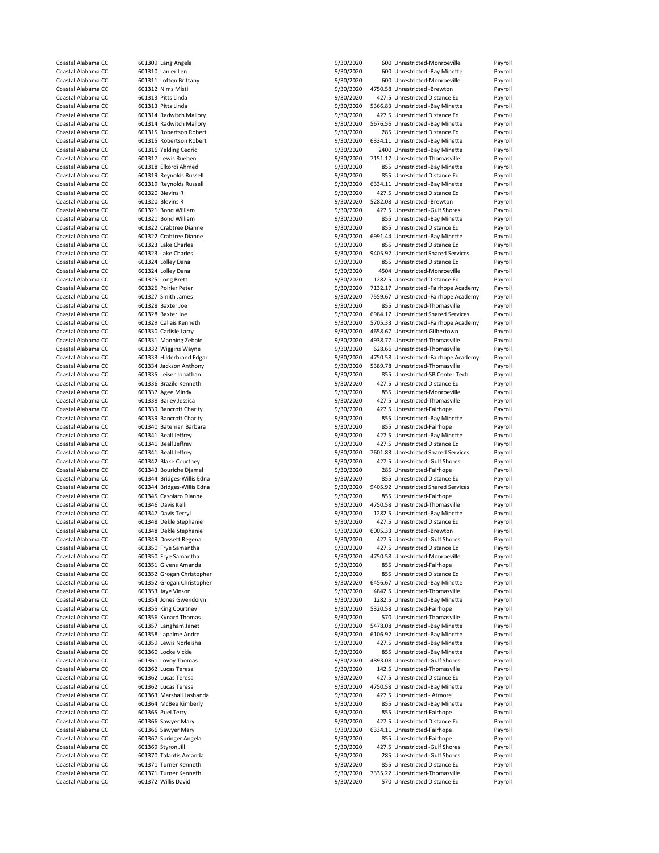| Coastal Alabama CC                       | 601309 Lang Angela                           | 9/30/2020              | 600 Unrestricted-Monroeville                                     | Payroll            |
|------------------------------------------|----------------------------------------------|------------------------|------------------------------------------------------------------|--------------------|
| Coastal Alabama CC                       | 601310 Lanier Len                            | 9/30/2020              | 600 Unrestricted -Bay Minette                                    | Payroll            |
| Coastal Alabama CC                       | 601311 Lofton Brittany                       | 9/30/2020              | 600 Unrestricted-Monroeville                                     | Payroll            |
| Coastal Alabama CC                       | 601312 Nims Misti                            | 9/30/2020              | 4750.58 Unrestricted -Brewton                                    | Payroll            |
| Coastal Alabama CC                       | 601313 Pitts Linda                           | 9/30/2020              | 427.5 Unrestricted Distance Ed                                   | Payroll            |
|                                          |                                              |                        |                                                                  |                    |
| Coastal Alabama CC                       | 601313 Pitts Linda                           | 9/30/2020              | 5366.83 Unrestricted -Bay Minette                                | Payroll            |
| Coastal Alabama CC                       | 601314 Radwitch Mallory                      | 9/30/2020              | 427.5 Unrestricted Distance Ed                                   | Payroll            |
| Coastal Alabama CC                       | 601314 Radwitch Mallory                      | 9/30/2020              | 5676.56 Unrestricted -Bay Minette                                | Payroll            |
| Coastal Alabama CC                       | 601315 Robertson Robert                      | 9/30/2020              | 285 Unrestricted Distance Ed                                     | Payroll            |
| Coastal Alabama CC                       | 601315 Robertson Robert                      | 9/30/2020              | 6334.11 Unrestricted -Bay Minette                                | Payroll            |
| Coastal Alabama CC                       | 601316 Yelding Cedric                        | 9/30/2020              | 2400 Unrestricted -Bay Minette                                   | Payroll            |
| Coastal Alabama CC                       | 601317 Lewis Rueben                          | 9/30/2020              | 7151.17 Unrestricted-Thomasville                                 | Payroll            |
| Coastal Alabama CC                       | 601318 Elkordi Ahmed                         | 9/30/2020              | 855 Unrestricted -Bay Minette                                    | Payroll            |
| Coastal Alabama CC                       | 601319 Reynolds Russell                      | 9/30/2020              | 855 Unrestricted Distance Ed                                     | Payroll            |
| Coastal Alabama CC                       | 601319 Reynolds Russell                      | 9/30/2020              | 6334.11 Unrestricted -Bay Minette                                | Payroll            |
|                                          |                                              |                        |                                                                  |                    |
| Coastal Alabama CC                       | 601320 Blevins R                             | 9/30/2020              | 427.5 Unrestricted Distance Ed                                   | Payroll            |
| Coastal Alabama CC                       | 601320 Blevins R                             | 9/30/2020              | 5282.08 Unrestricted -Brewton                                    | Payroll            |
| Coastal Alabama CC                       | 601321 Bond William                          | 9/30/2020              | 427.5 Unrestricted -Gulf Shores                                  | Payroll            |
| Coastal Alabama CC                       | 601321 Bond William                          | 9/30/2020              | 855 Unrestricted -Bay Minette                                    | Payroll            |
| Coastal Alabama CC                       | 601322 Crabtree Dianne                       | 9/30/2020              | 855 Unrestricted Distance Ed                                     | Payroll            |
| Coastal Alabama CC                       | 601322 Crabtree Dianne                       | 9/30/2020              | 6991.44 Unrestricted -Bay Minette                                | Payroll            |
| Coastal Alabama CC                       | 601323 Lake Charles                          | 9/30/2020              | 855 Unrestricted Distance Ed                                     | Payroll            |
| Coastal Alabama CC                       | 601323 Lake Charles                          | 9/30/2020              | 9405.92 Unrestricted Shared Services                             | Payroll            |
| Coastal Alabama CC                       | 601324 Lolley Dana                           | 9/30/2020              | 855 Unrestricted Distance Ed                                     | Payroll            |
|                                          |                                              |                        |                                                                  |                    |
| Coastal Alabama CC                       | 601324 Lolley Dana                           | 9/30/2020              | 4504 Unrestricted-Monroeville                                    | Payroll            |
| Coastal Alabama CC                       | 601325 Long Brett                            | 9/30/2020              | 1282.5 Unrestricted Distance Ed                                  | Payroll            |
| Coastal Alabama CC                       | 601326 Poirier Peter                         | 9/30/2020              | 7132.17 Unrestricted -Fairhope Academy                           | Payroll            |
| Coastal Alabama CC                       | 601327 Smith James                           | 9/30/2020              | 7559.67 Unrestricted -Fairhope Academy                           | Payroll            |
| Coastal Alabama CC                       | 601328 Baxter Joe                            | 9/30/2020              | 855 Unrestricted-Thomasville                                     | Payroll            |
| Coastal Alabama CC                       | 601328 Baxter Joe                            | 9/30/2020              | 6984.17 Unrestricted Shared Services                             | Payroll            |
| Coastal Alabama CC                       | 601329 Callais Kenneth                       | 9/30/2020              | 5705.33 Unrestricted -Fairhope Academy                           | Payroll            |
| Coastal Alabama CC                       | 601330 Carlisle Larry                        | 9/30/2020              | 4658.67 Unrestricted-Gilbertown                                  | Payroll            |
| Coastal Alabama CC                       | 601331 Manning Zebbie                        | 9/30/2020              | 4938.77 Unrestricted-Thomasville                                 | Payroll            |
|                                          |                                              |                        |                                                                  |                    |
| Coastal Alabama CC                       | 601332 Wiggins Wayne                         | 9/30/2020              | 628.66 Unrestricted-Thomasville                                  | Payroll            |
| Coastal Alabama CC                       | 601333 Hilderbrand Edgar                     | 9/30/2020              | 4750.58 Unrestricted -Fairhope Academy                           | Payroll            |
| Coastal Alabama CC                       | 601334 Jackson Anthony                       | 9/30/2020              | 5389.78 Unrestricted-Thomasville                                 | Payroll            |
| Coastal Alabama CC                       | 601335 Leiser Jonathan                       | 9/30/2020              | 855 Unrestricted-SB Center Tech                                  | Payroll            |
| Coastal Alabama CC                       | 601336 Brazile Kenneth                       | 9/30/2020              | 427.5 Unrestricted Distance Ed                                   | Payroll            |
| Coastal Alabama CC                       | 601337 Agee Mindy                            | 9/30/2020              | 855 Unrestricted-Monroeville                                     | Payroll            |
| Coastal Alabama CC                       | 601338 Bailey Jessica                        | 9/30/2020              | 427.5 Unrestricted-Thomasville                                   | Payroll            |
| Coastal Alabama CC                       | 601339 Bancroft Charity                      | 9/30/2020              | 427.5 Unrestricted-Fairhope                                      | Payroll            |
| Coastal Alabama CC                       | 601339 Bancroft Charity                      | 9/30/2020              | 855 Unrestricted -Bay Minette                                    | Payroll            |
|                                          |                                              |                        |                                                                  |                    |
| Coastal Alabama CC                       | 601340 Bateman Barbara                       | 9/30/2020              | 855 Unrestricted-Fairhope                                        | Payroll            |
| Coastal Alabama CC                       | 601341 Beall Jeffrey                         | 9/30/2020              | 427.5 Unrestricted -Bay Minette                                  | Payroll            |
| Coastal Alabama CC                       | 601341 Beall Jeffrey                         | 9/30/2020              | 427.5 Unrestricted Distance Ed                                   | Payroll            |
| Coastal Alabama CC                       | 601341 Beall Jeffrey                         | 9/30/2020              | 7601.83 Unrestricted Shared Services                             | Payroll            |
| Coastal Alabama CC                       | 601342 Blake Courtney                        | 9/30/2020              | 427.5 Unrestricted -Gulf Shores                                  | Payroll            |
| Coastal Alabama CC                       | 601343 Bouriche Djamel                       | 9/30/2020              | 285 Unrestricted-Fairhope                                        | Payroll            |
| Coastal Alabama CC                       | 601344 Bridges-Willis Edna                   | 9/30/2020              | 855 Unrestricted Distance Ed                                     | Payroll            |
| Coastal Alabama CC                       | 601344 Bridges-Willis Edna                   | 9/30/2020              | 9405.92 Unrestricted Shared Services                             | Payroll            |
| Coastal Alabama CC                       | 601345 Casolaro Dianne                       | 9/30/2020              | 855 Unrestricted-Fairhope                                        | Payroll            |
| Coastal Alabama CC                       | 601346 Davis Kelli                           | 9/30/2020              | 4750.58 Unrestricted-Thomasville                                 | Payroll            |
|                                          |                                              |                        |                                                                  |                    |
| Coastal Alabama CC                       | 601347 Davis Terryl                          | 9/30/2020              | 1282.5 Unrestricted -Bay Minette                                 | Payroll            |
| Coastal Alabama CC                       | 601348 Dekle Stephanie                       | 9/30/2020              | 427.5 Unrestricted Distance Ed                                   | Payroll            |
| Coastal Alabama CC                       | 601348 Dekle Stephanie                       | 9/30/2020              | 6005.33 Unrestricted -Brewton                                    | Payroll            |
| Coastal Alabama CC                       | 601349 Dossett Regena                        | 9/30/2020              | 427.5 Unrestricted -Gulf Shores                                  | Payroll            |
| Coastal Alabama CC                       | 601350 Frye Samantha                         | 9/30/2020              | 427.5 Unrestricted Distance Ed                                   | Payroll            |
| Coastal Alabama CC                       | 601350 Frye Samantha                         | 9/30/2020              | 4750.58 Unrestricted-Monroeville                                 | Payroll            |
| Coastal Alabama CC                       | 601351 Givens Amanda                         | 9/30/2020              | 855 Unrestricted-Fairhope                                        | Payroll            |
| Coastal Alabama CC                       | 601352 Grogan Christopher                    | 9/30/2020              | 855 Unrestricted Distance Ed                                     | Payroll            |
| Coastal Alabama CC                       | 601352 Grogan Christopher                    | 9/30/2020              | 6456.67 Unrestricted -Bay Minette                                | Payroll            |
| Coastal Alabama CC                       | 601353 Jaye Vinson                           | 9/30/2020              | 4842.5 Unrestricted-Thomasville                                  | Payroll            |
|                                          |                                              |                        |                                                                  |                    |
| Coastal Alabama CC                       | 601354 Jones Gwendolyn                       | 9/30/2020              | 1282.5 Unrestricted -Bay Minette                                 | Payroll            |
| Coastal Alabama CC                       | 601355 King Courtney                         | 9/30/2020              | 5320.58 Unrestricted-Fairhope                                    | Payroll            |
| Coastal Alabama CC                       | 601356 Kynard Thomas                         | 9/30/2020              | 570 Unrestricted-Thomasville                                     | Payroll            |
| Coastal Alabama CC                       | 601357 Langham Janet                         | 9/30/2020              | 5478.08 Unrestricted -Bay Minette                                | Payroll            |
| Coastal Alabama CC                       | 601358 Lapalme Andre                         | 9/30/2020              | 6106.92 Unrestricted -Bay Minette                                | Payroll            |
| Coastal Alabama CC                       | 601359 Lewis Norleisha                       | 9/30/2020              | 427.5 Unrestricted -Bay Minette                                  | Payroll            |
| Coastal Alabama CC                       | 601360 Locke Vickie                          | 9/30/2020              | 855 Unrestricted -Bay Minette                                    | Payroll            |
| Coastal Alabama CC                       | 601361 Lovoy Thomas                          | 9/30/2020              | 4893.08 Unrestricted -Gulf Shores                                | Payroll            |
| Coastal Alabama CC                       | 601362 Lucas Teresa                          | 9/30/2020              | 142.5 Unrestricted-Thomasville                                   | Payroll            |
| Coastal Alabama CC                       | 601362 Lucas Teresa                          |                        | 427.5 Unrestricted Distance Ed                                   | Payroll            |
|                                          |                                              | 9/30/2020              |                                                                  |                    |
| Coastal Alabama CC                       | 601362 Lucas Teresa                          | 9/30/2020              | 4750.58 Unrestricted -Bay Minette                                | Payroll            |
| Coastal Alabama CC                       | 601363 Marshall Lashanda                     | 9/30/2020              | 427.5 Unrestricted - Atmore                                      | Payroll            |
| Coastal Alabama CC                       | 601364 McBee Kimberly                        | 9/30/2020              | 855 Unrestricted -Bay Minette                                    | Payroll            |
| Coastal Alabama CC                       | 601365 Puel Terry                            | 9/30/2020              | 855 Unrestricted-Fairhope                                        | Payroll            |
| Coastal Alabama CC                       | 601366 Sawyer Mary                           | 9/30/2020              | 427.5 Unrestricted Distance Ed                                   | Payroll            |
| Coastal Alabama CC                       | 601366 Sawyer Mary                           | 9/30/2020              | 6334.11 Unrestricted-Fairhope                                    | Payroll            |
| Coastal Alabama CC                       | 601367 Springer Angela                       | 9/30/2020              | 855 Unrestricted-Fairhope                                        | Payroll            |
| Coastal Alabama CC                       | 601369 Styron Jill                           | 9/30/2020              | 427.5 Unrestricted -Gulf Shores                                  | Payroll            |
| Coastal Alabama CC                       |                                              |                        |                                                                  |                    |
|                                          |                                              |                        |                                                                  |                    |
|                                          | 601370 Talantis Amanda                       | 9/30/2020              | 285 Unrestricted -Gulf Shores                                    | Payroll            |
| Coastal Alabama CC                       | 601371 Turner Kenneth                        | 9/30/2020              | 855 Unrestricted Distance Ed                                     | Payroll            |
| Coastal Alabama CC<br>Coastal Alabama CC | 601371 Turner Kenneth<br>601372 Willis David | 9/30/2020<br>9/30/2020 | 7335.22 Unrestricted-Thomasville<br>570 Unrestricted Distance Ed | Payroll<br>Payroll |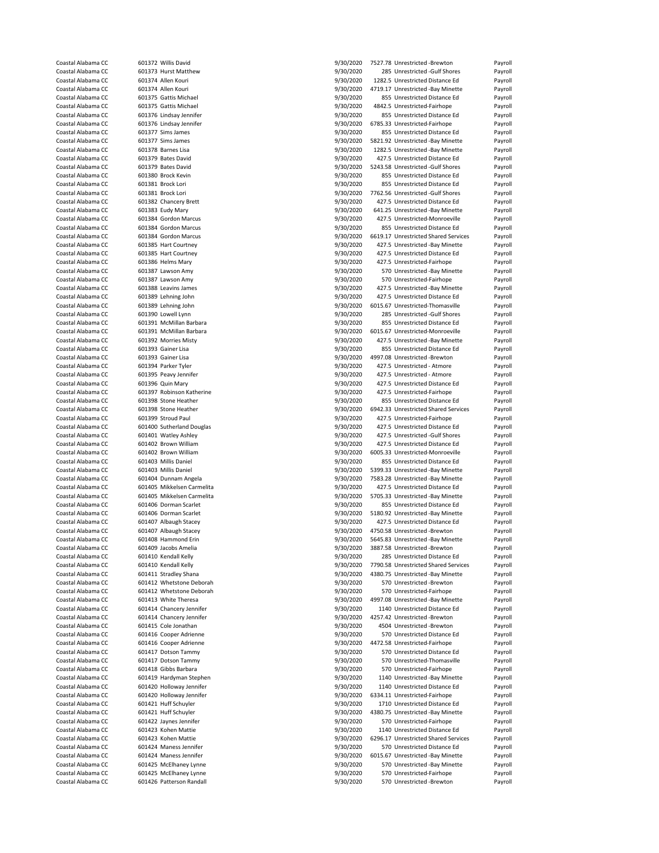|                                          | 601372 Willis David                                | 9/30/2020              | 7527.78 Unrestricted -Brewton                          | Payroll            |
|------------------------------------------|----------------------------------------------------|------------------------|--------------------------------------------------------|--------------------|
| Coastal Alabama CC                       | 601373 Hurst Matthew                               | 9/30/2020              | 285 Unrestricted -Gulf Shores                          | Payroll            |
| Coastal Alabama CC                       | 601374 Allen Kouri                                 |                        | 1282.5 Unrestricted Distance Ed                        |                    |
|                                          |                                                    | 9/30/2020              |                                                        | Payroll            |
| Coastal Alabama CC                       | 601374 Allen Kouri                                 | 9/30/2020              | 4719.17 Unrestricted -Bay Minette                      | Payroll            |
| Coastal Alabama CC                       | 601375 Gattis Michael                              | 9/30/2020              | 855 Unrestricted Distance Ed                           | Payroll            |
| Coastal Alabama CC                       | 601375 Gattis Michael                              | 9/30/2020              | 4842.5 Unrestricted-Fairhope                           | Payroll            |
|                                          |                                                    |                        |                                                        |                    |
| Coastal Alabama CC                       | 601376 Lindsay Jennifer                            | 9/30/2020              | 855 Unrestricted Distance Ed                           | Payroll            |
| Coastal Alabama CC                       | 601376 Lindsay Jennifer                            | 9/30/2020              | 6785.33 Unrestricted-Fairhope                          | Payroll            |
| Coastal Alabama CC                       | 601377 Sims James                                  | 9/30/2020              | 855 Unrestricted Distance Ed                           |                    |
|                                          |                                                    |                        |                                                        | Payroll            |
| Coastal Alabama CC                       | 601377 Sims James                                  | 9/30/2020              | 5821.92 Unrestricted -Bay Minette                      | Payroll            |
| Coastal Alabama CC                       | 601378 Barnes Lisa                                 | 9/30/2020              | 1282.5 Unrestricted -Bay Minette                       | Payroll            |
|                                          |                                                    |                        |                                                        |                    |
| Coastal Alabama CC                       | 601379 Bates David                                 | 9/30/2020              | 427.5 Unrestricted Distance Ed                         | Payroll            |
| Coastal Alabama CC                       | 601379 Bates David                                 | 9/30/2020              | 5243.58 Unrestricted -Gulf Shores                      | Payroll            |
| Coastal Alabama CC                       | 601380 Brock Kevin                                 | 9/30/2020              | 855 Unrestricted Distance Ed                           | Payroll            |
|                                          |                                                    |                        |                                                        |                    |
| Coastal Alabama CC                       | 601381 Brock Lori                                  | 9/30/2020              | 855 Unrestricted Distance Ed                           | Payroll            |
| Coastal Alabama CC                       | 601381 Brock Lori                                  | 9/30/2020              | 7762.56 Unrestricted -Gulf Shores                      | Payroll            |
| Coastal Alabama CC                       | 601382 Chancery Brett                              | 9/30/2020              | 427.5 Unrestricted Distance Ed                         | Payroll            |
|                                          |                                                    |                        |                                                        |                    |
| Coastal Alabama CC                       | 601383 Eudy Mary                                   | 9/30/2020              | 641.25 Unrestricted -Bay Minette                       | Payroll            |
| Coastal Alabama CC                       | 601384 Gordon Marcus                               | 9/30/2020              | 427.5 Unrestricted-Monroeville                         | Payroll            |
| Coastal Alabama CC                       | 601384 Gordon Marcus                               | 9/30/2020              | 855 Unrestricted Distance Ed                           | Payroll            |
|                                          |                                                    |                        |                                                        |                    |
| Coastal Alabama CC                       | 601384 Gordon Marcus                               | 9/30/2020              | 6619.17 Unrestricted Shared Services                   | Payroll            |
| Coastal Alabama CC                       | 601385 Hart Courtney                               | 9/30/2020              | 427.5 Unrestricted -Bay Minette                        | Payroll            |
| Coastal Alabama CC                       | 601385 Hart Courtney                               | 9/30/2020              | 427.5 Unrestricted Distance Ed                         | Payroll            |
|                                          |                                                    |                        |                                                        |                    |
| Coastal Alabama CC                       | 601386 Helms Mary                                  | 9/30/2020              | 427.5 Unrestricted-Fairhope                            | Payroll            |
| Coastal Alabama CC                       | 601387 Lawson Amy                                  | 9/30/2020              | 570 Unrestricted -Bay Minette                          | Payroll            |
|                                          |                                                    | 9/30/2020              |                                                        |                    |
| Coastal Alabama CC                       | 601387 Lawson Amy                                  |                        | 570 Unrestricted-Fairhope                              | Payroll            |
| Coastal Alabama CC                       | 601388 Leavins James                               | 9/30/2020              | 427.5 Unrestricted -Bay Minette                        | Payroll            |
| Coastal Alabama CC                       | 601389 Lehning John                                | 9/30/2020              | 427.5 Unrestricted Distance Ed                         | Payroll            |
|                                          |                                                    |                        |                                                        |                    |
| Coastal Alabama CC                       | 601389 Lehning John                                | 9/30/2020              | 6015.67 Unrestricted-Thomasville                       | Payroll            |
| Coastal Alabama CC                       | 601390 Lowell Lynn                                 | 9/30/2020              | 285 Unrestricted -Gulf Shores                          | Payroll            |
| Coastal Alabama CC                       | 601391 McMillan Barbara                            | 9/30/2020              | 855 Unrestricted Distance Ed                           | Payroll            |
|                                          |                                                    |                        |                                                        |                    |
| Coastal Alabama CC                       | 601391 McMillan Barbara                            | 9/30/2020              | 6015.67 Unrestricted-Monroeville                       | Payroll            |
| Coastal Alabama CC                       | 601392 Morries Misty                               | 9/30/2020              | 427.5 Unrestricted -Bay Minette                        | Payroll            |
| Coastal Alabama CC                       | 601393 Gainer Lisa                                 | 9/30/2020              | 855 Unrestricted Distance Ed                           | Payroll            |
|                                          |                                                    |                        |                                                        |                    |
| Coastal Alabama CC                       | 601393 Gainer Lisa                                 | 9/30/2020              | 4997.08 Unrestricted -Brewton                          | Payroll            |
| Coastal Alabama CC                       | 601394 Parker Tyler                                | 9/30/2020              | 427.5 Unrestricted - Atmore                            | Payroll            |
| Coastal Alabama CC                       | 601395 Peavy Jennifer                              | 9/30/2020              | 427.5 Unrestricted - Atmore                            | Payroll            |
|                                          |                                                    |                        |                                                        |                    |
| Coastal Alabama CC                       | 601396 Quin Mary                                   | 9/30/2020              | 427.5 Unrestricted Distance Ed                         | Payroll            |
| Coastal Alabama CC                       | 601397 Robinson Katherine                          | 9/30/2020              | 427.5 Unrestricted-Fairhope                            | Payroll            |
|                                          |                                                    |                        |                                                        |                    |
| Coastal Alabama CC                       | 601398 Stone Heather                               | 9/30/2020              | 855 Unrestricted Distance Ed                           | Payroll            |
| Coastal Alabama CC                       | 601398 Stone Heather                               | 9/30/2020              | 6942.33 Unrestricted Shared Services                   | Payroll            |
| Coastal Alabama CC                       | 601399 Stroud Paul                                 | 9/30/2020              | 427.5 Unrestricted-Fairhope                            | Payroll            |
|                                          |                                                    |                        |                                                        |                    |
| Coastal Alabama CC                       | 601400 Sutherland Douglas                          | 9/30/2020              | 427.5 Unrestricted Distance Ed                         | Payroll            |
| Coastal Alabama CC                       | 601401 Watley Ashley                               | 9/30/2020              | 427.5 Unrestricted -Gulf Shores                        | Payroll            |
| Coastal Alabama CC                       | 601402 Brown William                               | 9/30/2020              | 427.5 Unrestricted Distance Ed                         | Payroll            |
|                                          |                                                    |                        |                                                        |                    |
| Coastal Alabama CC                       | 601402 Brown William                               | 9/30/2020              | 6005.33 Unrestricted-Monroeville                       | Payroll            |
|                                          | 601403 Millis Daniel                               |                        | 855 Unrestricted Distance Ed                           | Payroll            |
| Coastal Alabama CC                       |                                                    |                        |                                                        |                    |
|                                          |                                                    | 9/30/2020              |                                                        |                    |
| Coastal Alabama CC                       | 601403 Millis Daniel                               | 9/30/2020              | 5399.33 Unrestricted -Bay Minette                      | Payroll            |
| Coastal Alabama CC                       | 601404 Dunnam Angela                               | 9/30/2020              | 7583.28 Unrestricted -Bay Minette                      | Payroll            |
|                                          | 601405 Mikkelsen Carmelita                         |                        |                                                        |                    |
| Coastal Alabama CC                       |                                                    | 9/30/2020              | 427.5 Unrestricted Distance Ed                         | Payroll            |
| Coastal Alabama CC                       | 601405 Mikkelsen Carmelita                         | 9/30/2020              | 5705.33 Unrestricted -Bay Minette                      | Payroll            |
| Coastal Alabama CC                       | 601406 Dorman Scarlet                              | 9/30/2020              | 855 Unrestricted Distance Ed                           | Payroll            |
|                                          |                                                    |                        |                                                        |                    |
| Coastal Alabama CC                       | 601406 Dorman Scarlet                              | 9/30/2020              | 5180.92 Unrestricted -Bay Minette                      | Payroll            |
| Coastal Alabama CC                       | 601407 Albaugh Stacey                              | 9/30/2020              | 427.5 Unrestricted Distance Ed                         | Payroll            |
| Coastal Alabama CC                       | 601407 Albaugh Stacey                              | 9/30/2020              | 4750.58 Unrestricted -Brewton                          | Payroll            |
|                                          |                                                    |                        |                                                        |                    |
| Coastal Alabama CC                       | 601408 Hammond Erin                                | 9/30/2020              | 5645.83 Unrestricted -Bay Minette                      | Payroll            |
| Coastal Alabama CC                       | 601409 Jacobs Amelia                               | 9/30/2020              | 3887.58 Unrestricted -Brewton                          | Payroll            |
| Coastal Alabama CC                       | 601410 Kendall Kelly                               | 9/30/2020              | 285 Unrestricted Distance Ed                           | Payroll            |
|                                          |                                                    |                        |                                                        |                    |
| Coastal Alabama CC                       | 601410 Kendall Kelly                               | 9/30/2020              | 7790.58 Unrestricted Shared Services                   | Payroll            |
| Coastal Alabama CC                       | 601411 Stradley Shana                              | 9/30/2020              | 4380.75 Unrestricted -Bay Minette                      | Payroll            |
| Coastal Alabama CC                       | 601412 Whetstone Deborah                           | 9/30/2020              | 570 Unrestricted -Brewton                              | Payroll            |
|                                          |                                                    |                        | 570 Unrestricted-Fairhope                              |                    |
| Coastal Alabama CC                       | 601412 Whetstone Deborah                           | 9/30/2020              |                                                        | Payroll            |
| Coastal Alabama CC                       | 601413 White Theresa                               | 9/30/2020              | 4997.08 Unrestricted -Bay Minette                      | Payroll            |
| Coastal Alabama CC                       | 601414 Chancery Jennifer                           | 9/30/2020              | 1140 Unrestricted Distance Ed                          | Payroll            |
|                                          |                                                    |                        |                                                        |                    |
| Coastal Alabama CC                       | 601414 Chancery Jennifer                           | 9/30/2020              | 4257.42 Unrestricted -Brewton                          | Payroll            |
| Coastal Alabama CC                       | 601415 Cole Jonathan                               | 9/30/2020              | 4504 Unrestricted -Brewton                             | Payroll            |
| Coastal Alabama CC                       | 601416 Cooper Adrienne                             | 9/30/2020              | 570 Unrestricted Distance Ed                           | Payroll            |
|                                          |                                                    |                        |                                                        |                    |
| Coastal Alabama CC                       | 601416 Cooper Adrienne                             | 9/30/2020              | 4472.58 Unrestricted-Fairhope                          | Payroll            |
| Coastal Alabama CC                       | 601417 Dotson Tammy                                | 9/30/2020              | 570 Unrestricted Distance Ed                           | Payroll            |
| Coastal Alabama CC                       | 601417 Dotson Tammy                                | 9/30/2020              | 570 Unrestricted-Thomasville                           | Payroll            |
|                                          |                                                    |                        |                                                        |                    |
| Coastal Alabama CC                       | 601418 Gibbs Barbara                               | 9/30/2020              | 570 Unrestricted-Fairhope                              | Payroll            |
| Coastal Alabama CC                       | 601419 Hardyman Stephen                            | 9/30/2020              | 1140 Unrestricted -Bay Minette                         | Payroll            |
| Coastal Alabama CC                       | 601420 Holloway Jennifer                           | 9/30/2020              | 1140 Unrestricted Distance Ed                          | Payroll            |
|                                          |                                                    |                        |                                                        |                    |
| Coastal Alabama CC                       | 601420 Holloway Jennifer                           | 9/30/2020              | 6334.11 Unrestricted-Fairhope                          | Payroll            |
| Coastal Alabama CC                       | 601421 Huff Schuyler                               | 9/30/2020              | 1710 Unrestricted Distance Ed                          | Payroll            |
| Coastal Alabama CC                       |                                                    |                        |                                                        |                    |
|                                          | 601421 Huff Schuyler                               | 9/30/2020              | 4380.75 Unrestricted -Bay Minette                      | Payroll            |
| Coastal Alabama CC                       | 601422 Jaynes Jennifer                             | 9/30/2020              | 570 Unrestricted-Fairhope                              | Payroll            |
| Coastal Alabama CC                       | 601423 Kohen Mattie                                | 9/30/2020              | 1140 Unrestricted Distance Ed                          | Payroll            |
|                                          |                                                    |                        |                                                        |                    |
| Coastal Alabama CC                       | 601423 Kohen Mattie                                | 9/30/2020              | 6296.17 Unrestricted Shared Services                   | Payroll            |
| Coastal Alabama CC                       | 601424 Maness Jennifer                             | 9/30/2020              | 570 Unrestricted Distance Ed                           | Payroll            |
| Coastal Alabama CC                       | 601424 Maness Jennifer                             | 9/30/2020              | 6015.67 Unrestricted -Bay Minette                      | Payroll            |
|                                          |                                                    |                        |                                                        |                    |
| Coastal Alabama CC                       | 601425 McElhaney Lynne                             | 9/30/2020              | 570 Unrestricted -Bay Minette                          | Payroll            |
| Coastal Alabama CC<br>Coastal Alabama CC | 601425 McElhaney Lynne<br>601426 Patterson Randall | 9/30/2020<br>9/30/2020 | 570 Unrestricted-Fairhope<br>570 Unrestricted -Brewton | Payroll<br>Payroll |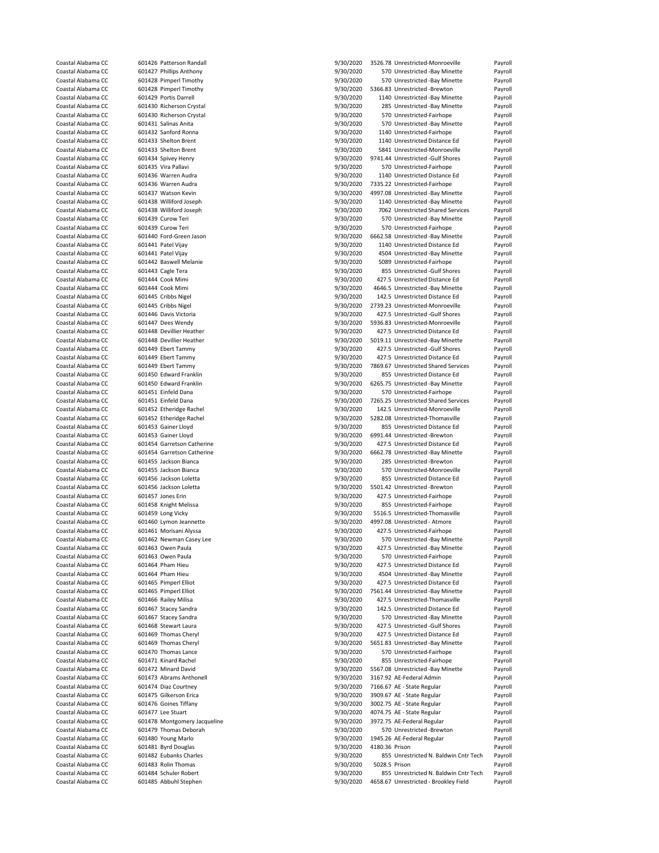| Coastal Alabama CC | 601426 Patterson Randall     | 9/30/2020 |                | 3526.78 Unrestricted-Monroeville      | Payroll |
|--------------------|------------------------------|-----------|----------------|---------------------------------------|---------|
| Coastal Alabama CC | 601427 Phillips Anthony      | 9/30/2020 |                | 570 Unrestricted -Bay Minette         | Payroll |
| Coastal Alabama CC | 601428 Pimperl Timothy       | 9/30/2020 |                | 570 Unrestricted -Bay Minette         | Payroll |
| Coastal Alabama CC | 601428 Pimperl Timothy       | 9/30/2020 |                | 5366.83 Unrestricted -Brewton         | Payroll |
|                    |                              |           |                |                                       |         |
| Coastal Alabama CC | 601429 Portis Darrell        | 9/30/2020 |                | 1140 Unrestricted -Bay Minette        | Payroll |
| Coastal Alabama CC | 601430 Richerson Crystal     | 9/30/2020 |                | 285 Unrestricted -Bay Minette         | Payroll |
| Coastal Alabama CC | 601430 Richerson Crystal     | 9/30/2020 |                | 570 Unrestricted-Fairhope             | Payroll |
|                    |                              | 9/30/2020 |                |                                       |         |
| Coastal Alabama CC | 601431 Salinas Anita         |           |                | 570 Unrestricted -Bay Minette         | Payroll |
| Coastal Alabama CC | 601432 Sanford Ronna         | 9/30/2020 |                | 1140 Unrestricted-Fairhope            | Payroll |
| Coastal Alabama CC | 601433 Shelton Brent         | 9/30/2020 |                | 1140 Unrestricted Distance Ed         | Payroll |
| Coastal Alabama CC | 601433 Shelton Brent         | 9/30/2020 |                | 5841 Unrestricted-Monroeville         | Payroll |
|                    |                              |           |                |                                       |         |
| Coastal Alabama CC | 601434 Spivey Henry          | 9/30/2020 |                | 9741.44 Unrestricted -Gulf Shores     | Payroll |
| Coastal Alabama CC | 601435 Vira Pallavi          | 9/30/2020 |                | 570 Unrestricted-Fairhope             | Payroll |
| Coastal Alabama CC | 601436 Warren Audra          | 9/30/2020 |                | 1140 Unrestricted Distance Ed         | Payroll |
|                    |                              |           |                |                                       |         |
| Coastal Alabama CC | 601436 Warren Audra          | 9/30/2020 |                | 7335.22 Unrestricted-Fairhope         | Payroll |
| Coastal Alabama CC | 601437 Watson Kevin          | 9/30/2020 |                | 4997.08 Unrestricted -Bay Minette     | Payroll |
| Coastal Alabama CC | 601438 Williford Joseph      | 9/30/2020 |                | 1140 Unrestricted -Bay Minette        | Payroll |
| Coastal Alabama CC | 601438 Williford Joseph      |           |                | 7062 Unrestricted Shared Services     |         |
|                    |                              | 9/30/2020 |                |                                       | Payroll |
| Coastal Alabama CC | 601439 Curow Teri            | 9/30/2020 |                | 570 Unrestricted -Bay Minette         | Payroll |
| Coastal Alabama CC | 601439 Curow Teri            | 9/30/2020 |                | 570 Unrestricted-Fairhope             | Payroll |
| Coastal Alabama CC | 601440 Ford-Green Jason      | 9/30/2020 |                | 6662.58 Unrestricted -Bay Minette     | Payroll |
|                    |                              |           |                |                                       |         |
| Coastal Alabama CC | 601441 Patel Vijay           | 9/30/2020 |                | 1140 Unrestricted Distance Ed         | Payroll |
| Coastal Alabama CC | 601441 Patel Vijay           | 9/30/2020 |                | 4504 Unrestricted -Bay Minette        | Payroll |
| Coastal Alabama CC | 601442 Baswell Melanie       | 9/30/2020 |                | 5089 Unrestricted-Fairhope            | Payroll |
| Coastal Alabama CC |                              |           |                | 855 Unrestricted -Gulf Shores         |         |
|                    | 601443 Cagle Tera            | 9/30/2020 |                |                                       | Payroll |
| Coastal Alabama CC | 601444 Cook Mimi             | 9/30/2020 |                | 427.5 Unrestricted Distance Ed        | Payroll |
| Coastal Alabama CC | 601444 Cook Mimi             | 9/30/2020 |                | 4646.5 Unrestricted -Bay Minette      | Payroll |
| Coastal Alabama CC | 601445 Cribbs Nigel          | 9/30/2020 |                | 142.5 Unrestricted Distance Ed        | Payroll |
|                    |                              |           |                |                                       |         |
| Coastal Alabama CC | 601445 Cribbs Nigel          | 9/30/2020 |                | 2739.23 Unrestricted-Monroeville      | Payroll |
| Coastal Alabama CC | 601446 Davis Victoria        | 9/30/2020 |                | 427.5 Unrestricted -Gulf Shores       | Payroll |
| Coastal Alabama CC | 601447 Dees Wendy            | 9/30/2020 |                | 5936.83 Unrestricted-Monroeville      | Payroll |
|                    |                              |           |                |                                       |         |
| Coastal Alabama CC | 601448 Devillier Heather     | 9/30/2020 |                | 427.5 Unrestricted Distance Ed        | Payroll |
| Coastal Alabama CC | 601448 Devillier Heather     | 9/30/2020 |                | 5019.11 Unrestricted -Bay Minette     | Payroll |
| Coastal Alabama CC | 601449 Ebert Tammy           | 9/30/2020 |                | 427.5 Unrestricted -Gulf Shores       | Payroll |
|                    |                              |           |                |                                       |         |
| Coastal Alabama CC | 601449 Ebert Tammy           | 9/30/2020 |                | 427.5 Unrestricted Distance Ed        | Payroll |
| Coastal Alabama CC | 601449 Ebert Tammy           | 9/30/2020 |                | 7869.67 Unrestricted Shared Services  | Payroll |
| Coastal Alabama CC | 601450 Edward Franklin       | 9/30/2020 |                | 855 Unrestricted Distance Ed          | Payroll |
|                    |                              |           |                |                                       |         |
| Coastal Alabama CC | 601450 Edward Franklin       | 9/30/2020 |                | 6265.75 Unrestricted -Bay Minette     | Payroll |
| Coastal Alabama CC | 601451 Einfeld Dana          | 9/30/2020 |                | 570 Unrestricted-Fairhope             | Payroll |
| Coastal Alabama CC | 601451 Einfeld Dana          | 9/30/2020 |                | 7265.25 Unrestricted Shared Services  | Payroll |
|                    |                              |           |                | 142.5 Unrestricted-Monroeville        |         |
| Coastal Alabama CC | 601452 Etheridge Rachel      | 9/30/2020 |                |                                       | Payroll |
| Coastal Alabama CC | 601452 Etheridge Rachel      | 9/30/2020 |                | 5282.08 Unrestricted-Thomasville      | Payroll |
| Coastal Alabama CC | 601453 Gainer Lloyd          | 9/30/2020 |                | 855 Unrestricted Distance Ed          | Payroll |
| Coastal Alabama CC | 601453 Gainer Lloyd          | 9/30/2020 |                | 6991.44 Unrestricted -Brewton         | Payroll |
|                    |                              |           |                |                                       |         |
| Coastal Alabama CC | 601454 Garretson Catherine   | 9/30/2020 |                | 427.5 Unrestricted Distance Ed        | Payroll |
| Coastal Alabama CC | 601454 Garretson Catherine   | 9/30/2020 |                | 6662.78 Unrestricted -Bay Minette     | Payroll |
| Coastal Alabama CC | 601455 Jackson Bianca        | 9/30/2020 |                | 285 Unrestricted -Brewton             | Payroll |
|                    |                              |           |                |                                       |         |
| Coastal Alabama CC | 601455 Jackson Bianca        | 9/30/2020 |                | 570 Unrestricted-Monroeville          | Payroll |
| Coastal Alabama CC | 601456 Jackson Loletta       | 9/30/2020 |                | 855 Unrestricted Distance Ed          | Payroll |
| Coastal Alabama CC | 601456 Jackson Loletta       | 9/30/2020 |                | 5501.42 Unrestricted -Brewton         | Payroll |
| Coastal Alabama CC | 601457 Jones Erin            |           |                |                                       |         |
|                    |                              | 9/30/2020 |                | 427.5 Unrestricted-Fairhope           | Payroll |
| Coastal Alabama CC | 601458 Knight Melissa        | 9/30/2020 |                | 855 Unrestricted-Fairhope             | Payroll |
| Coastal Alabama CC | 601459 Long Vicky            | 9/30/2020 |                | 5516.5 Unrestricted-Thomasville       | Payroll |
| Coastal Alabama CC | 601460 Lymon Jeannette       | 9/30/2020 |                | 4997.08 Unrestricted - Atmore         | Payroll |
|                    |                              |           |                |                                       |         |
| Coastal Alabama CC | 601461 Morisani Alyssa       | 9/30/2020 |                | 427.5 Unrestricted-Fairhope           | Payroll |
| Coastal Alabama CC | 601462 Newman Casey Lee      | 9/30/2020 |                | 570 Unrestricted -Bay Minette         | Payroll |
| Coastal Alabama CC | 601463 Owen Paula            | 9/30/2020 |                | 427.5 Unrestricted -Bay Minette       | Payroll |
|                    |                              |           |                |                                       |         |
| Coastal Alabama CC | 601463 Owen Paula            | 9/30/2020 |                | 570 Unrestricted-Fairhope             | Payroll |
| Coastal Alabama CC | 601464 Pham Hieu             | 9/30/2020 |                | 427.5 Unrestricted Distance Ed        | Payroll |
| Coastal Alabama CC | 601464 Pham Hieu             | 9/30/2020 |                | 4504 Unrestricted -Bay Minette        | Payroll |
| Coastal Alabama CC | 601465 Pimperl Elliot        | 9/30/2020 |                | 427.5 Unrestricted Distance Ed        | Payroll |
|                    |                              |           |                |                                       |         |
| Coastal Alabama CC | 601465 Pimperl Elliot        |           |                | 7561.44 Unrestricted -Bay Minette     | Payroll |
| Coastal Alabama CC |                              | 9/30/2020 |                |                                       |         |
|                    | 601466 Railey Milisa         | 9/30/2020 |                | 427.5 Unrestricted-Thomasville        | Payroll |
|                    |                              |           |                |                                       |         |
| Coastal Alabama CC | 601467 Stacey Sandra         | 9/30/2020 |                | 142.5 Unrestricted Distance Ed        | Payroll |
| Coastal Alabama CC | 601467 Stacey Sandra         | 9/30/2020 |                | 570 Unrestricted -Bay Minette         | Payroll |
| Coastal Alabama CC | 601468 Stewart Laura         | 9/30/2020 |                | 427.5 Unrestricted -Gulf Shores       | Payroll |
|                    |                              |           |                |                                       |         |
| Coastal Alabama CC | 601469 Thomas Cheryl         | 9/30/2020 |                | 427.5 Unrestricted Distance Ed        | Payroll |
| Coastal Alabama CC | 601469 Thomas Cheryl         | 9/30/2020 |                | 5651.83 Unrestricted -Bay Minette     | Payroll |
| Coastal Alabama CC | 601470 Thomas Lance          | 9/30/2020 |                | 570 Unrestricted-Fairhope             | Payroll |
| Coastal Alabama CC | 601471 Kinard Rachel         | 9/30/2020 |                | 855 Unrestricted-Fairhope             | Payroll |
|                    |                              |           |                |                                       |         |
| Coastal Alabama CC | 601472 Minard David          | 9/30/2020 |                | 5567.08 Unrestricted -Bay Minette     | Payroll |
| Coastal Alabama CC | 601473 Abrams Anthonell      | 9/30/2020 |                | 3167.92 AE-Federal Admin              | Payroll |
| Coastal Alabama CC | 601474 Diaz Courtney         | 9/30/2020 |                | 7166.67 AE - State Regular            | Payroll |
|                    |                              |           |                |                                       |         |
| Coastal Alabama CC | 601475 Gilkerson Erica       | 9/30/2020 |                | 3909.67 AE - State Regular            | Payroll |
| Coastal Alabama CC | 601476 Goines Tiffany        | 9/30/2020 |                | 3002.75 AE - State Regular            | Payroll |
| Coastal Alabama CC | 601477 Lee Stuart            | 9/30/2020 |                | 4074.75 AE - State Regular            | Payroll |
|                    |                              |           |                |                                       |         |
| Coastal Alabama CC | 601478 Montgomery Jacqueline | 9/30/2020 |                | 3972.75 AE-Federal Regular            | Payroll |
| Coastal Alabama CC | 601479 Thomas Deborah        | 9/30/2020 |                | 570 Unrestricted -Brewton             | Payroll |
| Coastal Alabama CC | 601480 Young Marlo           | 9/30/2020 |                | 1945.26 AE-Federal Regular            | Payroll |
|                    |                              |           |                |                                       |         |
| Coastal Alabama CC | 601481 Byrd Douglas          | 9/30/2020 | 4180.36 Prison |                                       | Payroll |
| Coastal Alabama CC | 601482 Eubanks Charles       | 9/30/2020 |                | 855 Unrestricted N. Baldwin Cntr Tech | Payroll |
| Coastal Alabama CC | 601483 Rolin Thomas          | 9/30/2020 | 5028.5 Prison  |                                       | Payroll |
| Coastal Alabama CC | 601484 Schuler Robert        | 9/30/2020 |                | 855 Unrestricted N. Baldwin Cntr Tech | Payroll |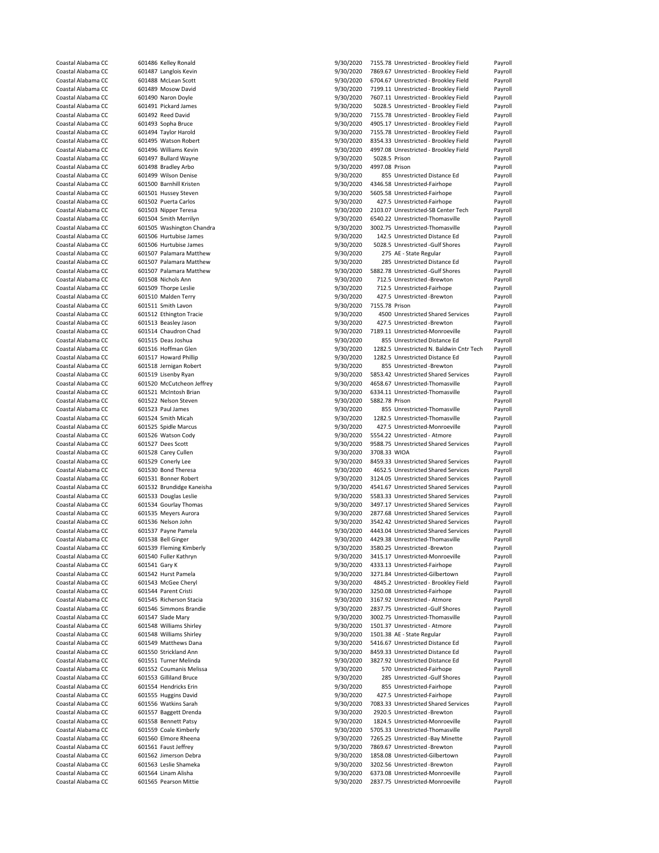| Coastal Alabama CC<br>Coastal Alabama CC |               |                           |           |                |                                          |         |
|------------------------------------------|---------------|---------------------------|-----------|----------------|------------------------------------------|---------|
|                                          |               | 601486 Kelley Ronald      | 9/30/2020 |                | 7155.78 Unrestricted - Brookley Field    | Payroll |
|                                          |               | 601487 Langlois Kevin     | 9/30/2020 |                | 7869.67 Unrestricted - Brookley Field    | Payroll |
| Coastal Alabama CC                       |               | 601488 McLean Scott       | 9/30/2020 |                | 6704.67 Unrestricted - Brookley Field    | Payroll |
| Coastal Alabama CC                       |               | 601489 Mosow David        | 9/30/2020 |                | 7199.11 Unrestricted - Brookley Field    | Payroll |
|                                          |               |                           |           |                |                                          |         |
| Coastal Alabama CC                       |               | 601490 Naron Doyle        | 9/30/2020 |                | 7607.11 Unrestricted - Brookley Field    | Payroll |
| Coastal Alabama CC                       |               | 601491 Pickard James      | 9/30/2020 |                | 5028.5 Unrestricted - Brookley Field     | Payroll |
| Coastal Alabama CC                       |               | 601492 Reed David         | 9/30/2020 |                | 7155.78 Unrestricted - Brookley Field    | Payroll |
|                                          |               |                           | 9/30/2020 |                |                                          |         |
| Coastal Alabama CC                       |               | 601493 Sopha Bruce        |           |                | 4905.17 Unrestricted - Brookley Field    | Payroll |
| Coastal Alabama CC                       |               | 601494 Taylor Harold      | 9/30/2020 |                | 7155.78 Unrestricted - Brookley Field    | Payroll |
| Coastal Alabama CC                       |               | 601495 Watson Robert      | 9/30/2020 |                | 8354.33 Unrestricted - Brookley Field    | Payroll |
| Coastal Alabama CC                       |               | 601496 Williams Kevin     | 9/30/2020 |                | 4997.08 Unrestricted - Brookley Field    | Payroll |
|                                          |               |                           |           |                |                                          |         |
| Coastal Alabama CC                       |               | 601497 Bullard Wayne      | 9/30/2020 | 5028.5 Prison  |                                          | Payroll |
| Coastal Alabama CC                       |               | 601498 Bradley Arbo       | 9/30/2020 | 4997.08 Prison |                                          | Payroll |
| Coastal Alabama CC                       |               | 601499 Wilson Denise      | 9/30/2020 |                | 855 Unrestricted Distance Ed             | Payroll |
| Coastal Alabama CC                       |               | 601500 Barnhill Kristen   | 9/30/2020 |                | 4346.58 Unrestricted-Fairhope            | Payroll |
|                                          |               |                           |           |                |                                          |         |
| Coastal Alabama CC                       |               | 601501 Hussey Steven      | 9/30/2020 |                | 5605.58 Unrestricted-Fairhope            | Payroll |
| Coastal Alabama CC                       |               | 601502 Puerta Carlos      | 9/30/2020 |                | 427.5 Unrestricted-Fairhope              | Payroll |
| Coastal Alabama CC                       |               | 601503 Nipper Teresa      | 9/30/2020 |                | 2103.07 Unrestricted-SB Center Tech      | Payroll |
| Coastal Alabama CC                       |               |                           | 9/30/2020 |                | 6540.22 Unrestricted-Thomasville         | Payroll |
|                                          |               | 601504 Smith Merrilyn     |           |                |                                          |         |
| Coastal Alabama CC                       |               | 601505 Washington Chandra | 9/30/2020 |                | 3002.75 Unrestricted-Thomasville         | Payroll |
| Coastal Alabama CC                       |               | 601506 Hurtubise James    | 9/30/2020 |                | 142.5 Unrestricted Distance Ed           | Payroll |
| Coastal Alabama CC                       |               | 601506 Hurtubise James    | 9/30/2020 |                | 5028.5 Unrestricted -Gulf Shores         | Payroll |
|                                          |               |                           |           |                |                                          |         |
| Coastal Alabama CC                       |               | 601507 Palamara Matthew   | 9/30/2020 |                | 275 AE - State Regular                   | Payroll |
| Coastal Alabama CC                       |               | 601507 Palamara Matthew   | 9/30/2020 |                | 285 Unrestricted Distance Ed             | Payroll |
| Coastal Alabama CC                       |               | 601507 Palamara Matthew   | 9/30/2020 |                | 5882.78 Unrestricted -Gulf Shores        | Payroll |
| Coastal Alabama CC                       |               | 601508 Nichols Ann        | 9/30/2020 |                | 712.5 Unrestricted -Brewton              |         |
|                                          |               |                           |           |                |                                          | Payroll |
| Coastal Alabama CC                       |               | 601509 Thorpe Leslie      | 9/30/2020 |                | 712.5 Unrestricted-Fairhope              | Payroll |
| Coastal Alabama CC                       |               | 601510 Malden Terry       | 9/30/2020 |                | 427.5 Unrestricted -Brewton              | Payroll |
| Coastal Alabama CC                       |               | 601511 Smith Lavon        | 9/30/2020 | 7155.78 Prison |                                          | Payroll |
|                                          |               |                           |           |                |                                          |         |
| Coastal Alabama CC                       |               | 601512 Ethington Tracie   | 9/30/2020 |                | 4500 Unrestricted Shared Services        | Payroll |
| Coastal Alabama CC                       |               | 601513 Beasley Jason      | 9/30/2020 |                | 427.5 Unrestricted -Brewton              | Payroll |
| Coastal Alabama CC                       |               | 601514 Chaudron Chad      | 9/30/2020 |                | 7189.11 Unrestricted-Monroeville         | Payroll |
| Coastal Alabama CC                       |               | 601515 Deas Joshua        | 9/30/2020 |                | 855 Unrestricted Distance Ed             | Payroll |
|                                          |               |                           |           |                |                                          |         |
| Coastal Alabama CC                       |               | 601516 Hoffman Glen       | 9/30/2020 |                | 1282.5 Unrestricted N. Baldwin Cntr Tech | Payroll |
| Coastal Alabama CC                       |               | 601517 Howard Phillip     | 9/30/2020 |                | 1282.5 Unrestricted Distance Ed          | Payroll |
| Coastal Alabama CC                       |               | 601518 Jernigan Robert    | 9/30/2020 |                | 855 Unrestricted -Brewton                | Payroll |
|                                          |               |                           |           |                |                                          |         |
| Coastal Alabama CC                       |               | 601519 Lisenby Ryan       | 9/30/2020 |                | 5853.42 Unrestricted Shared Services     | Payroll |
| Coastal Alabama CC                       |               | 601520 McCutcheon Jeffrey | 9/30/2020 |                | 4658.67 Unrestricted-Thomasville         | Payroll |
| Coastal Alabama CC                       |               | 601521 McIntosh Brian     | 9/30/2020 |                | 6334.11 Unrestricted-Thomasville         | Payroll |
| Coastal Alabama CC                       |               | 601522 Nelson Steven      | 9/30/2020 | 5882.78 Prison |                                          | Payroll |
|                                          |               |                           |           |                |                                          |         |
| Coastal Alabama CC                       |               | 601523 Paul James         | 9/30/2020 |                | 855 Unrestricted-Thomasville             | Payroll |
| Coastal Alabama CC                       |               | 601524 Smith Micah        | 9/30/2020 |                | 1282.5 Unrestricted-Thomasville          | Payroll |
| Coastal Alabama CC                       |               | 601525 Spidle Marcus      | 9/30/2020 |                | 427.5 Unrestricted-Monroeville           | Payroll |
|                                          |               |                           |           |                |                                          |         |
| Coastal Alabama CC                       |               | 601526 Watson Cody        | 9/30/2020 |                | 5554.22 Unrestricted - Atmore            | Payroll |
| Coastal Alabama CC                       |               | 601527 Dees Scott         | 9/30/2020 |                | 9588.75 Unrestricted Shared Services     | Payroll |
| Coastal Alabama CC                       |               | 601528 Carey Cullen       | 9/30/2020 | 3708.33 WIOA   |                                          | Payroll |
| Coastal Alabama CC                       |               | 601529 Conerly Lee        | 9/30/2020 |                | 8459.33 Unrestricted Shared Services     | Payroll |
|                                          |               |                           |           |                |                                          |         |
| Coastal Alabama CC                       |               | 601530 Bond Theresa       | 9/30/2020 |                | 4652.5 Unrestricted Shared Services      | Payroll |
| Coastal Alabama CC                       |               | 601531 Bonner Robert      | 9/30/2020 |                | 3124.05 Unrestricted Shared Services     | Payroll |
| Coastal Alabama CC                       |               | 601532 Brundidge Kaneisha | 9/30/2020 |                | 4541.67 Unrestricted Shared Services     | Payroll |
| Coastal Alabama CC                       |               |                           |           |                |                                          |         |
|                                          |               | 601533 Douglas Leslie     | 9/30/2020 |                | 5583.33 Unrestricted Shared Services     | Payroll |
| Coastal Alabama CC                       |               | 601534 Gourlay Thomas     | 9/30/2020 |                | 3497.17 Unrestricted Shared Services     | Payroll |
| Coastal Alabama CC                       |               | 601535 Meyers Aurora      |           |                |                                          |         |
|                                          |               |                           |           |                | 2877.68 Unrestricted Shared Services     |         |
|                                          |               |                           | 9/30/2020 |                |                                          | Payroll |
| Coastal Alabama CC                       |               | 601536 Nelson John        | 9/30/2020 |                | 3542.42 Unrestricted Shared Services     | Payroll |
| Coastal Alabama CC                       |               | 601537 Payne Pamela       | 9/30/2020 |                | 4443.04 Unrestricted Shared Services     | Payroll |
| Coastal Alabama CC                       |               | 601538 Bell Ginger        | 9/30/2020 |                | 4429.38 Unrestricted-Thomasville         | Payroll |
| Coastal Alabama CC                       |               | 601539 Fleming Kimberly   | 9/30/2020 |                | 3580.25 Unrestricted -Brewton            | Payroll |
|                                          |               |                           |           |                |                                          |         |
| Coastal Alabama CC                       |               | 601540 Fuller Kathryn     | 9/30/2020 |                | 3415.17 Unrestricted-Monroeville         | Payroll |
| Coastal Alabama CC                       | 601541 Gary K |                           | 9/30/2020 |                | 4333.13 Unrestricted-Fairhope            | Payroll |
| Coastal Alabama CC                       |               | 601542 Hurst Pamela       | 9/30/2020 |                | 3271.84 Unrestricted-Gilbertown          | Payroll |
| Coastal Alabama CC                       |               | 601543 McGee Cheryl       | 9/30/2020 |                | 4845.2 Unrestricted - Brookley Field     | Payroll |
|                                          |               |                           |           |                |                                          |         |
| Coastal Alabama CC                       |               | 601544 Parent Cristi      | 9/30/2020 |                | 3250.08 Unrestricted-Fairhope            | Payroll |
| Coastal Alabama CC                       |               | 601545 Richerson Stacia   | 9/30/2020 |                | 3167.92 Unrestricted - Atmore            | Payroll |
| Coastal Alabama CC                       |               | 601546 Simmons Brandie    | 9/30/2020 |                | 2837.75 Unrestricted -Gulf Shores        | Payroll |
|                                          |               |                           |           |                |                                          |         |
| Coastal Alabama CC                       |               | 601547 Slade Mary         | 9/30/2020 |                | 3002.75 Unrestricted-Thomasville         | Payroll |
| Coastal Alabama CC                       |               | 601548 Williams Shirley   | 9/30/2020 |                | 1501.37 Unrestricted - Atmore            | Payroll |
| Coastal Alabama CC                       |               | 601548 Williams Shirley   | 9/30/2020 |                | 1501.38 AE - State Regular               | Payroll |
| Coastal Alabama CC                       |               | 601549 Matthews Dana      | 9/30/2020 |                | 5416.67 Unrestricted Distance Ed         | Payroll |
|                                          |               | 601550 Strickland Ann     |           |                | 8459.33 Unrestricted Distance Ed         |         |
| Coastal Alabama CC                       |               |                           | 9/30/2020 |                |                                          | Payroll |
| Coastal Alabama CC                       |               | 601551 Turner Melinda     | 9/30/2020 |                | 3827.92 Unrestricted Distance Ed         | Payroll |
| Coastal Alabama CC                       |               | 601552 Coumanis Melissa   | 9/30/2020 |                | 570 Unrestricted-Fairhope                | Payroll |
| Coastal Alabama CC                       |               | 601553 Gilliland Bruce    |           |                | 285 Unrestricted -Gulf Shores            | Payroll |
|                                          |               |                           | 9/30/2020 |                |                                          |         |
| Coastal Alabama CC                       |               | 601554 Hendricks Erin     | 9/30/2020 |                | 855 Unrestricted-Fairhope                | Payroll |
| Coastal Alabama CC                       |               | 601555 Huggins David      | 9/30/2020 |                | 427.5 Unrestricted-Fairhope              | Payroll |
| Coastal Alabama CC                       |               | 601556 Watkins Sarah      | 9/30/2020 |                | 7083.33 Unrestricted Shared Services     | Payroll |
|                                          |               |                           |           |                |                                          |         |
| Coastal Alabama CC                       |               | 601557 Baggett Drenda     | 9/30/2020 |                | 2920.5 Unrestricted -Brewton             | Payroll |
| Coastal Alabama CC                       |               | 601558 Bennett Patsy      | 9/30/2020 |                | 1824.5 Unrestricted-Monroeville          | Payroll |
| Coastal Alabama CC                       |               | 601559 Coale Kimberly     | 9/30/2020 |                | 5705.33 Unrestricted-Thomasville         | Payroll |
| Coastal Alabama CC                       |               | 601560 Elmore Rheena      | 9/30/2020 |                | 7265.25 Unrestricted -Bay Minette        | Payroll |
|                                          |               |                           |           |                |                                          |         |
| Coastal Alabama CC                       |               | 601561 Faust Jeffrey      | 9/30/2020 |                | 7869.67 Unrestricted -Brewton            | Payroll |
| Coastal Alabama CC                       |               | 601562 Jimerson Debra     | 9/30/2020 |                | 1858.08 Unrestricted-Gilbertown          | Payroll |
| Coastal Alabama CC                       |               | 601563 Leslie Shameka     | 9/30/2020 |                | 3202.56 Unrestricted -Brewton            | Payroll |
| Coastal Alabama CC                       |               | 601564 Linam Alisha       | 9/30/2020 |                | 6373.08 Unrestricted-Monroeville         | Payroll |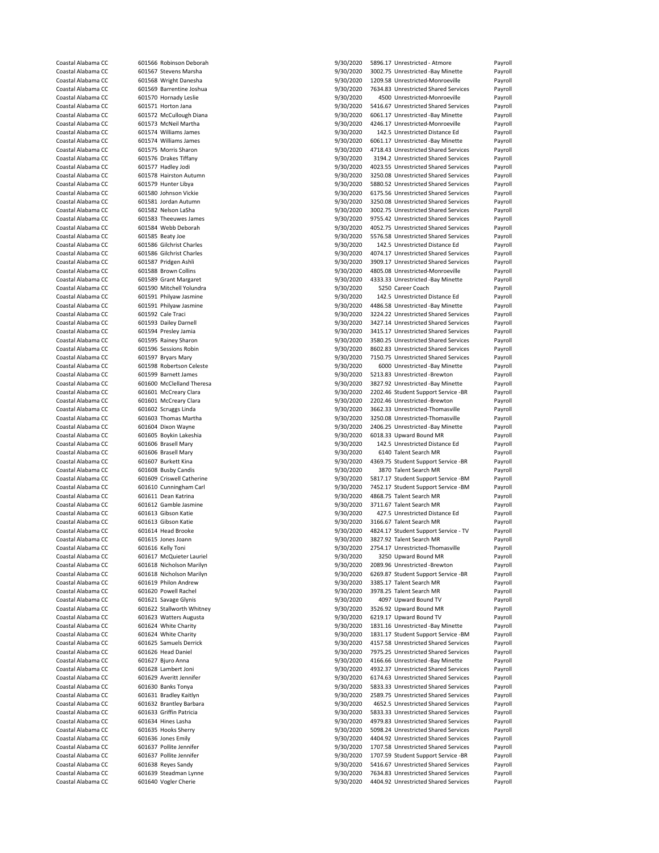| Coastal Alabama CC                       |                           | 601566 Robinson Deborah                       | 9/30/2020              | 5896.17 Unrestricted - Atmore                                                | Payroll            |
|------------------------------------------|---------------------------|-----------------------------------------------|------------------------|------------------------------------------------------------------------------|--------------------|
| Coastal Alabama CC                       |                           | 601567 Stevens Marsha                         | 9/30/2020              | 3002.75 Unrestricted -Bay Minette                                            | Payroll            |
| Coastal Alabama CC                       |                           | 601568 Wright Danesha                         | 9/30/2020              | 1209.58 Unrestricted-Monroeville                                             | Payroll            |
| Coastal Alabama CC                       |                           |                                               |                        | 7634.83 Unrestricted Shared Services                                         |                    |
|                                          |                           | 601569 Barrentine Joshua                      | 9/30/2020              |                                                                              | Payroll            |
| Coastal Alabama CC                       |                           | 601570 Hornady Leslie                         | 9/30/2020              | 4500 Unrestricted-Monroeville                                                | Payroll            |
| Coastal Alabama CC                       |                           | 601571 Horton Jana                            | 9/30/2020              | 5416.67 Unrestricted Shared Services                                         | Payroll            |
| Coastal Alabama CC                       |                           | 601572 McCullough Diana                       | 9/30/2020              | 6061.17 Unrestricted -Bay Minette                                            | Payroll            |
| Coastal Alabama CC                       |                           | 601573 McNeil Martha                          | 9/30/2020              | 4246.17 Unrestricted-Monroeville                                             | Payroll            |
| Coastal Alabama CC                       |                           | 601574 Williams James                         | 9/30/2020              | 142.5 Unrestricted Distance Ed                                               | Payroll            |
| Coastal Alabama CC                       |                           | 601574 Williams James                         | 9/30/2020              | 6061.17 Unrestricted -Bay Minette                                            | Payroll            |
| Coastal Alabama CC                       |                           | 601575 Morris Sharon                          | 9/30/2020              | 4718.43 Unrestricted Shared Services                                         |                    |
|                                          |                           |                                               |                        |                                                                              | Payroll            |
| Coastal Alabama CC                       |                           | 601576 Drakes Tiffany                         | 9/30/2020              | 3194.2 Unrestricted Shared Services                                          | Payroll            |
| Coastal Alabama CC                       |                           | 601577 Hadley Jodi                            | 9/30/2020              | 4023.55 Unrestricted Shared Services                                         | Payroll            |
| Coastal Alabama CC                       |                           | 601578 Hairston Autumn                        | 9/30/2020              | 3250.08 Unrestricted Shared Services                                         | Payroll            |
| Coastal Alabama CC                       |                           | 601579 Hunter Libya                           | 9/30/2020              | 5880.52 Unrestricted Shared Services                                         | Payroll            |
| Coastal Alabama CC                       |                           | 601580 Johnson Vickie                         | 9/30/2020              | 6175.56 Unrestricted Shared Services                                         | Payroll            |
| Coastal Alabama CC                       |                           | 601581 Jordan Autumn                          | 9/30/2020              | 3250.08 Unrestricted Shared Services                                         | Payroll            |
| Coastal Alabama CC                       |                           | 601582 Nelson LaSha                           | 9/30/2020              | 3002.75 Unrestricted Shared Services                                         | Payroll            |
|                                          |                           |                                               |                        |                                                                              |                    |
| Coastal Alabama CC                       |                           | 601583 Theeuwes James                         | 9/30/2020              | 9755.42 Unrestricted Shared Services                                         | Payroll            |
| Coastal Alabama CC                       |                           | 601584 Webb Deborah                           | 9/30/2020              | 4052.75 Unrestricted Shared Services                                         | Payroll            |
| Coastal Alabama CC                       |                           | 601585 Beaty Joe                              | 9/30/2020              | 5576.58 Unrestricted Shared Services                                         | Payroll            |
| Coastal Alabama CC                       |                           | 601586 Gilchrist Charles                      | 9/30/2020              | 142.5 Unrestricted Distance Ed                                               | Payroll            |
| Coastal Alabama CC                       |                           | 601586 Gilchrist Charles                      | 9/30/2020              | 4074.17 Unrestricted Shared Services                                         | Payroll            |
| Coastal Alabama CC                       |                           | 601587 Pridgen Ashli                          | 9/30/2020              | 3909.17 Unrestricted Shared Services                                         | Payroll            |
| Coastal Alabama CC                       |                           | 601588 Brown Collins                          | 9/30/2020              | 4805.08 Unrestricted-Monroeville                                             | Payroll            |
| Coastal Alabama CC                       |                           | 601589 Grant Margaret                         | 9/30/2020              | 4333.33 Unrestricted -Bay Minette                                            | Payroll            |
|                                          |                           |                                               |                        | 5250 Career Coach                                                            |                    |
| Coastal Alabama CC                       |                           | 601590 Mitchell Yolundra                      | 9/30/2020              |                                                                              | Payroll            |
| Coastal Alabama CC                       |                           | 601591 Philyaw Jasmine                        | 9/30/2020              | 142.5 Unrestricted Distance Ed                                               | Payroll            |
| Coastal Alabama CC                       |                           | 601591 Philyaw Jasmine                        | 9/30/2020              | 4486.58 Unrestricted -Bay Minette                                            | Payroll            |
| Coastal Alabama CC                       |                           | 601592 Cale Traci                             | 9/30/2020              | 3224.22 Unrestricted Shared Services                                         | Payroll            |
| Coastal Alabama CC                       |                           | 601593 Dailey Darnell                         | 9/30/2020              | 3427.14 Unrestricted Shared Services                                         | Payroll            |
| Coastal Alabama CC                       |                           | 601594 Presley Jamia                          | 9/30/2020              | 3415.17 Unrestricted Shared Services                                         | Payroll            |
| Coastal Alabama CC                       |                           | 601595 Rainey Sharon                          | 9/30/2020              | 3580.25 Unrestricted Shared Services                                         | Payroll            |
|                                          |                           |                                               |                        |                                                                              |                    |
| Coastal Alabama CC                       |                           | 601596 Sessions Robin                         | 9/30/2020              | 8602.83 Unrestricted Shared Services                                         | Payroll            |
| Coastal Alabama CC                       |                           | 601597 Bryars Mary                            | 9/30/2020              | 7150.75 Unrestricted Shared Services                                         | Payroll            |
| Coastal Alabama CC                       |                           | 601598 Robertson Celeste                      | 9/30/2020              | 6000 Unrestricted -Bay Minette                                               | Payroll            |
| Coastal Alabama CC                       |                           | 601599 Barnett James                          | 9/30/2020              | 5213.83 Unrestricted -Brewton                                                | Payroll            |
| Coastal Alabama CC                       |                           | 601600 McClelland Theresa                     | 9/30/2020              | 3827.92 Unrestricted -Bay Minette                                            | Payroll            |
| Coastal Alabama CC                       |                           | 601601 McCreary Clara                         | 9/30/2020              | 2202.46 Student Support Service -BR                                          | Payroll            |
| Coastal Alabama CC                       |                           | 601601 McCreary Clara                         | 9/30/2020              | 2202.46 Unrestricted -Brewton                                                | Payroll            |
|                                          |                           |                                               |                        |                                                                              |                    |
| Coastal Alabama CC                       |                           | 601602 Scruggs Linda                          | 9/30/2020              | 3662.33 Unrestricted-Thomasville                                             | Payroll            |
| Coastal Alabama CC                       |                           | 601603 Thomas Martha                          | 9/30/2020              | 3250.08 Unrestricted-Thomasville                                             | Payroll            |
| Coastal Alabama CC                       |                           | 601604 Dixon Wayne                            | 9/30/2020              | 2406.25 Unrestricted -Bay Minette                                            | Payroll            |
| Coastal Alabama CC                       |                           | 601605 Boykin Lakeshia                        | 9/30/2020              | 6018.33 Upward Bound MR                                                      | Payroll            |
| Coastal Alabama CC                       |                           | 601606 Brasell Mary                           | 9/30/2020              | 142.5 Unrestricted Distance Ed                                               | Payroll            |
| Coastal Alabama CC                       |                           | 601606 Brasell Mary                           | 9/30/2020              | 6140 Talent Search MR                                                        | Payroll            |
| Coastal Alabama CC                       |                           | 601607 Burkett Kina                           | 9/30/2020              | 4369.75 Student Support Service -BR                                          | Payroll            |
| Coastal Alabama CC                       |                           | 601608 Busby Candis                           | 9/30/2020              | 3870 Talent Search MR                                                        | Payroll            |
| Coastal Alabama CC                       |                           |                                               |                        | 5817.17 Student Support Service -BM                                          | Payroll            |
|                                          |                           |                                               |                        |                                                                              |                    |
|                                          | 601609 Criswell Catherine |                                               | 9/30/2020              |                                                                              |                    |
| Coastal Alabama CC                       |                           | 601610 Cunningham Carl                        | 9/30/2020              | 7452.17 Student Support Service -BM                                          | Payroll            |
| Coastal Alabama CC                       |                           | 601611 Dean Katrina                           | 9/30/2020              | 4868.75 Talent Search MR                                                     | Payroll            |
| Coastal Alabama CC                       |                           | 601612 Gamble Jasmine                         | 9/30/2020              | 3711.67 Talent Search MR                                                     | Payroll            |
| Coastal Alabama CC                       |                           | 601613 Gibson Katie                           | 9/30/2020              | 427.5 Unrestricted Distance Ed                                               | Payroll            |
| Coastal Alabama CC                       |                           | 601613 Gibson Katie                           |                        |                                                                              |                    |
|                                          |                           |                                               | 9/30/2020              | 3166.67 Talent Search MR                                                     | Payroll            |
| Coastal Alabama CC                       |                           | 601614 Head Brooke                            | 9/30/2020              | 4824.17 Student Support Service - TV                                         | Payroll            |
| Coastal Alabama CC                       |                           | 601615 Jones Joann                            | 9/30/2020              | 3827.92 Talent Search MR                                                     | Payroll            |
| Coastal Alabama CC                       |                           | 601616 Kelly Toni                             | 9/30/2020              | 2754.17 Unrestricted-Thomasville                                             | Payroll            |
| Coastal Alabama CC                       |                           | 601617 McQuieter Lauriel                      | 9/30/2020              | 3250 Upward Bound MR                                                         | Payroll            |
| Coastal Alabama CC                       |                           | 601618 Nicholson Marilyn                      | 9/30/2020              | 2089.96 Unrestricted -Brewton                                                | Payroll            |
| Coastal Alabama CC                       |                           | 601618 Nicholson Marilyn                      | 9/30/2020              | 6269.87 Student Support Service -BR                                          | Payroll            |
| Coastal Alabama CC                       |                           | 601619 Philon Andrew                          | 9/30/2020              | 3385.17 Talent Search MR                                                     | Payroll            |
| Coastal Alabama CC                       |                           | 601620 Powell Rachel                          | 9/30/2020              | 3978.25 Talent Search MR                                                     | Payroll            |
| Coastal Alabama CC                       |                           | 601621 Savage Glynis                          |                        | 4097 Upward Bound TV                                                         | Payroll            |
|                                          |                           |                                               | 9/30/2020              |                                                                              |                    |
| Coastal Alabama CC                       |                           | 601622 Stallworth Whitney                     | 9/30/2020              | 3526.92 Upward Bound MR                                                      | Payroll            |
| Coastal Alabama CC                       |                           | 601623 Watters Augusta                        | 9/30/2020              | 6219.17 Upward Bound TV                                                      | Payroll            |
| Coastal Alabama CC                       |                           | 601624 White Charity                          | 9/30/2020              | 1831.16 Unrestricted -Bay Minette                                            | Payroll            |
| Coastal Alabama CC                       |                           | 601624 White Charity                          | 9/30/2020              | 1831.17 Student Support Service -BM                                          | Payroll            |
| Coastal Alabama CC                       |                           | 601625 Samuels Derrick                        | 9/30/2020              | 4157.58 Unrestricted Shared Services                                         | Payroll            |
| Coastal Alabama CC                       |                           | 601626 Head Daniel                            | 9/30/2020              | 7975.25 Unrestricted Shared Services                                         | Payroll            |
| Coastal Alabama CC                       |                           | 601627 Bjuro Anna                             | 9/30/2020              | 4166.66 Unrestricted -Bay Minette                                            | Payroll            |
| Coastal Alabama CC                       |                           | 601628 Lambert Joni                           | 9/30/2020              | 4932.37 Unrestricted Shared Services                                         | Payroll            |
|                                          |                           | 601629 Averitt Jennifer                       |                        |                                                                              |                    |
| Coastal Alabama CC                       |                           |                                               | 9/30/2020              | 6174.63 Unrestricted Shared Services                                         | Payroll            |
| Coastal Alabama CC                       |                           | 601630 Banks Tonya                            | 9/30/2020              | 5833.33 Unrestricted Shared Services                                         | Payroll            |
| Coastal Alabama CC                       |                           | 601631 Bradley Kaitlyn                        | 9/30/2020              | 2589.75 Unrestricted Shared Services                                         | Payroll            |
| Coastal Alabama CC                       |                           | 601632 Brantley Barbara                       | 9/30/2020              | 4652.5 Unrestricted Shared Services                                          | Payroll            |
| Coastal Alabama CC                       |                           | 601633 Griffin Patricia                       | 9/30/2020              | 5833.33 Unrestricted Shared Services                                         | Payroll            |
| Coastal Alabama CC                       |                           | 601634 Hines Lasha                            | 9/30/2020              | 4979.83 Unrestricted Shared Services                                         | Payroll            |
| Coastal Alabama CC                       |                           | 601635 Hooks Sherry                           | 9/30/2020              | 5098.24 Unrestricted Shared Services                                         | Payroll            |
| Coastal Alabama CC                       |                           | 601636 Jones Emily                            | 9/30/2020              | 4404.92 Unrestricted Shared Services                                         | Payroll            |
| Coastal Alabama CC                       |                           | 601637 Pollite Jennifer                       |                        | 1707.58 Unrestricted Shared Services                                         |                    |
|                                          |                           |                                               | 9/30/2020              |                                                                              | Payroll            |
| Coastal Alabama CC                       |                           | 601637 Pollite Jennifer                       | 9/30/2020              | 1707.59 Student Support Service -BR                                          | Payroll            |
| Coastal Alabama CC                       |                           | 601638 Reyes Sandy                            | 9/30/2020              | 5416.67 Unrestricted Shared Services                                         | Payroll            |
| Coastal Alabama CC<br>Coastal Alabama CC |                           | 601639 Steadman Lynne<br>601640 Vogler Cherie | 9/30/2020<br>9/30/2020 | 7634.83 Unrestricted Shared Services<br>4404.92 Unrestricted Shared Services | Payroll<br>Payroll |